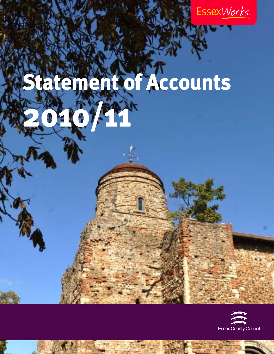

# **Statement of Accounts**  2010 10 PM

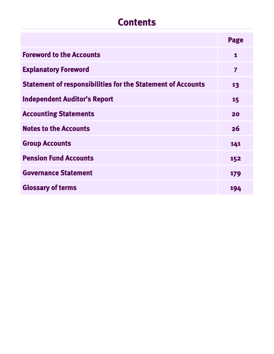# **Contents**

|                                                                    | Page                    |
|--------------------------------------------------------------------|-------------------------|
| <b>Foreword to the Accounts</b>                                    | 1                       |
| <b>Explanatory Foreword</b>                                        | $\overline{\mathbf{z}}$ |
| <b>Statement of responsibilities for the Statement of Accounts</b> | 13                      |
| <b>Independent Auditor's Report</b>                                | 15                      |
| <b>Accounting Statements</b>                                       | 20                      |
| <b>Notes to the Accounts</b>                                       | 26                      |
| <b>Group Accounts</b>                                              | 141                     |
| <b>Pension Fund Accounts</b>                                       | 152                     |
| <b>Governance Statement</b>                                        | 179                     |
| <b>Glossary of terms</b>                                           | 194                     |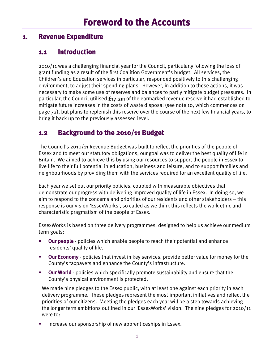#### <span id="page-4-0"></span>**1. Revenue Expenditure**

## **1.1 Introduction**

2010/11 was a challenging financial year for the Council, particularly following the loss of grant funding as a result of the first Coalition Government's budget. All services, the Children's and Education services in particular, responded positively to this challenging environment, to adjust their spending plans. However, in addition to these actions, it was necessary to make some use of reserves and balances to partly mitigate budget pressures. In particular, the Council utilised  $f_1$ 7.2m of the earmarked revenue reserve it had established to mitigate future increases in the costs of waste disposal (see note 10, which commences on page 72), but plans to replenish this reserve over the course of the next few financial years, to bring it back up to the previously assessed level.

## **1.2 Background to the 2010/11 Budget**

The Council's 2010/11 Revenue Budget was built to reflect the priorities of the people of Essex and to meet our statutory obligations; our goal was to deliver the best quality of life in Britain. We aimed to achieve this by using our resources to support the people in Essex to live life to their full potential in education, business and leisure; and to support families and neighbourhoods by providing them with the services required for an excellent quality of life.

Each year we set out our priority policies, coupled with measurable objectives that demonstrate our progress with delivering improved quality of life in Essex. In doing so, we aim to respond to the concerns and priorities of our residents and other stakeholders – this response is our vision 'EssexWorks', so called as we think this reflects the work ethic and characteristic pragmatism of the people of Essex.

EssexWorks is based on three delivery programmes, designed to help us achieve our medium term goals:

- **Our people**  policies which enable people to reach their potential and enhance residents' quality of life.
- **Our Economy** policies that invest in key services, provide better value for money for the County's taxpayers and enhance the County's infrastructure.
- **Our World** policies which specifically promote sustainability and ensure that the County's physical environment is protected.

We made nine pledges to the Essex public, with at least one against each priority in each delivery programme. These pledges represent the most important initiatives and reflect the priorities of our citizens. Meeting the pledges each year will be a step towards achieving the longer term ambitions outlined in our 'EssexWorks' vision. The nine pledges for 2010/11 were to:

Increase our sponsorship of new apprenticeships in Essex.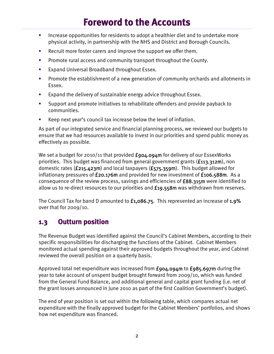# **Foreword to the Accounts**

- Increase opportunities for residents to adopt a healthier diet and to undertake more physical activity, in partnership with the NHS and District and Borough Councils.
- Recruit more foster carers and improve the support we offer them.
- **Promote rural access and community transport throughout the County.**
- **Expand Universal Broadband throughout Essex.**
- **Promote the establishment of a new generation of community orchards and allotments in** Essex.
- **Expand the delivery of sustainable energy advice throughout Essex.**
- Support and promote initiatives to rehabilitate offenders and provide payback to communities.
- Keep next year's council tax increase below the level of inflation.

As part of our integrated service and financial planning process, we reviewed our budgets to ensure that we had resources available to invest in our priorities and spend public money as effectively as possible.

We set a budget for 2010/11 that provided  $f_{904.094}$ m for delivery of our EssexWorks priorities. This budget was financed from general government grants (£113.312m), non domestic rates (£215.423m) and local taxpayers (£575.359m). This budget allowed for inflationary pressures of £20.176m and provided for new investment of £106.588m. As a consequence of the review process, savings and efficiencies of £88.315m were identified to allow us to re-direct resources to our priorities and  $f_{19.558m}$  was withdrawn from reserves.

The Council Tax for band D amounted to £1,086.75. This represented an increase of 1.9% over that for 2009/10.

## **1.3 Outturn position**

The Revenue Budget was identified against the Council's Cabinet Members, according to their specific responsibilities for discharging the functions of the Cabinet. Cabinet Members monitored actual spending against their approved budgets throughout the year, and Cabinet reviewed the overall position on a quarterly basis.

Approved total net expenditure was increased from  $f_{904.094}$  to  $f_{985.697}$ m during the year to take account of unspent budget brought forward from 2009/10, which was funded from the General Fund Balance, and additional general and capital grant funding (i.e. net of the grant losses announced in June 2010 as part of the first Coalition Government's budget).

The end of year position is set out within the following table, which compares actual net expenditure with the finally approved budget for the Cabinet Members' portfolios, and shows how net expenditure was financed.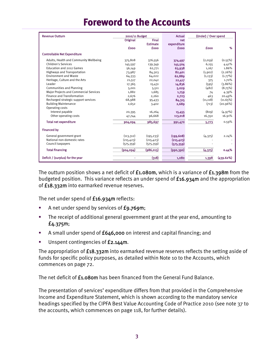# **Foreword to the Accounts**

| <b>Revenue Outturn</b>                        | 2010/11 Budget |                 | <b>Actual</b> | (Under) / Over spend |            |
|-----------------------------------------------|----------------|-----------------|---------------|----------------------|------------|
|                                               | Original       | <b>Final</b>    | net           |                      |            |
|                                               |                | <b>Estimate</b> | expenditure   |                      |            |
|                                               | fooo           | <b>fooo</b>     | <b>fooo</b>   | <b>fooo</b>          | %          |
| <b>Controllable Net Expenditure</b>           |                |                 |               |                      |            |
| Adults, Health and Community Wellbeing        | 375,808        | 376,556         | 374,497       | (2,059)              | $(0.55\%)$ |
| <b>Children's Services</b>                    | 145,597        | 139,349         | 145,504       | 6,155                | 4.42%      |
| Education and 2012 Games                      | 56,149         | 62,771          | 63,938        | 1,167                | 1.86%      |
| <b>Highways and Transportation</b>            | 73,987         | 84,303          | 82,401        | (1,902)              | (2.26%)    |
| <b>Environment and Waste</b>                  | 64,333         | 64,022          | 62,889        | (1, 133)             | $(1.77\%)$ |
| Heritage, Culture and the Arts                | 21,517         | 22,042          | 22,417        | 375                  | 1.70%      |
| Leader                                        | 17,365         | 15,431          | 14,836        | (595)                | $(3.86\%)$ |
| <b>Communities and Planning</b>               | 5,001          | 5,511           | 5,029         | (482)                | (8.75%)    |
| <b>Major Projects and Commercial Services</b> | 1,882          | 1,685           | 1,759         | 74                   | 4.39%      |
| <b>Finance and Transformation</b>             | 2,676          | 2,260           | 2,723         | 463                  | 20.49%     |
| Recharged strategic support services          | 68,988         | 95,433          | 84,315        | (11, 118)            | (11.65%)   |
| <b>Building Maintenance</b>                   | 2,652          | 3,402           | 2,689         | (713)                | (20.96%)   |
| Operating costs                               |                |                 |               |                      |            |
| Interest payable                              | 20,395         | 16,264          | 15,455        | (809)                | (4.97%)    |
| Other operating costs                         | 47,744         | 96,668          | 113,018       | 16,350               | 16.91%     |
| <b>Total net expenditure</b>                  | 904,094        | 985,697         | 991,470       | 5,773                | 0.59%      |
| <b>Financed by</b>                            |                |                 |               |                      |            |
| General government grant                      | (113, 312)     | (195, 233)      | (199, 608)    | (4,375)              | 2.24%      |
| National non-domestic rates                   | (215, 423)     | (215, 423)      | (215, 423)    |                      |            |
| Council taxpayers                             | (575, 359)     | (575, 359)      | (575, 359)    |                      |            |
| <b>Total financing</b>                        | (904, 094)     | (986, 015)      | (990, 390)    | (4, 375)             | 0.44%      |
| Deficit / (surplus) for the year              |                | (318)           | 1.080         | 1,398                | (439.62%)  |

The outturn position shows a net deficit of  $f_{1.080m}$ , which is a variance of  $f_{1.398m}$  from the budgeted position. This variance reflects an under spend of £16.934m and the appropriation of £18.332m into earmarked revenue reserves.

The net under spend of  $£16.934$ m reflects:

- A net under spend by services of £9.769m;
- The receipt of additional general government grant at the year end, amounting to £4.375m;
- A small under spend of £646,000 on interest and capital financing; and
- Unspent contingencies of £2.144m.

The appropriation of  $f18.332m$  into earmarked revenue reserves reflects the setting aside of funds for specific policy purposes, as detailed within Note 10 to the Accounts, which commences on page 72.

The net deficit of **£1.080m** has been financed from the General Fund Balance.

The presentation of services' expenditure differs from that provided in the Comprehensive Income and Expenditure Statement, which is shown according to the mandatory service headings specified by the CIPFA Best Value Accounting Code of Practice 2010 (see note 37 to the accounts, which commences on page 118, for further details).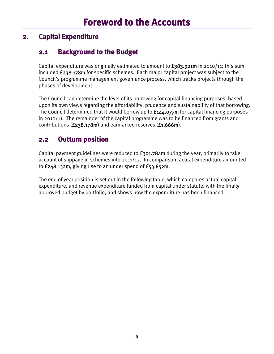## **2. Capital Expenditure**

## **2.1 Background to the Budget**

Capital expenditure was originally estimated to amount to  $f_383.921m$  in 2010/11; this sum included £238.178m for specific schemes. Each major capital project was subject to the Council's programme management governance process, which tracks projects through the phases of development.

The Council can determine the level of its borrowing for capital financing purposes, based upon its own views regarding the affordability, prudence and sustainability of that borrowing. The Council determined that it would borrow up to  $f_1/4$ ,  $o_7/7$ m for capital financing purposes in 2010/11. The remainder of the capital programme was to be financed from grants and contributions (£238.178m) and earmarked reserves (£1.666m).

## **2.2 Outturn position**

Capital payment guidelines were reduced to  $f_{301.784m}$  during the year, primarily to take account of slippage in schemes into 2011/12. In comparison, actual expenditure amounted to £248.132m, giving rise to an under spend of £53.652m.

The end of year position is set out in the following table, which compares actual capital expenditure, and revenue expenditure funded from capital under statute, with the finally approved budget by portfolio, and shows how the expenditure has been financed.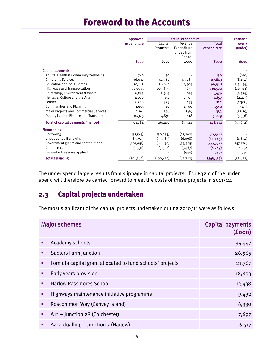# **Foreword to the Accounts**

|                                               | Approved    |            | <b>Actual expenditure</b> |              | Variance    |
|-----------------------------------------------|-------------|------------|---------------------------|--------------|-------------|
|                                               | expenditure | Capital    | Revenue                   | <b>Total</b> | over /      |
|                                               |             | Payments   | Expenditure               | expenditure  | (under)     |
|                                               |             |            | funded from               |              |             |
|                                               |             |            | Capital                   |              |             |
|                                               | <b>fooo</b> | fooo       | fooo                      | <b>fooo</b>  | <b>fooo</b> |
| Capital payments                              |             |            |                           |              |             |
| Adults, Health & Community Wellbeing          | 740         | 130        |                           | 130          | (610)       |
| Children's Services                           | 36,037      | 12,760     | 15,083                    | 27,843       | (8, 194)    |
| Education and 2012 Games                      | 110,182     | 28,644     | 67,904                    | 96,548       | (13, 634)   |
| <b>Highways and Transportation</b>            | 127,533     | 109,899    | 673                       | 110,572      | (16,961)    |
| Chief Whip, Environment & Waste               | 6,853       | 2,985      | 494                       | 3,479        | (3,374)     |
| Heritage, Culture and the Arts                | 4,070       | 354        | 1,503                     | 1,857        | (2,213)     |
| Leader                                        | 2,208       | 329        | 493                       | 822          | (1,386)     |
| <b>Communities and Planning</b>               | 1,655       | 40         | 1,500                     | 1,540        | (115)       |
| <b>Major Projects and Commercial Services</b> | 2,161       | 378        | (46)                      | 332          | (1,829)     |
| Deputy Leader, Finance and Transformation     | 10,345      | 4,891      | 118                       | 5,009        | (5, 336)    |
| <b>Total of capital payments financed</b>     | 301,784     | 160,410    | 87,722                    | 248,132      | (53, 652)   |
| <b>Financed by</b>                            |             |            |                           |              |             |
| Borrowing                                     | (51, 545)   | (30, 253)  | (21, 292)                 | (51, 545)    |             |
| <b>Unsupported Borrowing</b>                  | (67,757)    | (59, 985)  | (6,098)                   | (66, 083)    | (1,674)     |
| Government grants and contributions           | (179, 951)  | (66, 850)  | (55, 925)                 | (122, 775)   | (57, 176)   |
| Capital receipts                              | (2,531)     | (3,322)    | (3,467)                   | (6,789)      | 4,258       |
| Earmarked reserves applied                    |             |            | (940)                     | (940)        | 940         |
| <b>Total financing</b>                        | (301,784)   | (160, 410) | (87, 722)                 | (248, 132)   | (53, 652)   |

The under spend largely results from slippage in capital projects. £51.832m of the under spend will therefore be carried forward to meet the costs of these projects in 2011/12.

## **2.3 Capital projects undertaken**

The most significant of the capital projects undertaken during 2010/11 were as follows:

|   | <b>Major schemes</b>                                      | <b>Capital payments</b><br>(f000) |
|---|-----------------------------------------------------------|-----------------------------------|
| ٠ | Academy schools                                           | 34,447                            |
| п | Sadlers Farm junction                                     | 26,965                            |
| п | Formula capital grant allocated to fund schools' projects | 21,767                            |
| ш | Early years provision                                     | 18,803                            |
| ٠ | <b>Harlow Passmores School</b>                            | 13,438                            |
| ٠ | Highways maintenance initiative programme                 | 9,432                             |
| п | Roscommon Way (Canvey Island)                             | 8,330                             |
|   | A12 - Junction 28 (Colchester)                            | 7,697                             |
|   | A414 dualling - Junction 7 (Harlow)                       | 6,517                             |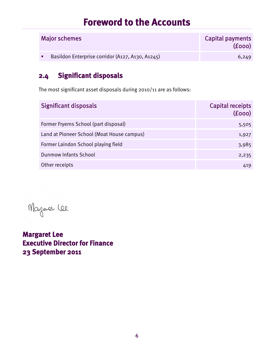# **Foreword to the Accounts**

| <b>Major schemes</b>                             | Capital payments<br>(f000) |
|--------------------------------------------------|----------------------------|
| Basildon Enterprise corridor (A127, A130, A1245) | 6,249                      |

## **2.4 Significant disposals**

The most significant asset disposals during 2010/11 are as follows:

| <b>Significant disposals</b>               | <b>Capital receipts</b><br>(f000) |
|--------------------------------------------|-----------------------------------|
| Former Fryerns School (part disposal)      | 5,505                             |
| Land at Pioneer School (Moat House campus) | 1,927                             |
| Former Laindon School playing field        | 3,985                             |
| <b>Dunmow Infants School</b>               | 2,235                             |
| Other receipts                             | 419                               |

Magaver lee

**Margaret Lee Executive Director for Finance 23 September 2011**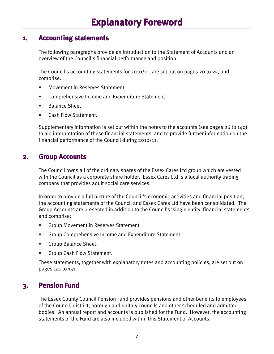#### <span id="page-10-0"></span>**1. Accounting statements**

The following paragraphs provide an introduction to the Statement of Accounts and an overview of the Council's financial performance and position.

The Council's accounting statements for  $2010/11$ , are set out on pages 20 to 25, and comprise:

- Movement in Reserves Statement
- Comprehensive Income and Expenditure Statement
- Balance Sheet
- Cash Flow Statement.

Supplementary information is set out within the notes to the accounts (see pages 26 to 140) to aid interpretation of these financial statements, and to provide further information on the financial performance of the Council during 2010/11.

#### **2. Group Accounts**

The Council owns all of the ordinary shares of the Essex Cares Ltd group which are vested with the Council as a corporate share holder. Essex Cares Ltd is a local authority trading company that provides adult social care services.

In order to provide a full picture of the Council's economic activities and financial position, the accounting statements of the Council and Essex Cares Ltd have been consolidated. The Group Accounts are presented in addition to the Council's 'single entity' financial statements and comprise:

- Group Movement in Reserves Statement
- Group Comprehensive Income and Expenditure Statement;
- **Group Balance Sheet;**
- Group Cash Flow Statement.

These statements, together with explanatory notes and accounting policies, are set out on pages 141 to 151.

#### **3. Pension Fund**

The Essex County Council Pension Fund provides pensions and other benefits to employees of the Council, district, borough and unitary councils and other scheduled and admitted bodies. An annual report and accounts is published for the Fund. However, the accounting statements of the Fund are also included within this Statement of Accounts.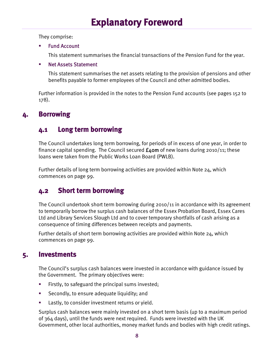They comprise:

Fund Account

This statement summarises the financial transactions of the Pension Fund for the year.

#### **Net Assets Statement**

This statement summarises the net assets relating to the provision of pensions and other benefits payable to former employees of the Council and other admitted bodies.

Further information is provided in the notes to the Pension Fund accounts (see pages 152 to  $178$ ).

## **4. Borrowing**

## **4.1 Long term borrowing**

The Council undertakes long term borrowing, for periods of in excess of one year, in order to finance capital spending. The Council secured  $f_4$ om of new loans during 2010/11; these loans were taken from the Public Works Loan Board (PWLB).

Further details of long term borrowing activities are provided within Note  $24$ , which commences on page 99.

## **4.2 Short term borrowing**

The Council undertook short term borrowing during 2010/11 in accordance with its agreement to temporarily borrow the surplus cash balances of the Essex Probation Board, Essex Cares Ltd and Library Services Slough Ltd and to cover temporary shortfalls of cash arising as a consequence of timing differences between receipts and payments.

Further details of short term borrowing activities are provided within Note  $24$ , which commences on page 99.

## **5. Investments**

The Council's surplus cash balances were invested in accordance with guidance issued by the Government. The primary objectives were:

- **Firstly, to safeguard the principal sums invested;**
- Secondly, to ensure adequate liquidity; and
- Lastly, to consider investment returns or yield.

Surplus cash balances were mainly invested on a short term basis (up to a maximum period of 364 days), until the funds were next required. Funds were invested with the UK Government, other local authorities, money market funds and bodies with high credit ratings.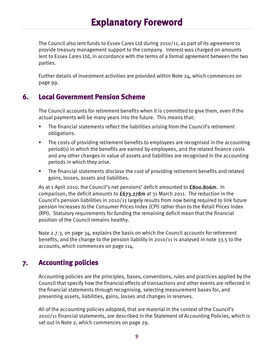# **Explanatory Foreword**

The Council also lent funds to Essex Cares Ltd during 2010/11, as part of its agreement to provide treasury management support to the company. Interest was charged on amounts lent to Essex Cares Ltd, in accordance with the terms of a formal agreement between the two parties.

Further details of investment activities are provided within Note 24, which commences on page 99.

#### **6. Local Government Pension Scheme**

The Council accounts for retirement benefits when it is committed to give them, even if the actual payments will be many years into the future. This means that:

- The financial statements reflect the liabilities arising from the Council's retirement obligations.
- The costs of providing retirement benefits to employees are recognised in the accounting period(s) in which the benefits are earned by employees, and the related finance costs and any other changes in value of assets and liabilities are recognised in the accounting periods in which they arise.
- The financial statements disclose the cost of providing retirement benefits and related gains, losses, assets and liabilities.

As at 1 April 2010, the Council's net pensions' deficit amounted to **£800.806m**. In comparison, the deficit amounts to  $f_{673.278m}$  at 31 March 2011. The reduction in the Council's pension liabilities in 2010/11 largely results from now being required to link future pension increases to the Consumer Prices Index (CPI) rather than to the Retail Prices Index (RPI). Statutory requirements for funding the remaining deficit mean that the financial position of the Council remains healthy.

Note 2.7.3, on page 34, explains the basis on which the Council accounts for retirement benefits, and the change to the pension liability in 2010/11 is analysed in note 33.5 to the accounts, which commences on page 114.

#### **7. Accounting policies**

Accounting policies are the principles, bases, conventions, rules and practices applied by the Council that specify how the financial effects of transactions and other events are reflected in the financial statements through recognising, selecting measurement bases for, and presenting assets, liabilities, gains, losses and changes in reserves.

All of the accounting policies adopted, that are material in the context of the Council's 2010/11 financial statements, are described in the Statement of Accounting Policies, which is set out in Note 2, which commences on page 29.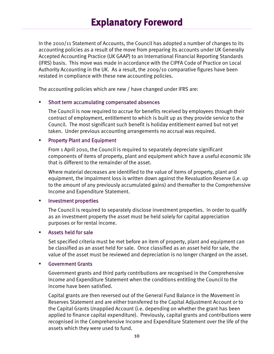In the 2010/11 Statement of Accounts, the Council has adopted a number of changes to its accounting policies as a result of the move from preparing its accounts under UK Generally Accepted Accounting Practice (UK GAAP) to an International Financial Reporting Standards (IFRS) basis. This move was made in accordance with the CIPFA Code of Practice on Local Authority Accounting in the UK. As a result, the 2009/10 comparative figures have been restated in compliance with these new accounting policies.

The accounting policies which are new / have changed under IFRS are:

#### Short term accumulating compensated absences

The Council is now required to accrue for benefits received by employees through their contract of employment, entitlement to which is built up as they provide service to the Council. The most significant such benefit is holiday entitlement earned but not yet taken. Under previous accounting arrangements no accrual was required.

#### **•** Property Plant and Equipment

From 1 April 2010, the Council is required to separately depreciate significant components of items of property, plant and equipment which have a useful economic life that is different to the remainder of the asset.

Where material decreases are identified to the value of items of property, plant and equipment, the impairment loss is written down against the Revaluation Reserve (i.e. up to the amount of any previously accumulated gains) and thereafter to the Comprehensive Income and Expenditure Statement.

#### **EXECUTE:** Investment properties

The Council is required to separately disclose investment properties. In order to qualify as an investment property the asset must be held solely for capital appreciation purposes or for rental income.

#### Assets held for sale

Set specified criteria must be met before an item of property, plant and equipment can be classified as an asset held for sale. Once classified as an asset held for sale, the value of the asset must be reviewed and depreciation is no longer charged on the asset.

#### Government Grants

Government grants and third party contributions are recognised in the Comprehensive Income and Expenditure Statement when the conditions entitling the Council to the income have been satisfied.

Capital grants are then reversed out of the General Fund Balance in the Movement in Reserves Statement and are either transferred to the Capital Adjustment Account or to the Capital Grants Unapplied Account (i.e. depending on whether the grant has been applied to finance capital expenditure). Previously, capital grants and contributions were recognised in the Comprehensive Income and Expenditure Statement over the life of the assets which they were used to fund.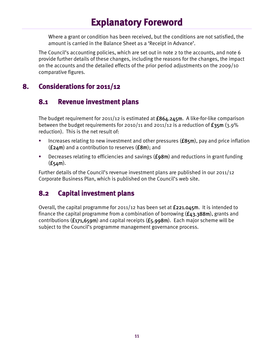# **Explanatory Foreword**

Where a grant or condition has been received, but the conditions are not satisfied, the amount is carried in the Balance Sheet as a 'Receipt in Advance'.

The Council's accounting policies, which are set out in note 2 to the accounts, and note 6 provide further details of these changes, including the reasons for the changes, the impact on the accounts and the detailed effects of the prior period adjustments on the 2009/10 comparative figures.

#### **8. Considerations for 2011/12**

#### **8.1 Revenue investment plans**

The budget requirement for  $201/12$  is estimated at  $£864.245$ m. A like-for-like comparison between the budget requirements for 2010/11 and 2011/12 is a reduction of  $\epsilon_{35m}$  (3.9% reduction). This is the net result of:

- Increases relating to new investment and other pressures  $(f85m)$ , pay and price inflation  $(£24m)$  and a contribution to reserves  $(£8m)$ ; and
- Decreases relating to efficiencies and savings (£98m) and reductions in grant funding  $(f54m)$ .

Further details of the Council's revenue investment plans are published in our 2011/12 Corporate Business Plan, which is published on the Council's web site.

#### **8.2 Capital investment plans**

Overall, the capital programme for  $201/12$  has been set at  $f221.045m$ . It is intended to finance the capital programme from a combination of borrowing  $(f_{43.388m})$ , grants and contributions ( $£171,659m$ ) and capital receipts ( $£5,998m$ ). Each major scheme will be subject to the Council's programme management governance process.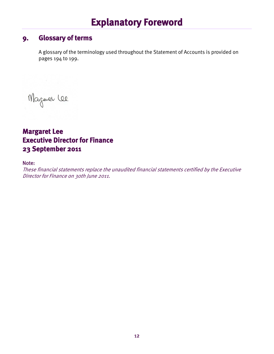# **Explanatory Foreword**

#### **9. Glossary of terms**

A glossary of the terminology used throughout the Statement of Accounts is provided on pages 194 to 199.

Magaver Lee

**Margaret Lee Executive Director for Finance 23 September 2011** 

#### Note:

These financial statements replace the unaudited financial statements certified by the Executive Director for Finance on 30th June 2011.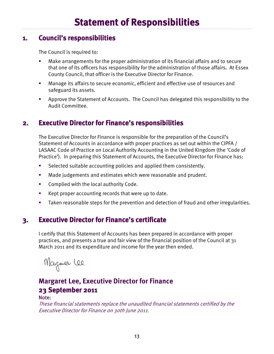#### **1. Council's responsibilities**

The Council is required to:

- Make arrangements for the proper administration of its financial affairs and to secure that one of its officers has responsibility for the administration of those affairs. At Essex County Council, that officer is the Executive Director for Finance.
- Manage its affairs to secure economic, efficient and effective use of resources and safeguard its assets.
- Approve the Statement of Accounts. The Council has delegated this responsibility to the Audit Committee.

#### **2. Executive Director for Finance's responsibilities**

The Executive Director for Finance is responsible for the preparation of the Council's Statement of Accounts in accordance with proper practices as set out within the CIPFA / LASAAC Code of Practice on Local Authority Accounting in the United Kingdom (the 'Code of Practice'). In preparing this Statement of Accounts, the Executive Director for Finance has:

- Selected suitable accounting policies and applied them consistently.
- Made judgements and estimates which were reasonable and prudent.
- **EXECOMPLEE COMPLIED WATER** Complied with the local authority Code.
- Kept proper accounting records that were up to date.
- Taken reasonable steps for the prevention and detection of fraud and other irregularities.

#### **3. Executive Director for Finance's certificate**

I certify that this Statement of Accounts has been prepared in accordance with proper practices, and presents a true and fair view of the financial position of the Council at 31 March 2011 and its expenditure and income for the year then ended.

Magaer lee

## **Margaret Lee, Executive Director for Finance**  42H5**23 September 2011**

#### Note:

These financial statements replace the unaudited financial statements certified by the Executive Director for Finance on 30th June 2011.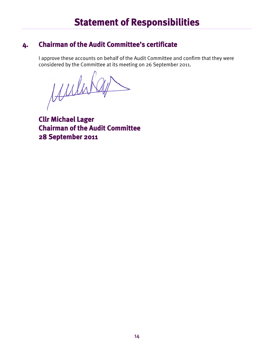## **4. Chairman of the Audit Committee's certificate**

I approve these accounts on behalf of the Audit Committee and confirm that they were considered by the Committee at its meeting on 26 September 2011.

Muhikay

**Cllr Michael Lager Chairman of the Audit Committee 28 September 2011**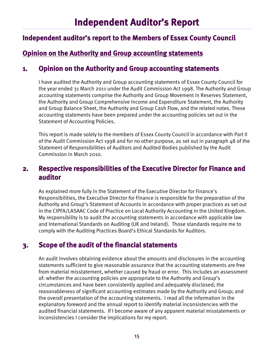## **Independent auditor's report to the Members of Essex County Council**

## **Opinion on the Authority and Group accounting statements**

#### **1. Opinion on the Authority and Group accounting statements**

I have audited the Authority and Group accounting statements of Essex County Council for the year ended 31 March 2011 under the Audit Commission Act 1998. The Authority and Group accounting statements comprise the Authority and Group Movement in Reserves Statement, the Authority and Group Comprehensive Income and Expenditure Statement, the Authority and Group Balance Sheet, the Authority and Group Cash Flow, and the related notes. These accounting statements have been prepared under the accounting policies set out in the Statement of Accounting Policies.

This report is made solely to the members of Essex County Council in accordance with Part II of the Audit Commission Act 1998 and for no other purpose, as set out in paragraph 48 of the Statement of Responsibilities of Auditors and Audited Bodies published by the Audit Commission in March 2010.

#### **2. Respective responsibilities of the Executive Director for Finance and auditor**

As explained more fully in the Statement of the Executive Director for Finance's Responsibilities, the Executive Director for Finance is responsible for the preparation of the Authority and Group's Statement of Accounts in accordance with proper practices as set out in the CIPFA/LASAAC Code of Practice on Local Authority Accounting in the United Kingdom. My responsibility is to audit the accounting statements in accordance with applicable law and International Standards on Auditing (UK and Ireland). Those standards require me to comply with the Auditing Practices Board's Ethical Standards for Auditors.

#### **3. Scope of the audit of the financial statements**

An audit involves obtaining evidence about the amounts and disclosures in the accounting statements sufficient to give reasonable assurance that the accounting statements are free from material misstatement, whether caused by fraud or error. This includes an assessment of: whether the accounting policies are appropriate to the Authority and Group's circumstances and have been consistently applied and adequately disclosed; the reasonableness of significant accounting estimates made by the Authority and Group; and the overall presentation of the accounting statements. I read all the information in the explanatory foreword and the annual report to identify material inconsistencies with the audited financial statements. If I become aware of any apparent material misstatements or inconsistencies I consider the implications for my report.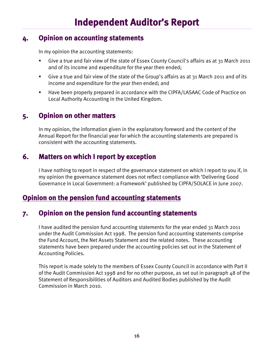#### **4. Opinion on accounting statements**

In my opinion the accounting statements:

- Give a true and fair view of the state of Essex County Council's affairs as at 31 March 2011 and of its income and expenditure for the year then ended;
- Give a true and fair view of the state of the Group's affairs as at 31 March 2011 and of its income and expenditure for the year then ended; and
- Have been properly prepared in accordance with the CIPFA/LASAAC Code of Practice on Local Authority Accounting in the United Kingdom.

## **5. Opinion on other matters**

In my opinion, the information given in the explanatory foreword and the content of the Annual Report for the financial year for which the accounting statements are prepared is consistent with the accounting statements.

#### **6. Matters on which I report by exception**

I have nothing to report in respect of the governance statement on which I report to you if, in my opinion the governance statement does not reflect compliance with 'Delivering Good Governance in Local Government: a Framework' published by CIPFA/SOLACE in June 2007.

#### **Opinion on the pension fund accounting statements**

#### **7. Opinion on the pension fund accounting statements**

I have audited the pension fund accounting statements for the year ended 31 March 2011 under the Audit Commission Act 1998. The pension fund accounting statements comprise the Fund Account, the Net Assets Statement and the related notes. These accounting statements have been prepared under the accounting policies set out in the Statement of Accounting Policies.

This report is made solely to the members of Essex County Council in accordance with Part II of the Audit Commission Act 1998 and for no other purpose, as set out in paragraph 48 of the Statement of Responsibilities of Auditors and Audited Bodies published by the Audit Commission in March 2010.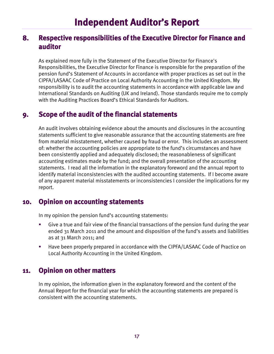#### **8. Respective responsibilities of the Executive Director for Finance and auditor**

As explained more fully in the Statement of the Executive Director for Finance's Responsibilities, the Executive Director for Finance is responsible for the preparation of the pension fund's Statement of Accounts in accordance with proper practices as set out in the CIPFA/LASAAC Code of Practice on Local Authority Accounting in the United Kingdom. My responsibility is to audit the accounting statements in accordance with applicable law and International Standards on Auditing (UK and Ireland). Those standards require me to comply with the Auditing Practices Board's Ethical Standards for Auditors.

#### **9. Scope of the audit of the financial statements**

An audit involves obtaining evidence about the amounts and disclosures in the accounting statements sufficient to give reasonable assurance that the accounting statements are free from material misstatement, whether caused by fraud or error. This includes an assessment of: whether the accounting policies are appropriate to the fund's circumstances and have been consistently applied and adequately disclosed; the reasonableness of significant accounting estimates made by the fund; and the overall presentation of the accounting statements. I read all the information in the explanatory foreword and the annual report to identify material inconsistencies with the audited accounting statements. If I become aware of any apparent material misstatements or inconsistencies I consider the implications for my report.

#### **10. Opinion on accounting statements**

In my opinion the pension fund's accounting statements:

- Give a true and fair view of the financial transactions of the pension fund during the year ended 31 March 2011 and the amount and disposition of the fund's assets and liabilities as at 31 March 2011; and
- Have been properly prepared in accordance with the CIPFA/LASAAC Code of Practice on Local Authority Accounting in the United Kingdom.

#### **11. Opinion on other matters**

In my opinion, the information given in the explanatory foreword and the content of the Annual Report for the financial year for which the accounting statements are prepared is consistent with the accounting statements.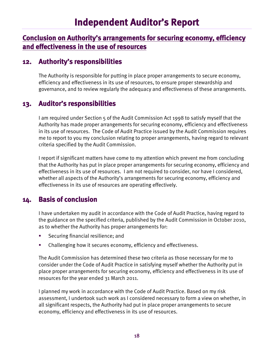# **Independent Auditor's Report**

#### **Conclusion on Authority's arrangements for securing economy, efficiency and effectiveness in the use of resources**

#### **12. Authority's responsibilities**

The Authority is responsible for putting in place proper arrangements to secure economy, efficiency and effectiveness in its use of resources, to ensure proper stewardship and governance, and to review regularly the adequacy and effectiveness of these arrangements.

#### **13. Auditor's responsibilities**

I am required under Section 5 of the Audit Commission Act 1998 to satisfy myself that the Authority has made proper arrangements for securing economy, efficiency and effectiveness in its use of resources. The Code of Audit Practice issued by the Audit Commission requires me to report to you my conclusion relating to proper arrangements, having regard to relevant criteria specified by the Audit Commission.

I report if significant matters have come to my attention which prevent me from concluding that the Authority has put in place proper arrangements for securing economy, efficiency and effectiveness in its use of resources. I am not required to consider, nor have I considered, whether all aspects of the Authority's arrangements for securing economy, efficiency and effectiveness in its use of resources are operating effectively.

#### **14. Basis of conclusion**

I have undertaken my audit in accordance with the Code of Audit Practice, having regard to the guidance on the specified criteria, published by the Audit Commission in October 2010, as to whether the Authority has proper arrangements for:

- Securing financial resilience; and
- Challenging how it secures economy, efficiency and effectiveness.

The Audit Commission has determined these two criteria as those necessary for me to consider under the Code of Audit Practice in satisfying myself whether the Authority put in place proper arrangements for securing economy, efficiency and effectiveness in its use of resources for the year ended 31 March 2011.

I planned my work in accordance with the Code of Audit Practice. Based on my risk assessment, I undertook such work as I considered necessary to form a view on whether, in all significant respects, the Authority had put in place proper arrangements to secure economy, efficiency and effectiveness in its use of resources.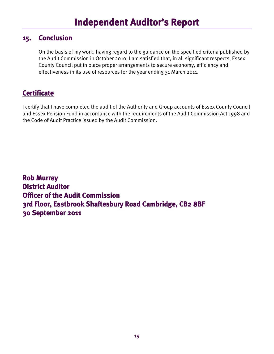# **Independent Auditor's Report**

#### **15. Conclusion**

On the basis of my work, having regard to the guidance on the specified criteria published by the Audit Commission in October 2010, I am satisfied that, in all significant respects, Essex County Council put in place proper arrangements to secure economy, efficiency and effectiveness in its use of resources for the year ending 31 March 2011.

## **Certificate**

I certify that I have completed the audit of the Authority and Group accounts of Essex County Council and Essex Pension Fund in accordance with the requirements of the Audit Commission Act 1998 and the Code of Audit Practice issued by the Audit Commission.

**Rob Murray District Auditor Officer of the Audit Commission 3rd Floor, Eastbrook Shaftesbury Road Cambridge, CB2 8BF 30 September 2011**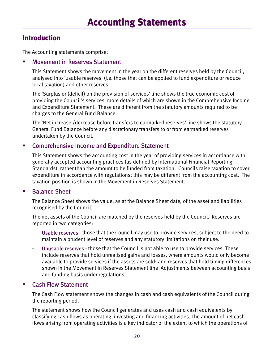## **Introduction**

The Accounting statements comprise:

#### Movement in Reserves Statement

This Statement shows the movement in the year on the different reserves held by the Council, analysed into 'usable reserves' (i.e. those that can be applied to fund expenditure or reduce local taxation) and other reserves.

The 'Surplus or (deficit) on the provision of services' line shows the true economic cost of providing the Council's services, more details of which are shown in the Comprehensive Income and Expenditure Statement. These are different from the statutory amounts required to be charges to the General Fund Balance.

The 'Net increase /decrease before transfers to earmarked reserves' line shows the statutory General Fund Balance before any discretionary transfers to or from earmarked reserves undertaken by the Council.

#### **EXP** Comprehensive Income and Expenditure Statement

This Statement shows the accounting cost in the year of providing services in accordance with generally accepted accounting practices (as defined by International Financial Reporting Standards), rather than the amount to be funded from taxation. Councils raise taxation to cover expenditure in accordance with regulations; this may be different from the accounting cost. The taxation position is shown in the Movement in Reserves Statement.

#### **Balance Sheet**

The Balance Sheet shows the value, as at the Balance Sheet date, of the asset and liabilities recognised by the Council.

The net assets of the Council are matched by the reserves held by the Council. Reserves are reported in two categories:

- Usable reserves those that the Council may use to provide services, subject to the need to maintain a prudent level of reserves and any statutory limitations on their use.
- Unusable reserves those that the Council is not able to use to provide services. These include reserves that hold unrealised gains and losses, where amounts would only become available to provide services if the assets are sold; and reserves that hold timing differences shown in the Movement in Reserves Statement line 'Adjustments between accounting basis and funding basis under regulations'.

#### Cash Flow Statement

The Cash Flow statement shows the changes in cash and cash equivalents of the Council during the reporting period.

The statement shows how the Council generates and uses cash and cash equivalents by classifying cash flows as operating, investing and financing activities. The amount of net cash flows arising from operating activities is a key indicator of the extent to which the operations of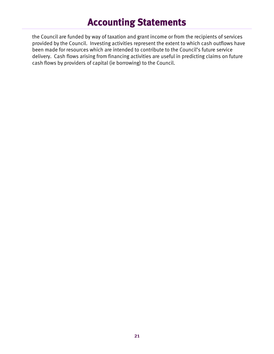# **Accounting Statements**

the Council are funded by way of taxation and grant income or from the recipients of services provided by the Council. Investing activities represent the extent to which cash outflows have been made for resources which are intended to contribute to the Council's future service delivery. Cash flows arising from financing activities are useful in predicting claims on future cash flows by providers of capital (ie borrowing) to the Council.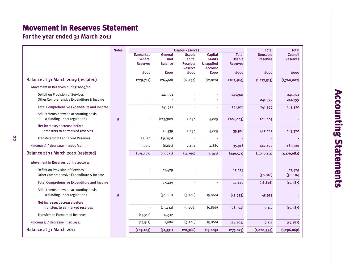## **Movement in Reserves Statement**

**For the year ended 31 March 2011** 

22

|                                                                              | <b>Notes</b>   |                                                | <b>Usable Reserves</b>            |                                                               |                                                                |                                                  | <b>Total</b>                       | <b>Total</b>                      |
|------------------------------------------------------------------------------|----------------|------------------------------------------------|-----------------------------------|---------------------------------------------------------------|----------------------------------------------------------------|--------------------------------------------------|------------------------------------|-----------------------------------|
|                                                                              |                | <b>Earmarked</b><br>General<br><b>Reserves</b> | General<br>Fund<br><b>Balance</b> | <b>Usable</b><br>Capital<br><b>Receipts</b><br><b>Reserve</b> | Capital<br><b>Grants</b><br><b>Unapplied</b><br><b>Account</b> | <b>Total</b><br><b>Usable</b><br><b>Reserves</b> | <b>Unusable</b><br><b>Reserves</b> | <b>Council</b><br><b>Reserves</b> |
|                                                                              |                | <b>fooo</b>                                    | <b>fooo</b>                       | <b>fooo</b>                                                   | <b>fooo</b>                                                    | <b>fooo</b>                                      | <b>fooo</b>                        | <b>fooo</b>                       |
| Balance at 31 March 2009 (restated)                                          |                | (229,747)                                      | (26,460)                          | (14, 254)                                                     | (12, 028)                                                      | (282, 489)                                       | (1,477,513)                        | (1,760,002)                       |
| Movement in Reserves during 2009/10                                          |                |                                                |                                   |                                                               |                                                                |                                                  |                                    |                                   |
| Deficit on Provision of Services<br>Other Comprehensive Expenditure & Income |                |                                                | 241,921                           |                                                               |                                                                | 241,921                                          | 241,399                            | 241,921<br>241,399                |
| <b>Total Comprehensive Expenditure and Income</b>                            |                |                                                | 241,921                           |                                                               |                                                                | 241,921                                          | 241,399                            | 483,320                           |
| Adjustments between accounting basis<br>& funding under regulations          | $\overline{9}$ |                                                | (213, 382)                        | 2,494                                                         | 4,885                                                          | (206,003)                                        | 206,003                            |                                   |
| Net increase/decrease before<br>transfers to earmarked reserves              |                |                                                | 28,539                            | 2,494                                                         | 4,885                                                          | 35,918                                           | 447,402                            | 483,320                           |
| <b>Transfers from Earmarked Reserves</b>                                     |                | 35,150                                         | (35, 150)                         |                                                               |                                                                |                                                  |                                    |                                   |
| (Increase) / decrease in 2009/10                                             |                | 35,150                                         | (6, 611)                          | 2,494                                                         | 4,885                                                          | 35,918                                           | 447,402                            | 483,320                           |
| Balance at 31 March 2010 (restated)                                          |                | (194, 597)                                     | (33,071)                          | (11,760)                                                      | (7, 143)                                                       | (246, 571)                                       | (1,030,111)                        | (1, 276, 682)                     |
| Movement in Reserves during 2010/11                                          |                |                                                |                                   |                                                               |                                                                |                                                  |                                    |                                   |
| Deficit on Provision of Services<br>Other Comprehensive Expenditure & Income |                |                                                | 17,429                            |                                                               |                                                                | 17,429                                           | (36, 816)                          | 17,429<br>(36, 816)               |
| <b>Total Comprehensive Expenditure and Income</b>                            |                |                                                | 17,429                            |                                                               |                                                                | 17,429                                           | (36, 816)                          | (19, 387)                         |
| Adjustments between accounting basis<br>& funding under regulations          | $\overline{9}$ |                                                | (30, 861)                         | (9,206)                                                       | (5, 866)                                                       | (45, 933)                                        | 45,933                             |                                   |
| Net increase/decrease before<br>transfers to earmarked reserves              |                | $\blacksquare$                                 | (13, 432)                         | (9,206)                                                       | (5,866)                                                        | (28, 504)                                        |                                    | (19, 387)                         |
| <b>Transfers to Earmarked Reserves</b>                                       |                |                                                |                                   |                                                               |                                                                |                                                  | 9,117                              |                                   |
|                                                                              |                | (14, 512)                                      | 14,512                            |                                                               |                                                                |                                                  |                                    |                                   |
| (Increase) / decrease in $2010/11$                                           |                | (14, 512)                                      | 1,080                             | (9, 206)                                                      | (5,866)                                                        | (28, 504)                                        | 9,117                              | (19, 387)                         |
| Balance at 31 March 2011                                                     |                | (209, 109)                                     | (31,991)                          | (20, 966)                                                     | (13,009)                                                       | (275, 075)                                       | (1,020,994)                        | (1, 296, 069)                     |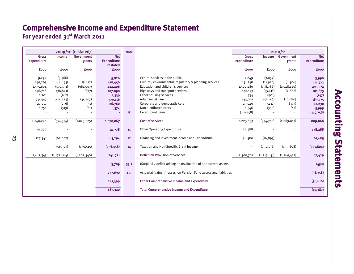## **Comprehensive Income and Expenditure Statement**

**For year ended 31st March 2011** 

| 2009/10 (restated) |               |               |                    | <b>Note</b> |                                                                   |                          |               |               |             |
|--------------------|---------------|---------------|--------------------|-------------|-------------------------------------------------------------------|--------------------------|---------------|---------------|-------------|
| <b>Gross</b>       | Income        | Government    | <b>Net</b>         |             |                                                                   | <b>Gross</b>             | <b>Income</b> | Government    | <b>Net</b>  |
| expenditure        |               | grants        | <b>Expenditure</b> |             |                                                                   | expenditure              |               | grants        | expenditure |
|                    |               |               | <b>Restated</b>    |             |                                                                   |                          |               |               |             |
| <b>£000</b>        | <b>fooo</b>   | <b>£000</b>   | <b>fooo</b>        |             |                                                                   | <b>fooo</b>              | <b>£000</b>   | <b>fooo</b>   | <b>fooo</b> |
|                    |               |               |                    |             |                                                                   |                          |               |               |             |
| 9,292              | (3,466)       |               | 5,826              |             | Central services to the public                                    | 7,849                    | (3,859)       |               | 3,990       |
| 149,263            | (14, 695)     | (5, 612)      | 128,956            |             | Cultural, environmental, regulatory & planning services           | 131,748                  | (11,920)      | (8,306)       | 111,522     |
| 1,575,604          | (170, 191)    | (981,007)     | 424,406            |             | Education and children's services                                 | 1,500,480                | (158, 786)    | (1,048,120)   | 293,574     |
| 146,748            | (38, 821)     | (837)         | 107,090            |             | Highways and transport services                                   | 140,173                  | (35, 411)     | (2,887)       | 101,875     |
| 2,101              | (762)         |               | 1,339              |             | Other housing services                                            | 754                      | (901)         |               | (147)       |
| 531,447            | (125, 824)    | (35, 507)     | 370,116            |             | Adult social care                                                 | 533,001                  | (133, 146)    | (10,080)      | 389,775     |
| 27,017             | (256)         | (1)           | 26,760             |             | Corporate and democratic core                                     | 23,040                   | (437)         | (373)         | 22,230      |
| 6,754              | (319)         | (61)          | 6,374              |             | Non distributed costs                                             | 6,346                    | (300)         | (47)          | 5,999       |
|                    |               |               |                    | 8           | <b>Exceptional items</b>                                          | (119,758)                |               |               | (119,758)   |
|                    |               |               |                    |             |                                                                   |                          |               |               |             |
| 2,448,226          | (354, 334)    | (1,023,025)   | 1,070,867          |             | <b>Cost of services</b>                                           | 2,223,633                | (344,760)     | (1,069,813)   | 809,060     |
|                    |               |               |                    |             |                                                                   |                          |               |               |             |
| 41,778             |               |               | 41,778             | 11          | <b>Other Operating Expenditure</b>                                | 138,488                  |               |               | 138,488     |
|                    |               |               |                    |             |                                                                   |                          |               |               |             |
| 127,341            | (62, 047)     |               | 65,294             | 12          | Financing and Investment Income and Expenditure                   | 138,580                  | (76, 895)     |               | 61,685      |
|                    |               |               |                    |             |                                                                   |                          |               |               |             |
|                    | (756, 503)    | (179, 515)    | (936,018)          | 14          | Taxation and Non-Specific Grant Income                            | $\overline{\phantom{a}}$ | (792, 196)    | (199, 608)    | (991, 804)  |
|                    |               |               |                    |             |                                                                   |                          |               |               |             |
| 2,617,345          | (1, 172, 884) | (1, 202, 540) | 241,921            |             | <b>Deficit on Provision of Services</b>                           | 2,500,701                | (1, 213, 851) | (1, 269, 421) | 17,429      |
|                    |               |               |                    |             |                                                                   |                          |               |               |             |
|                    |               |               | 3,709              | 33.2        | (Surplus) / deficit arising on revaluation of non-current assets  |                          |               |               | (458)       |
|                    |               |               |                    |             |                                                                   |                          |               |               |             |
|                    |               |               | 237,690            | 33.5        | Actuarial (gains) / losses on Pension Fund assets and liabilities |                          |               |               | (36, 358)   |
|                    |               |               |                    |             |                                                                   |                          |               |               |             |
|                    |               |               |                    |             | <b>Other Comprehensive Income and Expenditure</b>                 |                          |               |               | (36, 816)   |
|                    |               |               | 241,399            |             |                                                                   |                          |               |               |             |
|                    |               |               |                    |             | <b>Total Comprehensive Income and Expenditure</b>                 |                          |               |               |             |
|                    |               |               | 483,320            |             |                                                                   |                          |               |               | (19, 387)   |
|                    |               |               |                    |             |                                                                   |                          |               |               |             |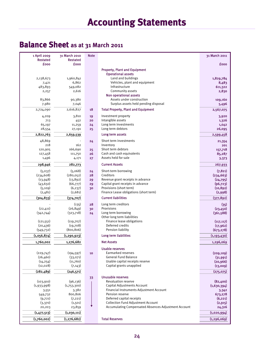## **Balance Sheet as at 31 March 2011**

| 1 April 2009<br><b>Restated</b> | 31 March 2010<br><b>Restated</b> | <b>Note</b> |                                                                        | 31 March 2011      |
|---------------------------------|----------------------------------|-------------|------------------------------------------------------------------------|--------------------|
| £000                            | <b>fooo</b>                      |             |                                                                        | £000               |
|                                 |                                  |             | <b>Property, Plant and Equipment</b>                                   |                    |
|                                 |                                  |             | <b>Operational assets</b>                                              |                    |
| 2,138,673                       | 1,960,841                        |             | Land and buildings                                                     | 1,829,784          |
| 7,421                           | 6,862                            |             | Vehicles, plant and equipment                                          | 8,483              |
| 483,893                         | 549,082                          |             | Infrastructure                                                         | 611,322            |
| 2,257                           | 2,616                            |             | Community assets                                                       | 2,830              |
|                                 |                                  |             | Non operational assets<br>Assets under construction                    |                    |
| 83,866                          | 90,380                           |             | Surplus assets held pending disposal                                   | 109,160            |
| 7,980<br>2,724,090              | 7,046<br>2,616,827               | 18          | <b>Total Property, Plant and Equipment</b>                             | 5,496<br>2,567,075 |
|                                 |                                  |             |                                                                        |                    |
| 4,209                           | 3,810                            | 19          | Investment property<br>Intangible assets                               | 3,920              |
| 713                             | 452                              | 20          | Long term investments                                                  | 1,326              |
| 65,197<br>28,554                | 11,259                           | 24<br>25    | Long term debtors                                                      | 1,042<br>26,095    |
| 2,822,763                       | 27,191<br>2,659,539              |             | Long term assets                                                       | 2,599,458          |
| 48,869                          |                                  |             | Short term investments                                                 |                    |
| 218                             | 162                              | 24          | Inventory                                                              | 21,354<br>201      |
| 120,905                         | 166,690                          | 25          | Short term debtors                                                     | 157,718            |
| 127,458                         | 111,750                          | 26          | Cash and cash equivalents                                              | 85,287             |
| 1,496                           | 4,171                            | 27          | Assets held for sale                                                   | 3,373              |
| 298,946                         | 282,773                          |             | <b>Current Assets</b>                                                  | 267,933            |
| (5,037)                         | (5,068)                          | 24          | Short-term borrowing                                                   | (7, 821)           |
| (234, 608)                      | (280, 052)                       | 28          | Creditors                                                              | (234, 663)         |
| (13,948)                        | (13, 892)                        | 29          | Revenue grant receipts in advance                                      | (24, 795)          |
| (43, 650)                       | (66,777)                         | 29          | Capital grant receipts in advance                                      | (96, 723)          |
| (5, 109)                        | (6, 237)                         | 30          | Provisions (short term)                                                | (10, 892)          |
| (2,481)                         | (2,681)                          |             | Finance Lease obligations (short term)                                 | (2,998)            |
| (304, 833)                      | (374, 707)                       |             | <b>Current liabilities</b>                                             | (377, 892)         |
|                                 | (135)                            | 28          | Long term creditors                                                    | (35)               |
| (22, 411)                       | (26, 849)                        | 30          | Provisions                                                             | (23, 450)          |
| (342,744)                       | (323,718)                        | 24          | Long term borrowing                                                    | (361, 588)         |
|                                 |                                  |             | Other long term liabilities                                            |                    |
| (121, 551)                      | (119,707)                        |             | Finance lease obligations                                              | (117, 117)         |
| (20, 436)                       | (19,708)                         |             | Deferred credits                                                       | (17, 962)          |
| (549, 732)                      | (800, 806)                       |             | Pension liability                                                      | (673, 278)         |
| (1,056,874)                     | (1, 290, 923)                    |             | Long term liabilities                                                  | (1, 193, 430)      |
| 1,760,002                       | 1,276,682                        |             | <b>Net Assets</b>                                                      | 1,296,069          |
|                                 |                                  |             | <b>Usable reserves</b>                                                 |                    |
| (229,747)                       | (194, 597)                       | 10          | Earmarked reserves                                                     | (209, 109)         |
| (26, 460)                       | (33,071)                         |             | <b>General Fund Balance</b>                                            | (31,991)           |
| (14, 254)                       | (11,760)                         |             | Usable capital receipts reserve                                        | (20, 966)          |
| (12,028)                        | (7, 143)                         |             | Capital grants unapplied                                               | (13,009)           |
| (282, 489)                      | (246, 571)                       |             |                                                                        | (275, 075)         |
|                                 |                                  | 33          | <b>Unusable reserves</b>                                               |                    |
| (103, 910)                      | (96, 136)                        |             | <b>Revaluation reserve</b>                                             | (82,400)           |
| (1,933,998)                     | (1,753,300)                      |             | Capital Adjustments Account                                            | (1,630,394)        |
| 3,551                           | 3,382                            |             | Financial Instruments Adjustment Account<br>Pension reserve            | 3,342              |
| 549,732                         | 800,806                          |             |                                                                        | 673,278            |
| (9,721)                         | (7, 221)                         |             | Deferred capital receipts<br><b>Collection Fund Adjustment Account</b> | (6, 221)           |
| (3,370)<br>20,203               | (1,501)<br>23,859                |             | <b>Accumulating Compensated Absences Adjustment Account</b>            | (2, 915)<br>24,316 |
| (1,477,513)                     | (1,030,111)                      |             |                                                                        | (1,020,994)        |
| (1,760,002)                     | (1, 276, 682)                    |             | <b>Total Reserves</b>                                                  | (1, 296, 069)      |
|                                 |                                  |             |                                                                        |                    |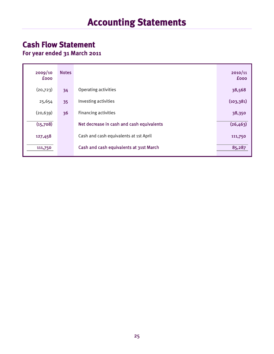## **Cash Flow Statement**

**For year ended 31 March 2011** 

| 2009/10<br><b>fooo</b> | <b>Notes</b> |                                           | 2010/11<br><b>fooo</b> |
|------------------------|--------------|-------------------------------------------|------------------------|
| (20, 723)              | 34           | Operating activities                      | 38,568                 |
| 25,654                 | 35           | Investing activities                      | (103, 381)             |
| (20, 639)              | 36           | Financing activities                      | 38,350                 |
| (15,708)               |              | Net decrease in cash and cash equivalents | (26, 463)              |
| 127,458                |              | Cash and cash equivalents at 1st April    | 111,750                |
| 111,750                |              | Cash and cash equivalents at 31st March   | 85,287                 |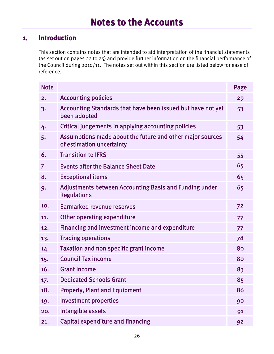#### **1. Introduction**

This section contains notes that are intended to aid interpretation of the financial statements (as set out on pages 22 to 25) and provide further information on the financial performance of the Council during 2010/11. The notes set out within this section are listed below for ease of reference.

| <b>Note</b> |                                                                                        | Page |
|-------------|----------------------------------------------------------------------------------------|------|
| 2.          | <b>Accounting policies</b>                                                             | 29   |
| 3.          | Accounting Standards that have been issued but have not yet<br>been adopted            | 53   |
| 4.          | Critical judgements in applying accounting policies                                    | 53   |
| 5.          | Assumptions made about the future and other major sources<br>of estimation uncertainty | 54   |
| 6.          | <b>Transition to IFRS</b>                                                              | 55   |
| 7.          | <b>Events after the Balance Sheet Date</b>                                             | 65   |
| 8.          | <b>Exceptional items</b>                                                               | 65   |
| 9.          | <b>Adjustments between Accounting Basis and Funding under</b><br><b>Regulations</b>    | 65   |
| 10.         | <b>Earmarked revenue reserves</b>                                                      | 72   |
| 11.         | Other operating expenditure                                                            | 77   |
| 12.         | Financing and investment income and expenditure                                        | 77   |
| 13.         | <b>Trading operations</b>                                                              | 78   |
| 14.         | <b>Taxation and non specific grant income</b>                                          | 80   |
| 15.         | <b>Council Tax income</b>                                                              | 80   |
| 16.         | <b>Grant income</b>                                                                    | 83   |
| 17.         | <b>Dedicated Schools Grant</b>                                                         | 85   |
| 18.         | <b>Property, Plant and Equipment</b>                                                   | 86   |
| 19.         | <b>Investment properties</b>                                                           | 90   |
| 20.         | Intangible assets                                                                      | 91   |
| 21.         | <b>Capital expenditure and financing</b>                                               | 92   |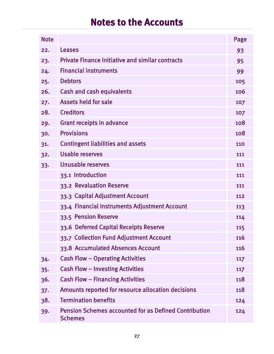| <b>Note</b> |                                                                                | Page |
|-------------|--------------------------------------------------------------------------------|------|
| 22.         | <b>Leases</b>                                                                  | 93   |
| 23.         | <b>Private Finance Initiative and similar contracts</b>                        | 95   |
| 24.         | <b>Financial instruments</b>                                                   | 99   |
| 25.         | <b>Debtors</b>                                                                 | 105  |
| 26.         | <b>Cash and cash equivalents</b>                                               | 106  |
| 27.         | Assets held for sale                                                           | 107  |
| 28.         | <b>Creditors</b>                                                               | 107  |
| 29.         | Grant receipts in advance                                                      | 108  |
| 30.         | <b>Provisions</b>                                                              | 108  |
| 31.         | <b>Contingent liabilities and assets</b>                                       | 110  |
| 32.         | Usable reserves                                                                | 111  |
| 33.         | Unusable reserves                                                              | 111  |
|             | 33.1 Introduction                                                              | 111  |
|             | 33.2 Revaluation Reserve                                                       | 111  |
|             | 33.3 Capital Adjustment Account                                                | 112  |
|             | 33.4 Financial Instruments Adjustment Account                                  | 113  |
|             | 33.5 Pension Reserve                                                           | 114  |
|             | 33.6 Deferred Capital Receipts Reserve                                         | 115  |
|             | 33.7 Collection Fund Adjustment Account                                        | 116  |
|             | 33.8 Accumulated Absences Account                                              | 116  |
| 34.         | <b>Cash Flow - Operating Activities</b>                                        | 117  |
| 35.         | <b>Cash Flow - Investing Activities</b>                                        | 117  |
| 36.         | <b>Cash Flow - Financing Activities</b>                                        | 118  |
| 37.         | Amounts reported for resource allocation decisions                             | 118  |
| 38.         | <b>Termination benefits</b>                                                    | 124  |
| 39.         | <b>Pension Schemes accounted for as Defined Contribution</b><br><b>Schemes</b> | 124  |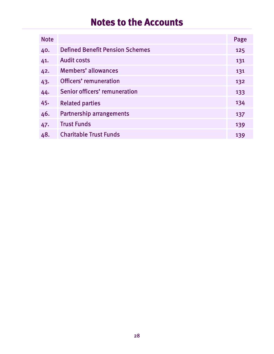| <b>Note</b> |                                        | Page |
|-------------|----------------------------------------|------|
| 40.         | <b>Defined Benefit Pension Schemes</b> | 125  |
| 41.         | <b>Audit costs</b>                     | 131  |
| 42.         | <b>Members' allowances</b>             | 131  |
| 43.         | <b>Officers' remuneration</b>          | 132  |
| 44.         | Senior officers' remuneration          | 133  |
| 45.         | <b>Related parties</b>                 | 134  |
| 46.         | <b>Partnership arrangements</b>        | 137  |
| 47.         | <b>Trust Funds</b>                     | 139  |
| 48.         | <b>Charitable Trust Funds</b>          | 139  |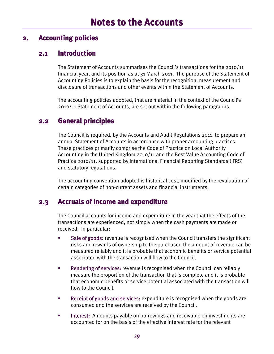#### **2. Accounting policies**

#### **2.1 Introduction**

The Statement of Accounts summarises the Council's transactions for the 2010/11 financial year, and its position as at 31 March 2011. The purpose of the Statement of Accounting Policies is to explain the basis for the recognition, measurement and disclosure of transactions and other events within the Statement of Accounts.

The accounting policies adopted, that are material in the context of the Council's 2010/11 Statement of Accounts, are set out within the following paragraphs.

#### **2.2 General principles**

The Council is required, by the Accounts and Audit Regulations 2011, to prepare an annual Statement of Accounts in accordance with proper accounting practices. These practices primarily comprise the Code of Practice on Local Authority Accounting in the United Kingdom 2010/11 and the Best Value Accounting Code of Practice 2010/11, supported by International Financial Reporting Standards (IFRS) and statutory regulations.

The accounting convention adopted is historical cost, modified by the revaluation of certain categories of non-current assets and financial instruments.

#### **2.3 Accruals of income and expenditure**

The Council accounts for income and expenditure in the year that the effects of the transactions are experienced, not simply when the cash payments are made or received. In particular:

- Sale of goods: revenue is recognised when the Council transfers the significant risks and rewards of ownership to the purchaser, the amount of revenue can be measured reliably and it is probable that economic benefits or service potential associated with the transaction will flow to the Council.
- **Rendering of services:** revenue is recognised when the Council can reliably measure the proportion of the transaction that is complete and it is probable that economic benefits or service potential associated with the transaction will flow to the Council.
- **Receipt of goods and services:** expenditure is recognised when the goods are consumed and the services are received by the Council.
- **Interest:** Amounts payable on borrowings and receivable on investments are accounted for on the basis of the effective interest rate for the relevant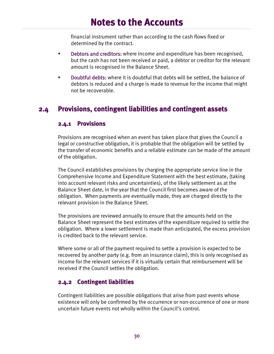financial instrument rather than according to the cash flows fixed or determined by the contract.

- **Debtors and creditors:** where income and expenditure has been recognised, but the cash has not been received or paid, a debtor or creditor for the relevant amount is recognised in the Balance Sheet.
- Doubtful debts: where it is doubtful that debts will be settled, the balance of debtors is reduced and a charge is made to revenue for the income that might not be recoverable.

#### **2.4 Provisions, contingent liabilities and contingent assets**

#### **2.4.1 Provisions**

Provisions are recognised when an event has taken place that gives the Council a legal or constructive obligation, it is probable that the obligation will be settled by the transfer of economic benefits and a reliable estimate can be made of the amount of the obligation.

The Council establishes provisions by charging the appropriate service line in the Comprehensive Income and Expenditure Statement with the best estimate, (taking into account relevant risks and uncertainties), of the likely settlement as at the Balance Sheet date, in the year that the Council first becomes aware of the obligation. When payments are eventually made, they are charged directly to the relevant provision in the Balance Sheet.

The provisions are reviewed annually to ensure that the amounts held on the Balance Sheet represent the best estimates of the expenditure required to settle the obligation. Where a lower settlement is made than anticipated, the excess provision is credited back to the relevant service.

Where some or all of the payment required to settle a provision is expected to be recovered by another party (e.g. from an insurance claim), this is only recognised as income for the relevant services if it is virtually certain that reimbursement will be received if the Council settles the obligation.

#### **2.4.2 Contingent liabilities**

Contingent liabilities are possible obligations that arise from past events whose existence will only be confirmed by the occurrence or non-occurrence of one or more uncertain future events not wholly within the Council's control.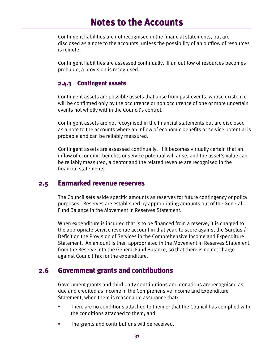Contingent liabilities are not recognised in the financial statements, but are disclosed as a note to the accounts, unless the possibility of an outflow of resources is remote.

Contingent liabilities are assessed continually. If an outflow of resources becomes probable, a provision is recognised.

#### **2.4.3 Contingent assets**

Contingent assets are possible assets that arise from past events, whose existence will be confirmed only by the occurrence or non occurrence of one or more uncertain events not wholly within the Council's control.

Contingent assets are not recognised in the financial statements but are disclosed as a note to the accounts where an inflow of economic benefits or service potential is probable and can be reliably measured.

Contingent assets are assessed continually. If it becomes virtually certain that an inflow of economic benefits or service potential will arise, and the asset's value can be reliably measured, a debtor and the related revenue are recognised in the financial statements.

#### **2.5 Earmarked revenue reserves**

The Council sets aside specific amounts as reserves for future contingency or policy purposes. Reserves are established by appropriating amounts out of the General Fund Balance in the Movement in Reserves Statement.

When expenditure is incurred that is to be financed from a reserve, it is charged to the appropriate service revenue account in that year, to score against the Surplus / Deficit on the Provision of Services in the Comprehensive Income and Expenditure Statement. An amount is then appropriated in the Movement in Reserves Statement, from the Reserve into the General Fund Balance, so that there is no net charge against Council Tax for the expenditure.

#### **2.6 Government grants and contributions**

Government grants and third party contributions and donations are recognised as due and credited as income in the Comprehensive Income and Expenditure Statement, when there is reasonable assurance that:

- There are no conditions attached to them or that the Council has complied with the conditions attached to them; and
- **The grants and contributions will be received.**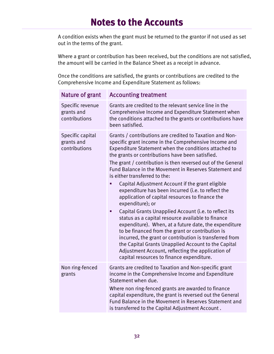A condition exists when the grant must be returned to the grantor if not used as set out in the terms of the grant.

Where a grant or contribution has been received, but the conditions are not satisfied, the amount will be carried in the Balance Sheet as a receipt in advance.

Once the conditions are satisfied, the grants or contributions are credited to the Comprehensive Income and Expenditure Statement as follows:

| Nature of grant                                 | <b>Accounting treatment</b>                                                                                                                                                                                                                                                                                                                                                                                                                                                                                                                                                                                                                                                                                                                                                                                                                                                                                                                                                                                                    |
|-------------------------------------------------|--------------------------------------------------------------------------------------------------------------------------------------------------------------------------------------------------------------------------------------------------------------------------------------------------------------------------------------------------------------------------------------------------------------------------------------------------------------------------------------------------------------------------------------------------------------------------------------------------------------------------------------------------------------------------------------------------------------------------------------------------------------------------------------------------------------------------------------------------------------------------------------------------------------------------------------------------------------------------------------------------------------------------------|
| Specific revenue<br>grants and<br>contributions | Grants are credited to the relevant service line in the<br>Comprehensive Income and Expenditure Statement when<br>the conditions attached to the grants or contributions have<br>been satisfied.                                                                                                                                                                                                                                                                                                                                                                                                                                                                                                                                                                                                                                                                                                                                                                                                                               |
| Specific capital<br>grants and<br>contributions | Grants / contributions are credited to Taxation and Non-<br>specific grant income in the Comprehensive Income and<br>Expenditure Statement when the conditions attached to<br>the grants or contributions have been satisfied.<br>The grant / contribution is then reversed out of the General<br>Fund Balance in the Movement in Reserves Statement and<br>is either transferred to the:<br>Capital Adjustment Account if the grant eligible<br>expenditure has been incurred (i.e. to reflect the<br>application of capital resources to finance the<br>expenditure); or<br>Capital Grants Unapplied Account (i.e. to reflect its<br>п<br>status as a capital resource available to finance<br>expenditure). When, at a future date, the expenditure<br>to be financed from the grant or contribution is<br>incurred, the grant or contribution is transferred from<br>the Capital Grants Unapplied Account to the Capital<br>Adjustment Account, reflecting the application of<br>capital resources to finance expenditure. |
| Non ring-fenced<br>grants                       | Grants are credited to Taxation and Non-specific grant<br>income in the Comprehensive Income and Expenditure<br>Statement when due.<br>Where non ring-fenced grants are awarded to finance<br>capital expenditure, the grant is reversed out the General<br>Fund Balance in the Movement in Reserves Statement and<br>is transferred to the Capital Adjustment Account.                                                                                                                                                                                                                                                                                                                                                                                                                                                                                                                                                                                                                                                        |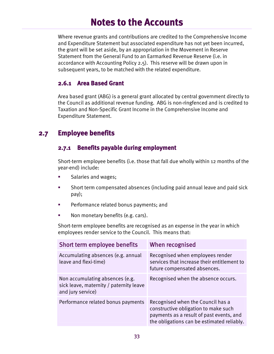Where revenue grants and contributions are credited to the Comprehensive Income and Expenditure Statement but associated expenditure has not yet been incurred, the grant will be set aside, by an appropriation in the Movement in Reserve Statement from the General Fund to an Earmarked Revenue Reserve (i.e. in accordance with Accounting Policy 2.5). This reserve will be drawn upon in subsequent years, to be matched with the related expenditure.

#### **2.6.1 Area Based Grant**

Area based grant (ABG) is a general grant allocated by central government directly to the Council as additional revenue funding. ABG is non-ringfenced and is credited to Taxation and Non-Specific Grant Income in the Comprehensive Income and Expenditure Statement.

## **2.7 Employee benefits**

#### **2.7.1 Benefits payable during employment**

Short-term employee benefits (i.e. those that fall due wholly within 12 months of the year-end) include:

- Salaries and wages;
- Short term compensated absences (including paid annual leave and paid sick pay);
- **Performance related bonus payments; and**
- Non monetary benefits (e.g. cars).

Short-term employee benefits are recognised as an expense in the year in which empl0yees render service to the Council. This means that:

| Short term employee benefits                                                                    | When recognised                                                                                                                                                     |
|-------------------------------------------------------------------------------------------------|---------------------------------------------------------------------------------------------------------------------------------------------------------------------|
| Accumulating absences (e.g. annual<br>leave and flexi-time)                                     | Recognised when employees render<br>services that increase their entitlement to<br>future compensated absences.                                                     |
| Non accumulating absences (e.g.<br>sick leave, maternity / paternity leave<br>and jury service) | Recognised when the absence occurs.                                                                                                                                 |
| Performance related bonus payments                                                              | Recognised when the Council has a<br>constructive obligation to make such<br>payments as a result of past events, and<br>the obligations can be estimated reliably. |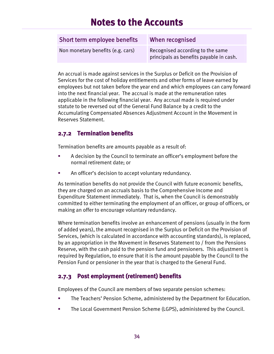| Short term employee benefits      | When recognised                                                             |
|-----------------------------------|-----------------------------------------------------------------------------|
| Non monetary benefits (e.g. cars) | Recognised according to the same<br>principals as benefits payable in cash. |

An accrual is made against services in the Surplus or Deficit on the Provision of Services for the cost of holiday entitlements and other forms of leave earned by employees but not taken before the year end and which employees can carry forward into the next financial year. The accrual is made at the remuneration rates applicable in the following financial year. Any accrual made is required under statute to be reversed out of the General Fund Balance by a credit to the Accumulating Compensated Absences Adjustment Account in the Movement in Reserves Statement.

### **2.7.2 Termination benefits**

Termination benefits are amounts payable as a result of:

- A decision by the Council to terminate an officer's employment before the normal retirement date; or
- An officer's decision to accept voluntary redundancy.

As termination benefits do not provide the Council with future economic benefits, they are charged on an accruals basis to the Comprehensive Income and Expenditure Statement immediately. That is, when the Council is demonstrably committed to either terminating the employment of an officer, or group of officers, or making an offer to encourage voluntary redundancy.

Where termination benefits involve an enhancement of pensions (usually in the form of added years), the amount recognised in the Surplus or Deficit on the Provision of Services, (which is calculated in accordance with accounting standards), is replaced, by an appropriation in the Movement in Reserves Statement to / from the Pensions Reserve, with the cash paid to the pension fund and pensioners. This adjustment is required by Regulation, to ensure that it is the amount payable by the Council to the Pension Fund or pensioner in the year that is charged to the General Fund.

### **2.7.3 Post employment (retirement) benefits**

Employees of the Council are members of two separate pension schemes:

- The Teachers' Pension Scheme, administered by the Department for Education.
- The Local Government Pension Scheme (LGPS), administered by the Council.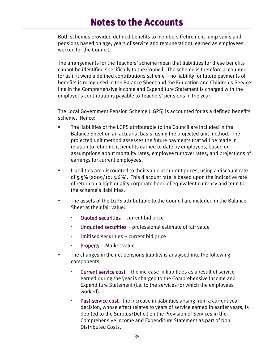Both schemes provided defined benefits to members (retirement lump sums and pensions based on age, years of service and remuneration), earned as employees worked for the Council.

The arrangements for the Teachers' scheme mean that liabilities for these benefits cannot be identified specifically to the Council. The scheme is therefore accounted for as if it were a defined contributions scheme – no liability for future payments of benefits is recognised in the Balance Sheet and the Education and Children's Service line in the Comprehensive Income and Expenditure Statement is charged with the employer's contributions payable to Teachers' pensions in the year.

The Local Government Pension Scheme (LGPS) is accounted for as a defined benefits scheme. Hence:

- The liabilities of the LGPS attributable to the Council are included in the Balance Sheet on an actuarial basis, using the projected unit method. The projected unit method assesses the future payments that will be made in relation to retirement benefits earned to date by employees, based on assumptions about mortality rates, employee turnover rates, and projections of earnings for current employees.
- Liabilities are discounted to their value at current prices, using a discount rate of 5.5% (2009/10: 5.6%). This discount rate is based upon the indicative rate of return on a high quality corporate bond of equivalent currency and term to the scheme's liabilities.
- The assets of the LGPS attributable to the Council are included in the Balance Sheet at their fair value:
	- Quoted securities current bid price
	- Unquoted securities professional estimate of fair value
	- Unitised securities current bid price
	- Property Market value
- **The changes in the net pensions liability is analysed into the following** components:
	- Current service cost the increase in liabilities as a result of service earned during the year is charged to the Comprehensive Income and Expenditure Statement (i.e. to the services for which the employees worked).
	- Past service cost the increase in liabilities arising from a current year decision, whose effect relates to years of service earned in earlier years, is debited to the Surplus/Deficit on the Provision of Services in the Comprehensive Income and Expenditure Statement as part of Non Distributed Costs.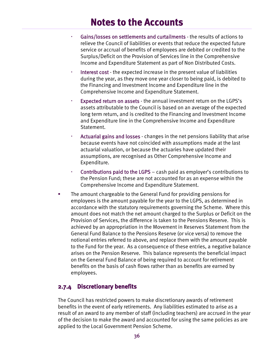- Gains/losses on settlements and curtailments the results of actions to relieve the Council of liabilities or events that reduce the expected future service or accrual of benefits of employees are debited or credited to the Surplus/Deficit on the Provision of Services line in the Comprehensive Income and Expenditure Statement as part of Non Distributed Costs.
- Interest cost the expected increase in the present value of liabilities during the year, as they move one year closer to being paid, is debited to the Financing and Investment Income and Expenditure line in the Comprehensive Income and Expenditure Statement.
- Expected return on assets the annual investment return on the LGPS's assets attributable to the Council is based on an average of the expected long term return, and is credited to the Financing and Investment Income and Expenditure line in the Comprehensive Income and Expenditure Statement.
- Actuarial gains and losses changes in the net pensions liability that arise because events have not coincided with assumptions made at the last actuarial valuation, or because the actuaries have updated their assumptions, are recognised as Other Comprehensive Income and Expenditure.
- Contributions paid to the LGPS cash paid as employer's contributions to the Pension Fund; these are not accounted for as an expense within the Comprehensive Income and Expenditure Statement.
- The amount chargeable to the General Fund for providing pensions for employees is the amount payable for the year to the LGPS, as determined in accordance with the statutory requirements governing the Scheme. Where this amount does not match the net amount charged to the Surplus or Deficit on the Provision of Services, the difference is taken to the Pensions Reserve. This is achieved by an appropriation in the Movement in Reserves Statement from the General Fund Balance to the Pensions Reserve (or vice versa) to remove the notional entries referred to above, and replace them with the amount payable to the Fund for the year. As a consequence of these entries, a negative balance arises on the Pension Reserve. This balance represents the beneficial impact on the General Fund Balance of being required to account for retirement benefits on the basis of cash flows rather than as benefits are earned by employees.

#### **2.7.4 Discretionary benefits**

The Council has restricted powers to make discretionary awards of retirement benefits in the event of early retirements. Any liabilities estimated to arise as a result of an award to any member of staff (including teachers) are accrued in the year of the decision to make the award and accounted for using the same policies as are applied to the Local Government Pension Scheme.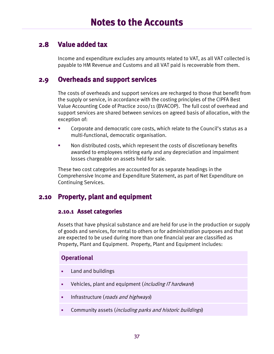### **2.8 Value added tax**

Income and expenditure excludes any amounts related to VAT, as all VAT collected is payable to HM Revenue and Customs and all VAT paid is recoverable from them.

### **2.9 Overheads and support services**

The costs of overheads and support services are recharged to those that benefit from the supply or service, in accordance with the costing principles of the CIPFA Best Value Accounting Code of Practice 2010/11 (BVACOP). The full cost of overhead and support services are shared between services on agreed basis of allocation, with the exception of:

- Corporate and democratic core costs, which relate to the Council's status as a multi-functional, democratic organisation.
- Non distributed costs, which represent the costs of discretionary benefits awarded to employees retiring early and any depreciation and impairment losses chargeable on assets held for sale.

These two cost categories are accounted for as separate headings in the Comprehensive Income and Expenditure Statement, as part of Net Expenditure on Continuing Services.

## **2.10 Property, plant and equipment**

#### **2.10.1 Asset categories**

Assets that have physical substance and are held for use in the production or supply of goods and services, for rental to others or for administration purposes and that are expected to be used during more than one financial year are classified as Property, Plant and Equipment. Property, Plant and Equipment includes:

#### **Operational**

- Land and buildings
- Vehicles, plant and equipment (including IT hardware)
- **Infrastructure** (*roads and highways*)
- **Community assets (including parks and historic buildings)**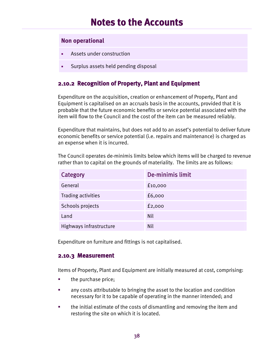#### **Non operational**

- Assets under construction
- Surplus assets held pending disposal

#### **2.10.2 Recognition of Property, Plant and Equipment**

Expenditure on the acquisition, creation or enhancement of Property, Plant and Equipment is capitalised on an accruals basis in the accounts, provided that it is probable that the future economic benefits or service potential associated with the item will flow to the Council and the cost of the item can be measured reliably.

Expenditure that maintains, but does not add to an asset's potential to deliver future economic benefits or service potential (i.e. repairs and maintenance) is charged as an expense when it is incurred.

The Council operates de-minimis limits below which items will be charged to revenue rather than to capital on the grounds of materiality. The limits are as follows:

| Category                | De-minimis limit |
|-------------------------|------------------|
| General                 | £10,000          |
| Trading activities      | £6,000           |
| Schools projects        | f2,000           |
| Land                    | <b>Nil</b>       |
| Highways infrastructure | <b>Nil</b>       |

Expenditure on furniture and fittings is not capitalised.

#### **2.10.3 Measurement**

Items of Property, Plant and Equipment are initially measured at cost, comprising:

- **the purchase price;**
- any costs attributable to bringing the asset to the location and condition necessary for it to be capable of operating in the manner intended; and
- the initial estimate of the costs of dismantling and removing the item and restoring the site on which it is located.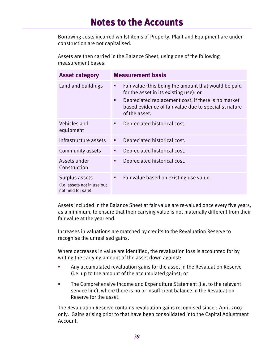Borrowing costs incurred whilst items of Property, Plant and Equipment are under construction are not capitalised.

Assets are then carried in the Balance Sheet, using one of the following measurement bases:

| <b>Asset category</b>                                               |        | <b>Measurement basis</b>                                                                                                                                                                                                        |
|---------------------------------------------------------------------|--------|---------------------------------------------------------------------------------------------------------------------------------------------------------------------------------------------------------------------------------|
| Land and buildings                                                  | Ξ<br>п | Fair value (this being the amount that would be paid<br>for the asset in its existing use); or<br>Depreciated replacement cost, if there is no market<br>based evidence of fair value due to specialist nature<br>of the asset. |
| Vehicles and<br>equipment                                           | ш      | Depreciated historical cost.                                                                                                                                                                                                    |
| Infrastructure assets                                               | Е      | Depreciated historical cost.                                                                                                                                                                                                    |
| Community assets                                                    | п      | Depreciated historical cost.                                                                                                                                                                                                    |
| Assets under<br>Construction                                        | п      | Depreciated historical cost.                                                                                                                                                                                                    |
| Surplus assets<br>(i.e. assets not in use but<br>not held for sale) | п      | Fair value based on existing use value.                                                                                                                                                                                         |

Assets included in the Balance Sheet at fair value are re-valued once every five years, as a minimum, to ensure that their carrying value is not materially different from their fair value at the year end.

Increases in valuations are matched by credits to the Revaluation Reserve to recognise the unrealised gains.

Where decreases in value are identified, the revaluation loss is accounted for by writing the carrying amount of the asset down against:

- Any accumulated revaluation gains for the asset in the Revaluation Reserve (i.e. up to the amount of the accumulated gains); or
- The Comprehensive Income and Expenditure Statement (i.e. to the relevant service line), where there is no or insufficient balance in the Revaluation Reserve for the asset.

The Revaluation Reserve contains revaluation gains recognised since 1 April 2007 only. Gains arising prior to that have been consolidated into the Capital Adjustment Account.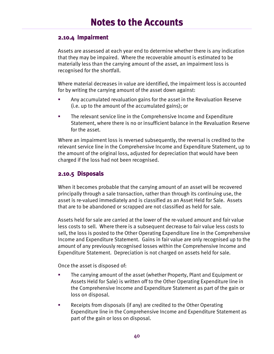#### **2.10.4 Impairment**

Assets are assessed at each year end to determine whether there is any indication that they may be impaired. Where the recoverable amount is estimated to be materially less than the carrying amount of the asset, an impairment loss is recognised for the shortfall.

Where material decreases in value are identified, the impairment loss is accounted for by writing the carrying amount of the asset down against:

- Any accumulated revaluation gains for the asset in the Revaluation Reserve (i.e. up to the amount of the accumulated gains); or
- The relevant service line in the Comprehensive Income and Expenditure Statement, where there is no or insufficient balance in the Revaluation Reserve for the asset.

Where an impairment loss is reversed subsequently, the reversal is credited to the relevant service line in the Comprehensive Income and Expenditure Statement, up to the amount of the original loss, adjusted for depreciation that would have been charged if the loss had not been recognised.

#### **2.10.5 Disposals**

When it becomes probable that the carrying amount of an asset will be recovered principally through a sale transaction, rather than through its continuing use, the asset is re-valued immediately and is classified as an Asset Held for Sale. Assets that are to be abandoned or scrapped are not classified as held for sale.

Assets held for sale are carried at the lower of the re-valued amount and fair value less costs to sell. Where there is a subsequent decrease to fair value less costs to sell, the loss is posted to the Other Operating Expenditure line in the Comprehensive Income and Expenditure Statement. Gains in fair value are only recognised up to the amount of any previously recognised losses within the Comprehensive Income and Expenditure Statement. Depreciation is not charged on assets held for sale.

Once the asset is disposed of:

- The carrying amount of the asset (whether Property, Plant and Equipment or Assets Held for Sale) is written off to the Other Operating Expenditure line in the Comprehensive Income and Expenditure Statement as part of the gain or loss on disposal.
- **EXECUTE:** Receipts from disposals (if any) are credited to the Other Operating Expenditure line in the Comprehensive Income and Expenditure Statement as part of the gain or loss on disposal.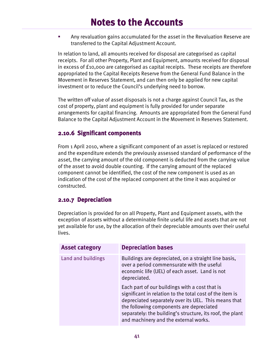Any revaluation gains accumulated for the asset in the Revaluation Reserve are transferred to the Capital Adjustment Account.

In relation to land, all amounts received for disposal are categorised as capital receipts. For all other Property, Plant and Equipment, amounts received for disposal in excess of £10,000 are categorised as capital receipts. These receipts are therefore appropriated to the Capital Receipts Reserve from the General Fund Balance in the Movement in Reserves Statement, and can then only be applied for new capital investment or to reduce the Council's underlying need to borrow.

The written off value of asset disposals is not a charge against Council Tax, as the cost of property, plant and equipment is fully provided for under separate arrangements for capital financing. Amounts are appropriated from the General Fund Balance to the Capital Adjustment Account in the Movement in Reserves Statement.

#### **2.10.6 Significant components**

From 1 April 2010, where a significant component of an asset is replaced or restored and the expenditure extends the previously assessed standard of performance of the asset, the carrying amount of the old component is deducted from the carrying value of the asset to avoid double counting. If the carrying amount of the replaced component cannot be identified, the cost of the new component is used as an indication of the cost of the replaced component at the time it was acquired or constructed.

#### **2.10.7 Depreciation**

Depreciation is provided for on all Property, Plant and Equipment assets, with the exception of assets without a determinable finite useful life and assets that are not yet available for use, by the allocation of their depreciable amounts over their useful lives.

| <b>Asset category</b> | <b>Depreciation bases</b>                                                                                                                                                                                                                                                                                            |
|-----------------------|----------------------------------------------------------------------------------------------------------------------------------------------------------------------------------------------------------------------------------------------------------------------------------------------------------------------|
| Land and buildings    | Buildings are depreciated, on a straight line basis,<br>over a period commensurate with the useful<br>economic life (UEL) of each asset. Land is not<br>depreciated.                                                                                                                                                 |
|                       | Each part of our buildings with a cost that is<br>significant in relation to the total cost of the item is<br>depreciated separately over its UEL. This means that<br>the following components are depreciated<br>separately: the building's structure, its roof, the plant<br>and machinery and the external works. |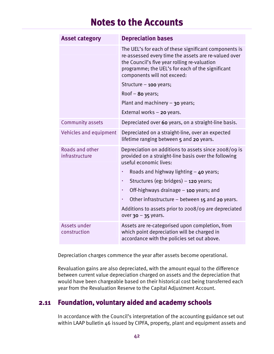| <b>Asset category</b>             | <b>Depreciation bases</b>                                                                                                                                                                                                                        |
|-----------------------------------|--------------------------------------------------------------------------------------------------------------------------------------------------------------------------------------------------------------------------------------------------|
|                                   | The UEL's for each of these significant components is<br>re-assessed every time the assets are re-valued over<br>the Council's five year rolling re-valuation<br>programme; the UEL's for each of the significant<br>components will not exceed: |
|                                   | Structure - 100 years;                                                                                                                                                                                                                           |
|                                   | Roof $-$ 80 years;                                                                                                                                                                                                                               |
|                                   | Plant and machinery $-$ 30 years;                                                                                                                                                                                                                |
|                                   | External works $-$ 20 years.                                                                                                                                                                                                                     |
| Community assets                  | Depreciated over 60 years, on a straight-line basis.                                                                                                                                                                                             |
| Vehicles and equipment            | Depreciated on a straight-line, over an expected<br>lifetime ranging between 5 and 20 years.                                                                                                                                                     |
| Roads and other<br>infrastructure | Depreciation on additions to assets since 2008/09 is<br>provided on a straight-line basis over the following<br>useful economic lives:                                                                                                           |
|                                   | Roads and highway lighting $-$ 40 years;<br>٠                                                                                                                                                                                                    |
|                                   | Structures (eg: bridges) - 120 years;<br>٠                                                                                                                                                                                                       |
|                                   | Off-highways drainage $-$ 100 years; and<br>٠                                                                                                                                                                                                    |
|                                   | Other infrastructure – between 15 and 20 years.<br>٠                                                                                                                                                                                             |
|                                   | Additions to assets prior to 2008/09 are depreciated<br>over 30 - 35 years.                                                                                                                                                                      |
| Assets under<br>construction      | Assets are re-categorised upon completion, from<br>which point depreciation will be charged in<br>accordance with the policies set out above.                                                                                                    |

Depreciation charges commence the year after assets become operational.

Revaluation gains are also depreciated, with the amount equal to the difference between current value depreciation charged on assets and the depreciation that would have been chargeable based on their historical cost being transferred each year from the Revaluation Reserve to the Capital Adjustment Account.

## **2.11 Foundation, voluntary aided and academy schools**

In accordance with the Council's interpretation of the accounting guidance set out within LAAP bulletin 46 issued by CIPFA, property, plant and equipment assets and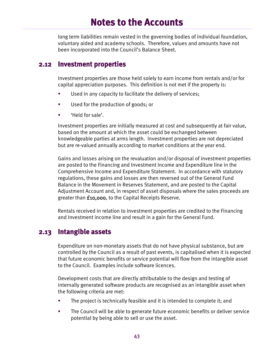long term liabilities remain vested in the governing bodies of individual foundation, voluntary aided and academy schools. Therefore, values and amounts have not been incorporated into the Council's Balance Sheet.

#### **2.12 Investment properties**

Investment properties are those held solely to earn income from rentals and/or for capital appreciation purposes. This definition is not met if the property is:

- **Used in any capacity to facilitate the delivery of services;**
- Used for the production of goods; or
- 'Held for sale'.

Investment properties are initially measured at cost and subsequently at fair value, based on the amount at which the asset could be exchanged between knowledgeable parties at arms length. Investment properties are not depreciated but are re-valued annually according to market conditions at the year end.

Gains and losses arising on the revaluation and/or disposal of investment properties are posted to the Financing and Investment Income and Expenditure line in the Comprehensive Income and Expenditure Statement. In accordance with statutory regulations, these gains and losses are then reversed out of the General Fund Balance in the Movement in Reserves Statement, and are posted to the Capital Adjustment Account and, in respect of asset disposals where the sales proceeds are greater than £10,000, to the Capital Receipts Reserve.

Rentals received in relation to investment properties are credited to the Financing and Investment income line and result in a gain for the General Fund.

### **2.13 Intangible assets**

Expenditure on non-monetary assets that do not have physical substance, but are controlled by the Council as a result of past events, is capitalised when it is expected that future economic benefits or service potential will flow from the intangible asset to the Council. Examples include software licences.

Development costs that are directly attributable to the design and testing of internally generated software products are recognised as an intangible asset when the following criteria are met:

- The project is technically feasible and it is intended to complete it; and
- The Council will be able to generate future economic benefits or deliver service potential by being able to sell or use the asset.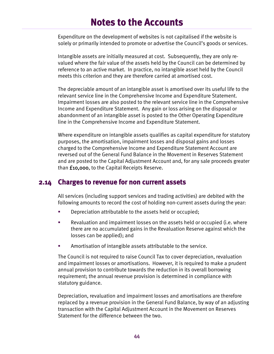Expenditure on the development of websites is not capitalised if the website is solely or primarily intended to promote or advertise the Council's goods or services.

Intangible assets are initially measured at cost. Subsequently, they are only revalued where the fair value of the assets held by the Council can be determined by reference to an active market. In practice, no intangible asset held by the Council meets this criterion and they are therefore carried at amortised cost.

The depreciable amount of an intangible asset is amortised over its useful life to the relevant service line in the Comprehensive Income and Expenditure Statement. Impairment losses are also posted to the relevant service line in the Comprehensive Income and Expenditure Statement. Any gain or loss arising on the disposal or abandonment of an intangible asset is posted to the Other Operating Expenditure line in the Comprehensive Income and Expenditure Statement.

Where expenditure on intangible assets qualifies as capital expenditure for statutory purposes, the amortisation, impairment losses and disposal gains and losses charged to the Comprehensive Income and Expenditure Statement Account are reversed out of the General Fund Balance in the Movement in Reserves Statement and are posted to the Capital Adjustment Account and, for any sale proceeds greater than £10,000, to the Capital Receipts Reserve.

### **2.14 Charges to revenue for non current assets**

All services (including support services and trading activities) are debited with the following amounts to record the cost of holding non-current assets during the year:

- **Depreciation attributable to the assets held or occupied;**
- Revaluation and impairment losses on the assets held or occupied (i.e. where there are no accumulated gains in the Revaluation Reserve against which the losses can be applied); and
- Amortisation of intangible assets attributable to the service.

The Council is not required to raise Council Tax to cover depreciation, revaluation and impairment losses or amortisations. However, it is required to make a prudent annual provision to contribute towards the reduction in its overall borrowing requirement; the annual revenue provision is determined in compliance with statutory guidance.

Depreciation, revaluation and impairment losses and amortisations are therefore replaced by a revenue provision in the General Fund Balance, by way of an adjusting transaction with the Capital Adjustment Account in the Movement on Reserves Statement for the difference between the two.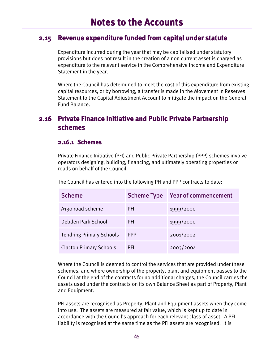### **2.15 Revenue expenditure funded from capital under statute**

Expenditure incurred during the year that may be capitalised under statutory provisions but does not result in the creation of a non current asset is charged as expenditure to the relevant service in the Comprehensive Income and Expenditure Statement in the year.

Where the Council has determined to meet the cost of this expenditure from existing capital resources, or by borrowing, a transfer is made in the Movement in Reserves Statement to the Capital Adjustment Account to mitigate the impact on the General Fund Balance.

### **2.16 Private Finance Initiative and Public Private Partnership schemes**

#### **2.16.1 Schemes**

Private Finance Initiative (PFI) and Public Private Partnership (PPP) schemes involve operators designing, building, financing, and ultimately operating properties or roads on behalf of the Council.

| <b>Scheme</b>                   | <b>Scheme Type</b> | <b>Year of commencement</b> |
|---------------------------------|--------------------|-----------------------------|
| A130 road scheme                | <b>PFI</b>         | 1999/2000                   |
| Debden Park School              | <b>PFI</b>         | 1999/2000                   |
| <b>Tendring Primary Schools</b> | <b>PPP</b>         | 2001/2002                   |
| <b>Clacton Primary Schools</b>  | <b>PFI</b>         | 2003/2004                   |

The Council has entered into the following PFI and PPP contracts to date:

Where the Council is deemed to control the services that are provided under these schemes, and where ownership of the property, plant and equipment passes to the Council at the end of the contracts for no additional charges, the Council carries the assets used under the contracts on its own Balance Sheet as part of Property, Plant and Equipment.

PFI assets are recognised as Property, Plant and Equipment assets when they come into use. The assets are measured at fair value, which is kept up to date in accordance with the Council's approach for each relevant class of asset. A PFI liability is recognised at the same time as the PFI assets are recognised. It is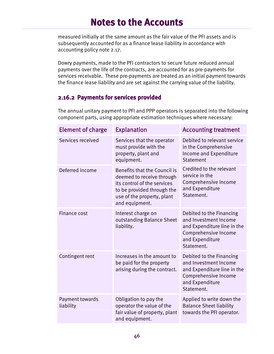measured initially at the same amount as the fair value of the PFI assets and is subsequently accounted for as a finance lease liability in accordance with accounting policy note 2.17.

Dowry payments, made to the PFI contractors to secure future reduced annual payments over the life of the contracts, are accounted for as pre-payments for services receivable. These pre-payments are treated as an initial payment towards the finance lease liability and are set against the carrying value of the liability.

### **2.16.2 Payments for services provided**

The annual unitary payment to PFI and PPP operators is separated into the following component parts, using appropriate estimation techniques where necessary:

| <b>Element of charge</b>     | <b>Explanation</b>                                                                                                                                                     | <b>Accounting treatment</b>                                                                                                               |
|------------------------------|------------------------------------------------------------------------------------------------------------------------------------------------------------------------|-------------------------------------------------------------------------------------------------------------------------------------------|
| Services received            | Services that the operator<br>must provide with the<br>property, plant and<br>equipment.                                                                               | Debited to relevant service<br>in the Comprehensive<br>Income and Expenditure<br>Statement                                                |
| Deferred income              | Benefits that the Council is<br>deemed to receive through<br>its control of the services<br>to be provided through the<br>use of the property, plant<br>and equipment. | Credited to the relevant<br>service in the<br>Comprehensive Income<br>and Expenditure<br>Statement.                                       |
| Finance cost                 | Interest charge on<br>outstanding Balance Sheet<br>liability.                                                                                                          | Debited to the Financing<br>and Investment Income<br>and Expenditure line in the<br>Comprehensive Income<br>and Expenditure<br>Statement. |
| Contingent rent              | Increases in the amount to<br>be paid for the property<br>arising during the contract.                                                                                 | Debited to the Financing<br>and Investment Income<br>and Expenditure line in the<br>Comprehensive Income<br>and Expenditure<br>Statement. |
| Payment towards<br>liability | Obligation to pay the<br>operator the value of the<br>fair value of property, plant<br>and equipment.                                                                  | Applied to write down the<br><b>Balance Sheet liability</b><br>towards the PFI operator.                                                  |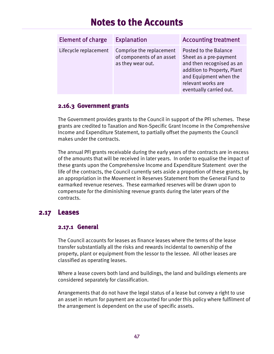| <b>Element of charge</b> | <b>Explanation</b>                                                         | <b>Accounting treatment</b>                                                                                                                                                            |
|--------------------------|----------------------------------------------------------------------------|----------------------------------------------------------------------------------------------------------------------------------------------------------------------------------------|
| Lifecycle replacement    | Comprise the replacement<br>of components of an asset<br>as they wear out. | Posted to the Balance<br>Sheet as a pre-payment<br>and then recognised as an<br>addition to Property, Plant<br>and Equipment when the<br>relevant works are<br>eventually carried out. |

#### **2.16.3 Government grants**

The Government provides grants to the Council in support of the PFI schemes. These grants are credited to Taxation and Non-Specific Grant Income in the Comprehensive Income and Expenditure Statement, to partially offset the payments the Council makes under the contracts.

The annual PFI grants receivable during the early years of the contracts are in excess of the amounts that will be received in later years. In order to equalise the impact of these grants upon the Comprehensive Income and Expenditure Statement over the life of the contracts, the Council currently sets aside a proportion of these grants, by an appropriation in the Movement in Reserves Statement from the General Fund to earmarked revenue reserves. These earmarked reserves will be drawn upon to compensate for the diminishing revenue grants during the later years of the contracts.

### **2.17 Leases**

#### **2.17.1 General**

The Council accounts for leases as finance leases where the terms of the lease transfer substantially all the risks and rewards incidental to ownership of the property, plant or equipment from the lessor to the lessee. All other leases are classified as operating leases.

Where a lease covers both land and buildings, the land and buildings elements are considered separately for classification.

Arrangements that do not have the legal status of a lease but convey a right to use an asset in return for payment are accounted for under this policy where fulfilment of the arrangement is dependent on the use of specific assets.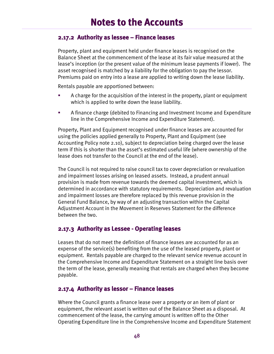#### **2.17.2 Authority as lessee – Finance leases**

Property, plant and equipment held under finance leases is recognised on the Balance Sheet at the commencement of the lease at its fair value measured at the lease's inception (or the present value of the minimum lease payments if lower). The asset recognised is matched by a liability for the obligation to pay the lessor. Premiums paid on entry into a lease are applied to writing down the lease liability.

Rentals payable are apportioned between:

- A charge for the acquisition of the interest in the property, plant or equipment which is applied to write down the lease liability.
- A finance charge (debited to Financing and Investment Income and Expenditure line in the Comprehensive Income and Expenditure Statement).

Property, Plant and Equipment recognised under finance leases are accounted for using the policies applied generally to Property, Plant and Equipment (see Accounting Policy note 2.10), subject to depreciation being charged over the lease term if this is shorter than the asset's estimated useful life (where ownership of the lease does not transfer to the Council at the end of the lease).

The Council is not required to raise council tax to cover depreciation or revaluation and impairment losses arising on leased assets. Instead, a prudent annual provision is made from revenue towards the deemed capital investment, which is determined in accordance with statutory requirements. Depreciation and revaluation and impairment losses are therefore replaced by this revenue provision in the General Fund Balance, by way of an adjusting transaction within the Capital Adjustment Account in the Movement in Reserves Statement for the difference between the two.

#### **2.17.3 Authority as Lessee - Operating leases**

Leases that do not meet the definition of finance leases are accounted for as an expense of the service(s) benefiting from the use of the leased property, plant or equipment. Rentals payable are charged to the relevant service revenue account in the Comprehensive Income and Expenditure Statement on a straight line basis over the term of the lease, generally meaning that rentals are charged when they become payable.

#### **2.17.4 Authority as lessor – Finance leases**

Where the Council grants a finance lease over a property or an item of plant or equipment, the relevant asset is written out of the Balance Sheet as a disposal. At commencement of the lease, the carrying amount is written off to the Other Operating Expenditure line in the Comprehensive Income and Expenditure Statement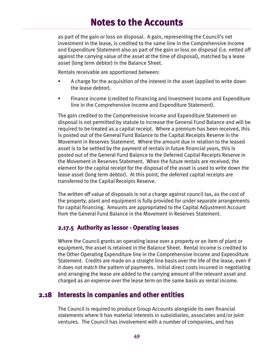as part of the gain or loss on disposal. A gain, representing the Council's net investment in the lease, is credited to the same line in the Comprehensive Income and Expenditure Statement also as part of the gain or loss on disposal (i.e. netted off against the carrying value of the asset at the time of disposal), matched by a lease asset (long term debtor) in the Balance Sheet.

Rentals receivable are apportioned between:

- A charge for the acquisition of the interest in the asset (applied to write down the lease debtor).
- Finance income (credited to Financing and Investment Income and Expenditure line in the Comprehensive Income and Expenditure Statement).

The gain credited to the Comprehensive Income and Expenditure Statement on disposal is not permitted by statute to increase the General Fund Balance and will be required to be treated as a capital receipt. Where a premium has been received, this is posted out of the General Fund Balance to the Capital Receipts Reserve in the Movement in Reserves Statement. Where the amount due in relation to the leased asset is to be settled by the payment of rentals in future financial years, this is posted out of the General Fund Balance to the Deferred Capital Receipts Reserve in the Movement in Reserves Statement. When the future rentals are received, the element for the capital receipt for the disposal of the asset is used to write down the lease asset (long term debtor). At this point, the deferred capital receipts are transferred to the Capital Receipts Reserve.

The written off value of disposals is not a charge against council tax, as the cost of the property, plant and equipment is fully provided for under separate arrangements for capital financing. Amounts are appropriated to the Capital Adjustment Account from the General Fund Balance in the Movement in Reserves Statement.

#### **2.17.5 Authority as lessor - Operating leases**

Where the Council grants an operating lease over a property or an item of plant or equipment, the asset is retained in the Balance Sheet. Rental income is credited to the Other Operating Expenditure line in the Comprehensive Income and Expenditure Statement. Credits are made on a straight line basis over the life of the lease, even if it does not match the pattern of payments. Initial direct costs incurred in negotiating and arranging the lease are added to the carrying amount of the relevant asset and charged as an expense over the lease term on the same basis as rental income.

### **2.18 Interests in companies and other entities**

The Council is required to produce Group Accounts alongside its own financial statements where it has material interests in subsidiaries, associates and/or joint ventures. The Council has involvement with a number of companies, and has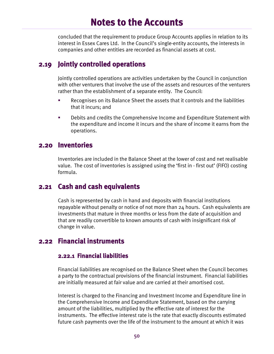concluded that the requirement to produce Group Accounts applies in relation to its interest in Essex Cares Ltd. In the Council's single-entity accounts, the interests in companies and other entities are recorded as financial assets at cost.

## **2.19 Jointly controlled operations**

Jointly controlled operations are activities undertaken by the Council in conjunction with other venturers that involve the use of the assets and resources of the venturers rather than the establishment of a separate entity. The Council:

- Recognises on its Balance Sheet the assets that it controls and the liabilities that it incurs; and
- **Debits and credits the Comprehensive Income and Expenditure Statement with** the expenditure and income it incurs and the share of income it earns from the operations.

### **2.20 Inventories**

Inventories are included in the Balance Sheet at the lower of cost and net realisable value. The cost of inventories is assigned using the 'first in - first out' (FIFO) costing formula.

### **2.21 Cash and cash equivalents**

Cash is represented by cash in hand and deposits with financial institutions repayable without penalty or notice of not more than 24 hours. Cash equivalents are investments that mature in three months or less from the date of acquisition and that are readily convertible to known amounts of cash with insignificant risk of change in value.

## **2.22 Financial instruments**

#### **2.22.1 Financial liabilities**

Financial liabilities are recognised on the Balance Sheet when the Council becomes a party to the contractual provisions of the financial instrument. Financial liabilities are initially measured at fair value and are carried at their amortised cost.

Interest is charged to the Financing and Investment Income and Expenditure line in the Comprehensive Income and Expenditure Statement, based on the carrying amount of the liabilities, multiplied by the effective rate of interest for the instruments. The effective interest rate is the rate that exactly discounts estimated future cash payments over the life of the instrument to the amount at which it was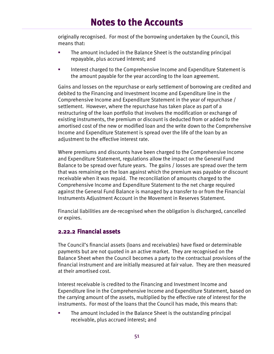originally recognised. For most of the borrowing undertaken by the Council, this means that:

- The amount included in the Balance Sheet is the outstanding principal repayable, plus accrued interest; and
- **Interest charged to the Comprehensive Income and Expenditure Statement is** the amount payable for the year according to the loan agreement.

Gains and losses on the repurchase or early settlement of borrowing are credited and debited to the Financing and Investment Income and Expenditure line in the Comprehensive Income and Expenditure Statement in the year of repurchase / settlement. However, where the repurchase has taken place as part of a restructuring of the loan portfolio that involves the modification or exchange of existing instruments, the premium or discount is deducted from or added to the amortised cost of the new or modified loan and the write down to the Comprehensive Income and Expenditure Statement is spread over the life of the loan by an adjustment to the effective interest rate.

Where premiums and discounts have been charged to the Comprehensive Income and Expenditure Statement, regulations allow the impact on the General Fund Balance to be spread over future years. The gains / losses are spread over the term that was remaining on the loan against which the premium was payable or discount receivable when it was repaid. The reconciliation of amounts charged to the Comprehensive Income and Expenditure Statement to the net charge required against the General Fund Balance is managed by a transfer to or from the Financial Instruments Adjustment Account in the Movement in Reserves Statement.

Financial liabilities are de-recognised when the obligation is discharged, cancelled or expires.

#### **2.22.2 Financial assets**

The Council's financial assets (loans and receivables) have fixed or determinable payments but are not quoted in an active market. They are recognised on the Balance Sheet when the Council becomes a party to the contractual provisions of the financial instrument and are initially measured at fair value. They are then measured at their amortised cost.

Interest receivable is credited to the Financing and Investment Income and Expenditure line in the Comprehensive Income and Expenditure Statement, based on the carrying amount of the assets, multiplied by the effective rate of interest for the instruments. For most of the loans that the Council has made, this means that:

 The amount included in the Balance Sheet is the outstanding principal receivable, plus accrued interest; and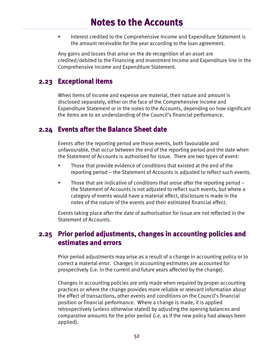**Interest credited to the Comprehensive Income and Expenditure Statement is** the amount receivable for the year according to the loan agreement.

Any gains and losses that arise on the de-recognition of an asset are credited/debited to the Financing and Investment Income and Expenditure line in the Comprehensive Income and Expenditure Statement.

### **2.23 Exceptional items**

When items of income and expense are material, their nature and amount is disclosed separately, either on the face of the Comprehensive Income and Expenditure Statement or in the notes to the Accounts, depending on how significant the items are to an understanding of the Council's financial performance.

### **2.24 Events after the Balance Sheet date**

Events after the reporting period are those events, both favourable and unfavourable, that occur between the end of the reporting period and the date when the Statement of Accounts is authorised for issue. There are two types of event:

- Those that provide evidence of conditions that existed at the end of the reporting period – the Statement of Accounts is adjusted to reflect such events.
- **Those that are indicative of conditions that arose after the reporting period** the Statement of Accounts is not adjusted to reflect such events, but where a category of events would have a material effect, disclosure is made in the notes of the nature of the events and their estimated financial effect.

Events taking place after the date of authorisation for issue are not reflected in the Statement of Accounts.

## **2.25 Prior period adjustments, changes in accounting policies and estimates and errors**

Prior period adjustments may arise as a result of a change in accounting policy or to correct a material error. Changes in accounting estimates are accounted for prospectively (i.e. in the current and future years affected by the change).

Changes in accounting policies are only made when required by proper accounting practices or where the change provides more reliable or relevant information about the effect of transactions, other events and conditions on the Council's financial position or financial performance. Where a change is made, it is applied retrospectively (unless otherwise stated) by adjusting the opening balances and comparative amounts for the prior period (i.e. as if the new policy had always been applied).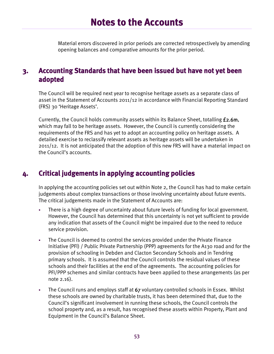Material errors discovered in prior periods are corrected retrospectively by amending opening balances and comparative amounts for the prior period.

### **3. Accounting Standards that have been issued but have not yet been adopted**

The Council will be required next year to recognise heritage assets as a separate class of asset in the Statement of Accounts 2011/12 in accordance with Financial Reporting Standard (FRS) 30 'Heritage Assets'.

Currently, the Council holds community assets within its Balance Sheet, totalling £2.6m, which may fall to be heritage assets. However, the Council is currently considering the requirements of the FRS and has yet to adopt an accounting policy on heritage assets. A detailed exercise to reclassify relevant assets as heritage assets will be undertaken in 2011/12. It is not anticipated that the adoption of this new FRS will have a material impact on the Council's accounts.

## **4. Critical judgements in applying accounting policies**

In applying the accounting policies set out within Note 2, the Council has had to make certain judgements about complex transactions or those involving uncertainty about future events. The critical judgements made in the Statement of Accounts are:

- There is a high degree of uncertainty about future levels of funding for local government. However, the Council has determined that this uncertainty is not yet sufficient to provide any indication that assets of the Council might be impaired due to the need to reduce service provision.
- The Council is deemed to control the services provided under the Private Finance Initiative (PFI) / Public Private Partnership (PPP) agreements for the A130 road and for the provision of schooling in Debden and Clacton Secondary Schools and in Tendring primary schools. It is assumed that the Council controls the residual values of these schools and their facilities at the end of the agreements. The accounting policies for PFI/PPP schemes and similar contracts have been applied to these arrangements (as per note  $2.16$ .
- The Council runs and employs staff at 67 voluntary controlled schools in Essex. Whilst these schools are owned by charitable trusts, it has been determined that, due to the Council's significant involvement in running these schools, the Council controls the school property and, as a result, has recognised these assets within Property, Plant and Equipment in the Council's Balance Sheet.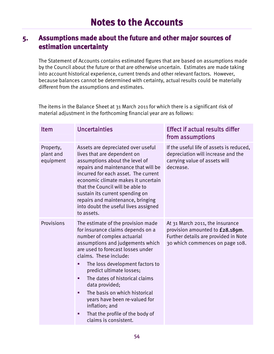## **5. Assumptions made about the future and other major sources of estimation uncertainty**

The Statement of Accounts contains estimated figures that are based on assumptions made by the Council about the future or that are otherwise uncertain. Estimates are made taking into account historical experience, current trends and other relevant factors. However, because balances cannot be determined with certainty, actual results could be materially different from the assumptions and estimates.

The items in the Balance Sheet at 31 March 2011 for which there is a significant risk of material adjustment in the forthcoming financial year are as follows:

| Item                                | <b>Uncertainties</b>                                                                                                                                                                                                                                                                                                                                                                                                                                                                             | <b>Effect if actual results differ</b><br>from assumptions                                                                                    |
|-------------------------------------|--------------------------------------------------------------------------------------------------------------------------------------------------------------------------------------------------------------------------------------------------------------------------------------------------------------------------------------------------------------------------------------------------------------------------------------------------------------------------------------------------|-----------------------------------------------------------------------------------------------------------------------------------------------|
| Property,<br>plant and<br>equipment | Assets are depreciated over useful<br>lives that are dependent on<br>assumptions about the level of<br>repairs and maintenance that will be<br>incurred for each asset. The current<br>economic climate makes it uncertain<br>that the Council will be able to<br>sustain its current spending on<br>repairs and maintenance, bringing<br>into doubt the useful lives assigned<br>to assets.                                                                                                     | If the useful life of assets is reduced,<br>depreciation will increase and the<br>carrying value of assets will<br>decrease.                  |
| Provisions                          | The estimate of the provision made<br>for insurance claims depends on a<br>number of complex actuarial<br>assumptions and judgements which<br>are used to forecast losses under<br>claims. These include:<br>The loss development factors to<br>п<br>predict ultimate losses;<br>The dates of historical claims<br>п<br>data provided;<br>The basis on which historical<br>п<br>years have been re-valued for<br>inflation; and<br>That the profile of the body of<br>п<br>claims is consistent. | At 31 March 2011, the insurance<br>provision amounted to £28.189m.<br>Further details are provided in Note<br>30 which commences on page 108. |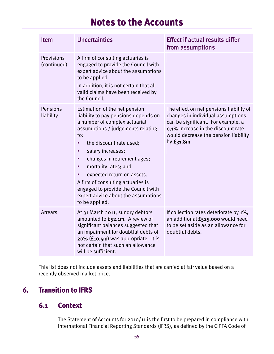| Item                      | <b>Uncertainties</b>                                                                                                                                                                                                                                                                                                                                                                                                                        | <b>Effect if actual results differ</b><br>from assumptions                                                                                                                                                     |
|---------------------------|---------------------------------------------------------------------------------------------------------------------------------------------------------------------------------------------------------------------------------------------------------------------------------------------------------------------------------------------------------------------------------------------------------------------------------------------|----------------------------------------------------------------------------------------------------------------------------------------------------------------------------------------------------------------|
| Provisions<br>(continued) | A firm of consulting actuaries is<br>engaged to provide the Council with<br>expert advice about the assumptions<br>to be applied.<br>In addition, it is not certain that all<br>valid claims have been received by<br>the Council.                                                                                                                                                                                                          |                                                                                                                                                                                                                |
| Pensions<br>liability     | Estimation of the net pension<br>liability to pay pensions depends on<br>a number of complex actuarial<br>assumptions / judgements relating<br>to:<br>the discount rate used;<br>п<br>salary increases;<br>changes in retirement ages;<br>п<br>mortality rates; and<br>п<br>expected return on assets.<br>A firm of consulting actuaries is<br>engaged to provide the Council with<br>expert advice about the assumptions<br>to be applied. | The effect on net pensions liability of<br>changes in individual assumptions<br>can be significant. For example, a<br>0.1% increase in the discount rate<br>would decrease the pension liability<br>by £31.8m. |
| <b>Arrears</b>            | At 31 March 2011, sundry debtors<br>amounted to £52.1m. A review of<br>significant balances suggested that<br>an impairment for doubtful debts of<br>20% (£10.5m) was appropriate. It is<br>not certain that such an allowance<br>will be sufficient.                                                                                                                                                                                       | If collection rates deteriorate by 1%,<br>an additional £525,000 would need<br>to be set aside as an allowance for<br>doubtful debts.                                                                          |

This list does not include assets and liabilities that are carried at fair value based on a recently observed market price.

## **6. Transition to IFRS**

## **6.1 Context**

The Statement of Accounts for 2010/11 is the first to be prepared in compliance with International Financial Reporting Standards (IFRS), as defined by the CIPFA Code of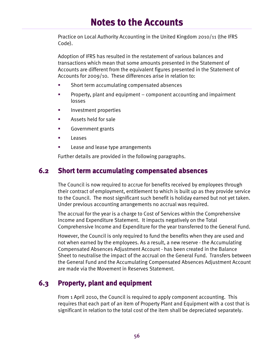Practice on Local Authority Accounting in the United Kingdom 2010/11 (the IFRS Code).

Adoption of IFRS has resulted in the restatement of various balances and transactions which mean that some amounts presented in the Statement of Accounts are different from the equivalent figures presented in the Statement of Accounts for 2009/10. These differences arise in relation to:

- Short term accumulating compensated absences
- Property, plant and equipment component accounting and impairment losses
- **Investment properties**
- **Assets held for sale**
- **Government grants**
- **Leases**
- Lease and lease type arrangements

Further details are provided in the following paragraphs.

### **6.2 Short term accumulating compensated absences**

The Council is now required to accrue for benefits received by employees through their contract of employment, entitlement to which is built up as they provide service to the Council. The most significant such benefit is holiday earned but not yet taken. Under previous accounting arrangements no accrual was required.

The accrual for the year is a charge to Cost of Services within the Comprehensive Income and Expenditure Statement. It impacts negatively on the Total Comprehensive Income and Expenditure for the year transferred to the General Fund.

However, the Council is only required to fund the benefits when they are used and not when earned by the employees. As a result, a new reserve - the Accumulating Compensated Absences Adjustment Account - has been created in the Balance Sheet to neutralise the impact of the accrual on the General Fund. Transfers between the General Fund and the Accumulating Compensated Absences Adjustment Account are made via the Movement in Reserves Statement.

## **6.3 Property, plant and equipment**

From 1 April 2010, the Council is required to apply component accounting. This requires that each part of an item of Property Plant and Equipment with a cost that is significant in relation to the total cost of the item shall be depreciated separately.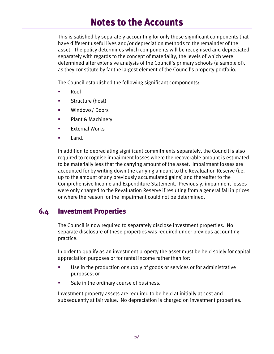This is satisfied by separately accounting for only those significant components that have different useful lives and/or depreciation methods to the remainder of the asset. The policy determines which components will be recognised and depreciated separately with regards to the concept of materiality, the levels of which were determined after extensive analysis of the Council's primary schools (a sample of), as they constitute by far the largest element of the Council's property portfolio.

The Council established the following significant components:

- Roof
- Structure (host)
- **Windows/Doors**
- **Plant & Machinery**
- $\blacksquare$  External Works
- **Land.**

In addition to depreciating significant commitments separately, the Council is also required to recognise impairment losses where the recoverable amount is estimated to be materially less that the carrying amount of the asset. Impairment losses are accounted for by writing down the carrying amount to the Revaluation Reserve (i.e. up to the amount of any previously accumulated gains) and thereafter to the Comprehensive Income and Expenditure Statement. Previously, impairment losses were only charged to the Revaluation Reserve if resulting from a general fall in prices or where the reason for the impairment could not be determined.

### **6.4 Investment Properties**

The Council is now required to separately disclose investment properties. No separate disclosure of these properties was required under previous accounting practice.

In order to qualify as an investment property the asset must be held solely for capital appreciation purposes or for rental income rather than for:

- Use in the production or supply of goods or services or for administrative purposes; or
- **Sale in the ordinary course of business.**

Investment property assets are required to be held at initially at cost and subsequently at fair value. No depreciation is charged on investment properties.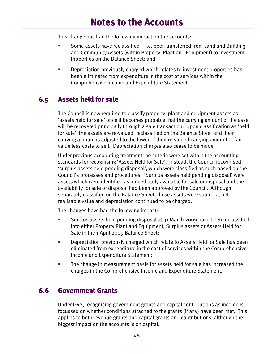This change has had the following impact on the accounts:

- Some assets have reclassified  $-$  i.e. been transferred from Land and Building and Community Assets (within Property, Plant and Equipment) to Investment Properties on the Balance Sheet; and
- **EXECT** Depreciation previously charged which relates to investment properties has been eliminated from expenditure in the cost of services within the Comprehensive Income and Expenditure Statement.

## **6.5 Assets held for sale**

The Council is now required to classify property, plant and equipment assets as 'assets held for sale' once it becomes probable that the carrying amount of the asset will be recovered principally through a sale transaction. Upon classification as 'held for sale', the assets are re-valued, reclassified on the Balance Sheet and their carrying amount is adjusted to the lower of their re-valued carrying amount or fair value less costs to sell. Depreciation charges also cease to be made.

Under previous accounting treatment, no criteria were set within the accounting standards for recognising 'Assets Held for Sale'. Instead, the Council recognised 'surplus assets held pending disposal', which were classified as such based on the Council's processes and procedures. 'Surplus assets held pending disposal' were assets which were identified as immediately available for sale or disposal and the availability for sale or disposal had been approved by the Council. Although separately classified on the Balance Sheet, these assets were valued at net realisable value and depreciation continued to be charged.

The changes have had the following impact:

- Surplus assets held pending disposal at 31 March 2009 have been reclassified into either Property Plant and Equipment, Surplus assets or Assets Held for Sale in the 1 April 2009 Balance Sheet;
- Depreciation previously charged which relate to Assets Held for Sale has been eliminated from expenditure in the cost of services within the Comprehensive Income and Expenditure Statement;
- **The change in measurement basis for assets held for sale has increased the** charges in the Comprehensive Income and Expenditure Statement.

## **6.6 Government Grants**

Under IFRS, recognising government grants and capital contributions as income is focussed on whether conditions attached to the grants (if any) have been met. This applies to both revenue grants and capital grants and contributions, although the biggest impact on the accounts is on capital.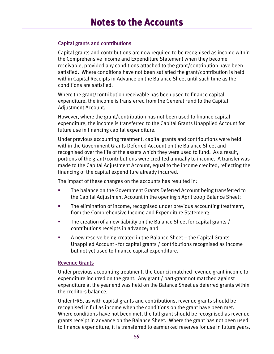#### Capital grants and contributions

Capital grants and contributions are now required to be recognised as income within the Comprehensive Income and Expenditure Statement when they become receivable, provided any conditions attached to the grant/contribution have been satisfied. Where conditions have not been satisfied the grant/contribution is held within Capital Receipts in Advance on the Balance Sheet until such time as the conditions are satisfied.

Where the grant/contribution receivable has been used to finance capital expenditure, the income is transferred from the General Fund to the Capital Adjustment Account.

However, where the grant/contribution has not been used to finance capital expenditure, the income is transferred to the Capital Grants Unapplied Account for future use in financing capital expenditure.

Under previous accounting treatment, capital grants and contributions were held within the Government Grants Deferred Account on the Balance Sheet and recognised over the life of the assets which they were used to fund. As a result, portions of the grant/contributions were credited annually to income. A transfer was made to the Capital Adjustment Account, equal to the income credited, reflecting the financing of the capital expenditure already incurred.

The impact of these changes on the accounts has resulted in:

- The balance on the Government Grants Deferred Account being transferred to the Capital Adjustment Account in the opening 1 April 2009 Balance Sheet;
- **The elimination of income, recognised under previous accounting treatment,** from the Comprehensive Income and Expenditure Statement;
- The creation of a new liability on the Balance Sheet for capital grants / contributions receipts in advance; and
- A new reserve being created in the Balance Sheet the Capital Grants Unapplied Account - for capital grants / contributions recognised as income but not yet used to finance capital expenditure.

#### Revenue Grants

Under previous accounting treatment, the Council matched revenue grant income to expenditure incurred on the grant. Any grant / part-grant not matched against expenditure at the year end was held on the Balance Sheet as deferred grants within the creditors balance.

Under IFRS, as with capital grants and contributions, revenue grants should be recognised in full as income when the conditions on the grant have been met. Where conditions have not been met, the full grant should be recognised as revenue grants receipt in advance on the Balance Sheet. Where the grant has not been used to finance expenditure, it is transferred to earmarked reserves for use in future years.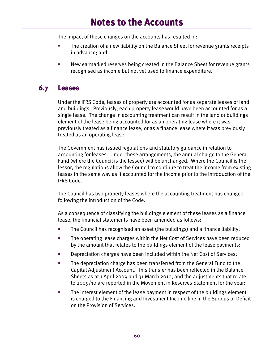The impact of these changes on the accounts has resulted in:

- The creation of a new liability on the Balance Sheet for revenue grants receipts in advance; and
- New earmarked reserves being created in the Balance Sheet for revenue grants recognised as income but not yet used to finance expenditure.

## **6.7 Leases**

Under the IFRS Code, leases of property are accounted for as separate leases of land and buildings. Previously, each property lease would have been accounted for as a single lease. The change in accounting treatment can result in the land or buildings element of the lease being accounted for as an operating lease where it was previously treated as a finance lease; or as a finance lease where it was previously treated as an operating lease.

The Government has issued regulations and statutory guidance in relation to accounting for leases. Under these arrangements, the annual charge to the General Fund (where the Council is the lessee) will be unchanged. Where the Council is the lessor, the regulations allow the Council to continue to treat the income from existing leases in the same way as it accounted for the income prior to the introduction of the IFRS Code.

The Council has two property leases where the accounting treatment has changed following the introduction of the Code.

As a consequence of classifying the buildings element of these leases as a finance lease, the financial statements have been amended as follows:

- The Council has recognised an asset (the buildings) and a finance liability;
- **The operating lease charges within the Net Cost of Services have been reduced** by the amount that relates to the buildings element of the lease payments;
- **Depreciation charges have been included within the Net Cost of Services;**
- The depreciation charge has been transferred from the General Fund to the Capital Adjustment Account. This transfer has been reflected in the Balance Sheets as at 1 April 2009 and 31 March 2010, and the adjustments that relate to 2009/10 are reported in the Movement in Reserves Statement for the year;
- **The interest element of the lease payment in respect of the buildings element** is charged to the Financing and Investment Income line in the Surplus or Deficit on the Provision of Services.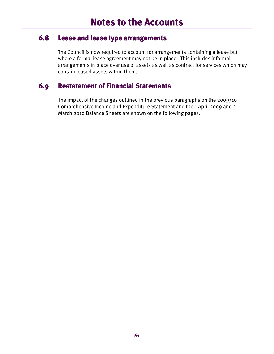### **6.8 Lease and lease type arrangements**

The Council is now required to account for arrangements containing a lease but where a formal lease agreement may not be in place. This includes informal arrangements in place over use of assets as well as contract for services which may contain leased assets within them.

## **6.9 Restatement of Financial Statements**

The impact of the changes outlined in the previous paragraphs on the 2009/10 Comprehensive Income and Expenditure Statement and the 1 April 2009 and 31 March 2010 Balance Sheets are shown on the following pages.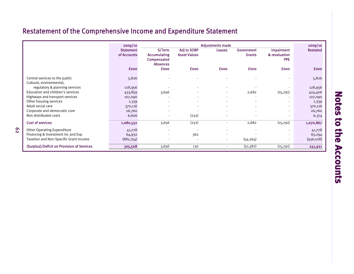## Restatement of the Comprehensive Income and Expenditure Statement

|                                            | 2009/10          |                                |                          | <b>Adjustments made</b>  |               |                   | 2009/10         |
|--------------------------------------------|------------------|--------------------------------|--------------------------|--------------------------|---------------|-------------------|-----------------|
|                                            | <b>Statement</b> | S/Term                         | <b>Adj to SORP</b>       | <b>Leases</b>            | Government    | <b>Impairment</b> | <b>Restated</b> |
|                                            | of Accounts      | <b>Accumulating</b>            | <b>Asset Values</b>      |                          | <b>Grants</b> | & revaluation     |                 |
|                                            |                  | Compensated<br><b>Absences</b> |                          |                          |               | <b>PPE</b>        |                 |
|                                            | <b>fooo</b>      | <b>fooo</b>                    | <b>fooo</b>              | <b>fooo</b>              | <b>fooo</b>   | <b>£000</b>       | <b>fooo</b>     |
|                                            |                  |                                |                          |                          |               |                   |                 |
| Central services to the public             | 5,826            |                                |                          |                          |               |                   | 5,826           |
| Cultural, environmental,                   |                  |                                |                          |                          |               |                   |                 |
| regulatory & planning services             | 128,956          |                                |                          |                          |               |                   | 128,956         |
| Education and children's services          | 433,859          | 3,656                          |                          |                          | 2,682         | (15,791)          | 424,406         |
| Highways and transport services            | 107,090          |                                |                          | ٠                        |               |                   | 107,090         |
| Other housing services                     | 1,339            |                                |                          |                          |               |                   | 1,339           |
| Adult social care                          | 370,116          |                                | $\overline{\phantom{a}}$ | $\sim$                   |               |                   | 370,116         |
| Corporate and democratic core              | 26,760           |                                |                          | $\sim$                   |               |                   | 26,760          |
| Non distributed costs                      | 6,606            |                                | (232)                    |                          |               |                   | 6,374           |
| <b>Cost of services</b>                    | 1,080,552        | 3,656                          | (232)                    | ٠                        | 2,682         | (15,791)          | 1,070,867       |
| <b>Other Operating Expenditure</b>         | 41,778           | $\blacksquare$                 | ٠.                       | $\overline{\phantom{a}}$ |               |                   | 41,778          |
| Financing & Investment Inc and Exp         | 64,932           |                                | 362                      | ٠                        |               |                   | 65,294          |
| Taxation and Non-Specific Grant Income     | (881,754)        |                                |                          | $\sim$                   | (54, 264)     |                   | (936,018)       |
| (Surplus)/Deficit on Provision of Services | 305,508          | 3,656                          | 130                      | $\sim$                   | (51, 582)     | (15,791)          | 241,921         |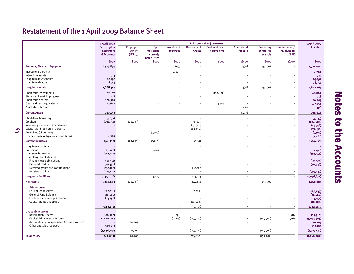## Restatement of the 1 April 2009 Balance Sheet

|                                                                   | 1 April 2009                                   | <b>Prior period adjustments</b>                           |                                                              |                                 |                             |                              |                                |                                           | 1 April 2009                          |                           |
|-------------------------------------------------------------------|------------------------------------------------|-----------------------------------------------------------|--------------------------------------------------------------|---------------------------------|-----------------------------|------------------------------|--------------------------------|-------------------------------------------|---------------------------------------|---------------------------|
|                                                                   | Per 2009/10<br><b>Statement</b><br>of Accounts | <b>Employee</b><br><b>Benefit</b><br>(IAS <sub>19</sub> ) | <b>Split</b><br><b>Provisions</b><br>current/<br>non current | Investment<br><b>Properties</b> | Government<br><b>Grants</b> | Cash and cash<br>equivalents | <b>Assets held</b><br>for sale | <b>Voluntary</b><br>controlled<br>schools | Impairment /<br>revaluation<br>of PPE | <b>Restated</b>           |
|                                                                   | <b>fooo</b>                                    | £000                                                      | <b>fooo</b>                                                  | £000                            | <b>fooo</b>                 | <b>fooo</b>                  | <b>£000</b>                    | £000                                      | <b>fooo</b>                           | <b>fooo</b>               |
| <b>Property, Plant and Equipment</b>                              | 2,573,893                                      |                                                           |                                                              | (4, 209)                        |                             |                              | (1,496)                        | 155,902                                   | $\overline{\phantom{a}}$              | 2,724,090                 |
| Investment property                                               |                                                |                                                           |                                                              | 4,209                           |                             |                              |                                |                                           |                                       | 4,209                     |
| Intangible assets                                                 | 713                                            |                                                           |                                                              |                                 |                             |                              |                                |                                           |                                       | 713                       |
| Long term investments                                             | 65,197                                         |                                                           |                                                              |                                 |                             |                              |                                |                                           |                                       | 65,197                    |
| Long term debtors                                                 | 28,554                                         |                                                           |                                                              |                                 |                             |                              |                                |                                           |                                       | 28,554                    |
| Long term assets                                                  | 2,668,357                                      | $\sim$                                                    | $\sim$                                                       | $\sim$                          | $\sim$                      | $\mathbf{r}$                 | (1,496)                        | 155,902                                   | $\overline{\phantom{a}}$              | 2,822,763                 |
| Short term investments                                            | 152,677                                        |                                                           |                                                              |                                 |                             | (103, 808)                   |                                |                                           |                                       | 48,869                    |
| Stocks and work in progress                                       | 218                                            |                                                           |                                                              |                                 |                             |                              |                                |                                           |                                       | 218                       |
| Short term debtors                                                | 120,905                                        |                                                           |                                                              |                                 |                             |                              |                                |                                           |                                       | 120,905                   |
| Cash and cash equivalents                                         | 23,650                                         |                                                           |                                                              |                                 |                             | 103,808                      |                                |                                           |                                       | 127,458                   |
| Assets held for sale                                              |                                                |                                                           |                                                              |                                 |                             |                              | 1,496                          |                                           |                                       | 1,496                     |
| <b>Current Assets</b>                                             | 297,450                                        | $\sim$                                                    | $\sim$                                                       | $\sim$                          | $\overline{a}$              | $\overline{a}$               | 1,496                          | $\sim$                                    |                                       | 298,946                   |
| Short-term borrowing                                              | (5,037)                                        |                                                           |                                                              |                                 |                             |                              |                                |                                           |                                       | (5,037)                   |
| Creditors                                                         | (291,314)                                      | (20, 203)                                                 |                                                              |                                 | 76,909                      |                              |                                |                                           |                                       | (234, 608)                |
| Revenue grant receipts in advance                                 |                                                |                                                           |                                                              |                                 | (13, 948)                   |                              |                                |                                           |                                       | (13,948)                  |
| Capital grant receipts in advance                                 |                                                |                                                           |                                                              |                                 | (43, 650)                   |                              |                                |                                           |                                       | (43, 650)                 |
| Provisions (short term)<br>Finance Lease obligations (short term) | (2,481)                                        |                                                           | (5, 109)                                                     |                                 |                             |                              |                                |                                           |                                       | (5, 109)<br>(2,481)       |
|                                                                   |                                                |                                                           |                                                              |                                 |                             |                              |                                |                                           |                                       |                           |
| <b>Current liabilities</b>                                        | (298, 832)                                     | (20, 203)                                                 | (5, 109)                                                     | $\sim$                          | 19,311                      | $\mathcal{L}_{\mathcal{A}}$  | $\overline{\phantom{a}}$       | $\overline{\phantom{a}}$                  | $\overline{\phantom{a}}$              | (304, 833)                |
| Long term creditors                                               |                                                |                                                           |                                                              |                                 |                             |                              |                                |                                           |                                       |                           |
| Provisions                                                        | (27, 520)                                      |                                                           | 5,109                                                        |                                 |                             |                              |                                |                                           |                                       | (22, 411)                 |
| Long term borrowing                                               | (342,744)                                      |                                                           |                                                              |                                 |                             |                              |                                |                                           |                                       | (342,744)                 |
| Other long term liabilities<br>Finance lease obligations          | (121, 551)                                     |                                                           |                                                              |                                 |                             |                              |                                |                                           |                                       | (121, 551)                |
| Deferred credits                                                  | (20, 436)                                      |                                                           |                                                              |                                 |                             |                              |                                |                                           |                                       | (20, 436)                 |
| Deferred grants and contributions                                 | (255, 123)                                     |                                                           |                                                              |                                 | 255,123                     |                              |                                |                                           |                                       |                           |
| Pension liability                                                 | (549, 732)                                     |                                                           |                                                              | $\overline{\phantom{a}}$        |                             |                              |                                |                                           | $\overline{\phantom{a}}$              | (549, 732)                |
| Long term liabilities                                             | (1,317,106)                                    | $\sim$                                                    | 5,109                                                        | $\sim$                          | 255,123                     | $\blacksquare$               | $\overline{\phantom{a}}$       | $\sim$                                    | $\overline{\phantom{a}}$              | (1,056,874)               |
| <b>Net Assets</b>                                                 | 1,349,869                                      | (20, 203)                                                 | $\overline{\phantom{a}}$                                     | $\sim$                          | 274,434                     | $\blacksquare$               | $\overline{\phantom{a}}$       | 155,902                                   | $\overline{\phantom{a}}$              | 1,760,002                 |
|                                                                   |                                                |                                                           |                                                              |                                 |                             |                              |                                |                                           |                                       |                           |
| <b>Usable reserves</b><br>Earmarked reserves                      |                                                |                                                           |                                                              |                                 |                             |                              |                                |                                           |                                       |                           |
| General Fund Balance                                              | (222, 418)<br>(26, 460)                        |                                                           |                                                              |                                 | (7, 329)                    |                              |                                |                                           |                                       | (229,747)<br>(26, 460)    |
| Usable capital receipts reserve                                   | (14, 254)                                      |                                                           |                                                              |                                 |                             |                              |                                |                                           | $\overline{\phantom{a}}$              | (14, 254)                 |
| Capital grants unapplied                                          |                                                |                                                           |                                                              |                                 | (12,028)                    |                              |                                |                                           |                                       | (12, 028)                 |
|                                                                   | (263, 132)                                     | $\overline{\phantom{a}}$                                  | $\overline{\phantom{a}}$                                     | $\overline{\phantom{a}}$        | (19, 357)                   | $\overline{\phantom{a}}$     | $\overline{\phantom{a}}$       |                                           | $\overline{\phantom{a}}$              | (282, 489)                |
|                                                                   |                                                |                                                           |                                                              |                                 |                             |                              |                                |                                           |                                       |                           |
| <b>Unusable reserves</b><br>Revaluation reserve                   | (106, 924)                                     |                                                           |                                                              | 1,098                           |                             |                              |                                |                                           |                                       |                           |
| Capital Adjustments Account                                       | (1,520,005)                                    |                                                           |                                                              | (1,098)                         | (255, 077)                  |                              |                                | (155, 902)                                | 1,916<br>(1, 916)                     | (103, 910)<br>(1,933,998) |
| Accumulating Compensated Absences Adj a/c                         |                                                | 20,203                                                    |                                                              |                                 |                             |                              |                                |                                           |                                       | 20,203                    |
| Other unusable reserves                                           | 540,192                                        |                                                           |                                                              |                                 |                             |                              | J.                             |                                           |                                       | 540,192                   |
|                                                                   | (1,086,737)                                    | 20,203                                                    | $\overline{\phantom{a}}$                                     | $\cdot$                         | (255, 077)                  | ÷                            | $\mathbf{r}$                   | (155, 902)                                |                                       | (1,477,513)               |
|                                                                   |                                                |                                                           | $\sim$                                                       | $\sim$                          |                             | $\overline{\phantom{a}}$     | $\blacksquare$                 |                                           | $\overline{\phantom{a}}$              |                           |
| <b>Total equity</b>                                               | (1,349,869)                                    | 20,203                                                    |                                                              |                                 | (274, 434)                  |                              |                                | (155, 902)                                |                                       | (1,760,002)               |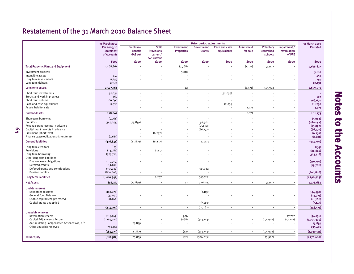## Restatement of the 31 March 2010 Balance Sheet

|                                                                   | 31 March 2010                                  | <b>Prior period adjustments</b>                           |                                                              |                                 |                             |                              |                                |                                    | 31 March 2010                         |                      |
|-------------------------------------------------------------------|------------------------------------------------|-----------------------------------------------------------|--------------------------------------------------------------|---------------------------------|-----------------------------|------------------------------|--------------------------------|------------------------------------|---------------------------------------|----------------------|
|                                                                   | Per 2009/10<br><b>Statement</b><br>of Accounts | <b>Employee</b><br><b>Benefit</b><br>(IAS <sub>19</sub> ) | <b>Split</b><br><b>Provisions</b><br>current/<br>non current | Investment<br><b>Properties</b> | Government<br><b>Grants</b> | Cash and cash<br>equivalents | <b>Assets held</b><br>for sale | Voluntary<br>controlled<br>schools | Impairment /<br>revaluation<br>of PPE | <b>Restated</b>      |
|                                                                   | <b>£000</b>                                    | £000                                                      | <b>fooo</b>                                                  | £000                            | <b>fooo</b>                 | <b>fooo</b>                  | £000                           | <b>£000</b>                        | £000                                  | <b>fooo</b>          |
| <b>Total Property, Plant and Equipment</b>                        | 2,468,864                                      |                                                           |                                                              | (3,768)                         |                             |                              | (4, 171)                       | 155,902                            |                                       | 2,616,827            |
| Investment property                                               |                                                |                                                           |                                                              | 3,810                           |                             |                              |                                |                                    |                                       | 3,810                |
| Intangible assets                                                 | 452                                            |                                                           |                                                              |                                 |                             |                              |                                |                                    | ÷,                                    | 452                  |
| Long term investments                                             | 11,259                                         |                                                           |                                                              |                                 |                             |                              |                                |                                    |                                       | 11,259               |
| Long term debtors                                                 | 27,191                                         | $\overline{\phantom{a}}$                                  |                                                              |                                 |                             |                              |                                |                                    |                                       | 27,191               |
| Long term assets                                                  | 2,507,766                                      |                                                           | $\overline{\phantom{a}}$                                     | 42                              | $\overline{\phantom{a}}$    | $\overline{\phantom{a}}$     | (4, 171)                       | 155,902                            | ٠.                                    | 2,659,539            |
| Short term investments                                            | 92,034                                         |                                                           |                                                              |                                 |                             | (92,034)                     |                                |                                    |                                       |                      |
| Stocks and work in progress<br>Short term debtors                 | 162<br>166,690                                 |                                                           |                                                              |                                 |                             |                              |                                |                                    |                                       | 162<br>166,690       |
| Cash and cash equivalents                                         | 19,716                                         |                                                           |                                                              |                                 |                             | 92,034                       |                                |                                    |                                       | 111,750              |
| Assets held for sale                                              |                                                |                                                           |                                                              |                                 |                             |                              | 4,171                          |                                    |                                       | 4,171                |
| <b>Current Assets</b>                                             | 278,602                                        | $\overline{a}$                                            | $\overline{\phantom{a}}$                                     | $\overline{a}$                  | $\overline{\phantom{a}}$    | $\overline{\phantom{a}}$     | 4,171                          | $\overline{a}$                     |                                       | 282,773              |
| Short-term borrowing                                              | (5,068)                                        |                                                           |                                                              |                                 |                             |                              |                                |                                    | ÷,                                    | (5,068)              |
| Creditors                                                         | (349,095)                                      | (23, 859)                                                 |                                                              |                                 | 92,902                      |                              |                                |                                    |                                       | (280, 052)           |
| Revenue grant receipts in advance                                 |                                                |                                                           |                                                              |                                 | (13, 892)                   |                              |                                |                                    |                                       | (13, 892)            |
| Capital grant receipts in advance                                 |                                                |                                                           |                                                              |                                 | (66,777)                    |                              |                                |                                    | ÷,                                    | (66,777)             |
| Provisions (short term)<br>Finance Lease obligations (short term) | (2,681)                                        |                                                           | (6, 237)                                                     |                                 |                             |                              |                                |                                    |                                       | (6, 237)<br>(2,681)  |
|                                                                   |                                                |                                                           |                                                              |                                 |                             |                              |                                |                                    |                                       |                      |
| <b>Current liabilities</b>                                        | (356, 844)                                     | (23, 859)                                                 | (6, 237)                                                     | $\sim$                          | 12,233                      | $\overline{\phantom{a}}$     | $\mathcal{L}_{\mathcal{A}}$    | $\mathcal{L}_{\mathcal{A}}$        | $\overline{\phantom{a}}$              | (374, 707)           |
| Long term creditors                                               | (135)                                          |                                                           |                                                              |                                 |                             |                              |                                |                                    |                                       | (135)                |
| Provisions                                                        | (33,086)                                       | $\overline{\phantom{a}}$                                  | 6,237                                                        |                                 |                             |                              |                                |                                    | $\overline{a}$                        | (26, 849)            |
| Long term borrowing<br>Other long term liabilities                | (323,718)                                      |                                                           |                                                              |                                 |                             |                              |                                |                                    |                                       | (323,718)            |
| Finance lease obligations                                         | (119, 707)                                     |                                                           |                                                              |                                 |                             |                              |                                |                                    |                                       | (119, 707)           |
| Deferred credits                                                  | (19,708)                                       |                                                           |                                                              |                                 |                             |                              |                                |                                    |                                       | (19,708)             |
| Deferred grants and contributions                                 | (313,782)                                      |                                                           |                                                              |                                 | 313,782                     |                              |                                |                                    |                                       |                      |
| Pension liability                                                 | (800, 806)                                     |                                                           |                                                              |                                 |                             |                              |                                |                                    | $\overline{\phantom{a}}$              | (800, 806)           |
| Long term liabilities                                             | (1,610,942)                                    | $\overline{\phantom{a}}$                                  | 6,237                                                        | $\overline{\phantom{a}}$        | 313,782                     | $\overline{\phantom{a}}$     | $\sim$                         | ÷,                                 | ٠.                                    | (1, 290, 923)        |
| <b>Net Assets</b>                                                 | 818,582                                        | (23, 859)                                                 | $\overline{\phantom{a}}$                                     | 42                              | 326,015                     | $\sim$                       | $\sim$                         | 155,902                            |                                       | 1,276,682            |
| <b>Usable reserves</b>                                            |                                                |                                                           |                                                              |                                 |                             |                              |                                |                                    |                                       |                      |
| Earmarked reserves                                                | (189, 478)                                     |                                                           |                                                              |                                 | (5, 119)                    |                              |                                |                                    |                                       | (194, 597)           |
| General Fund Balance<br>Usable capital receipts reserve           | (33,071)<br>(11,760)                           |                                                           |                                                              |                                 |                             |                              |                                |                                    |                                       | (33,071)<br>(11,760) |
| Capital grants unapplied                                          |                                                |                                                           |                                                              | $\overline{\phantom{a}}$        | (7, 143)                    |                              |                                |                                    |                                       | (7, 143)             |
|                                                                   | (234,309)                                      | $\blacksquare$                                            | $\overline{\phantom{a}}$                                     | $\overline{\phantom{a}}$        | (12, 262)                   | $\overline{\phantom{a}}$     | $\blacksquare$                 | $\overline{\phantom{a}}$           | $\overline{\phantom{a}}$              | (246, 571)           |
|                                                                   |                                                |                                                           |                                                              |                                 |                             |                              |                                |                                    |                                       |                      |
| <b>Unusable reserves</b><br>Revaluation reserve                   | (114,769)                                      |                                                           |                                                              | 926                             |                             |                              |                                |                                    | 17,707                                | (96, 136)            |
| Capital Adjustments Account                                       | (1, 264, 970)                                  |                                                           |                                                              | (968)                           | (313,753)                   |                              |                                | (155, 902)                         | (17, 707)                             | (1,753,300)          |
| Accumulating Compensated Absences Adj a/c                         |                                                | 23,859                                                    |                                                              |                                 |                             |                              |                                |                                    |                                       | 23,859               |
| Other unusable reserves                                           | 795,466                                        |                                                           |                                                              |                                 |                             |                              | $\overline{\phantom{a}}$       |                                    |                                       | 795,466              |
|                                                                   | (584, 273)                                     | 23,859                                                    | $\overline{\phantom{a}}$                                     | (42)                            | (313,753)                   | $\overline{\phantom{a}}$     | $\sim$                         | (155, 902)                         | $\overline{a}$                        | (1,030,111)          |
| <b>Total equity</b>                                               | (818,582)                                      | 23,859                                                    | $\blacksquare$                                               | (42)                            | (326, 015)                  | $\overline{\phantom{a}}$     | $\sim$                         | (155, 902)                         | ÷                                     | (1, 276, 682)        |
|                                                                   |                                                |                                                           |                                                              |                                 |                             |                              |                                |                                    |                                       |                      |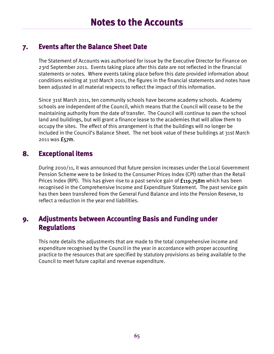### **7. Events after the Balance Sheet Date**

The Statement of Accounts was authorised for issue by the Executive Director for Finance on 23rd September 2011. Events taking place after this date are not reflected in the financial statements or notes. Where events taking place before this date provided information about conditions existing at 31st March 2011, the figures in the financial statements and notes have been adjusted in all material respects to reflect the impact of this information.

Since 31st March 2011, ten community schools have become academy schools. Academy schools are independent of the Council, which means that the Council will cease to be the maintaining authority from the date of transfer. The Council will continue to own the school land and buildings, but will grant a finance lease to the academies that will allow them to occupy the sites. The effect of this arrangement is that the buildings will no longer be included in the Council's Balance Sheet. The net book value of these buildings at 31st March 2011 was £57m.

### **8. Exceptional items**

During 2010/11, it was announced that future pension increases under the Local Government Pension Scheme were to be linked to the Consumer Prices Index (CPI) rather than the Retail Prices Index (RPI). This has given rise to a past service gain of **£119.758m** which has been recognised in the Comprehensive Income and Expenditure Statement. The past service gain has then been transferred from the General Fund Balance and into the Pension Reserve, to reflect a reduction in the year end liabilities.

## **9. Adjustments between Accounting Basis and Funding under Regulations**

This note details the adjustments that are made to the total comprehensive income and expenditure recognised by the Council in the year in accordance with proper accounting practice to the resources that are specified by statutory provisions as being available to the Council to meet future capital and revenue expenditure.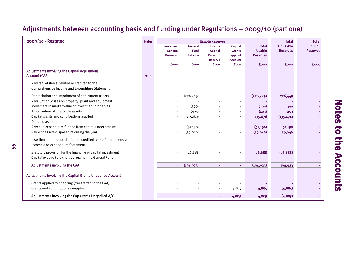#### example and the Movement of the Movement of the Movement of the Movement of the Movement of the Movement of Total Total Total Total Total Total Total Total Total Total Total Total Total Total Total Total Total Total Total Earmarked General Usable Capital Total Unusable Council General Fund Capital Grants Usable Reserves Reserves Reserves Balance Receipts Unapplied Reserves Reserve Account£000 £000 £000 £000 £000 £000 £000Adjustments involving the Capital Adjustment Account (CAA) 33.3 Reversal of items debited or credited to theComprehensive Income and Expenditure Statement Depreciation and impairment of non current assets  $(226,449)$   $(226,449)$   $(226,449)$   $(226,449)$ Revaluation losses on property, plant and equipment and revealing the state of the state of the state of the state of the state of the state of the state of the state of the state of the state of the state of the state of Movement in market value of investment properties and the state of the state of the state of the state of the state of the state of the state of the state of the state of the state of the state of the state of the state of Amortisation of intangible assets 403 Capital grants and contributions applied and the contributions applied and the 135,876 (135,876) - 135,876 (135,876) Donated assets ---- -- - Revenue expenditure funded from capital under statute and the control of the control of the control of the control of the control of the control of the control of the control of the control of the control of the control of Value of assets disposed of during the year - (39,046) - (39,046) - (39,046) 39,046 - (39,046) 39,046 Insertion of items not debited or credited to the Comprehensive Income and expenditure Statement Statutory provision for the financing of capital investment and the control of the capital investment and the control of the control of the control of the control of the control of the control of the control of the control Capital expenditure charged against the General Fund - - - - -- - Adjustments involving the CAA  $(194,923)$   $(194,923)$   $(194,923)$   $(194,923)$   $(194,923)$ Adjustments involving the Capital Grants Unapplied Account Grants applied to financing (transferred to the CAA) - - - - -- - Grants and contributions unapplied and the state of the state of the state of the state of the state of the state of the state of the state of the state of the state of the state of the state of the state of the state of t Adjustments involving the Cap Grants Unapplied A/C and the Cap Grants Unapplied A/C and the Cap Grants Unapplied A/C and the Cap Grants Unapplied A/C and the Cap Grants Unapplied A/C and the Cap Grants Unapplied A/C and th Usable Reserves

## Adjustments between accounting basis and funding under Regulations – 2009/10 (part one)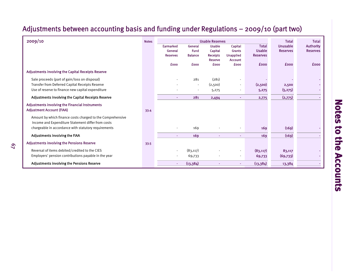## Adjustments between accounting basis and funding under Regulations – 2009/10 (part two)

| 2009/10                                                    |      | <b>Usable Reserves</b> | <b>Total</b>           | <b>Total</b>               |                          |                               |                                    |                                     |
|------------------------------------------------------------|------|------------------------|------------------------|----------------------------|--------------------------|-------------------------------|------------------------------------|-------------------------------------|
|                                                            |      | Earmarked<br>General   | General<br><b>Fund</b> | <b>Usable</b>              | Capital<br><b>Grants</b> | <b>Total</b><br><b>Usable</b> | <b>Unusable</b><br><b>Reserves</b> | <b>Authority</b><br><b>Reserves</b> |
|                                                            |      | <b>Reserves</b>        | <b>Balance</b>         | Capital<br><b>Receipts</b> | <b>Unapplied</b>         | <b>Reserves</b>               |                                    |                                     |
|                                                            |      |                        |                        | Reserve                    | <b>Account</b>           |                               |                                    |                                     |
|                                                            |      | <b>fooo</b>            | <b>fooo</b>            | <b>£000</b>                | <b>fooo</b>              | <b>fooo</b>                   | <b>£000</b>                        | <b>fooo</b>                         |
| <b>Adjustments involving the Capital Receipts Reserve</b>  |      |                        |                        |                            |                          |                               |                                    |                                     |
| Sale proceeds (part of gain/loss on disposal)              |      |                        | 281                    | (281)                      |                          |                               |                                    |                                     |
| Transfer from Deferred Capital Receipts Reserve            |      |                        |                        | (2,500)                    |                          | (2,500)                       | 2,500                              |                                     |
| Use of reserve to finance new capital expenditure          |      |                        |                        | 5,275                      |                          | 5,275                         | (5, 275)                           |                                     |
| Adjustments involving the Capital Receipts Reserve         |      | ٠                      | 281                    | 2,494                      |                          | 2,775                         | (2,775)                            |                                     |
| Adjustments involving the Financial Instruments            |      |                        |                        |                            |                          |                               |                                    |                                     |
| <b>Adjustment Account (FIAA)</b>                           | 33.4 |                        |                        |                            |                          |                               |                                    |                                     |
| Amount by which finance costs charged to the Comprehensive |      |                        |                        |                            |                          |                               |                                    |                                     |
| Income and Expenditure Statement differ from costs         |      |                        |                        |                            |                          |                               |                                    |                                     |
| chargeable in accordance with statutory requirements       |      |                        | 169                    |                            |                          | 169                           | (169)                              |                                     |
| Adjustments involving the FIAA                             |      | ٠                      | 169                    |                            |                          | 169                           | (169)                              |                                     |
| <b>Adjustments involving the Pensions Reserve</b>          | 33.5 |                        |                        |                            |                          |                               |                                    |                                     |
| Reversal of items debited/credited to the CIES             |      |                        | (83, 117)              |                            |                          | (83, 117)                     | 83,117                             |                                     |
| Employers' pension contributions payable in the year       |      |                        | 69,733                 |                            |                          | 69,733                        | (69,733)                           |                                     |
| Adjustments involving the Pensions Reserve                 |      | ٠                      | (13,384)               |                            | ×.                       | (13,384)                      | 13,384                             |                                     |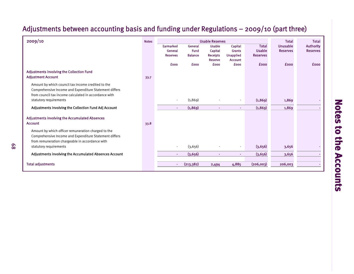## Adjustments between accounting basis and funding under Regulations – 2009/10 (part three)

| 2009/10                                                | <b>Notes</b> | <b>Usable Reserves</b> |                |                 |                  |                 |                 | <b>Total</b>     |
|--------------------------------------------------------|--------------|------------------------|----------------|-----------------|------------------|-----------------|-----------------|------------------|
|                                                        |              | <b>Earmarked</b>       | General        | <b>Usable</b>   | Capital          | <b>Total</b>    | <b>Unusable</b> | <b>Authority</b> |
|                                                        |              | General                | Fund           | Capital         | <b>Grants</b>    | <b>Usable</b>   | <b>Reserves</b> | <b>Reserves</b>  |
|                                                        |              | <b>Reserves</b>        | <b>Balance</b> | <b>Receipts</b> | <b>Unapplied</b> | <b>Reserves</b> |                 |                  |
|                                                        |              |                        |                | <b>Reserve</b>  | <b>Account</b>   |                 |                 |                  |
|                                                        |              | <b>fooo</b>            | <b>fooo</b>    | <b>£000</b>     | <b>fooo</b>      | <b>fooo</b>     | <b>fooo</b>     | <b>fooo</b>      |
| Adjustments involving the Collection Fund              |              |                        |                |                 |                  |                 |                 |                  |
| <b>Adjustment Account</b>                              | 33.7         |                        |                |                 |                  |                 |                 |                  |
| Amount by which council tax income credited to the     |              |                        |                |                 |                  |                 |                 |                  |
| Comprehensive Income and Expenditure Statement differs |              |                        |                |                 |                  |                 |                 |                  |
| from council tax income calculated in accordance with  |              |                        |                |                 |                  |                 |                 |                  |
| statutory requirements                                 |              |                        | (1, 869)       |                 |                  | (1, 869)        | 1,869           |                  |
|                                                        |              |                        |                |                 |                  |                 |                 |                  |
| Adjustments involving the Collection Fund Adj Account  |              | ٠                      | (1,869)        | ٠               |                  | (1,869)         | 1,869           |                  |
| <b>Adjustments involving the Accumulated Absences</b>  |              |                        |                |                 |                  |                 |                 |                  |
| <b>Account</b>                                         | 33.8         |                        |                |                 |                  |                 |                 |                  |
|                                                        |              |                        |                |                 |                  |                 |                 |                  |
| Amount by which officer remuneration charged to the    |              |                        |                |                 |                  |                 |                 |                  |
| Comprehensive Income and Expenditure Statement differs |              |                        |                |                 |                  |                 |                 |                  |
| from remuneration chargeable in accordance with        |              |                        |                |                 |                  |                 |                 |                  |
| statutory requirements                                 |              |                        | (3,656)        |                 |                  | (3,656)         | 3,656           |                  |
| Adjustments involving the Accumulated Absences Account |              | ÷                      | (3,656)        | ٠               | $\sim$           | (3,656)         | 3,656           |                  |
|                                                        |              |                        |                |                 |                  |                 |                 |                  |
| <b>Total adjustments</b>                               |              | ÷.                     | (213, 382)     | 2,494           | 4,885            | (206,003)       | 206,003         |                  |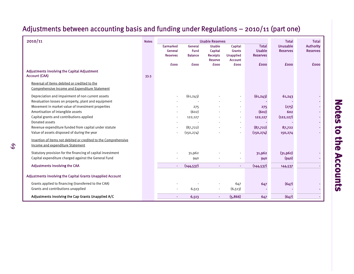#### 2010/11 Notes Total Total Earmarked General Usable Capital Total Unusable Authority General Fund Capital Grants Usable Reserves Reserves Reserves Balance Receipts Unapplied Reserves Reserve Account£000 £000 £000 £000 £000 £000 £000Adjustments involving the Capital Adjustment Account (CAA) 33.3 Reversal of items debited or credited to theComprehensive Income and Expenditure Statement Depreciation and impairment of non current assets  $(61,243)$   $(61,243)$   $(61,243)$   $(61,243)$ Revaluation losses on property, plant and equipment Movement in market value of investment properties and the control of the control of the control of the control of the control of the control of the control of the control of the control of the control of the control of the Amortisation of intangible assets 602 and the control of the control of the control of the control of the control of the control of the control of the control of the control of the control of the control of the control of Capital grants and contributions applied and the state of 122,127 (122,127 (122,127 (122,127) Donated assets ---- -- - Revenue expenditure funded from capital under statute and the statute of the capital and the capital and the capital and the capital and the capital and the capital and the capital and the capital and the capital and the c Value of assets disposed of during the year - (150,274) - (150,274) 150,274 - (150,274) 150,274 Insertion of items not debited or credited to the Comprehensive Income and expenditure Statement Statutory provision for the financing of capital investment and the statutory of the statutory provision for the financing of capital investment and the statutory of the statutory provision for the financing of capital inv Capital expenditure charged against the General Fund - 1990 - 940 - 940 - 940 - 940 - 940 (940) Adjustments involving the CAA - and - (144,537) - - (144,537) - - - - (144,537) - - - (144,537) - 144,537 Adjustments involving the Capital Grants Unapplied Account Grants applied to financing (transferred to the CAA)  $(647)$  - 647 647 647 (647) - 647 647 (647) Grants and contributions unapplied and contributions unapplied and contributions unapplied and contributions of  $(6,513)$ Adjustments involving the Cap Grants Unapplied A/C  $(647)$  - 6,513 -  $(5,866)$  - 647  $(647)$ Usable Reserves

## Adjustments between accounting basis and funding under Regulations – 2010/11 (part one)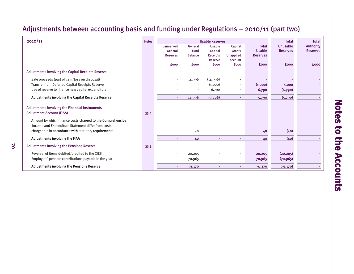## Adjustments between accounting basis and funding under Regulations – 2010/11 (part two)

| 2010/11                                                                                                          | <b>Notes</b> |                            |                               | <b>Usable Reserves</b>     |                                   |                                  | <b>Total</b>    | <b>Total</b>     |
|------------------------------------------------------------------------------------------------------------------|--------------|----------------------------|-------------------------------|----------------------------|-----------------------------------|----------------------------------|-----------------|------------------|
|                                                                                                                  |              | Earmarked                  | General                       | <b>Usable</b>              | Capital                           | <b>Total</b>                     | Unusable        | <b>Authority</b> |
|                                                                                                                  |              | General<br><b>Reserves</b> | <b>Fund</b><br><b>Balance</b> | Capital<br><b>Receipts</b> | <b>Grants</b><br><b>Unapplied</b> | <b>Usable</b><br><b>Reserves</b> | <b>Reserves</b> | <b>Reserves</b>  |
|                                                                                                                  |              |                            |                               | Reserve                    | <b>Account</b>                    |                                  |                 |                  |
|                                                                                                                  |              | <b>fooo</b>                | <b>fooo</b>                   | <b>£000</b>                | <b>fooo</b>                       | <b>fooo</b>                      | <b>fooo</b>     | <b>fooo</b>      |
| Adjustments involving the Capital Receipts Reserve                                                               |              |                            |                               |                            |                                   |                                  |                 |                  |
| Sale proceeds (part of gain/loss on disposal)                                                                    |              |                            | 14,996                        | (14,996)                   |                                   |                                  |                 |                  |
| Transfer from Deferred Capital Receipts Reserve                                                                  |              |                            |                               | (1,000)                    | ٠                                 | (1,000)                          | 1,000           |                  |
| Use of reserve to finance new capital expenditure                                                                |              |                            |                               | 6,790                      | $\overline{\phantom{a}}$          | 6,790                            | (6,790)         |                  |
| Adjustments involving the Capital Receipts Reserve                                                               |              | $\sim$                     | 14,996                        | (9, 206)                   | ÷.                                | 5,790                            | (5,790)         |                  |
| Adjustments involving the Financial Instruments<br><b>Adjustment Account (FIAA)</b>                              | 33.4         |                            |                               |                            |                                   |                                  |                 |                  |
| Amount by which finance costs charged to the Comprehensive<br>Income and Expenditure Statement differ from costs |              |                            |                               |                            |                                   |                                  |                 |                  |
| chargeable in accordance with statutory requirements                                                             |              |                            | 40                            |                            |                                   | 40                               | (40)            |                  |
| Adjustments involving the FIAA                                                                                   |              | ٠                          | 40                            | ٠                          | ٠                                 | 40                               | (40)            |                  |
| <b>Adjustments involving the Pensions Reserve</b>                                                                | 33.5         |                            |                               |                            |                                   |                                  |                 |                  |
| Reversal of items debited/credited to the CIES                                                                   |              |                            | 20,205                        |                            | ٠                                 | 20,205                           | (20, 205)       |                  |
| Employers' pension contributions payable in the year                                                             |              | $\blacksquare$             | 70,965                        |                            | ٠                                 | 70,965                           | (70, 965)       | $\sim$           |
| <b>Adjustments involving the Pensions Reserve</b>                                                                |              | ٠                          | 91,170                        | ٠                          | ٠                                 | 91,170                           | (91, 170)       |                  |

70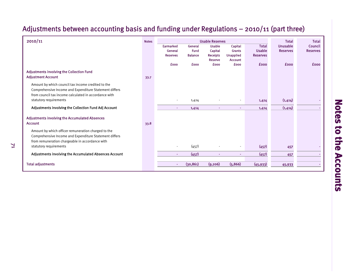# Adjustments between accounting basis and funding under Regulations – 2010/11 (part three)

| 2010/11                                                | <b>Notes</b> |                  |                | <b>Usable Reserves</b> |                  |                 | <b>Total</b>    | <b>Total</b>    |
|--------------------------------------------------------|--------------|------------------|----------------|------------------------|------------------|-----------------|-----------------|-----------------|
|                                                        |              | <b>Earmarked</b> | General        | <b>Usable</b>          | Capital          | <b>Total</b>    | <b>Unusable</b> | Council         |
|                                                        |              | General          | <b>Fund</b>    | Capital                | <b>Grants</b>    | <b>Usable</b>   | <b>Reserves</b> | <b>Reserves</b> |
|                                                        |              | <b>Reserves</b>  | <b>Balance</b> | <b>Receipts</b>        | <b>Unapplied</b> | <b>Reserves</b> |                 |                 |
|                                                        |              |                  |                | Reserve                | <b>Account</b>   |                 |                 |                 |
|                                                        |              | <b>fooo</b>      | <b>fooo</b>    | <b>fooo</b>            | <b>fooo</b>      | <b>fooo</b>     | <b>fooo</b>     | <b>fooo</b>     |
| <b>Adjustments involving the Collection Fund</b>       |              |                  |                |                        |                  |                 |                 |                 |
| <b>Adjustment Account</b>                              | 33.7         |                  |                |                        |                  |                 |                 |                 |
| Amount by which council tax income credited to the     |              |                  |                |                        |                  |                 |                 |                 |
| Comprehensive Income and Expenditure Statement differs |              |                  |                |                        |                  |                 |                 |                 |
| from council tax income calculated in accordance with  |              |                  |                |                        |                  |                 |                 |                 |
|                                                        |              |                  |                |                        |                  |                 |                 |                 |
| statutory requirements                                 |              |                  | 1,414          |                        |                  | 1,414           | (1,414)         |                 |
| Adjustments involving the Collection Fund Adj Account  |              | $\,$             | 1,414          | $\sim$                 |                  | 1,414           | (1,414)         |                 |
|                                                        |              |                  |                |                        |                  |                 |                 |                 |
| <b>Adjustments involving the Accumulated Absences</b>  |              |                  |                |                        |                  |                 |                 |                 |
| <b>Account</b>                                         | 33.8         |                  |                |                        |                  |                 |                 |                 |
| Amount by which officer remuneration charged to the    |              |                  |                |                        |                  |                 |                 |                 |
| Comprehensive Income and Expenditure Statement differs |              |                  |                |                        |                  |                 |                 |                 |
| from remuneration chargeable in accordance with        |              |                  |                |                        |                  |                 |                 |                 |
|                                                        |              |                  |                |                        |                  |                 |                 |                 |
| statutory requirements                                 |              |                  | (457)          |                        |                  | (457)           | 457             |                 |
| Adjustments involving the Accumulated Absences Account |              | ٠                | (457)          |                        |                  | (457)           | 457             |                 |
|                                                        |              |                  |                |                        |                  |                 |                 |                 |
| <b>Total adjustments</b>                               |              | $\bullet$        | (30, 861)      | (9, 206)               | (5,866)          | (45, 933)       | 45,933          |                 |

71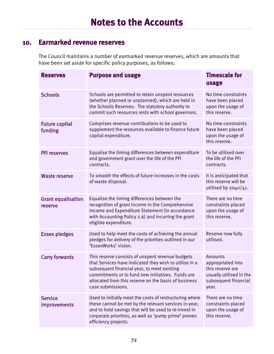#### **10. Earmarked revenue reserves**

The Council maintains a number of earmarked revenue reserves, which are amounts that have been set aside for specific policy purposes, as follows:

| <b>Reserves</b>                       | <b>Purpose and usage</b>                                                                                                                                                                                                                                                                    | <b>Timescale for</b><br>usage                                                                                |
|---------------------------------------|---------------------------------------------------------------------------------------------------------------------------------------------------------------------------------------------------------------------------------------------------------------------------------------------|--------------------------------------------------------------------------------------------------------------|
| <b>Schools</b>                        | Schools are permitted to retain unspent resources<br>(whether planned or unplanned), which are held in<br>the Schools Reserves. The statutory authority to<br>commit such resources rests with school governors.                                                                            | No time constraints<br>have been placed<br>upon the usage of<br>this reserve.                                |
| <b>Future capital</b><br>funding      | Comprises revenue contributions to be used to<br>supplement the resources available to finance future<br>capital expenditure.                                                                                                                                                               | No time constraints<br>have been placed<br>upon the usage of<br>this reserve.                                |
| <b>PFI reserves</b>                   | Equalise the timing differences between expenditure<br>and government grant over the life of the PFI<br>contracts.                                                                                                                                                                          | To be utilised over<br>the life of the PFI<br>contracts.                                                     |
| <b>Waste reserve</b>                  | To smooth the effects of future increases in the costs<br>of waste disposal.                                                                                                                                                                                                                | It is anticipated that<br>this reserve will be<br>utilised by $2040/41$ .                                    |
| <b>Grant equalisation</b><br>reserve  | Equalise the timing differences between the<br>recognition of grant income in the Comprehensive<br>Income and Expenditure Statement (in accordance<br>with Accounting Policy 2.6) and incurring the grant<br>eligible expenditure.                                                          | There are no time<br>constraints placed<br>upon the usage of<br>this reserve.                                |
| <b>Essex pledges</b>                  | Used to help meet the costs of achieving the annual<br>pledges for delivery of the priorities outlined in our<br>'EssexWorks' vision.                                                                                                                                                       | Reserve now fully<br>utilised.                                                                               |
| <b>Carry forwards</b>                 | This reserve consists of unspent revenue budgets<br>that Services have indicated they wish to utilise in a<br>subsequent financial year, to meet existing<br>commitments or to fund new initiatives. Funds are<br>allocated from this reserve on the basis of business<br>case submissions. | Amounts<br>appropriated into<br>this reserve are<br>usually utilised in the<br>subsequent financial<br>year. |
| <b>Service</b><br><b>improvements</b> | Used to initially meet the costs of restructuring where<br>these cannot be met by the relevant services in-year,<br>and to hold savings that will be used to re-invest in<br>corporate priorities, as well as 'pump prime' proven<br>efficiency projects.                                   | There are no time<br>constraints placed<br>upon the usage of<br>this reserve.                                |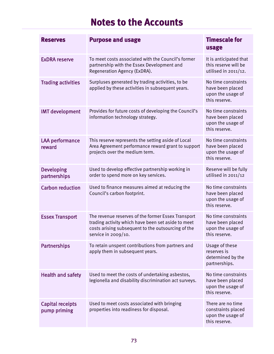| <b>Reserves</b>                         | <b>Purpose and usage</b>                                                                                                                                                                 | <b>Timescale for</b><br>usage                                                 |
|-----------------------------------------|------------------------------------------------------------------------------------------------------------------------------------------------------------------------------------------|-------------------------------------------------------------------------------|
| <b>ExDRA reserve</b>                    | To meet costs associated with the Council's former<br>partnership with the Essex Development and<br>Regeneration Agency (ExDRA).                                                         | It is anticipated that<br>this reserve will be<br>utilised in 2011/12.        |
| <b>Trading activities</b>               | Surpluses generated by trading activities, to be<br>applied by these activities in subsequent years.                                                                                     | No time constraints<br>have been placed<br>upon the usage of<br>this reserve. |
| <b>IMT</b> development                  | Provides for future costs of developing the Council's<br>information technology strategy.                                                                                                | No time constraints<br>have been placed<br>upon the usage of<br>this reserve. |
| <b>LAA</b> performance<br>reward        | This reserve represents the setting aside of Local<br>Area Agreement performance reward grant to support<br>projects over the medium term.                                               | No time constraints<br>have been placed<br>upon the usage of<br>this reserve. |
| <b>Developing</b><br>partnerships       | Used to develop effective partnership working in<br>order to spend more on key services.                                                                                                 | Reserve will be fully<br>utilised in $2011/12$                                |
| <b>Carbon reduction</b>                 | Used to finance measures aimed at reducing the<br>Council's carbon footprint.                                                                                                            | No time constraints<br>have been placed<br>upon the usage of<br>this reserve. |
| <b>Essex Transport</b>                  | The revenue reserves of the former Essex Transport<br>trading activity which have been set aside to meet<br>costs arising subsequent to the outsourcing of the<br>service in $2009/10$ . | No time constraints<br>have been placed<br>upon the usage of<br>this reserve. |
| <b>Partnerships</b>                     | To retain unspent contributions from partners and<br>apply them in subsequent years.                                                                                                     | Usage of these<br>reserves is<br>determined by the<br>partnerships.           |
| <b>Health and safety</b>                | Used to meet the costs of undertaking asbestos,<br>legionella and disability discrimination act surveys.                                                                                 | No time constraints<br>have been placed<br>upon the usage of<br>this reserve. |
| <b>Capital receipts</b><br>pump priming | Used to meet costs associated with bringing<br>properties into readiness for disposal.                                                                                                   | There are no time<br>constraints placed<br>upon the usage of<br>this reserve. |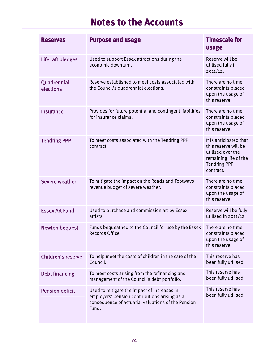| <b>Reserves</b>          | <b>Purpose and usage</b>                                                                                                                                    | <b>Timescale for</b><br>usage                                                                                                    |
|--------------------------|-------------------------------------------------------------------------------------------------------------------------------------------------------------|----------------------------------------------------------------------------------------------------------------------------------|
| Life raft pledges        | Used to support Essex attractions during the<br>economic downturn.                                                                                          | Reserve will be<br>utilised fully in<br>2011/12.                                                                                 |
| Quadrennial<br>elections | Reserve established to meet costs associated with<br>the Council's quadrennial elections.                                                                   | There are no time<br>constraints placed<br>upon the usage of<br>this reserve.                                                    |
| <b>Insurance</b>         | Provides for future potential and contingent liabilities<br>for insurance claims.                                                                           | There are no time<br>constraints placed<br>upon the usage of<br>this reserve.                                                    |
| <b>Tendring PPP</b>      | To meet costs associated with the Tendring PPP<br>contract.                                                                                                 | It is anticipated that<br>this reserve will be<br>utilised over the<br>remaining life of the<br><b>Tendring PPP</b><br>contract. |
| Severe weather           | To mitigate the impact on the Roads and Footways<br>revenue budget of severe weather.                                                                       | There are no time<br>constraints placed<br>upon the usage of<br>this reserve.                                                    |
| <b>Essex Art Fund</b>    | Used to purchase and commission art by Essex<br>artists.                                                                                                    | Reserve will be fully<br>utilised in $2011/12$                                                                                   |
| <b>Newton bequest</b>    | Funds bequeathed to the Council for use by the Essex<br>Records Office.                                                                                     | There are no time<br>constraints placed<br>upon the usage of<br>this reserve.                                                    |
| Children's reserve       | To help meet the costs of children in the care of the<br>Council.                                                                                           | This reserve has<br>been fully utilised.                                                                                         |
| <b>Debt financing</b>    | To meet costs arising from the refinancing and<br>management of the Council's debt portfolio.                                                               | This reserve has<br>been fully utilised.                                                                                         |
| <b>Pension deficit</b>   | Used to mitigate the impact of increases in<br>employers' pension contributions arising as a<br>consequence of actuarial valuations of the Pension<br>Fund. | This reserve has<br>been fully utilised.                                                                                         |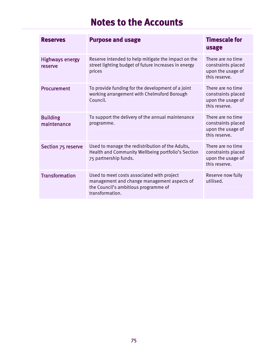| <b>Reserves</b>                   | <b>Purpose and usage</b>                                                                                                                             | <b>Timescale for</b><br>usage                                                  |
|-----------------------------------|------------------------------------------------------------------------------------------------------------------------------------------------------|--------------------------------------------------------------------------------|
| <b>Highways energy</b><br>reserve | Reserve intended to help mitigate the impact on the<br>street lighting budget of future increases in energy<br>prices                                | There are no time<br>constraints placed<br>upon the usage of<br>this reserve.  |
| <b>Procurement</b>                | To provide funding for the development of a joint<br>working arrangement with Chelmsford Borough<br>Council.                                         | There are no time<br>constraints placed<br>upon the usage of<br>this reserve.  |
| <b>Building</b><br>maintenance    | To support the delivery of the annual maintenance<br>programme.                                                                                      | There are no time.<br>constraints placed<br>upon the usage of<br>this reserve. |
| Section 75 reserve                | Used to manage the redistribution of the Adults,<br>Health and Community Wellbeing portfolio's Section<br>75 partnership funds.                      | There are no time<br>constraints placed<br>upon the usage of<br>this reserve.  |
| <b>Transformation</b>             | Used to meet costs associated with project<br>management and change management aspects of<br>the Council's ambitious programme of<br>transformation. | Reserve now fully<br>utilised.                                                 |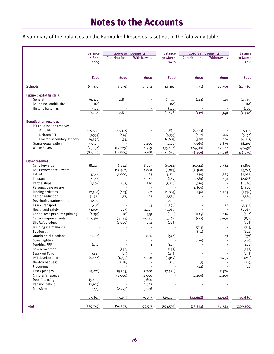A summary of the balances on the Earmarked Reserves is set out in the following table.

|                                    | <b>Balance</b>           | 2009/10 movements    |                          |             | <b>Balance</b><br>2010/11 movements |                                            |                  |  |
|------------------------------------|--------------------------|----------------------|--------------------------|-------------|-------------------------------------|--------------------------------------------|------------------|--|
|                                    | 1 April                  | <b>Contributions</b> | <b>Withdrawals</b>       | 31 March    |                                     | <b>Contributions</b><br><b>Withdrawals</b> |                  |  |
|                                    | 2009                     |                      |                          | 2010        |                                     |                                            | 31 March<br>2011 |  |
|                                    |                          |                      |                          |             |                                     |                                            |                  |  |
|                                    |                          |                      |                          |             |                                     |                                            |                  |  |
|                                    |                          |                      |                          |             |                                     |                                            |                  |  |
|                                    | <b>fooo</b>              | <b>fooo</b>          | <b>fooo</b>              | <b>fooo</b> | <b>fooo</b>                         | <b>fooo</b>                                | £000             |  |
|                                    |                          |                      |                          |             |                                     |                                            |                  |  |
| <b>Schools</b>                     | (55, 377)                | (8,076)              | 15,292                   | (48, 161)   | (9, 975)                            | 10,756                                     | (47,380)         |  |
|                                    |                          |                      |                          |             |                                     |                                            |                  |  |
| <b>Future capital funding</b>      |                          |                      |                          |             |                                     |                                            |                  |  |
| General<br>Bellhouse landfill site | (6, 370)                 | 2,853                |                          | (3, 517)    | (212)                               | 940                                        | (2,789)          |  |
|                                    | (61)                     |                      |                          | (61)        |                                     |                                            | (61)             |  |
| Historic buildings                 | (120)                    |                      |                          | (120)       |                                     |                                            | (120)            |  |
|                                    | (6, 551)                 | 2,853                |                          | (3,698)     | (212)                               | 940                                        | (2,970)          |  |
|                                    |                          |                      |                          |             |                                     |                                            |                  |  |
| <b>Equalisation reserves</b>       |                          |                      |                          |             |                                     |                                            |                  |  |
| PFI equalisation reserves          |                          |                      |                          |             |                                     |                                            |                  |  |
| A <sub>130</sub> PFI               | (49, 532)                | (2,331)              |                          | (51, 863)   | (5,474)                             |                                            | (57, 337)        |  |
| Debden PFI                         | (5, 339)                 | (194)                |                          | (5, 533)    | (287)                               | 666                                        | (5, 154)         |  |
| Clacton secondary schools          | (4,590)                  | (95)                 | $\blacksquare$           | (4, 685)    | (428)                               | 226                                        | (4,887)          |  |
| Grants equalisation                | (7, 329)                 |                      | 2,209                    | (5, 120)    | (7,960)                             | 4,879                                      | (8, 201)         |  |
| <b>Waste Reserve</b>               | (23, 138)                | (19, 269)            | 6,979                    | (35, 428)   | (24, 310)                           | 17,247                                     | (42, 491)        |  |
|                                    | (89, 928)                | (21, 889)            | 9,188                    | (102, 629)  | (38, 459)                           | 23,018                                     | (118,070)        |  |
|                                    |                          |                      |                          |             |                                     |                                            |                  |  |
| <b>Other reserves</b>              |                          |                      |                          |             |                                     |                                            |                  |  |
| Carry forwards                     | (8, 223)                 | (6,044)              | 8,223                    | (6, 044)    | (10, 541)                           | 2,784                                      | (13, 801)        |  |
| <b>LAA Performance Reward</b>      |                          | (12,962)             | 11,089                   | (1, 873)    | (2,368)                             |                                            | (4, 241)         |  |
| <b>ExDRA</b>                       | (3,344)                  | (1,000)              | 123                      | (4, 221)    | (39)                                | 1,325                                      | (2,935)          |  |
| Insurance                          | (4, 514)                 |                      | 4,047                    | (467)       | (2, 280)                            | 131                                        | (2,616)          |  |
| Partnerships                       | (1, 364)                 | (82)                 | 230                      | (1,216)     | (610)                               |                                            | (1, 826)         |  |
| Personal Care reserve              |                          |                      | $\overline{\phantom{a}}$ |             | (1,800)                             | $\overline{a}$                             | (1,800)          |  |
| Trading activities                 | (2, 564)                 | (403)                | 82                       | (2,885)     | (56)                                | 1,205                                      | (1,736)          |  |
| Carbon reduction                   | (1,521)                  | (57)                 | 42                       | (1,536)     |                                     |                                            | (1, 536)         |  |
| Developing partnerships            | (1,500)                  |                      | $\overline{\phantom{a}}$ | (1,500)     |                                     | $\blacksquare$                             | (1,500)          |  |
| <b>Essex Transport</b>             | (1,482)                  |                      | 84                       | (1, 398)    |                                     | 77                                         | (1, 321)         |  |
| Health and safety                  | (3,005)                  | (207)                | 2,125                    | (1,087)     |                                     | $\overline{\phantom{a}}$                   | (1,087)          |  |
| Capital receipts pump priming      | (1, 357)                 | (8)                  | 499                      | (866)       | (214)                               | 116                                        | (964)            |  |
| Service improvements               | (22, 365)                | (3,384)              | 20,585                   | (5, 164)    | (412)                               | 4,699                                      | (877)            |  |
| Life Raft pledges                  |                          | (1,000)              | 272                      | (728)       |                                     |                                            | (728)            |  |
| <b>Building maintenance</b>        |                          |                      | $\overline{\phantom{a}}$ |             | (713)                               | $\overline{\phantom{a}}$                   | (713)            |  |
| Section 75                         |                          |                      |                          |             | (674)                               |                                            | (674)            |  |
| Quadrenniel elections              | (1,480)                  |                      | 886                      | (594)       |                                     | 23                                         | (571)            |  |
| <b>Street lighting</b>             |                          |                      |                          |             | (476)                               |                                            | (476)            |  |
| <b>Tendring PPP</b>                | (430)                    |                      | $\mathbf 1$              | (429)       |                                     | $\overline{7}$                             | (422)            |  |
| Severe weather                     |                          | (252)                |                          | (252)       |                                     |                                            | (252)            |  |
| <b>Essex Art Fund</b>              | (233)                    | (25)                 |                          | (258)       |                                     |                                            | (258)            |  |
| IMT development                    | (6,488)                  | (1,735)              | 6,276                    | (1, 947)    |                                     | 1,735                                      | (212)            |  |
| Newton bequest                     |                          | (118)                |                          | (118)       | (1)                                 |                                            | (119)            |  |
| Procurement                        | $\overline{\phantom{a}}$ |                      | $\blacksquare$           |             | (24)                                |                                            | (24)             |  |
| Essex pledges                      | (9,021)                  | (5,705)              | 7,200                    | (7, 526)    |                                     | 7,526                                      |                  |  |
| Children's reserve                 |                          | (2,000)              | 2,000                    |             | (4,400)                             | 4,400                                      |                  |  |
| Debt financing                     | (5,600)                  |                      | 5,600                    |             |                                     |                                            |                  |  |
| Pension deficit                    | (2,627)                  |                      | 2,627                    |             |                                     |                                            |                  |  |
| Transformation                     | (773)                    | (2, 273)             | 3,046                    |             |                                     |                                            |                  |  |
|                                    |                          |                      |                          |             |                                     |                                            |                  |  |
|                                    | (77, 891)                | (37, 255)            | 75,037                   | (40, 109)   | (24, 608)                           | 24,028                                     | (40, 689)        |  |
|                                    |                          |                      |                          |             |                                     |                                            |                  |  |
| <b>Total</b>                       | (229, 747)               | (64, 367)            | 99,517                   | (194, 597)  | (73, 254)                           | 58,742                                     | (209, 109)       |  |
|                                    |                          |                      |                          |             |                                     |                                            |                  |  |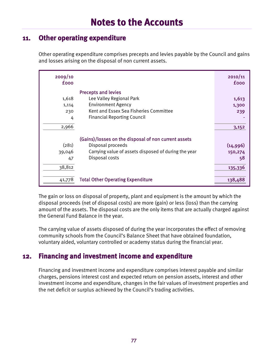#### **11. Other operating expenditure**

Other operating expenditure comprises precepts and levies payable by the Council and gains and losses arising on the disposal of non current assets.

| 2009/10<br><b>fooo</b> |                                                      | 2010/11<br><b>fooo</b> |
|------------------------|------------------------------------------------------|------------------------|
|                        | <b>Precepts and levies</b>                           |                        |
| 1,618                  | Lee Valley Regional Park                             | 1,613                  |
| 1,114                  | <b>Environment Agency</b>                            | 1,300                  |
| 230                    | Kent and Essex Sea Fisheries Committee               | 239                    |
| 4                      | <b>Financial Reporting Council</b>                   |                        |
| 2,966                  |                                                      | 3,152                  |
|                        | (Gains)/losses on the disposal of non current assets |                        |
| (281)                  | Disposal proceeds                                    | (14,996)               |
| 39,046                 | Carrying value of assets disposed of during the year | 150,274                |
| 47                     | Disposal costs                                       | 58                     |
| 38,812                 |                                                      | 135,336                |
| 41,778                 | <b>Total Other Operating Expenditure</b>             | 138,488                |

The gain or loss on disposal of property, plant and equipment is the amount by which the disposal proceeds (net of disposal costs) are more (gain) or less (loss) than the carrying amount of the assets. The disposal costs are the only items that are actually charged against the General Fund Balance in the year.

The carrying value of assets disposed of during the year incorporates the effect of removing community schools from the Council's Balance Sheet that have obtained foundation, voluntary aided, voluntary controlled or academy status during the financial year.

#### **12. Financing and investment income and expenditure**

Financing and investment income and expenditure comprises interest payable and similar charges, pensions interest cost and expected return on pension assets, interest and other investment income and expenditure, changes in the fair values of investment properties and the net deficit or surplus achieved by the Council's trading activities.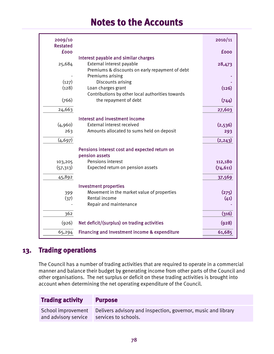| 2009/10<br><b>Restated</b> |                                                                     | 2010/11     |
|----------------------------|---------------------------------------------------------------------|-------------|
| <b>fooo</b>                |                                                                     | <b>fooo</b> |
| 25,684                     | Interest payable and similar charges<br>External interest payable   | 28,473      |
|                            | Premiums & discounts on early repayment of debt<br>Premiums arising |             |
| (127)                      | Discounts arising                                                   |             |
| (128)                      | Loan charges grant                                                  | (126)       |
|                            | Contributions by other local authorities towards                    |             |
| (766)                      | the repayment of debt                                               | (744)       |
| 24,663                     |                                                                     | 27,603      |
|                            | Interest and investment income                                      |             |
| (4,960)                    | External interest received                                          | (2,536)     |
| 263                        | Amounts allocated to sums held on deposit                           | 293         |
| (4, 697)                   |                                                                     | (2, 243)    |
|                            | Pensions interest cost and expected return on                       |             |
|                            | pension assets                                                      |             |
| 103,205                    | Pensions interest                                                   | 112,180     |
| (57, 313)                  | Expected return on pension assets                                   | (74, 611)   |
| 45,892                     |                                                                     | 37,569      |
|                            | <b>Investment properties</b>                                        |             |
| 399                        | Movement in the market value of properties                          | (275)       |
| (37)                       | Rental income                                                       | (41)        |
|                            | Repair and maintenance                                              |             |
| 362                        |                                                                     | (316)       |
| (926)                      | Net deficit/(surplus) on trading activities                         | (928)       |
| 65,294                     | Financing and Investment income & expenditure                       | 61,685      |

#### **13. Trading operations**

The Council has a number of trading activities that are required to operate in a commercial manner and balance their budget by generating income from other parts of the Council and other organisations. The net surplus or deficit on these trading activities is brought into account when determining the net operating expenditure of the Council.

#### **Trading activity Purpose**

School improvement and advisory service Delivers advisory and inspection, governor, music and library services to schools.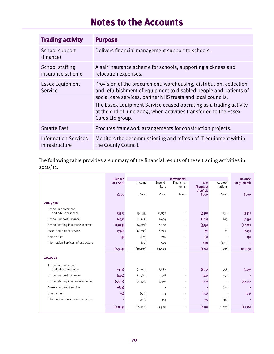| <b>Trading activity</b>                       | <b>Purpose</b>                                                                                                                                                                                                                                                                                                                                                          |
|-----------------------------------------------|-------------------------------------------------------------------------------------------------------------------------------------------------------------------------------------------------------------------------------------------------------------------------------------------------------------------------------------------------------------------------|
| School support<br>(finance)                   | Delivers financial management support to schools.                                                                                                                                                                                                                                                                                                                       |
| School staffing<br>insurance scheme           | A self insurance scheme for schools, supporting sickness and<br>relocation expenses.                                                                                                                                                                                                                                                                                    |
| <b>Essex Equipment</b><br>Service             | Provision of the procurement, warehousing, distribution, collection<br>and refurbishment of equipment to disabled people and patients of<br>social care services, partner NHS trusts and local councils.<br>The Essex Equipment Service ceased operating as a trading activity<br>at the end of June 2009, when activities transferred to the Essex<br>Cares Ltd group. |
| <b>Smarte East</b>                            | Procures framework arrangements for construction projects.                                                                                                                                                                                                                                                                                                              |
| <b>Information Services</b><br>infrastructure | Monitors the decommissioning and refresh of IT equipment within<br>the County Council.                                                                                                                                                                                                                                                                                  |

The following table provides a summary of the financial results of these trading activities in 2010/11.

|                                     | <b>Balance</b> |           |         | <b>Movements</b> |             |                          | <b>Balance</b>    |
|-------------------------------------|----------------|-----------|---------|------------------|-------------|--------------------------|-------------------|
|                                     | at 1 April     | Income    | Expend- | Financing        | <b>Net</b>  | Approp-                  | at 31 March       |
|                                     |                |           | iture   | items            | (Surplus)   | riations                 |                   |
|                                     |                | fooo      | fooo    | fooo             | / deficit   | fooo                     |                   |
|                                     | <b>fooo</b>    |           |         |                  | <b>fooo</b> |                          | <b>fooo</b>       |
| 2009/10                             |                |           |         |                  |             |                          |                   |
| School improvement                  |                |           |         |                  |             |                          |                   |
| and advisory service                | (332)          | (9,835)   | 8,897   |                  | (938)       | 938                      | (332)             |
| <b>School Support (Finance)</b>     | (449)          | (1,549)   | 1,444   | ٠                | (105)       | 105                      | (449)             |
| School staffing insurance scheme    | (1,023)        | (4,527)   | 4,128   | ٠                | (399)       | ÷,                       | (1, 422)          |
| Essex equipment service             | (756)          | (4, 233)  | 4,275   |                  | 42          | 41                       | (673)             |
| <b>Smarte East</b>                  | $\overline{4}$ | (221)     | 216     |                  | $(5)$       | ÷                        | $\left( 9\right)$ |
| Information Services infrastructure |                | (70)      | 549     |                  | 479         | (479)                    |                   |
|                                     | (2, 564)       | (20, 435) | 19,509  | $\sim$           | (926)       | 605                      | (2,885)           |
| 2010/11                             |                |           |         |                  |             |                          |                   |
| School improvement                  |                |           |         |                  |             |                          |                   |
| and advisory service                | (332)          | (9,762)   | 8,887   | ٠                | (875)       | 958                      | (249)             |
| <b>School Support (Finance)</b>     | (449)          | (1,560)   | 1,518   | ٠                | (42)        | 491                      |                   |
| School staffing insurance scheme    | (1,422)        | (4, 498)  | 4,476   |                  | (22)        | $\overline{\phantom{a}}$ | (1,444)           |
| Essex equipment service             | (673)          | $\sim$    | ÷.      | $\mathbf{r}$     |             | 673                      |                   |
| <b>Smarte East</b>                  | (9)            | (178)     | 144     |                  | (34)        | ÷,                       | (43)              |
| Information Services infrastructure |                | (528)     | 573     |                  | 45          | (45)                     |                   |
|                                     | (2,885)        | (16, 526) | 15,598  | $\mathbf{r}$     | (928)       | 2,077                    | (1,736)           |
|                                     |                |           |         |                  |             |                          |                   |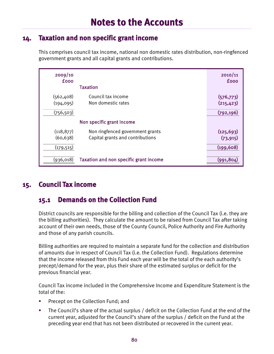### **14. Taxation and non specific grant income**

This comprises council tax income, national non domestic rates distribution, non-ringfenced government grants and all capital grants and contributions.

| 2009/10<br><b>fooo</b>                 | <b>Taxation</b>                                                      | 2010/11<br><b>fooo</b>                 |
|----------------------------------------|----------------------------------------------------------------------|----------------------------------------|
| (562, 408)<br>(194, 095)<br>(756, 503) | Council tax income<br>Non domestic rates                             | (576, 773)<br>(215, 423)<br>(792, 196) |
|                                        | Non specific grant income                                            |                                        |
| (118, 877)<br>(60, 638)<br>(179, 515)  | Non ringfenced government grants<br>Capital grants and contributions | (125, 693)<br>(73, 915)<br>(199, 608)  |
| (936,018)                              | <b>Taxation and non specific grant income</b>                        | (991, 804)                             |

### **15. Council Tax income**

### **15.1 Demands on the Collection Fund**

District councils are responsible for the billing and collection of the Council Tax (i.e. they are the billing authorities). They calculate the amount to be raised from Council Tax after taking account of their own needs, those of the County Council, Police Authority and Fire Authority and those of any parish councils.

Billing authorities are required to maintain a separate fund for the collection and distribution of amounts due in respect of Council Tax (i.e. the Collection Fund). Regulations determine that the income released from this Fund each year will be the total of the each authority's precept/demand for the year, plus their share of the estimated surplus or deficit for the previous financial year.

Council Tax income included in the Comprehensive Income and Expenditure Statement is the total of the:

- Precept on the Collection Fund; and
- The Council's share of the actual surplus / deficit on the Collection Fund at the end of the current year, adjusted for the Council's share of the surplus / deficit on the Fund at the preceding year end that has not been distributed or recovered in the current year.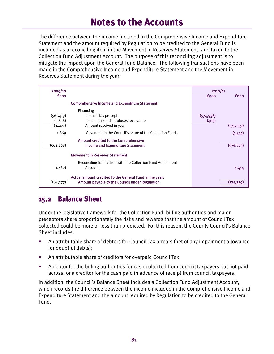The difference between the income included in the Comprehensive Income and Expenditure Statement and the amount required by Regulation to be credited to the General Fund is included as a reconciling item in the Movement in Reserves Statement, and taken to the Collection Fund Adjustment Account. The purpose of this reconciling adjustment is to mitigate the impact upon the General Fund Balance. The following transactions have been made in the Comprehensive Income and Expenditure Statement and the Movement in Reserves Statement during the year:

| 2009/10     |                                                                                                           | 2010/11     |             |
|-------------|-----------------------------------------------------------------------------------------------------------|-------------|-------------|
| <b>fooo</b> |                                                                                                           | <b>fooo</b> | <b>fooo</b> |
|             | <b>Comprehensive Income and Expenditure Statement</b>                                                     |             |             |
|             | Financing                                                                                                 |             |             |
| (561, 419)  | Council Tax precept                                                                                       | (574, 956)  |             |
| (2,858)     | Collection Fund surpluses receivable                                                                      | (403)       |             |
| (564, 277)  | Amount received in year                                                                                   |             | (575, 359)  |
| 1,869       | Movement in the Council's share of the Collection Funds                                                   |             | (1,414)     |
|             | <b>Amount credited to the Comprehensive</b>                                                               |             |             |
| (562, 408)  | <b>Income and Expenditure Statement</b>                                                                   |             | (576, 773)  |
|             | <b>Movement in Reserves Statement</b>                                                                     |             |             |
|             | Reconciling transaction with the Collection Fund Adjustment                                               |             |             |
| (1,869)     | Account                                                                                                   |             | 1,414       |
| (564, 277)  | Actual amount credited to the General Fund in the year:<br>Amount payable to the Council under Regulation |             | (575.35     |

### **15.2 Balance Sheet**

Under the legislative framework for the Collection Fund, billing authorities and major preceptors share proportionately the risks and rewards that the amount of Council Tax collected could be more or less than predicted. For this reason, the County Council's Balance Sheet includes:

- An attributable share of debtors for Council Tax arrears (net of any impairment allowance for doubtful debts);
- An attributable share of creditors for overpaid Council Tax;
- A debtor for the billing authorities for cash collected from council taxpayers but not paid across, or a creditor for the cash paid in advance of receipt from council taxpayers.

In addition, the Council's Balance Sheet includes a Collection Fund Adjustment Account, which records the difference between the income included in the Comprehensive Income and Expenditure Statement and the amount required by Regulation to be credited to the General Fund.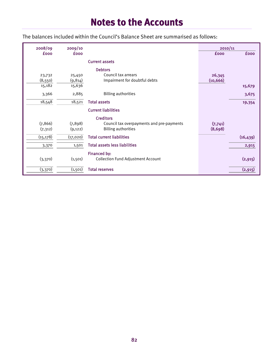The balances included within the Council's Balance Sheet are summarised as follows:

| 2008/09     | 2009/10     |                                           | 2010/11     |             |
|-------------|-------------|-------------------------------------------|-------------|-------------|
| <b>fooo</b> | <b>fooo</b> |                                           | <b>fooo</b> | <b>fooo</b> |
|             |             | <b>Current assets</b>                     |             |             |
|             |             | <b>Debtors</b>                            |             |             |
| 23,732      | 25,450      | Council tax arrears                       | 26,345      |             |
| (8,550)     | (9, 814)    | Impairment for doubtful debts             | (10, 666)   |             |
| 15,182      | 15,636      |                                           |             | 15,679      |
| 3,366       | 2,885       | <b>Billing authorities</b>                |             | 3,675       |
| 18,548      | 18,521      | <b>Total assets</b>                       |             | 19,354      |
|             |             | <b>Current liabilities</b>                |             |             |
|             |             | <b>Creditors</b>                          |             |             |
| (7, 866)    | (7,898)     | Council tax overpayments and pre-payments | (7,741)     |             |
| (7,312)     | (9, 122)    | <b>Billing authorities</b>                | (8,698)     |             |
| (15, 178)   | (17, 020)   | <b>Total current liabilities</b>          |             | (16, 439)   |
| 3,370       | 1,501       | <b>Total assets less liabilities</b>      |             | 2,915       |
|             |             | Financed by:                              |             |             |
| (3,370)     | (1,501)     | <b>Collection Fund Adjustment Account</b> |             | (2, 915)    |
| (3,370)     | (1, 501)    | <b>Total reserves</b>                     |             | (2, 915)    |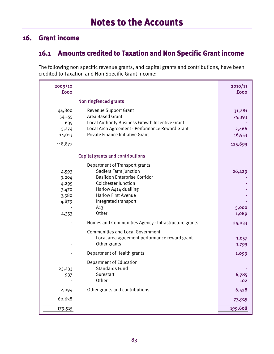### **16. Grant income**

### **16.1 Amounts credited to Taxation and Non Specific Grant income**

The following non specific revenue grants, and capital grants and contributions, have been credited to Taxation and Non Specific Grant income:

| 2009/10<br><b>fooo</b>                                      |                                                                                                                                                                                                                                                                                                                                                                                                            | 2010/11<br><b>fooo</b>                               |
|-------------------------------------------------------------|------------------------------------------------------------------------------------------------------------------------------------------------------------------------------------------------------------------------------------------------------------------------------------------------------------------------------------------------------------------------------------------------------------|------------------------------------------------------|
|                                                             | Non ringfenced grants                                                                                                                                                                                                                                                                                                                                                                                      |                                                      |
| 44,800<br>54,155<br>635<br>5,274<br>14,013<br>118,877       | <b>Revenue Support Grant</b><br>Area Based Grant<br>Local Authority Business Growth Incentive Grant<br>Local Area Agreement - Performance Reward Grant<br>Private Finance Initiative Grant                                                                                                                                                                                                                 | 31,281<br>75,393<br>2,466<br>16,553<br>125,693       |
|                                                             | <b>Capital grants and contributions</b>                                                                                                                                                                                                                                                                                                                                                                    |                                                      |
| 4,593<br>9,204<br>4,295<br>3,470<br>3,580<br>4,879<br>4,353 | <b>Department of Transport grants</b><br>Sadlers Farm junction<br><b>Basildon Enterprise Corridor</b><br>Colchester Junction<br>Harlow A414 dualling<br><b>Harlow First Avenue</b><br>Integrated transport<br>A <sub>13</sub><br>Other<br>Homes and Communities Agency - Infrastructure grants<br><b>Communities and Local Government</b><br>Local area agreement performance reward grant<br>Other grants | 26,429<br>5,000<br>1,089<br>24,033<br>1,057<br>1,793 |
|                                                             | Department of Health grants                                                                                                                                                                                                                                                                                                                                                                                | 1,099                                                |
| 23,233<br>937                                               | <b>Department of Education</b><br><b>Standards Fund</b><br>Surestart<br>Other                                                                                                                                                                                                                                                                                                                              | 6,785<br>102                                         |
| 2,094                                                       | Other grants and contributions                                                                                                                                                                                                                                                                                                                                                                             | 6,528                                                |
| 60,638                                                      |                                                                                                                                                                                                                                                                                                                                                                                                            | 73,915                                               |
| 179,515                                                     |                                                                                                                                                                                                                                                                                                                                                                                                            | 199,608                                              |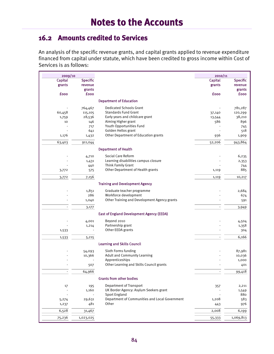### **16.2 Amounts credited to Services**

An analysis of the specific revenue grants, and capital grants applied to revenue expenditure financed from capital under statute, which have been credited to gross income within Cost of Services is as follows:

| 2009/10                  |                  |                                                         | 2010/11     |                 |
|--------------------------|------------------|---------------------------------------------------------|-------------|-----------------|
| Capital                  | <b>Specific</b>  |                                                         | Capital     | <b>Specific</b> |
| grants                   | revenue          |                                                         | grants      | revenue         |
|                          | grants           |                                                         |             | grants          |
| £000                     | <b>fooo</b>      |                                                         | <b>fooo</b> | <b>fooo</b>     |
|                          |                  | <b>Department of Education</b>                          |             |                 |
|                          | 764,467          | <b>Dedicated Schools Grant</b>                          |             | 781,287         |
| 60,458                   | 115,105          | <b>Standards Fund Grant</b>                             | 37,140      | 120,299         |
| 1,759                    | 28,536           | Early years and childcare grant                         | 13,544      | 38,210          |
| 10                       | 146              | Aiming Higher grant                                     | 586         | 896             |
|                          | 717              | Youth Opportunities Fund                                |             | 745             |
|                          | 641              | Golden Hellos grant                                     |             | 518             |
| 1,176                    | 1,432            | Other Department of Education grants                    | 936         | 1,909           |
| 63,403                   | 911,044          |                                                         | 52,206      | 943,864         |
|                          |                  | <b>Department of Health</b>                             |             |                 |
|                          | 4,710            | <b>Social Care Reform</b>                               |             | 6,235           |
|                          | 1,431            | Learning disabilities campus closure                    |             | 2,353           |
|                          | 440              | Think Family Grant                                      |             | 744             |
| 3,772                    | 575              | Other Department of Health grants                       | 1,119       | 885             |
| 3,772                    | 7,156            |                                                         | 1,119       | 10,217          |
|                          |                  | <b>Training and Development Agency</b>                  |             |                 |
|                          | 1,851            | Graduate teacher programme                              |             | 2,684           |
|                          | 286              | Workforce development                                   |             | 674             |
|                          | 1,040            | Other Training and Development Agency grants            |             | 591             |
|                          | 3,177            |                                                         |             | 3,949           |
|                          |                  | East of England Development Agency (EEDA)               |             |                 |
|                          | 4,001            | Beyond 2010                                             |             |                 |
|                          | 1,214            | Partnership grant                                       |             | 4,504<br>1,358  |
| 1,533                    |                  | Other EEDA grants                                       |             | 304             |
| 1,533                    | 5,215            |                                                         |             | 6,166           |
|                          |                  | <b>Learning and Skills Council</b>                      |             |                 |
|                          |                  | Sixth Forms funding                                     |             | 87,981          |
|                          | 54,093<br>10,366 | Adult and Community Learning                            |             | 10,036          |
|                          |                  | Apprenticeships                                         |             | 1,000           |
|                          | 507              | Other Learning and Skills Council grants                |             | 401             |
|                          | 64,966           |                                                         |             | 99,418          |
|                          |                  | <b>Grants from other bodies</b>                         |             |                 |
|                          |                  |                                                         |             |                 |
| 17                       | 195              | <b>Department of Transport</b>                          | 357         | 2,211           |
| $\overline{\phantom{a}}$ | 1,160            | UK Border Agency: Asylum Seekers grant                  |             | 1,549           |
|                          |                  | <b>Sport England</b>                                    |             | 880             |
| 5,274                    | 29,631<br>481    | Department of Communities and Local Government<br>Other | 1,208       | 583             |
| 1,237                    |                  |                                                         | 443         | 976             |
| 6,528                    | 31,467           |                                                         | 2,008       | 6,199           |
| 75,236                   | 1,023,025        |                                                         | 55,333      | 1,069,813       |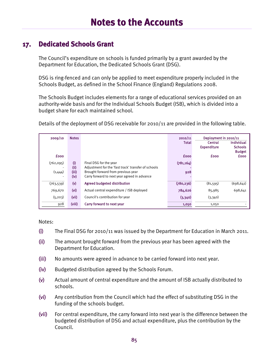#### **17. Dedicated Schools Grant**

The Council's expenditure on schools is funded primarily by a grant awarded by the Department for Education, the Dedicated Schools Grant (DSG).

DSG is ring-fenced and can only be applied to meet expenditure properly included in the Schools Budget, as defined in the School Finance (England) Regulations 2008.

The Schools Budget includes elements for a range of educational services provided on an authority-wide basis and for the Individual Schools Budget (ISB), which is divided into a budget share for each maintained school.

Details of the deployment of DSG receivable for 2010/11 are provided in the following table.

| 2009/10      | <b>Notes</b>            |                                                                                    | 2010/11      | Deployment in 2010/11 |                                 |
|--------------|-------------------------|------------------------------------------------------------------------------------|--------------|-----------------------|---------------------------------|
|              |                         |                                                                                    | <b>Total</b> | Central               | Individual                      |
|              |                         |                                                                                    |              | <b>Expenditure</b>    | <b>Schools</b><br><b>Budget</b> |
| <b>fooo</b>  |                         |                                                                                    | <b>fooo</b>  | <b>fooo</b>           | <b>fooo</b>                     |
| (762,095)    | (i)                     | Final DSG for the year                                                             | (781, 164)   |                       |                                 |
|              | (i)                     | Adjustment for the 'fast track' transfer of schools                                |              |                       |                                 |
| (1,444)<br>٠ | (iii)<br>(iv)           | Brought forward from previous year<br>Carry forward to next year agreed in advance | 928          |                       |                                 |
| (763, 539)   | $\left(\text{V}\right)$ | Agreed budgeted distribution                                                       | (780, 236)   | (81,595)              | (698, 641)                      |
| 769,670      | (v <sub>i</sub> )       | Actual central expenditure / ISB deployed                                          | 784,626      | 85,985                | 698,641                         |
| (5, 203)     | (vii)                   | Council's contribution for year                                                    | (3,340)      | (3,340)               |                                 |
| 928          | (viii)                  | Carry forward to next year                                                         | 1,050        | 1,050                 |                                 |

Notes:

- (i) The Final DSG for 2010/11 was issued by the Department for Education in March 2011.
- (ii) The amount brought forward from the previous year has been agreed with the Department for Education.
- (iii) No amounts were agreed in advance to be carried forward into next year.
- (iv) Budgeted distribution agreed by the Schools Forum.
- (v) Actual amount of central expenditure and the amount of ISB actually distributed to schools.
- (vi) Any contribution from the Council which had the effect of substituting DSG in the funding of the schools budget.
- (vii) For central expenditure, the carry forward into next year is the difference between the budgeted distribution of DSG and actual expenditure, plus the contribution by the Council.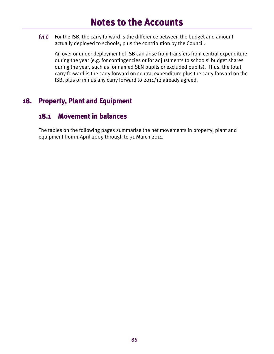(viii) For the ISB, the carry forward is the difference between the budget and amount actually deployed to schools, plus the contribution by the Council.

An over or under deployment of ISB can arise from transfers from central expenditure during the year (e.g. for contingencies or for adjustments to schools' budget shares during the year, such as for named SEN pupils or excluded pupils). Thus, the total carry forward is the carry forward on central expenditure plus the carry forward on the ISB, plus or minus any carry forward to 2011/12 already agreed.

### **18. Property, Plant and Equipment**

#### **18.1 Movement in balances**

The tables on the following pages summarise the net movements in property, plant and equipment from 1 April 2009 through to 31 March 2011.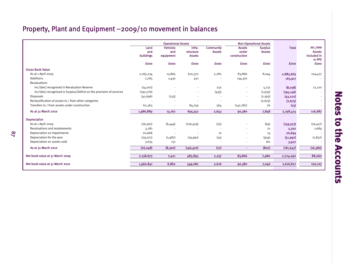## Property, Plant and Equipment –2009/10 movement in balances

|                                                                      | <b>Operational Assets</b> |                          |                     |                                   |                          | <b>Non-Operational Assets</b>   |              |                          |
|----------------------------------------------------------------------|---------------------------|--------------------------|---------------------|-----------------------------------|--------------------------|---------------------------------|--------------|--------------------------|
|                                                                      | Land<br>and               | <b>Vehicles</b><br>and   | Infra-<br>structure | <b>Community</b><br><b>Assets</b> | <b>Assets</b><br>under   | <b>Surplus</b><br><b>Assets</b> | <b>Total</b> | PFI/PPP<br><b>Assets</b> |
|                                                                      | <b>buildings</b>          | equipment                | <b>Assets</b>       |                                   | construction             |                                 |              | included in<br>in PPE    |
|                                                                      | <b>fooo</b>               | <b>fooo</b>              | <b>fooo</b>         | <b>fooo</b>                       | <b>fooo</b>              | <b>fooo</b>                     | <b>£000</b>  | <b>fooo</b>              |
| <b>Gross Book Value</b>                                              |                           |                          |                     |                                   |                          |                                 |              |                          |
| As at 1 April 2009                                                   | 2,165,234                 | 13,865                   | 610,372             | 2,282                             | 83,866                   | 8,044                           | 2,883,663    | 104,477                  |
| <b>Additions</b>                                                     | 7,765                     | 1,430                    | 421                 |                                   | 154,301                  |                                 | 163,917      |                          |
| Revaluations                                                         |                           |                          |                     |                                   |                          |                                 |              |                          |
| Inc/(dec) recognised in Revaluation Reserve                          | (14,001)                  |                          |                     | 232                               |                          | 5,731                           | (8,038)      | 12,210                   |
| Inc/(dec) recognised in Surplus/Deficit on the provision of services | (192,776)                 |                          | $\sim$              | (435)                             | $\overline{\phantom{a}}$ | (1,935)                         | (195, 146)   |                          |
| <b>Disposals</b>                                                     | (41, 696)                 | (133)                    |                     |                                   | ٠                        | (1, 393)                        | (43, 222)    |                          |
| Reclassification of assets to / from other categories                |                           |                          |                     |                                   |                          | (2, 675)                        | (2, 675)     |                          |
| Transfers to / from assets under construction                        | 62,363                    | $\overline{\phantom{a}}$ | 84,759              | 564                               | (147, 787)               | 76                              | (25)         |                          |
| As at 31 March 2010                                                  | 1,986,889                 | 15,162                   | 695,552             | 2,643                             | 90,380                   | 7,848                           | 2,798,474    | 116,687                  |
| <b>Depreciation</b>                                                  |                           |                          |                     |                                   |                          |                                 |              |                          |
| As at 1 April 2009                                                   | (26, 561)                 | (6,444)                  | (126, 479)          | (25)                              |                          | (64)                            | (159, 573)   | (16, 417)                |
| Revaluations and restatements                                        | 5,281                     |                          |                     |                                   | ٠                        | 21                              | 5,302        | 1,689                    |
| Depreciation on impairments                                          | 20,668                    |                          |                     | 12                                | ٠                        | 14                              | 20,694       |                          |
| Depreciation for the year                                            | (29,071)                  | (1,987)                  | (19, 991)           | (14)                              | ٠                        | (934)                           | (51, 997)    | (1,852)                  |
| Depreciation on assets sold                                          | 3,635                     | 131                      |                     | $\sim$                            | $\overline{\phantom{a}}$ | 161                             | 3,927        |                          |
| As at 31 March 2010                                                  | (26, 048)                 | (8,300)                  | (146, 470)          | (27)                              | ÷                        | (802)                           | (181, 647)   | (16, 580)                |
| Net book value at 31 March 2009                                      | 2,138,673                 | 7,421                    | 483,893             | 2,257                             | 83,866                   | 7,980                           | 2,724,090    | 88,060                   |
| Net book value at 31 March 2010                                      | 1,960,841                 | 6,862                    | 549,082             | 2,616                             | 90,380                   | 7,046                           | 2,616,827    | 100,107                  |
|                                                                      |                           |                          |                     |                                   |                          |                                 |              |                          |

**Notes to the Accounts**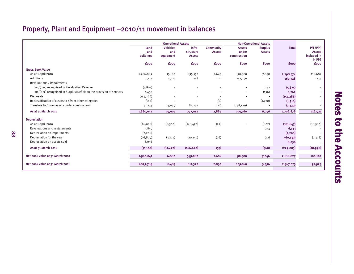## Property, Plant and Equipment –2010/11 movement in balances

|                                                                      | <b>Operational Assets</b> |                                     |                                      |                                   |                                        | <b>Non-Operational Assets</b>   |              |                                           |
|----------------------------------------------------------------------|---------------------------|-------------------------------------|--------------------------------------|-----------------------------------|----------------------------------------|---------------------------------|--------------|-------------------------------------------|
|                                                                      | Land<br>and<br>buildings  | <b>Vehicles</b><br>and<br>equipment | Infra-<br>structure<br><b>Assets</b> | <b>Community</b><br><b>Assets</b> | <b>Assets</b><br>under<br>construction | <b>Surplus</b><br><b>Assets</b> | <b>Total</b> | PFI / PPP<br><b>Assets</b><br>included in |
|                                                                      |                           |                                     |                                      |                                   |                                        |                                 |              | in PPE                                    |
|                                                                      | <b>fooo</b>               | <b>fooo</b>                         | <b>fooo</b>                          | £000                              | <b>fooo</b>                            | <b>fooo</b>                     | <b>fooo</b>  | <b>fooo</b>                               |
| <b>Gross Book Value</b>                                              |                           |                                     |                                      |                                   |                                        |                                 |              |                                           |
| As at 1 April 2010                                                   | 1,986,889                 | 15,162                              | 695,552                              | 2,643                             | 90,380                                 | 7,848                           | 2,798,474    | 116,687                                   |
| Additions                                                            | 1,127                     | 1,704                               | 158                                  | 100                               | 157,259                                |                                 | 160,348      | 234                                       |
| Revaluations / impairments                                           |                           |                                     |                                      |                                   |                                        |                                 |              |                                           |
| Inc/(dec) recognised in Revaluation Reserve                          | (5,807)                   |                                     |                                      |                                   |                                        | 132                             | (5, 675)     |                                           |
| Inc/(dec) recognised in Surplus/Deficit on the provision of services | 1,458                     |                                     |                                      |                                   | $\frac{1}{2}$                          | (196)                           | 1,262        |                                           |
| <b>Disposals</b>                                                     | (154, 286)                |                                     |                                      |                                   |                                        |                                 | (154, 286)   |                                           |
| Reclassification of assets to / from other categories                | (182)                     |                                     |                                      | (6)                               |                                        | (1,728)                         | (1, 916)     |                                           |
| Transfers to / from assets under construction                        | 51,733                    | 3,039                               | 82,232                               | 146                               | (138, 479)                             |                                 | (1, 329)     |                                           |
| As at 31 March 2011                                                  | 1,880,932                 | 19,905                              | 777,942                              | 2,883                             | 109,160                                | 6,056                           | 2,796,878    | 116,921                                   |
| <b>Depreciation</b>                                                  |                           |                                     |                                      |                                   |                                        |                                 |              |                                           |
| As at 1 April 2010                                                   | (26, 048)                 | (8,300)                             | (146, 470)                           | (27)                              |                                        | (802)                           | (181, 647)   | (16, 580)                                 |
| <b>Revaluations and restatements</b>                                 | 5,859                     |                                     |                                      |                                   |                                        | 274                             | 6,133        |                                           |
| Depreciation on impairments                                          | (2,206)                   |                                     |                                      |                                   |                                        |                                 | (2, 206)     |                                           |
| Depreciation for the year                                            | (36, 809)                 | (3, 122)                            | (20, 150)                            | (26)                              |                                        | (32)                            | (60, 139)    | (2,418)                                   |
| Depreciation on assets sold                                          | 8,056                     |                                     |                                      |                                   |                                        |                                 | 8,056        |                                           |
| As at 31 March 2011                                                  | (51, 148)                 | (11, 422)                           | (166, 620)                           | (53)                              | ÷.                                     | (560)                           | (229, 803)   | (18,998)                                  |
| Net book value at 31 March 2010                                      | 1,960,841                 | 6,862                               | 549,082                              | 2,616                             | 90,380                                 | 7,046                           | 2,616,827    | 100,107                                   |
| Net book value at 31 March 2011                                      | 1,829,784                 | 8,483                               | 611,322                              | 2,830                             | 109,160                                | 5,496                           | 2,567,075    | 97,923                                    |
|                                                                      |                           |                                     |                                      |                                   |                                        |                                 |              |                                           |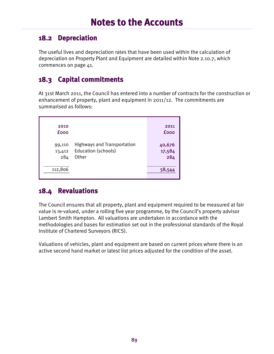#### **18.2 Depreciation**

The useful lives and depreciation rates that have been used within the calculation of depreciation on Property Plant and Equipment are detailed within Note 2.10.7, which commences on page 41.

### **18.3 Capital commitments**

At 31st March 2011, the Council has entered into a number of contracts for the construction or enhancement of property, plant and equipment in 2011/12. The commitments are summarised as follows:

| 2010<br>£000            |                                                                           | 2011<br><b>fooo</b>     |
|-------------------------|---------------------------------------------------------------------------|-------------------------|
| 99,110<br>13,412<br>284 | <b>Highways and Transportation</b><br><b>Education (schools)</b><br>Other | 40,676<br>17,584<br>284 |
| 112,806                 |                                                                           | 58,544                  |

#### **18.4 Revaluations**

The Council ensures that all property, plant and equipment required to be measured at fair value is re-valued, under a rolling five year programme, by the Council's property advisor Lambert Smith Hampton. All valuations are undertaken in accordance with the methodologies and bases for estimation set out in the professional standards of the Royal Institute of Chartered Surveyors (RICS).

Valuations of vehicles, plant and equipment are based on current prices where there is an active second hand market or latest list prices adjusted for the condition of the asset.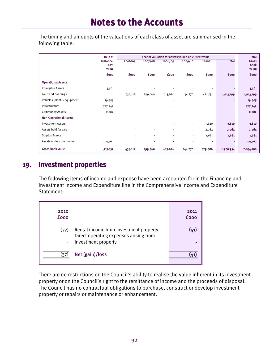The timing and amounts of the valuations of each class of asset are summarised in the following table:

|                               | <b>Held at</b>              | Year of valuation for assets valued at 'current value' |             |             |             |                          |                |                               |
|-------------------------------|-----------------------------|--------------------------------------------------------|-------------|-------------|-------------|--------------------------|----------------|-------------------------------|
|                               | historical<br>cost<br>value | 2006/07                                                | 2007/08     | 2008/09     | 2009/10     | 2010/11                  | <b>Total</b>   | <b>Gross</b><br>book<br>value |
|                               | <b>fooo</b>                 | <b>fooo</b>                                            | <b>fooo</b> | <b>fooo</b> | <b>fooo</b> | <b>fooo</b>              | <b>fooo</b>    | <b>fooo</b>                   |
| <b>Operational Assets</b>     |                             |                                                        |             |             |             |                          |                |                               |
| Intangible Assets             | 3,361                       |                                                        |             |             |             | ٠                        |                | 3,361                         |
| Land and buildings            | ٠                           | 434,112                                                | 299,460     | 613,626     | 144,270     | 421,731                  | 1,913,199      | 1,913,199                     |
| Vehicles, plant & equipment   | 19,905                      |                                                        |             |             |             | ٠                        | $\sim$         | 19,905                        |
| Infrastructure                | 777,942                     |                                                        |             |             |             | ٠                        | $\blacksquare$ | 777,942                       |
| <b>Community Assets</b>       | 2,782                       |                                                        |             |             |             |                          |                | 2,782                         |
| <b>Non-Operational Assets</b> |                             |                                                        |             |             |             |                          |                |                               |
| <b>Investment Assets</b>      |                             |                                                        |             |             | $\sim$      | 3,810                    | 3,810          | 3,810                         |
| Assets held for sale          |                             |                                                        |             |             | ٠           | 2,264                    | 2,264          | 2,264                         |
| Surplus Assets                | ٠                           | ٠                                                      |             |             | ٠           | 1,681                    | 1,681          | 1,681                         |
| Assets under construction     | 109,162                     |                                                        |             |             |             | $\overline{\phantom{a}}$ |                | 109,162                       |
| <b>Gross book value</b>       | 913,152                     | 434,112                                                | 299,460     | 613,626     | 144,270     | 429,486                  | 1,920,954      | 2,834,106                     |

#### **19. Investment properties**

The following items of income and expense have been accounted for in the Financing and Investment Income and Expenditure line in the Comprehensive Income and Expenditure Statement:

| 2010<br><b>fooo</b>    |                                                                                                         | 2011<br><b>fooo</b> |
|------------------------|---------------------------------------------------------------------------------------------------------|---------------------|
| (37)<br>$\blacksquare$ | Rental income from investment property<br>Direct operating expenses arising from<br>investment property | (41)                |
| (ว7)                   | Net (gain)/loss                                                                                         |                     |

There are no restrictions on the Council's ability to realise the value inherent in its investment property or on the Council's right to the remittance of income and the proceeds of disposal. The Council has no contractual obligations to purchase, construct or develop investment property or repairs or maintenance or enhancement.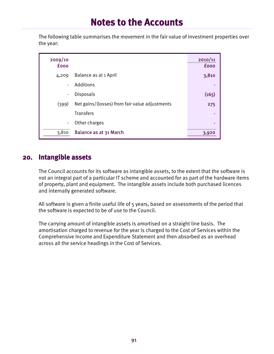The following table summarises the movement in the fair value of investment properties over the year:

| 2009/10<br><b>fooo</b> |                                                | 2010/11<br><b>fooo</b> |
|------------------------|------------------------------------------------|------------------------|
| 4,209                  | Balance as at 1 April                          | 3,810                  |
| $\blacksquare$         | Additions                                      |                        |
| $\blacksquare$         | <b>Disposals</b>                               | (165)                  |
| (399)                  | Net gains/(losses) from fair value adjustments | 275                    |
|                        | <b>Transfers</b>                               |                        |
| $\blacksquare$         | Other charges                                  | ۰                      |
| 3,810                  | Balance as at 31 March                         | 3,920                  |

#### **20. Intangible assets**

The Council accounts for its software as intangible assets, to the extent that the software is not an integral part of a particular IT scheme and accounted for as part of the hardware items of property, plant and equipment. The intangible assets include both purchased licences and internally generated software.

All software is given a finite useful life of 5 years, based on assessments of the period that the software is expected to be of use to the Council.

The carrying amount of intangible assets is amortised on a straight line basis. The amortisation charged to revenue for the year is charged to the Cost of Services within the Comprehensive Income and Expenditure Statement and then absorbed as an overhead across all the service headings in the Cost of Services.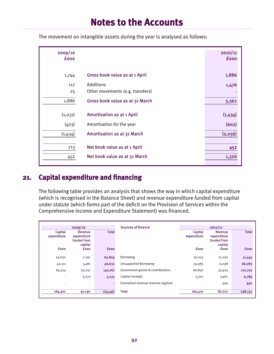| 2009/10<br><b>fooo</b> |                                   | 2010/11<br><b>fooo</b> |
|------------------------|-----------------------------------|------------------------|
| 1,744                  | Gross book value as at 1 April    | 1,886                  |
| 117                    | Additions                         | 1,476                  |
| 25                     | Other movements (e.g. transfers)  |                        |
| 1,886                  | Gross book value as at 31 March   | 3,362                  |
|                        |                                   |                        |
| (1,031)                | <b>Amortisation as at 1 April</b> | (1,434)                |
| (403)                  | Amortisation for the year         | (602)                  |
| (1,434)                | Amortisation as at 31 March       | (2,036)                |
|                        |                                   |                        |
| 713                    | Net book value as at 1 April      | 452                    |
| 452                    | Net book value as at 31 March     | 1,326                  |

The movement on intangible assets during the year is analysed as follows:

### **21. Capital expenditure and financing**

The following table provides an analysis that shows the way in which capital expenditure (which is recognised in the Balance Sheet) and revenue expenditure funded from capital under statute (which forms part of the deficit on the Provision of Services within the Comprehensive Income and Expenditure Statement) was financed.

| 2009/10                |                                                      | <b>Sources of finance</b> | 2010/11                            |                        |                                                  |              |
|------------------------|------------------------------------------------------|---------------------------|------------------------------------|------------------------|--------------------------------------------------|--------------|
| Capital<br>expenditure | Revenue<br>expenditure<br>funded from<br>capital     | <b>Total</b>              |                                    | Capital<br>expenditure | Revenue<br>expenditure<br>funded from<br>capital | <b>Total</b> |
| <b>fooo</b>            | <b>fooo</b>                                          | <b>fooo</b>               |                                    | <b>fooo</b>            | <b>fooo</b>                                      | <b>fooo</b>  |
| 55,632                 | 7,197                                                | 62,829                    | Borrowing                          | 30,253                 | 21,292                                           | 51,545       |
| 43,151                 | 3,481                                                | 46,632                    | <b>Unsupported Borrowing</b>       | 59,985                 | 6,098                                            | 66,083       |
| 65,524                 | 75,237                                               | 140,761                   | Government grants & contributions  | 66,850                 | 55,925                                           | 122,775      |
|                        | 5,275<br>$\overline{\phantom{a}}$                    | 5,275                     | Capital receipts                   | 3,322                  | 3,467                                            | 6,789        |
|                        | $\overline{\phantom{a}}$<br>$\overline{\phantom{0}}$ |                           | Earmarked revenue reserves applied |                        | 940                                              | 940          |
| 164,307                | 91,190                                               | 255,497                   | <b>Total</b>                       | 160,410                | 87,722                                           | 248,132      |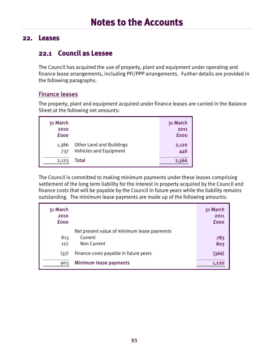#### **22. Leases**

#### **22.1 Council as Lessee**

The Council has acquired the use of property, plant and equipment under operating and finance lease arrangements, including PFI/PPP arrangements. Further details are provided in the following paragraphs.

#### Finance leases

The property, plant and equipment acquired under finance leases are carried in the Balance Sheet at the following net amounts:

| 31 March<br>2010<br><b>fooo</b> |                                                                  | 31 March<br>2011<br><b>fooo</b> |
|---------------------------------|------------------------------------------------------------------|---------------------------------|
| 1,386<br>737                    | <b>Other Land and Buildings</b><br><b>Vehicles and Equipment</b> | 2,120<br>446                    |
| 2,123                           | Total                                                            | 2,566                           |

The Council is committed to making minimum payments under these leases comprising settlement of the long term liability for the interest in property acquired by the Council and finance costs that will be payable by the Council in future years while the liability remains outstanding. The minimum lease payments are made up of the following amounts:

| 31 March<br>2010<br><b>fooo</b> |                                                                       | 31 March<br>2011<br><b>fooo</b> |
|---------------------------------|-----------------------------------------------------------------------|---------------------------------|
| 813<br>127                      | Net present value of minimum lease payments<br>Current<br>Non Current | 783<br>803                      |
| (37)                            | Finance costs payable in future years                                 | (366)                           |
| 903                             | Minimum lease payments                                                | 1,220                           |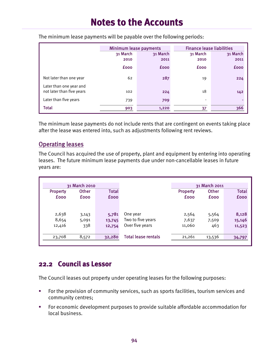|                                                      | Minimum lease payments |             |             | <b>Finance lease liabilities</b> |  |  |
|------------------------------------------------------|------------------------|-------------|-------------|----------------------------------|--|--|
|                                                      | 31 March               | 31 March    | 31 March    | 31 March                         |  |  |
|                                                      | 2010                   | 2011        | 2010        | 2011                             |  |  |
|                                                      | <b>fooo</b>            | <b>fooo</b> | <b>fooo</b> | <b>fooo</b>                      |  |  |
| Not later than one year                              | 62                     | 287         | 19          | 224                              |  |  |
| Later than one year and<br>not later than five years | 102                    | 224         | 18          | 142                              |  |  |
| Later than five years                                | 739                    | 709         |             |                                  |  |  |
| <b>Total</b>                                         | 903                    | 1,220       | 37          | 366                              |  |  |

The minimum lease payments will be payable over the following periods:

The minimum lease payments do not include rents that are contingent on events taking place after the lease was entered into, such as adjustments following rent reviews.

#### Operating leases

The Council has acquired the use of property, plant and equipment by entering into operating leases. The future minimum lease payments due under non-cancellable leases in future years are:

|                 | 31 March 2010 |              |                            |                 | 31 March 2011 |              |
|-----------------|---------------|--------------|----------------------------|-----------------|---------------|--------------|
| <b>Property</b> | <b>Other</b>  | <b>Total</b> |                            | <b>Property</b> | <b>Other</b>  | <b>Total</b> |
| <b>fooo</b>     | <b>fooo</b>   | <b>fooo</b>  |                            | <b>fooo</b>     | <b>fooo</b>   | <b>fooo</b>  |
|                 |               |              |                            |                 |               |              |
|                 |               |              |                            |                 |               |              |
| 2,638           | 3,143         | 5,781        | One year                   | 2,564           | 5,564         | 8,128        |
| 8,654           | 5,091         | 13,745       | Two to five years          | 7,637           | 7,509         | 15,146       |
| 12,416          | 338           | 12,754       | Over five years            | 11,060          | 463           | 11,523       |
|                 |               |              |                            |                 |               |              |
| 23,708          | 8,572         | 32,280       | <b>Total lease rentals</b> | 21,261          | 13,536        | 34,797       |
|                 |               |              |                            |                 |               |              |

#### **22.2 Council as Lessor**

The Council leases out property under operating leases for the following purposes:

- For the provision of community services, such as sports facilities, tourism services and community centres;
- For economic development purposes to provide suitable affordable accommodation for local business.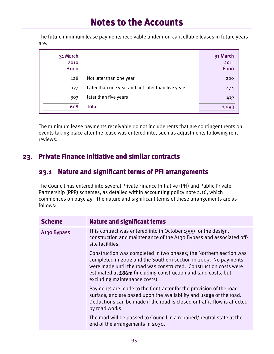The future minimum lease payments receivable under non-cancellable leases in future years are:

| 31 March<br>2010<br><b>fooo</b> |                                                   | 31 March<br>2011<br><b>fooo</b> |
|---------------------------------|---------------------------------------------------|---------------------------------|
| 128                             | Not later than one year                           | 200                             |
| 177                             | Later than one year and not later than five years | 474                             |
| 303                             | later than five years                             | 419                             |
| 608                             | Total                                             | 1.093                           |

The minimum lease payments receivable do not include rents that are contingent rents on events taking place after the lease was entered into, such as adjustments following rent reviews.

### **23. Private Finance Initiative and similar contracts**

#### **23.1 Nature and significant terms of PFI arrangements**

The Council has entered into several Private Finance Initiative (PFI) and Public Private Partnership (PPP) schemes, as detailed within accounting policy note 2.16, which commences on page 45. The nature and significant terms of these arrangements are as follows:

| <b>Scheme</b>           | <b>Nature and significant terms</b>                                                                                                                                                                                                                                                                                 |
|-------------------------|---------------------------------------------------------------------------------------------------------------------------------------------------------------------------------------------------------------------------------------------------------------------------------------------------------------------|
| A <sub>130</sub> Bypass | This contract was entered into in October 1999 for the design,<br>construction and maintenance of the A130 Bypass and associated off-<br>site facilities.                                                                                                                                                           |
|                         | Construction was completed in two phases; the Northern section was<br>completed in 2002 and the Southern section in 2003. No payments<br>were made until the road was constructed. Construction costs were<br>estimated at <b>£86m</b> (including construction and land costs, but<br>excluding maintenance costs). |
|                         | Payments are made to the Contractor for the provision of the road<br>surface, and are based upon the availability and usage of the road.<br>Deductions can be made if the road is closed or traffic flow is affected<br>by road works.                                                                              |
|                         | The road will be passed to Council in a repaired/neutral state at the<br>end of the arrangements in 2030.                                                                                                                                                                                                           |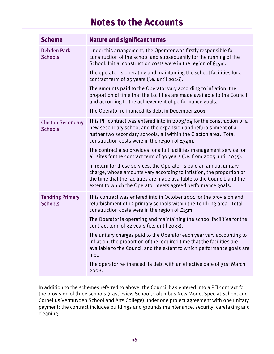| <b>Scheme</b>                              | <b>Nature and significant terms</b>                                                                                                                                                                                                                                                     |  |  |  |  |  |
|--------------------------------------------|-----------------------------------------------------------------------------------------------------------------------------------------------------------------------------------------------------------------------------------------------------------------------------------------|--|--|--|--|--|
| <b>Debden Park</b><br><b>Schools</b>       | Under this arrangement, the Operator was firstly responsible for<br>construction of the school and subsequently for the running of the<br>School. Initial construction costs were in the region of £15m.                                                                                |  |  |  |  |  |
|                                            | The operator is operating and maintaining the school facilities for a<br>contract term of 25 years (i.e. until 2026).                                                                                                                                                                   |  |  |  |  |  |
|                                            | The amounts paid to the Operator vary according to inflation, the<br>proportion of time that the facilities are made available to the Council<br>and according to the achievement of performance goals.                                                                                 |  |  |  |  |  |
|                                            | The Operator refinanced its debt in December 2001.                                                                                                                                                                                                                                      |  |  |  |  |  |
| <b>Clacton Secondary</b><br><b>Schools</b> | This PFI contract was entered into in 2003/04 for the construction of a<br>new secondary school and the expansion and refurbishment of a<br>further two secondary schools, all within the Clacton area. Total<br>construction costs were in the region of £34m.                         |  |  |  |  |  |
|                                            | The contract also provides for a full facilities management service for<br>all sites for the contract term of 30 years (i.e. from 2005 until 2035).                                                                                                                                     |  |  |  |  |  |
|                                            | In return for these services, the Operator is paid an annual unitary<br>charge, whose amounts vary according to inflation, the proportion of<br>the time that the facilities are made available to the Council, and the<br>extent to which the Operator meets agreed performance goals. |  |  |  |  |  |
| <b>Tendring Primary</b><br><b>Schools</b>  | This contract was entered into in October 2001 for the provision and<br>refurbishment of 12 primary schools within the Tendring area. Total<br>construction costs were in the region of £15m.                                                                                           |  |  |  |  |  |
|                                            | The Operator is operating and maintaining the school facilities for the<br>contract term of 32 years (i.e. until 2033).                                                                                                                                                                 |  |  |  |  |  |
|                                            | The unitary charges paid to the Operator each year vary accounting to<br>inflation, the proportion of the required time that the facilities are<br>available to the Council and the extent to which performance goals are<br>met.                                                       |  |  |  |  |  |
|                                            | The operator re-financed its debt with an effective date of 31st March<br>2008.                                                                                                                                                                                                         |  |  |  |  |  |

In addition to the schemes referred to above, the Council has entered into a PFI contract for the provision of three schools (Castleview School, Columbus New Model Special School and Cornelius Vermuyden School and Arts College) under one project agreement with one unitary payment; the contract includes buildings and grounds maintenance, security, caretaking and cleaning.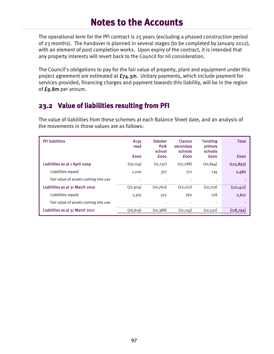The operational term for the PFI contract is 25 years (excluding a phased construction period of 23 months). The handover is planned in several stages (to be completed by January 2012), with an element of post completion works. Upon expiry of the contract, it is intended that any property interests will revert back to the Council for nil consideration.

The Council's obligations to pay for the fair value of property, plant and equipment under this project agreement are estimated at  $f_74.3m$ . Unitary payments, which include payment for services provided, financing charges and payment towards this liability, will be in the region of £9.8m per annum.

### **23.2 Value of liabilities resulting from PFI**

The value of liabilities from these schemes at each Balance Sheet date, and an analysis of the movements in those values are as follows:

| <b>PFI liabilities</b>               | A <sub>130</sub><br>road<br><b>fooo</b> | <b>Debden</b><br>Park<br>school<br><b>fooo</b> | Clacton<br>secondary<br>schools<br><b>fooo</b> | <b>Tendring</b><br>primary<br>schools<br><b>fooo</b> | <b>Total</b><br><b>fooo</b> |
|--------------------------------------|-----------------------------------------|------------------------------------------------|------------------------------------------------|------------------------------------------------------|-----------------------------|
| Liabilities as at 1 April 2009       | (79, 124)                               | (11, 137)                                      | (22,788)                                       | (10, 844)                                            | (123, 893)                  |
| Liabilities repaid                   | 1,200                                   | 377                                            | 771                                            | 134                                                  | 2,482                       |
| Fair value of assets coming into use |                                         |                                                |                                                |                                                      |                             |
| Liabilities as at 31 March 2010      | (77, 924)                               | (10,760)                                       | (22, 017)                                      | (10,710)                                             | (121, 411)                  |
| Liabilities repaid                   | 1,305                                   | 372                                            | 762                                            | 178                                                  | 2,617                       |
| Fair value of assets coming into use |                                         |                                                |                                                |                                                      |                             |
| Liabilities as at 31 March 2011      | (76, 619)                               | (10, 388)                                      | (21, 255)                                      | (10, 532)                                            | (118,794)                   |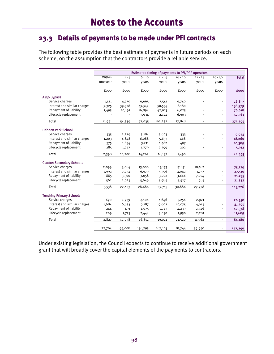### **23.3 Details of payments to be made under PFI contracts**

The following table provides the best estimate of payments in future periods on each scheme, on the assumption that the contractors provide a reliable service.

| Within   | $1 - 5$                                                                                    | $6 - 10$                                                                                                | $11 - 15$                                                                                                  | $16 - 20$                                                                                        | $21 - 25$                                                                                 | $26 - 30$                                                    | <b>Total</b>                                                                                                                                   |
|----------|--------------------------------------------------------------------------------------------|---------------------------------------------------------------------------------------------------------|------------------------------------------------------------------------------------------------------------|--------------------------------------------------------------------------------------------------|-------------------------------------------------------------------------------------------|--------------------------------------------------------------|------------------------------------------------------------------------------------------------------------------------------------------------|
| one year | years                                                                                      | years                                                                                                   | vears                                                                                                      | years                                                                                            | years                                                                                     | vears                                                        |                                                                                                                                                |
|          |                                                                                            |                                                                                                         |                                                                                                            |                                                                                                  |                                                                                           |                                                              |                                                                                                                                                |
| fooo     | fooo                                                                                       | fooo                                                                                                    | fooo                                                                                                       | fooo                                                                                             | fooo                                                                                      | fooo                                                         | <b>fooo</b>                                                                                                                                    |
|          |                                                                                            |                                                                                                         |                                                                                                            |                                                                                                  |                                                                                           |                                                              |                                                                                                                                                |
| 1,121    | 4,770                                                                                      | 6,665                                                                                                   | 7,541                                                                                                      | 6,740                                                                                            |                                                                                           | $\overline{\phantom{0}}$                                     | 26,837                                                                                                                                         |
| 9,325    | 39,378                                                                                     | 49,542                                                                                                  | 50,554                                                                                                     | 8,180                                                                                            |                                                                                           |                                                              | 156,979                                                                                                                                        |
| 1,495    | 10,191                                                                                     | 16,894                                                                                                  | 42,013                                                                                                     | 6,025                                                                                            |                                                                                           | $\overline{\phantom{0}}$                                     | 76,618                                                                                                                                         |
|          |                                                                                            | 3,934                                                                                                   | 2,124                                                                                                      | 6,903                                                                                            |                                                                                           | $\overline{\phantom{0}}$                                     | 12,961                                                                                                                                         |
| 11,941   | 54,339                                                                                     | 77,035                                                                                                  | 102,232                                                                                                    | 27,848                                                                                           | $\blacksquare$                                                                            | $\overline{\phantom{a}}$                                     | 273,395                                                                                                                                        |
|          |                                                                                            |                                                                                                         |                                                                                                            |                                                                                                  |                                                                                           |                                                              |                                                                                                                                                |
|          |                                                                                            |                                                                                                         |                                                                                                            |                                                                                                  |                                                                                           |                                                              |                                                                                                                                                |
|          |                                                                                            |                                                                                                         |                                                                                                            |                                                                                                  |                                                                                           |                                                              | 9,934<br>18,260                                                                                                                                |
|          |                                                                                            |                                                                                                         |                                                                                                            |                                                                                                  |                                                                                           |                                                              | 10,389                                                                                                                                         |
|          |                                                                                            |                                                                                                         |                                                                                                            |                                                                                                  |                                                                                           |                                                              | 5,912                                                                                                                                          |
|          |                                                                                            |                                                                                                         |                                                                                                            |                                                                                                  |                                                                                           |                                                              |                                                                                                                                                |
| 2,398    | 10,208                                                                                     | 14,262                                                                                                  | 16,137                                                                                                     | 1,490                                                                                            | $\overline{a}$                                                                            | $\overline{\phantom{a}}$                                     | 44,495                                                                                                                                         |
|          |                                                                                            |                                                                                                         |                                                                                                            |                                                                                                  |                                                                                           |                                                              |                                                                                                                                                |
|          |                                                                                            |                                                                                                         |                                                                                                            |                                                                                                  | 18,162                                                                                    |                                                              | 75,129                                                                                                                                         |
|          |                                                                                            |                                                                                                         |                                                                                                            |                                                                                                  |                                                                                           |                                                              | 27,510                                                                                                                                         |
|          |                                                                                            |                                                                                                         |                                                                                                            |                                                                                                  |                                                                                           |                                                              | 21,255                                                                                                                                         |
| 562      | 2,625                                                                                      | 5,649                                                                                                   | 5,984                                                                                                      | 5,527                                                                                            | 985                                                                                       | $\overline{\phantom{a}}$                                     | 21,332                                                                                                                                         |
| 5,538    | 22,423                                                                                     | 28,686                                                                                                  | 29,715                                                                                                     | 30,886                                                                                           | 27,978                                                                                    | $\overline{\phantom{a}}$                                     | 145,226                                                                                                                                        |
|          |                                                                                            |                                                                                                         |                                                                                                            |                                                                                                  |                                                                                           |                                                              |                                                                                                                                                |
|          |                                                                                            |                                                                                                         |                                                                                                            |                                                                                                  |                                                                                           |                                                              | 20,558                                                                                                                                         |
|          |                                                                                            |                                                                                                         |                                                                                                            |                                                                                                  |                                                                                           |                                                              | 41,395                                                                                                                                         |
|          |                                                                                            |                                                                                                         |                                                                                                            |                                                                                                  |                                                                                           |                                                              | 10,538                                                                                                                                         |
|          |                                                                                            |                                                                                                         |                                                                                                            |                                                                                                  |                                                                                           | ۰                                                            | 11,689                                                                                                                                         |
|          |                                                                                            |                                                                                                         |                                                                                                            |                                                                                                  |                                                                                           |                                                              |                                                                                                                                                |
|          |                                                                                            |                                                                                                         | 19,021                                                                                                     | 21,520                                                                                           |                                                                                           | $\overline{\phantom{a}}$                                     | 84,180                                                                                                                                         |
|          |                                                                                            |                                                                                                         |                                                                                                            |                                                                                                  |                                                                                           |                                                              |                                                                                                                                                |
|          | 535<br>1,203<br>375<br>285<br>2,099<br>1,992<br>885<br>690<br>1,684<br>244<br>209<br>2,827 | 2,279<br>4,848<br>1,834<br>1,247<br>9,064<br>7,234<br>3,500<br>2,939<br>6,833<br>491<br>1,775<br>12,038 | 3,184<br>6,088<br>3,211<br>1,779<br>13,000<br>6,979<br>3,058<br>4,106<br>9,187<br>1,075<br>2,444<br>16,812 | 3,603<br>5,653<br>4,482<br>2,399<br>15,153<br>5,506<br>3,072<br>4,646<br>9,602<br>1,743<br>3,030 | 333<br>468<br>487<br>202<br>17,651<br>4,042<br>3,666<br>5,256<br>10,075<br>4,239<br>1,950 | 1,757<br>7,074<br>2,921<br>4,014<br>2,746<br>2,281<br>11,962 | Estimated timing of payments to PFI/PPP operators<br>٠<br>$\overline{\phantom{a}}$<br>$\overline{\phantom{a}}$<br>$\qquad \qquad \blacksquare$ |

Under existing legislation, the Council expects to continue to receive additional government grant that will broadly cover the capital elements of the payments to contractors.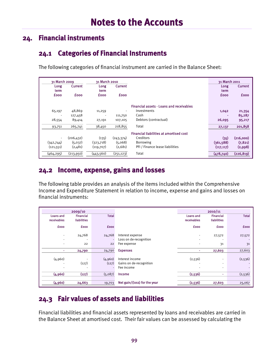### **24. Financial instruments**

### **24.1 Categories of Financial Instruments**

The following categories of financial instrument are carried in the Balance Sheet:

| 31 March 2009 |                | 31 March 2010 |                |                                                | 31 March 2011 |                |
|---------------|----------------|---------------|----------------|------------------------------------------------|---------------|----------------|
| Long          | <b>Current</b> | Long          | <b>Current</b> |                                                | Long          | <b>Current</b> |
| term          |                | term          |                |                                                | term          |                |
| <b>fooo</b>   | <b>fooo</b>    | <b>fooo</b>   | <b>fooo</b>    |                                                | <b>fooo</b>   | <b>fooo</b>    |
|               |                |               |                |                                                |               |                |
|               |                |               |                | Financial assets - Loans and receivables       |               |                |
| 65,197        | 48,869         | 11,259        | ٠              | Investments                                    | 1,042         | 21,354         |
|               | 127,458        |               | 111,750        | Cash                                           |               | 85,287         |
| 28,554        | 89,414         | 27,191        | 107,105        | Debtors (contractual)                          | 26,095        | 95,217         |
| 93,751        | 265,741        | 38,450        | 218,855        | Total                                          | 27,137        | 201,858        |
|               |                |               |                | <b>Financial liabilities at amortised cost</b> |               |                |
|               | (206, 432)     | (135)         | (243, 374)     | Creditors                                      | (35)          | (216,000)      |
| (342,744)     | (5,037)        | (323,718)     | (5,068)        | <b>Borrowing</b>                               | (361,588)     | (7, 821)       |
| (121, 551)    | (2,481)        | (119, 707)    | (2,681)        | PFI / Finance lease liabilities                | (117, 117)    | (2,998)        |
| (464, 295)    | (213,950)      | (443,560)     | (251, 123)     | Total                                          | (478, 740)    | (226, 819)     |

#### **24.2 Income, expense, gains and losses**

The following table provides an analysis of the items included within the Comprehensive Income and Expenditure Statement in relation to income, expense and gains and losses on financial instruments:

|                                        | 2009/10                                             |                  |                                                          |                                 | 2010/11                                                                          |              |
|----------------------------------------|-----------------------------------------------------|------------------|----------------------------------------------------------|---------------------------------|----------------------------------------------------------------------------------|--------------|
| <b>Loans and</b><br><b>receivables</b> | <b>Financial</b><br><b>liabilities</b>              | <b>Total</b>     |                                                          | <b>Loans and</b><br>receivables | <b>Financial</b><br><b>liabilities</b>                                           | <b>Total</b> |
| <b>fooo</b>                            | <b>fooo</b>                                         | <b>fooo</b>      |                                                          | <b>fooo</b>                     | <b>fooo</b>                                                                      | <b>fooo</b>  |
| $\overline{\phantom{a}}$               | 24,768                                              | 24,768           | Interest expense                                         | $\overline{\phantom{a}}$        | 27,572                                                                           | 27,572       |
| $\overline{\phantom{a}}$               |                                                     |                  | Loss on de-recognition                                   | $\overline{\phantom{0}}$        |                                                                                  |              |
| $\overline{\phantom{a}}$               | 22                                                  | 22               | Fee expense                                              | $\blacksquare$                  | 31                                                                               | 31           |
|                                        | 24,790                                              | 24,790           | <b>Expenses</b>                                          | ٠                               | 27,603                                                                           | 27,603       |
| (4,960)<br>$\overline{\phantom{a}}$    | $\blacksquare$<br>(127)<br>$\overline{\phantom{a}}$ | (4,960)<br>(127) | Interest income<br>Gains on de-recognition<br>Fee income | (2,536)                         | $\overline{\phantom{a}}$<br>$\overline{\phantom{a}}$<br>$\overline{\phantom{a}}$ | (2,536)      |
| (4,960)                                | (127)                                               | (5,087)          | Income                                                   | (2,536)                         | ٠                                                                                | (2,536)      |
|                                        |                                                     |                  |                                                          |                                 |                                                                                  |              |
| (4,960)                                | 24,663                                              | 19,703           | Net gain/(loss) for the year                             | (2,536)                         | 27,603                                                                           | 25,067       |

### **24.3 Fair values of assets and liabilities**

Financial liabilities and financial assets represented by loans and receivables are carried in the Balance Sheet at amortised cost. Their fair values can be assessed by calculating the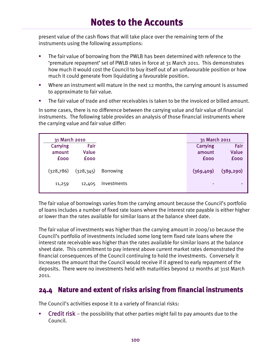present value of the cash flows that will take place over the remaining term of the instruments using the following assumptions:

- The fair value of borrowing from the PWLB has been determined with reference to the 'premature repayment' set of PWLB rates in force at 31 March 2011. This demonstrates how much it would cost the Council to buy itself out of an unfavourable position or how much it could generate from liquidating a favourable position.
- Where an instrument will mature in the next 12 months, the carrying amount is assumed to approximate to fair value.
- The fair value of trade and other receivables is taken to be the invoiced or billed amount.

In some cases, there is no difference between the carrying value and fair value of financial instruments. The following table provides an analysis of those financial instruments where the carrying value and fair value differ:

| 31 March 2010 |             |                  | 31 March 2011 |             |
|---------------|-------------|------------------|---------------|-------------|
| Carrying      | Fair        |                  | Carrying      | Fair        |
| amount        | Value       |                  | amount        | Value       |
| <b>fooo</b>   | <b>fooo</b> |                  | <b>fooo</b>   | <b>fooo</b> |
| (328,786)     | (328, 345)  | <b>Borrowing</b> | (369,409)     | (389, 290)  |
| 11,259        | 12,405      | Investments      | ۰             |             |

The fair value of borrowings varies from the carrying amount because the Council's portfolio of loans includes a number of fixed rate loans where the interest rate payable is either higher or lower than the rates available for similar loans at the balance sheet date.

The fair value of investments was higher than the carrying amount in 2009/10 because the Council's portfolio of investments included some long term fixed rate loans where the interest rate receivable was higher than the rates available for similar loans at the balance sheet date. This commitment to pay interest above current market rates demonstrated the financial consequences of the Council continuing to hold the investments. Conversely it increases the amount that the Council would receive if it agreed to early repayment of the deposits. There were no investments held with maturities beyond 12 months at 31st March 2011.

#### **24.4 Nature and extent of risks arising from financial instruments**

The Council's activities expose it to a variety of financial risks:

 Credit risk – the possibility that other parties might fail to pay amounts due to the Council.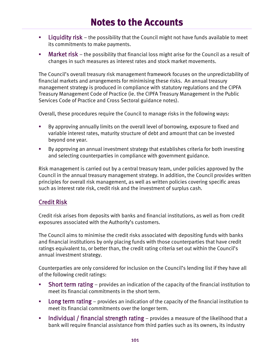- **Liquidity risk** the possibility that the Council might not have funds available to meet its commitments to make payments.
- Market risk the possibility that financial loss might arise for the Council as a result of changes in such measures as interest rates and stock market movements.

The Council's overall treasury risk management framework focuses on the unpredictability of financial markets and arrangements for minimising these risks. An annual treasury management strategy is produced in compliance with statutory regulations and the CIPFA Treasury Management Code of Practice (ie. the CIPFA Treasury Management in the Public Services Code of Practice and Cross Sectoral guidance notes).

Overall, these procedures require the Council to manage risks in the following ways:

- By approving annually limits on the overall level of borrowing, exposure to fixed and variable interest rates, maturity structure of debt and amount that can be invested beyond one year.
- By approving an annual investment strategy that establishes criteria for both investing and selecting counterparties in compliance with government guidance.

Risk management is carried out by a central treasury team, under policies approved by the Council in the annual treasury management strategy. In addition, the Council provides written principles for overall risk management, as well as written policies covering specific areas such as interest rate risk, credit risk and the investment of surplus cash.

#### Credit Risk

Credit risk arises from deposits with banks and financial institutions, as well as from credit exposures associated with the Authority's customers.

The Council aims to minimise the credit risks associated with depositing funds with banks and financial institutions by only placing funds with those counterparties that have credit ratings equivalent to, or better than, the credit rating criteria set out within the Council's annual investment strategy.

Counterparties are only considered for inclusion on the Council's lending list if they have all of the following credit ratings:

- **Short term rating** provides an indication of the capacity of the financial institution to meet its financial commitments in the short term.
- **Long term rating** provides an indication of the capacity of the financial institution to meet its financial commitments over the longer term.
- **Individual / financial strength rating** provides a measure of the likelihood that a bank will require financial assistance from third parties such as its owners, its industry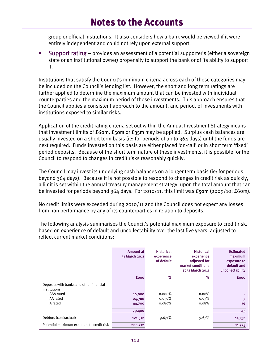group or official institutions. It also considers how a bank would be viewed if it were entirely independent and could not rely upon external support.

 Support rating – provides an assessment of a potential supporter's (either a sovereign state or an institutional owner) propensity to support the bank or of its ability to support it.

Institutions that satisfy the Council's minimum criteria across each of these categories may be included on the Council's lending list. However, the short and long term ratings are further applied to determine the maximum amount that can be invested with individual counterparties and the maximum period of those investments. This approach ensures that the Council applies a consistent approach to the amount, and period, of investments with institutions exposed to similar risks.

Application of the credit rating criteria set out within the Annual Investment Strategy means that investment limits of  $f$ 60m,  $f$ 50m or  $f$ 35m may be applied. Surplus cash balances are usually invested on a short term basis (ie: for periods of up to 364 days) until the funds are next required. Funds invested on this basis are either placed 'on-call' or in short term 'fixed' period deposits. Because of the short term nature of these investments, it is possible for the Council to respond to changes in credit risks reasonably quickly.

The Council may invest its underlying cash balances on a longer term basis (ie: for periods beyond 364 days). Because it is not possible to respond to changes in credit risk as quickly, a limit is set within the annual treasury management strategy, upon the total amount that can be invested for periods beyond  $364$  days. For 2010/11, this limit was  $\pounds$ 50m (2009/10: £60m).

No credit limits were exceeded during 2010/11 and the Council does not expect any losses from non performance by any of its counterparties in relation to deposits.

The following analysis summarises the Council's potential maximum exposure to credit risk, based on experience of default and uncollectability over the last five years, adjusted to reflect current market conditions:

|                                                         | Amount at<br>31 March 2011 | <b>Historical</b><br>experience<br>of default | <b>Historical</b><br>experience<br>adjusted for<br>market conditions<br>at 31 March 2011 | <b>Estimated</b><br>maximum<br>exposure to<br>default and<br>uncollectability |
|---------------------------------------------------------|----------------------------|-----------------------------------------------|------------------------------------------------------------------------------------------|-------------------------------------------------------------------------------|
|                                                         | <b>fooo</b>                | %                                             | %                                                                                        | <b>fooo</b>                                                                   |
| Deposits with banks and other financial<br>institutions |                            |                                               |                                                                                          |                                                                               |
| AAA rated                                               | 10,000                     | $0.000\%$                                     | $0.00\%$                                                                                 |                                                                               |
| AA rated                                                | 24,700                     | 0.030%                                        | 0.03%                                                                                    |                                                                               |
| A rated                                                 | 44,700                     | 0.080%                                        | $0.08\%$                                                                                 | 36                                                                            |
|                                                         | 79,400                     |                                               |                                                                                          | 43                                                                            |
| Debtors (contractual)                                   | 121,312                    | 9.671%                                        | 9.67%                                                                                    | 11,732                                                                        |
| Potential maximum exposure to credit risk               | 200,712                    |                                               |                                                                                          | 11,775                                                                        |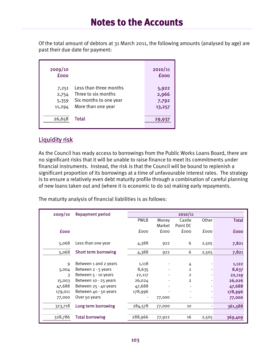Of the total amount of debtors at 31 March 2011, the following amounts (analysed by age) are past their due date for payment:

| 2009/10<br><b>fooo</b>            |                                                                                               | 2010/11<br><b>fooo</b>            |
|-----------------------------------|-----------------------------------------------------------------------------------------------|-----------------------------------|
| 7,251<br>2,754<br>5,359<br>11,294 | Less than three months<br>Three to six months<br>Six months to one year<br>More than one year | 5,922<br>2,966<br>7,792<br>13,257 |
| 26,658                            | Total                                                                                         | 29,937                            |

#### Liquidity risk

As the Council has ready access to borrowings from the Public Works Loans Board, there are no significant risks that it will be unable to raise finance to meet its commitments under financial instruments. Instead, the risk is that the Council will be bound to replenish a significant proportion of its borrowings at a time of unfavourable interest rates. The strategy is to ensure a relatively even debt maturity profile through a combination of careful planning of new loans taken out and (where it is economic to do so) making early repayments.

The maturity analysis of financial liabilities is as follows:

| 2009/10     | <b>Repayment period</b>     | 2010/11     |        |                |       |              |
|-------------|-----------------------------|-------------|--------|----------------|-------|--------------|
|             |                             | <b>PWLB</b> | Money  | Castle         | Other | <b>Total</b> |
|             |                             |             | Market | Point DC       |       |              |
| <b>fooo</b> |                             | fooo        | fooo   | <b>fooo</b>    | fooo  | <b>fooo</b>  |
|             |                             |             |        |                |       |              |
| 5,068       | Less than one year          | 4,388       | 922    | 6              | 2,505 | 7,821        |
| 5,068       | <b>Short term borrowing</b> | 4,388       |        | 6              |       | 7,821        |
|             |                             |             | 922    |                | 2,505 |              |
| 9           | Between 1 and 2 years       | 1,118       |        | 4              |       | 1,122        |
| 5,004       | Between 2 - 5 years         | 8,635       |        | $\overline{2}$ |       | 8,637        |
|             |                             |             |        |                |       |              |
| 3           | Between $5 - 10$ years      | 22,117      |        | $\overline{2}$ |       | 22,119       |
| 15,003      | Between 10 - 25 years       | 26,024      |        | $\overline{2}$ |       | 26,026       |
| 47,688      | Between 25 - 40 years       | 47,688      |        | $\blacksquare$ |       | 47,688       |
| 179,011     | Between 40 - 50 years       | 178,996     |        | $\blacksquare$ |       | 178,996      |
| 77,000      | Over 50 years               |             | 77,000 |                |       | 77,000       |
| 323,718     | Long term borrowing         | 284,578     | 77,000 | 10             |       | 361,588      |
|             |                             |             |        |                |       |              |
| 328,786     | <b>Total borrowing</b>      | 288,966     | 77,922 | 16             | 2,505 | 369,409      |
|             |                             |             |        |                |       |              |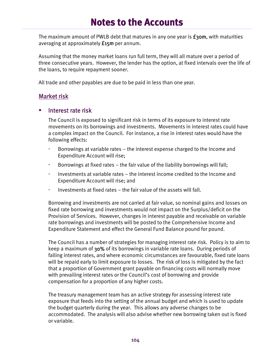The maximum amount of PWLB debt that matures in any one year is  $f$ 30m, with maturities averaging at approximately £15m per annum.

Assuming that the money market loans run full term, they will all mature over a period of three consecutive years. However, the lender has the option, at fixed intervals over the life of the loans, to require repayment sooner.

All trade and other payables are due to be paid in less than one year.

#### Market risk

#### Interest rate risk

The Council is exposed to significant risk in terms of its exposure to interest rate movements on its borrowings and investments. Movements in interest rates could have a complex impact on the Council. For instance, a rise in interest rates would have the following effects:

- Borrowings at variable rates the interest expense charged to the Income and Expenditure Account will rise;
- Borrowings at fixed rates the fair value of the liability borrowings will fall;
- Investments at variable rates the interest income credited to the Income and Expenditure Account will rise; and
- Investments at fixed rates the fair value of the assets will fall.

Borrowing and investments are not carried at fair value, so nominal gains and losses on fixed rate borrowing and investments would not impact on the Surplus/deficit on the Provision of Services. However, changes in interest payable and receivable on variable rate borrowings and investments will be posted to the Comprehensive Income and Expenditure Statement and effect the General Fund Balance pound for pound.

The Council has a number of strategies for managing interest rate risk. Policy is to aim to keep a maximum of 30% of its borrowings in variable rate loans. During periods of falling interest rates, and where economic circumstances are favourable, fixed rate loans will be repaid early to limit exposure to losses. The risk of loss is mitigated by the fact that a proportion of Government grant payable on financing costs will normally move with prevailing interest rates or the Council's cost of borrowing and provide compensation for a proportion of any higher costs.

The treasury management team has an active strategy for assessing interest rate exposure that feeds into the setting of the annual budget and which is used to update the budget quarterly during the year. This allows any adverse changes to be accommodated. The analysis will also advise whether new borrowing taken out is fixed or variable.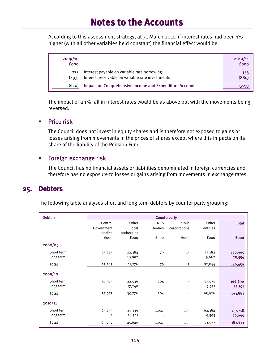According to this assessment strategy, at 31 March 2011, if interest rates had been 1% higher (with all other variables held constant) the financial effect would be:

| 2009/10<br><b>fooo</b> |                                                                                                 | 2010/11<br><b>fooo</b> |
|------------------------|-------------------------------------------------------------------------------------------------|------------------------|
| 273<br>(893)           | Interest payable on variable rate borrowing<br>Interest receivable on variable rate investments | 153<br>(880)           |
| (620)                  | <b>Impact on Comprehensive Income and Expenditure Account</b>                                   |                        |

The impact of a 1% fall in interest rates would be as above but with the movements being reversed.

#### $\blacksquare$  Price risk

The Council does not invest in equity shares and is therefore not exposed to gains or losses arising from movements in the prices of shares except where this impacts on its share of the liability of the Pension Fund.

#### **Foreign exchange risk**

The Council has no financial assets or liabilities denominated in foreign currencies and therefore has no exposure to losses or gains arising from movements in exchange rates.

#### **25. Debtors**

The following table analyses short and long term debtors by counter party grouping:

| <b>Debtors</b> | Counterparty |             |                |              |          |              |
|----------------|--------------|-------------|----------------|--------------|----------|--------------|
|                | Central      | Other       | <b>NHS</b>     | Public       | Other    | <b>Total</b> |
|                | Government   | local       | bodies         | corporations | entities |              |
|                | bodies       | authorities |                |              |          |              |
|                | fooo         | fooo        | fooo           | fooo         | fooo     | <b>fooo</b>  |
| 2008/09        |              |             |                |              |          |              |
| Short term     | 25,245       | 22,384      | 79             | 15           | 73,182   | 120,905      |
| Long term      |              | 18,892      |                |              | 9,662    | 28,554       |
| <b>Total</b>   | 25,245       | 41,276      | 79             | 15           | 82,844   | 149,459      |
| 2009/10        |              |             |                |              |          |              |
| Short term     | 57,975       | 22,536      | 204            |              | 85,975   | 166,690      |
| Long term      |              | 17,240      | $\blacksquare$ |              | 9,951    | 27,191       |
| <b>Total</b>   | 57,975       | 39,776      | 204            |              | 95,926   | 193,881      |
| 2010/11        |              |             |                |              |          |              |
| Short term     | 65,033       | 29,139      | 1,027          | 135          | 62,384   | 157,718      |
| Long term      | $\mathbf{1}$ | 16,501      |                |              | 9,593    | 26,095       |
| Total          | 65,034       | 45,640      | 1,027          | 135          | 71,977   | 183,813      |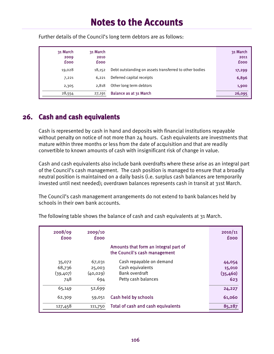| 31 March<br>2009<br><b>fooo</b> | 31 March<br>2010<br><b>fooo</b> |                                                        | 31 March<br>2011<br><b>fooo</b> |
|---------------------------------|---------------------------------|--------------------------------------------------------|---------------------------------|
| 19,028                          | 18,152                          | Debt outstanding on assets transferred to other bodies | 17,299                          |
| 7,221                           | 6,221                           | Deferred capital receipts                              | 6,896                           |
| 2,305                           | 2,818                           | Other long term debtors                                | 1,900                           |
| 28,554                          | 27,191                          | Balance as at 31 March                                 | 26,095                          |

Further details of the Council's long term debtors are as follows:

#### **26. Cash and cash equivalents**

Cash is represented by cash in hand and deposits with financial institutions repayable without penalty on notice of not more than 24 hours. Cash equivalents are investments that mature within three months or less from the date of acquisition and that are readily convertible to known amounts of cash with insignificant risk of change in value.

Cash and cash equivalents also include bank overdrafts where these arise as an integral part of the Council's cash management. The cash position is managed to ensure that a broadly neutral position is maintained on a daily basis (i.e. surplus cash balances are temporarily invested until next needed); overdrawn balances represents cash in transit at 31st March.

The Council's cash management arrangements do not extend to bank balances held by schools in their own bank accounts.

| 2008/09<br><b>fooo</b>               | 2009/10<br><b>fooo</b>               |                                                                                       | 2010/11<br><b>fooo</b>               |
|--------------------------------------|--------------------------------------|---------------------------------------------------------------------------------------|--------------------------------------|
|                                      |                                      | Amounts that form an integral part of<br>the Council's cash management                |                                      |
| 35,072<br>68,736<br>(39, 407)<br>748 | 67,031<br>25,003<br>(40, 029)<br>694 | Cash repayable on demand<br>Cash equivalents<br>Bank overdraft<br>Petty cash balances | 44,054<br>15,010<br>(35, 460)<br>623 |
| 65,149                               | 52,699                               |                                                                                       | 24,227                               |
| 62,309                               | 59,051                               | Cash held by schools                                                                  | 61,060                               |
| 127,458                              | 111,750                              | Total of cash and cash equivalents                                                    | 85,287                               |

The following table shows the balance of cash and cash equivalents at 31 March.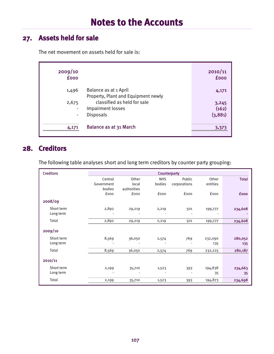## **27. Assets held for sale**

The net movement on assets held for sale is:

| 2009/10<br><b>fooo</b>  |                                                              | 2010/11<br><b>fooo</b> |
|-------------------------|--------------------------------------------------------------|------------------------|
| 1,496                   | Balance as at 1 April<br>Property, Plant and Equipment newly | 4,171                  |
| 2,675<br>$\blacksquare$ | classified as held for sale<br>Impairment losses             | 3,245<br>(162)         |
| $\blacksquare$          | <b>Disposals</b>                                             | (3,881)                |
| 4,171                   | Balance as at 31 March                                       | 3,373                  |

#### **28. Creditors**

The following table analyses short and long term creditors by counter party grouping:

| <b>Creditors</b> | Counterparty |             |             |              |             |              |  |
|------------------|--------------|-------------|-------------|--------------|-------------|--------------|--|
|                  | Central      | Other       | <b>NHS</b>  | Public       | Other       | <b>Total</b> |  |
|                  | Government   | local       | bodies      | corporations | entities    |              |  |
|                  | bodies       | authorities |             |              |             |              |  |
|                  | <b>fooo</b>  | <b>fooo</b> | <b>fooo</b> | fooo         | <b>fooo</b> | <b>fooo</b>  |  |
| 2008/09          |              |             |             |              |             |              |  |
| Short term       | 2,892        | 29,219      | 2,219       | 501          | 199,777     | 234,608      |  |
| Long term        |              |             |             |              |             |              |  |
| Total            | 2,892        | 29,219      | 2,219       | 501          | 199,777     | 234,608      |  |
|                  |              |             |             |              |             |              |  |
| 2009/10          |              |             |             |              |             |              |  |
| Short term       | 8,569        | 36,050      | 2,574       | 769          | 232,090     | 280,052      |  |
| Long term        |              |             |             |              | 135         | 135          |  |
| Total            | 8,569        | 36,050      | 2,574       | 769          | 232,225     | 280,187      |  |
|                  |              |             |             |              |             |              |  |
| 2010/11          |              |             |             |              |             |              |  |
| Short term       | 2,199        | 35,710      | 1,523       | 393          | 194,838     | 234,663      |  |
| Long term        |              |             |             |              | 35          | 35           |  |
| Total            | 2,199        | 35,710      | 1,523       | 393          | 194,873     | 234,698      |  |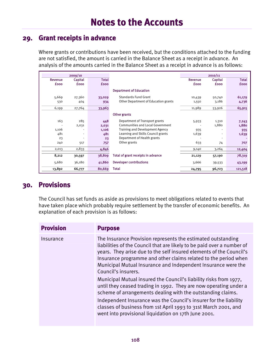#### **29. Grant receipts in advance**

Where grants or contributions have been received, but the conditions attached to the funding are not satisfied, the amount is carried in the Balance Sheet as a receipt in advance. An analysis of the amounts carried in the Balance Sheet as a receipt in advance is as follows:

|             | 2009/10     |              |                                      |             | 2010/11     |              |
|-------------|-------------|--------------|--------------------------------------|-------------|-------------|--------------|
| Revenue     | Capital     | <b>Total</b> |                                      | Revenue     | Capital     | <b>Total</b> |
| <b>fooo</b> | <b>fooo</b> | <b>fooo</b>  |                                      | <b>fooo</b> | <b>fooo</b> | <b>fooo</b>  |
|             |             |              | <b>Department of Education</b>       |             |             |              |
| 5,669       | 27,360      | 33,029       | <b>Standards Fund Grant</b>          | 10,439      | 50,740      | 61,179       |
| 530         | 404         | 934          | Other Department of Education grants | 1,550       | 3,186       | 4,736        |
| 6,199       | 27,764      | 33,963       |                                      | 11,989      | 53,926      | 65,915       |
|             |             |              | Other grants                         |             |             |              |
| 163         | 285         | 448          | Department of Transport grants       | 5,933       | 1,310       | 7,243        |
|             | 2,031       | 2,031        | Communities and Local Government     |             | 1,880       | 1,880        |
| 1,106       |             | 1,106        | Training and Development Agency      | 935         |             | 935          |
| 481         |             | 481          | Learning and Skills Council grants   | 1,639       |             | 1,639        |
| 23          |             | 23           | Department of Health grants          |             |             |              |
| 240         | 517         | 757          | Other grants                         | 633         | 74          | 707          |
| 2,013       | 2,833       | 4,846        |                                      | 9,140       | 3,264       | 12,404       |
| 8,212       | 30,597      | 38,809       | Total of grant receipts in advance   | 21,129      | 57,190      | 78,319       |
| 5,680       | 36,180      | 41,860       | <b>Developer contributions</b>       | 3,666       | 39,533      | 43,199       |
| 13,892      | 66,777      | 80,669       | Total                                | 24,795      | 96,723      | 121,518      |

## **30. Provisions**

The Council has set funds as aside as provisions to meet obligations related to events that have taken place which probably require settlement by the transfer of economic benefits. An explanation of each provision is as follows:

| <b>Provision</b> | <b>Purpose</b>                                                                                                                                                                                                                                                                                                                                                                                        |
|------------------|-------------------------------------------------------------------------------------------------------------------------------------------------------------------------------------------------------------------------------------------------------------------------------------------------------------------------------------------------------------------------------------------------------|
| Insurance        | The Insurance Provision represents the estimated outstanding<br>liabilities of the Council that are likely to be paid over a number of<br>years. They arise due to the self insured elements of the Council's<br>Insurance programme and other claims related to the period when<br>Municipal Mutual Insurance and Independent Insurance were the<br>Council's insurers.                              |
|                  | Municipal Mutual insured the Council's liability risks from 1977,<br>until they ceased trading in 1992. They are now operating under a<br>scheme of arrangements dealing with the outstanding claims.<br>Independent Insurance was the Council's insurer for the liability<br>classes of business from 1st April 1993 to 31st March 2001, and<br>went into provisional liquidation on 17th June 2001. |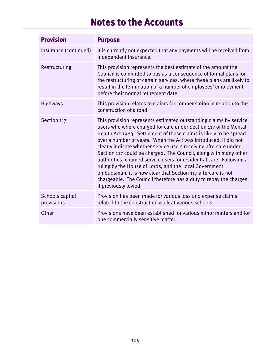| <b>Provision</b>              | <b>Purpose</b>                                                                                                                                                                                                                                                                                                                                                                                                                                                                                                                                                                                                                                                                                                         |
|-------------------------------|------------------------------------------------------------------------------------------------------------------------------------------------------------------------------------------------------------------------------------------------------------------------------------------------------------------------------------------------------------------------------------------------------------------------------------------------------------------------------------------------------------------------------------------------------------------------------------------------------------------------------------------------------------------------------------------------------------------------|
| Insurance (continued)         | It is currently not expected that any payments will be received from<br>Independent Insurance.                                                                                                                                                                                                                                                                                                                                                                                                                                                                                                                                                                                                                         |
| Restructuring                 | This provision represents the best estimate of the amount the<br>Council is committed to pay as a consequence of formal plans for<br>the restructuring of certain services, where these plans are likely to<br>result in the termination of a number of employees' employment<br>before their normal retirement date.                                                                                                                                                                                                                                                                                                                                                                                                  |
| <b>Highways</b>               | This provision relates to claims for compensation in relation to the<br>construction of a road.                                                                                                                                                                                                                                                                                                                                                                                                                                                                                                                                                                                                                        |
| Section 117                   | This provision represents estimated outstanding claims by service<br>users who where charged for care under Section 117 of the Mental<br>Health Act 1983. Settlement of these claims is likely to be spread<br>over a number of years. When the Act was introduced, it did not<br>clearly indicate whether service users receiving aftercare under<br>Section 117 could be charged. The Council, along with many other<br>authorities, charged service users for residential care. Following a<br>ruling by the House of Lords, and the Local Government<br>ombudsman, it is now clear that Section 117 aftercare is not<br>chargeable. The Council therefore has a duty to repay the charges<br>it previously levied. |
| Schools capital<br>provisions | Provision has been made for various loss and expense claims<br>related to the construction work at various schools.                                                                                                                                                                                                                                                                                                                                                                                                                                                                                                                                                                                                    |
| Other                         | Provisions have been established for various minor matters and for<br>one commercially sensitive matter.                                                                                                                                                                                                                                                                                                                                                                                                                                                                                                                                                                                                               |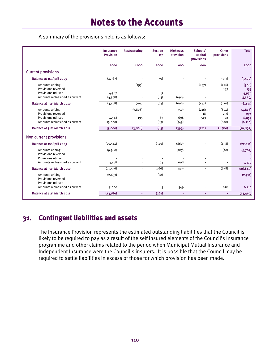A summary of the provisions held is as follows:

|                                                                                                  | Insurance<br><b>Provision</b> | <b>Restructuring</b> | <b>Section</b><br>117                        | <b>Highways</b><br>provision | Schools'<br>capital<br>provisions | Other<br>provisions             | <b>Total</b>                         |
|--------------------------------------------------------------------------------------------------|-------------------------------|----------------------|----------------------------------------------|------------------------------|-----------------------------------|---------------------------------|--------------------------------------|
|                                                                                                  | <b>fooo</b>                   | <b>fooo</b>          | <b>fooo</b>                                  | <b>fooo</b>                  | <b>fooo</b>                       |                                 | <b>fooo</b>                          |
| <b>Current provisions</b>                                                                        |                               |                      |                                              |                              |                                   |                                 |                                      |
| <b>Balance at 1st April 2009</b>                                                                 | (4, 967)                      |                      | (9)                                          |                              |                                   | (133)                           | (5, 109)                             |
| Amounts arising<br>Provisions reversed<br>Provisions utilised<br>Amounts reclassified as current | 4,967<br>(4,548)              | (195)                | 9<br>(83)                                    | (698)                        | (437)                             | (276)<br>133                    | (908)<br>133<br>4,976<br>(5, 329)    |
| Balance at 31st March 2010                                                                       | (4,548)                       | (195)                | (83)                                         | (698)                        | (437)                             | (276)                           | (6, 237)                             |
| Amounts arising<br>Provisions reversed<br>Provisions utilised<br>Amounts reclassified as current | 4,548<br>(5,000)              | (3,808)<br>195       | 83<br>(83)                                   | (50)<br>698<br>(349)         | (216)<br>18<br>513                | (804)<br>256<br>22<br>(678)     | (4, 878)<br>274<br>6,059<br>(6, 110) |
| Balance at 31st March 2011                                                                       | (5,000)                       | (3,808)              | (83)                                         | (399)                        | (122)                             | (1,480)                         | (10, 892)                            |
| Non current provisions                                                                           |                               |                      |                                              |                              |                                   |                                 |                                      |
| <b>Balance at 1st April 2009</b>                                                                 | (20, 544)                     |                      | (349)                                        | (860)                        |                                   | (658)                           | (22, 411)                            |
| Amounts arising<br>Provisions reversed<br>Provisions utilised<br>Amounts reclassified as current | (9,560)<br>4,548              |                      | $\ddot{\phantom{1}}$<br>83                   | (187)<br>698                 |                                   | (20)<br>$\ddot{\phantom{1}}$    | (9,767)<br>5,329                     |
| Balance at 31st March 2010                                                                       | (25, 556)                     | $\blacksquare$       | (266)                                        | (349)                        | $\blacksquare$                    | (678)                           | (26, 849)                            |
| Amounts arising<br>Provisions reversed<br>Provisions utilised<br>Amounts reclassified as current | (2,633)<br>5,000              |                      | (78)<br>$\overline{\phantom{a}}$<br>÷,<br>83 | 349                          |                                   | $\overline{\phantom{a}}$<br>678 | (2,711)<br>6,110                     |
| Balance at 31st March 2011                                                                       | (23, 189)                     | ٠                    | (261)                                        | ٠                            | $\tilde{\phantom{a}}$             | $\omega$                        | (23, 450)                            |

#### **31. Contingent liabilities and assets**

The Insurance Provision represents the estimated outstanding liabilities that the Council is likely to be required to pay as a result of the self insured elements of the Council's Insurance programme and other claims related to the period when Municipal Mutual Insurance and Independent Insurance were the Council's insurers. It is possible that the Council may be required to settle liabilities in excess of those for which provision has been made.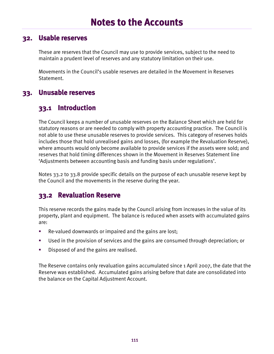#### **32. Usable reserves**

These are reserves that the Council may use to provide services, subject to the need to maintain a prudent level of reserves and any statutory limitation on their use.

Movements in the Council's usable reserves are detailed in the Movement in Reserves Statement.

#### **33. Unusable reserves**

#### **33.1 Introduction**

The Council keeps a number of unusable reserves on the Balance Sheet which are held for statutory reasons or are needed to comply with property accounting practice. The Council is not able to use these unusable reserves to provide services. This category of reserves holds includes those that hold unrealised gains and losses, (for example the Revaluation Reserve), where amounts would only become available to provide services if the assets were sold; and reserves that hold timing differences shown in the Movement in Reserves Statement line 'Adjustments between accounting basis and funding basis under regulations'.

Notes 33.2 to 33.8 provide specific details on the purpose of each unusable reserve kept by the Council and the movements in the reserve during the year.

#### **33.2 Revaluation Reserve**

This reserve records the gains made by the Council arising from increases in the value of its property, plant and equipment. The balance is reduced when assets with accumulated gains are:

- Re-valued downwards or impaired and the gains are lost;
- Used in the provision of services and the gains are consumed through depreciation; or
- Disposed of and the gains are realised.

The Reserve contains only revaluation gains accumulated since 1 April 2007, the date that the Reserve was established. Accumulated gains arising before that date are consolidated into the balance on the Capital Adjustment Account.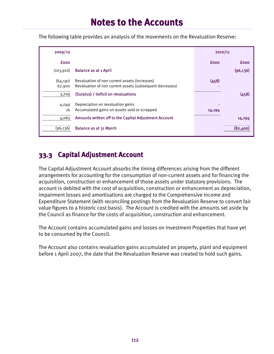The following table provides an analysis of the movements on the Revaluation Reserve:

| 2009/10             |                                                                                                           | 2010/11 |             |
|---------------------|-----------------------------------------------------------------------------------------------------------|---------|-------------|
| <b>fooo</b>         |                                                                                                           | fooo    | <b>fooo</b> |
| (103, 910)          | <b>Balance as at 1 April</b>                                                                              |         | (96, 136)   |
| (64, 191)<br>67,900 | Revaluation of non current assets (increases)<br>Revaluation of non current assets (subsequent decreases) | (458)   |             |
| 3,709               | (Surplus) / deficit on revaluations                                                                       |         | (458)       |
| 4,049<br>16         | Depreciation on revaluation gains<br>Accumulated gains on assets sold or scrapped                         | 14,194  |             |
| 4,065               | Amounts written off to the Capital Adjustment Account                                                     |         | 14,194      |
| (96, 136)           | Balance as at 31 March                                                                                    |         | (82,400)    |

#### **33.3 Capital Adjustment Account**

The Capital Adjustment Account absorbs the timing differences arising from the different arrangements for accounting for the consumption of non-current assets and for financing the acquisition, construction or enhancement of those assets under statutory provisions. The account is debited with the cost of acquisition, construction or enhancement as depreciation, impairment losses and amortisations are charged to the Comprehensive Income and Expenditure Statement (with reconciling postings from the Revaluation Reserve to convert fair value figures to a historic cost basis). The Account is credited with the amounts set aside by the Council as finance for the costs of acquisition, construction and enhancement.

The Account contains accumulated gains and losses on Investment Properties that have yet to be consumed by the Council.

The Account also contains revaluation gains accumulated on property, plant and equipment before 1 April 2007, the date that the Revaluation Reserve was created to hold such gains.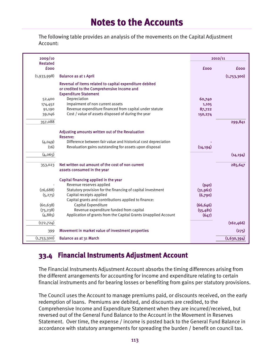The following table provides an analysis of the movements on the Capital Adjustment Account:

| 2009/10                                                                   |                                                                                                                                                                                                                                                                                                                                                           |                                                                 | 2010/11     |
|---------------------------------------------------------------------------|-----------------------------------------------------------------------------------------------------------------------------------------------------------------------------------------------------------------------------------------------------------------------------------------------------------------------------------------------------------|-----------------------------------------------------------------|-------------|
| <b>Restated</b><br><b>fooo</b>                                            |                                                                                                                                                                                                                                                                                                                                                           | <b>fooo</b>                                                     | <b>fooo</b> |
| (1,933,998)                                                               | <b>Balance as at 1 April</b>                                                                                                                                                                                                                                                                                                                              |                                                                 | (1,753,300) |
| 52,400                                                                    | Reversal of items related to capital expenditure debited<br>or credited to the Comprehensive Income and<br><b>Expenditure Statement</b><br>Depreciation                                                                                                                                                                                                   | 60,740                                                          |             |
| 174,452                                                                   | Impairment of non current assets<br>Revenue expenditure financed from capital under statute                                                                                                                                                                                                                                                               | 1,105                                                           |             |
| 91,190<br>39,046                                                          | Cost / value of assets disposed of during the year                                                                                                                                                                                                                                                                                                        | 87,722<br>150,274                                               |             |
|                                                                           |                                                                                                                                                                                                                                                                                                                                                           |                                                                 |             |
| 357,088                                                                   |                                                                                                                                                                                                                                                                                                                                                           |                                                                 | 299,841     |
| (4,049)<br>(16)<br>(4,065)                                                | Adjusting amounts written out of the Revaluation<br><b>Reserve:</b><br>Difference between fair value and historical cost depreciation<br>Revaluation gains outstanding for assets upon disposal                                                                                                                                                           | (14, 194)                                                       | (14, 194)   |
| 353,023                                                                   | Net written out amount of the cost of non current<br>assets consumed in the year                                                                                                                                                                                                                                                                          |                                                                 | 285,647     |
| (26, 688)<br>(5, 275)<br>(60, 638)<br>(75, 238)<br>(4, 885)<br>(172, 724) | Capital financing applied in the year<br>Revenue reserves applied<br>Statutory provision for the financing of capital investment<br>Capital receipts applied<br>Capital grants and contributions applied to finance:<br>Capital Expenditure<br>Revenue expenditure funded from capital<br>Application of grants from the Capital Grants Unapplied Account | (940)<br>(31,962)<br>(6,790)<br>(66, 646)<br>(55, 481)<br>(647) | (162, 466)  |
| 399                                                                       | Movement in market value of investment properties                                                                                                                                                                                                                                                                                                         |                                                                 | (275)       |
| (1,753,300)                                                               | Balance as at 31 March                                                                                                                                                                                                                                                                                                                                    |                                                                 | (1,630,394) |

#### **33.4 Financial Instruments Adjustment Account**

The Financial Instruments Adjustment Account absorbs the timing differences arising from the different arrangements for accounting for income and expenditure relating to certain financial instruments and for bearing losses or benefiting from gains per statutory provisions.

The Council uses the Account to manage premiums paid, or discounts received, on the early redemption of loans. Premiums are debited, and discounts are credited, to the Comprehensive Income and Expenditure Statement when they are incurred/received, but reversed out of the General Fund Balance to the Account in the Movement in Reserves Statement. Over time, the expense / income is posted back to the General Fund Balance in accordance with statutory arrangements for spreading the burden / benefit on council tax.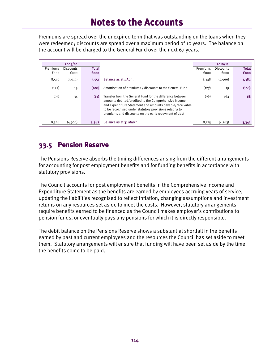Premiums are spread over the unexpired term that was outstanding on the loans when they were redeemed; discounts are spread over a maximum period of 10 years. The balance on the account will be charged to the General Fund over the next 67 years.

|          | 2009/10   |              |                                                                                                                                                                                                                                                                                                   |          | 2010/11          |              |
|----------|-----------|--------------|---------------------------------------------------------------------------------------------------------------------------------------------------------------------------------------------------------------------------------------------------------------------------------------------------|----------|------------------|--------------|
| Premiums | Discounts | <b>Total</b> |                                                                                                                                                                                                                                                                                                   | Premiums | <b>Discounts</b> | <b>Total</b> |
| fooo     | fooo      | <b>fooo</b>  |                                                                                                                                                                                                                                                                                                   | fooo     | fooo             | <b>fooo</b>  |
| 8,570    | (5,019)   | 3,551        | <b>Balance as at 1 April</b>                                                                                                                                                                                                                                                                      | 8,348    | (4,966)          | 3,382        |
| (127)    | 19        | (108)        | Amortisation of premiums / discounts to the General Fund                                                                                                                                                                                                                                          | (127)    | 19               | (108)        |
| (95)     | 34        | (61)         | Transfer from the General Fund for the difference between<br>amounts debited/credited to the Comprehensive Income<br>and Expenditure Statement and amounts payable/receivable<br>to be recognised under statutory provisions relating to<br>premiums and discounts on the early repayment of debt | (96)     | 164              | 68           |
| 8,348    | (4,966)   | 3,382        | <b>Balance as at 31 March</b>                                                                                                                                                                                                                                                                     | 8,125    | (4,783)          | 3,342        |

#### **33.5 Pension Reserve**

The Pensions Reserve absorbs the timing differences arising from the different arrangements for accounting for post employment benefits and for funding benefits in accordance with statutory provisions.

The Council accounts for post employment benefits in the Comprehensive Income and Expenditure Statement as the benefits are earned by employees accruing years of service, updating the liabilities recognised to reflect inflation, changing assumptions and investment returns on any resources set aside to meet the costs. However, statutory arrangements require benefits earned to be financed as the Council makes employer's contributions to pension funds, or eventually pays any pensions for which it is directly responsible.

The debit balance on the Pensions Reserve shows a substantial shortfall in the benefits earned by past and current employees and the resources the Council has set aside to meet them. Statutory arrangements will ensure that funding will have been set aside by the time the benefits come to be paid.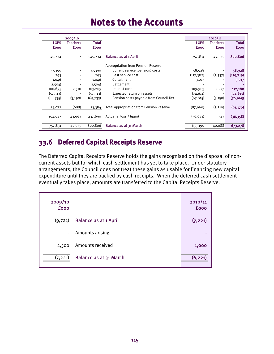|             | 2009/10         |              |                                           |             | 2010/11         |            |
|-------------|-----------------|--------------|-------------------------------------------|-------------|-----------------|------------|
| <b>LGPS</b> | <b>Teachers</b> | <b>Total</b> |                                           | <b>LGPS</b> | <b>Teachers</b> | Total      |
| <b>fooo</b> | <b>fooo</b>     | <b>fooo</b>  |                                           | <b>fooo</b> | <b>fooo</b>     | £000       |
| 549,732     |                 | 549,732      | <b>Balance as at 1 April</b>              | 757,831     | 42,975          | 800,806    |
|             |                 |              | <b>Appropriation from Pension Reserve</b> |             |                 |            |
| 37,390      |                 | 37,390       | Current service (pension) costs           | 58,928      |                 | 58,928     |
| 293         | $\sim$          | 293          | Past service cost                         | (117,382)   | (2,337)         | (119, 719) |
| 1,046       | $\blacksquare$  | 1,046        | Curtailment                               | 3,017       |                 | 3,017      |
| (1,504)     | $\blacksquare$  | (1,504)      | Settlement                                |             |                 |            |
| 100,695     | 2,510           | 103,205      | Interest cost                             | 109,903     | 2,277           | 112,180    |
| (57, 313)   |                 | (57, 313)    | Expected return on assets                 | (74, 611)   |                 | (74, 611)  |
| (66, 535)   | (3, 198)        | (69,733)     | Pension costs payable from Council Tax    | (67, 815)   | (3,150)         | (70, 965)  |
| 14,072      | (688)           | 13,384       | Total appropriation from Pension Reserve  | (87,960)    | (3,210)         | (91, 170)  |
| 194,027     | 43,663          | 237,690      | Actuarial loss / (gain)                   | (36,681)    | 323             | (36, 358)  |
| 757,831     | 42,975          | 800,806      | <b>Balance as at 31 March</b>             | 633,190     | 40,088          | 673,278    |

### **33.6 Deferred Capital Receipts Reserve**

The Deferred Capital Receipts Reserve holds the gains recognised on the disposal of noncurrent assets but for which cash settlement has yet to take place. Under statutory arrangements, the Council does not treat these gains as usable for financing new capital expenditure until they are backed by cash receipts. When the deferred cash settlement eventually takes place, amounts are transferred to the Capital Receipts Reserve.

| 2009/10<br><b>fooo</b> |                              | 2010/11<br><b>fooo</b> |
|------------------------|------------------------------|------------------------|
| (9,721)                | <b>Balance as at 1 April</b> | (7, 221)               |
|                        | - Amounts arising            |                        |
| 2,500                  | Amounts received             | 1,000                  |
| (7, 221)               | Balance as at 31 March       | (6, 221)               |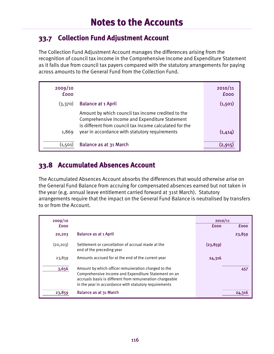#### **33.7 Collection Fund Adjustment Account**

The Collection Fund Adjustment Account manages the differences arising from the recognition of council tax income in the Comprehensive Income and Expenditure Statement as it falls due from council tax payers compared with the statutory arrangements for paying across amounts to the General Fund from the Collection Fund.

| 2009/10<br><b>fooo</b> |                                                                                                                                                                 | 2010/11<br><b>fooo</b> |
|------------------------|-----------------------------------------------------------------------------------------------------------------------------------------------------------------|------------------------|
| (3,370)                | <b>Balance at 1 April</b>                                                                                                                                       | (1,501)                |
|                        | Amount by which council tax income credited to the<br>Comprehensive Income and Expenditure Statement<br>is different from council tax income calculated for the |                        |
| 1,869                  | year in accordance with statutory requirements                                                                                                                  | (1,414)                |
| (1, 501)               | Balance as at 31 March                                                                                                                                          | (2.915                 |

#### **33.8 Accumulated Absences Account**

The Accumulated Absences Account absorbs the differences that would otherwise arise on the General Fund Balance from accruing for compensated absences earned but not taken in the year (e.g. annual leave entitlement carried forward at 31st March). Statutory arrangements require that the impact on the General Fund Balance is neutralised by transfers to or from the Account.

| 2009/10     |                                                                                                                                                                                                                                  | 2010/11     |             |
|-------------|----------------------------------------------------------------------------------------------------------------------------------------------------------------------------------------------------------------------------------|-------------|-------------|
| <b>fooo</b> |                                                                                                                                                                                                                                  | <b>fooo</b> | <b>fooo</b> |
| 20,203      | <b>Balance as at 1 April</b>                                                                                                                                                                                                     |             | 23,859      |
| (20, 203)   | Settlement or cancellation of accrual made at the<br>end of the preceding year                                                                                                                                                   | (23, 859)   |             |
| 23,859      | Amounts accrued for at the end of the current year                                                                                                                                                                               | 24,316      |             |
| 3,656       | Amount by which officer remuneration charged to the<br>Comprehensive Income and Expenditure Statement on an<br>accruals basis is different from remuneration chargeable<br>in the year in accordance with statutory requirements |             | 457         |
| 23,859      | Balance as at 31 March                                                                                                                                                                                                           |             | 24,316      |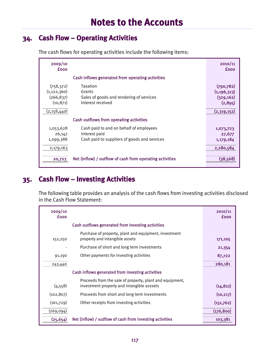#### **34. Cash Flow – Operating Activities**

| 2009/10<br>fooo                                        |                                                                                                          | 2010/11<br>£000                                      |
|--------------------------------------------------------|----------------------------------------------------------------------------------------------------------|------------------------------------------------------|
|                                                        | Cash inflows generated from operating activities                                                         |                                                      |
| (758, 372)<br>(1, 122, 360)<br>(266, 837)<br>(10, 871) | Taxation<br>Grants<br>Sales of goods and rendering of services<br>Interest received                      | (790, 782)<br>(1, 196, 313)<br>(329, 162)<br>(2,895) |
| (2,158,440)                                            |                                                                                                          | (2,319,152)                                          |
|                                                        | Cash outflows from operating activities                                                                  |                                                      |
| 1,053,628<br>26,147<br>1,099,388                       | Cash paid to and on behalf of employees<br>Interest paid<br>Cash paid to suppliers of goods and services | 1,073,723<br>27,677<br>1,179,184                     |
| 2,179,163                                              |                                                                                                          | 2,280,584                                            |
| 20,723                                                 | Net (inflow) / outflow of cash from operating activities                                                 | (38, 568)                                            |

The cash flows for operating activities include the following items:

#### **35. Cash Flow – Investing Activities**

The following table provides an analysis of the cash flows from investing activities disclosed in the Cash Flow Statement:

| 2009/10<br><b>fooo</b> |                                                                                                        | 2010/11<br><b>fooo</b> |
|------------------------|--------------------------------------------------------------------------------------------------------|------------------------|
|                        | Cash outflows generated from investing activities                                                      |                        |
| 152,250                | Purchase of property, plant and equipment, investment<br>property and intangible assets                | 171,105                |
|                        | Purchase of short and long term investments                                                            | 21,354                 |
| 91,190                 | Other payments for investing activities                                                                | 87,722                 |
| 243,440                |                                                                                                        | 280,181                |
|                        | Cash inflows generated from investing activities                                                       |                        |
| (4, 558)               | Proceeds from the sale of property, plant and equipment,<br>investment property and intangible asssets | (14, 821)              |
| (102, 807)             | Proceeds from short and long term investments                                                          | (10, 217)              |
| (161,729)              | Other receipts from investing activities                                                               | (151,762)              |
| (269, 094)             |                                                                                                        | (176, 800)             |
| (25, 654)              | Net (inflow) / outflow of cash from investing activities                                               | 103,381                |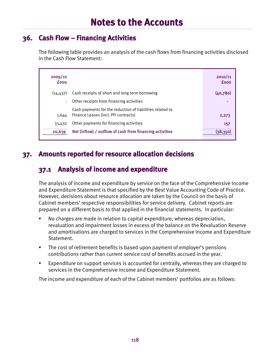#### **36. Cash Flow – Financing Activities**

The following table provides an analysis of the cash flows from financing activities disclosed in the Cash Flow Statement:

| 2009/10<br><b>fooo</b> |                                                                                                   | 2010/11<br><b>fooo</b> |
|------------------------|---------------------------------------------------------------------------------------------------|------------------------|
| (14, 437)              | Cash receipts of short and long term borrowing                                                    | (40, 780)              |
| $\blacksquare$         | Other receipts from financing activities                                                          |                        |
| 1,644                  | Cash payments for the reduction of liabilities related to<br>Finance Leases (incl. PFI contracts) | 2,273                  |
| 33,432                 | Other payments for financing activities                                                           | 157                    |
| 20,639                 | Net (inflow) / outflow of cash from financing activities                                          | (38, 350)              |

#### **37. Amounts reported for resource allocation decisions**

#### **37.1 Analysis of income and expenditure**

The analysis of income and expenditure by service on the face of the Comprehensive Income and Expenditure Statement is that specified by the Best Value Accounting Code of Practice. However, decisions about resource allocation are taken by the Council on the basis of Cabinet members' respective responsibilities for service delivery. Cabinet reports are prepared on a different basis to that applied in the financial statements. In particular:

- No charges are made in relation to capital expenditure, whereas depreciation, revaluation and impairment losses in excess of the balance on the Revaluation Reserve and amortisations are charged to services in the Comprehensive Income and Expenditure Statement.
- The cost of retirement benefits is based upon payment of employer's pensions contributions rather than current service cost of benefits accrued in the year.
- Expenditure on support services is accounted for centrally, whereas they are charged to services in the Comprehensive Income and Expenditure Statement.

The income and expenditure of each of the Cabinet members' portfolios are as follows: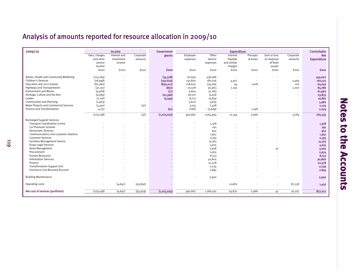## Analysis of amounts reported for resource allocation in 2009/10

| Fees, charges<br>Other<br>Gain or loss<br>Interest and<br>Employee<br>Interest<br>Precepts<br>Corporate<br>grants<br>Corporate<br>Payable<br>on disposal<br>and other<br>investment<br>Service<br>& levies<br>amounts<br>expenses<br>amounts<br>and similar<br>of fixed<br>service<br>income<br>expenses<br>income<br>charges<br>assets<br>fooo<br><b>fooo</b><br>fooo<br>fooo<br>fooo<br>fooo<br><b>£000</b><br>fooo<br>fooo<br>fooo<br>Adults, Health and Community Wellbeing<br>(123, 169)<br>(35,508)<br>67,693<br>436,586<br>$\overline{\phantom{a}}$<br>$\overline{\phantom{a}}$<br><b>Children's Services</b><br>(18,998)<br>(140, 624)<br>132,800<br>180,016<br>2,469<br>4,912<br>$\blacksquare$<br>Education and 2012 Games<br>718,600<br>(82,360)<br>(830,017)<br>255,065<br>1,618<br>44<br>100<br><b>Highways and Transportation</b><br>(837)<br>(37, 311)<br>20,578<br>92,963<br>7,193<br>1,200<br><b>Environment and Waste</b><br>(4,908)<br>(17)<br>9,604<br>57,283<br>Heritage, Culture and the Arts<br>(9,589)<br>(10, 366)<br>28,170<br>15,618<br>$\blacksquare$<br>$\overline{\phantom{a}}$<br>Leader<br>(2, 116)<br>(5, 595)<br>8,713<br>15,859<br>$\blacksquare$<br>$\overline{\phantom{a}}$<br><b>Communities and Planning</b><br>(1,963)<br>3,620<br>3,825<br>Major Projects and Commercial Services<br>(3,491)<br>(37)<br>2,478<br>3,155<br>$\blacksquare$<br>Finance and Transformation<br>(61)<br>(266)<br>(3,699)<br>4,757<br>1,348<br>$\sim$<br>$\overline{\phantom{a}}$<br>(279, 148)<br>(37)<br>(1,023,025)<br>992,667<br>2,966<br>765,335<br>3,769<br>1,055,994<br>12,149<br>$\sim$<br>$\sim$<br><b>Recharged Support Services</b><br><b>Transport Coordination Centre</b><br>1,378<br><b>Car Provision Scheme</b><br>291<br><b>Democratic Services</b><br>952<br>Communications and customer relations<br>1,957<br><b>Customer Services</b><br>2,355<br><b>Facilities Management Service</b><br>15,163<br><b>Essex Legal Services</b><br>4,615<br><b>Asset Management</b><br>2,958<br>47<br>Procurement<br>2,974<br><b>Human Resources</b><br>8,153 | 2009/10                     | Income | Government |        | <b>Expenditure</b> |  | Controllable |
|------------------------------------------------------------------------------------------------------------------------------------------------------------------------------------------------------------------------------------------------------------------------------------------------------------------------------------------------------------------------------------------------------------------------------------------------------------------------------------------------------------------------------------------------------------------------------------------------------------------------------------------------------------------------------------------------------------------------------------------------------------------------------------------------------------------------------------------------------------------------------------------------------------------------------------------------------------------------------------------------------------------------------------------------------------------------------------------------------------------------------------------------------------------------------------------------------------------------------------------------------------------------------------------------------------------------------------------------------------------------------------------------------------------------------------------------------------------------------------------------------------------------------------------------------------------------------------------------------------------------------------------------------------------------------------------------------------------------------------------------------------------------------------------------------------------------------------------------------------------------------------------------------------------------------------------------------------------------------------------------------------------------------------------------------------------------------------|-----------------------------|--------|------------|--------|--------------------|--|--------------|
|                                                                                                                                                                                                                                                                                                                                                                                                                                                                                                                                                                                                                                                                                                                                                                                                                                                                                                                                                                                                                                                                                                                                                                                                                                                                                                                                                                                                                                                                                                                                                                                                                                                                                                                                                                                                                                                                                                                                                                                                                                                                                    |                             |        |            |        |                    |  | <b>Net</b>   |
|                                                                                                                                                                                                                                                                                                                                                                                                                                                                                                                                                                                                                                                                                                                                                                                                                                                                                                                                                                                                                                                                                                                                                                                                                                                                                                                                                                                                                                                                                                                                                                                                                                                                                                                                                                                                                                                                                                                                                                                                                                                                                    |                             |        |            |        |                    |  | Expenditure  |
|                                                                                                                                                                                                                                                                                                                                                                                                                                                                                                                                                                                                                                                                                                                                                                                                                                                                                                                                                                                                                                                                                                                                                                                                                                                                                                                                                                                                                                                                                                                                                                                                                                                                                                                                                                                                                                                                                                                                                                                                                                                                                    |                             |        |            |        |                    |  |              |
|                                                                                                                                                                                                                                                                                                                                                                                                                                                                                                                                                                                                                                                                                                                                                                                                                                                                                                                                                                                                                                                                                                                                                                                                                                                                                                                                                                                                                                                                                                                                                                                                                                                                                                                                                                                                                                                                                                                                                                                                                                                                                    |                             |        |            |        |                    |  |              |
|                                                                                                                                                                                                                                                                                                                                                                                                                                                                                                                                                                                                                                                                                                                                                                                                                                                                                                                                                                                                                                                                                                                                                                                                                                                                                                                                                                                                                                                                                                                                                                                                                                                                                                                                                                                                                                                                                                                                                                                                                                                                                    |                             |        |            |        |                    |  | <b>fooo</b>  |
|                                                                                                                                                                                                                                                                                                                                                                                                                                                                                                                                                                                                                                                                                                                                                                                                                                                                                                                                                                                                                                                                                                                                                                                                                                                                                                                                                                                                                                                                                                                                                                                                                                                                                                                                                                                                                                                                                                                                                                                                                                                                                    |                             |        |            |        |                    |  |              |
|                                                                                                                                                                                                                                                                                                                                                                                                                                                                                                                                                                                                                                                                                                                                                                                                                                                                                                                                                                                                                                                                                                                                                                                                                                                                                                                                                                                                                                                                                                                                                                                                                                                                                                                                                                                                                                                                                                                                                                                                                                                                                    |                             |        |            |        |                    |  | 345,602      |
|                                                                                                                                                                                                                                                                                                                                                                                                                                                                                                                                                                                                                                                                                                                                                                                                                                                                                                                                                                                                                                                                                                                                                                                                                                                                                                                                                                                                                                                                                                                                                                                                                                                                                                                                                                                                                                                                                                                                                                                                                                                                                    |                             |        |            |        |                    |  | 160,575      |
|                                                                                                                                                                                                                                                                                                                                                                                                                                                                                                                                                                                                                                                                                                                                                                                                                                                                                                                                                                                                                                                                                                                                                                                                                                                                                                                                                                                                                                                                                                                                                                                                                                                                                                                                                                                                                                                                                                                                                                                                                                                                                    |                             |        |            |        |                    |  | 63,050       |
|                                                                                                                                                                                                                                                                                                                                                                                                                                                                                                                                                                                                                                                                                                                                                                                                                                                                                                                                                                                                                                                                                                                                                                                                                                                                                                                                                                                                                                                                                                                                                                                                                                                                                                                                                                                                                                                                                                                                                                                                                                                                                    |                             |        |            |        |                    |  | 83,786       |
|                                                                                                                                                                                                                                                                                                                                                                                                                                                                                                                                                                                                                                                                                                                                                                                                                                                                                                                                                                                                                                                                                                                                                                                                                                                                                                                                                                                                                                                                                                                                                                                                                                                                                                                                                                                                                                                                                                                                                                                                                                                                                    |                             |        |            |        |                    |  | 61,962       |
|                                                                                                                                                                                                                                                                                                                                                                                                                                                                                                                                                                                                                                                                                                                                                                                                                                                                                                                                                                                                                                                                                                                                                                                                                                                                                                                                                                                                                                                                                                                                                                                                                                                                                                                                                                                                                                                                                                                                                                                                                                                                                    |                             |        |            |        |                    |  | 23,833       |
|                                                                                                                                                                                                                                                                                                                                                                                                                                                                                                                                                                                                                                                                                                                                                                                                                                                                                                                                                                                                                                                                                                                                                                                                                                                                                                                                                                                                                                                                                                                                                                                                                                                                                                                                                                                                                                                                                                                                                                                                                                                                                    |                             |        |            |        |                    |  | 16,861       |
|                                                                                                                                                                                                                                                                                                                                                                                                                                                                                                                                                                                                                                                                                                                                                                                                                                                                                                                                                                                                                                                                                                                                                                                                                                                                                                                                                                                                                                                                                                                                                                                                                                                                                                                                                                                                                                                                                                                                                                                                                                                                                    |                             |        |            |        |                    |  | 5,482        |
|                                                                                                                                                                                                                                                                                                                                                                                                                                                                                                                                                                                                                                                                                                                                                                                                                                                                                                                                                                                                                                                                                                                                                                                                                                                                                                                                                                                                                                                                                                                                                                                                                                                                                                                                                                                                                                                                                                                                                                                                                                                                                    |                             |        |            |        |                    |  | 2,105        |
|                                                                                                                                                                                                                                                                                                                                                                                                                                                                                                                                                                                                                                                                                                                                                                                                                                                                                                                                                                                                                                                                                                                                                                                                                                                                                                                                                                                                                                                                                                                                                                                                                                                                                                                                                                                                                                                                                                                                                                                                                                                                                    |                             |        |            |        |                    |  | 2,079        |
|                                                                                                                                                                                                                                                                                                                                                                                                                                                                                                                                                                                                                                                                                                                                                                                                                                                                                                                                                                                                                                                                                                                                                                                                                                                                                                                                                                                                                                                                                                                                                                                                                                                                                                                                                                                                                                                                                                                                                                                                                                                                                    |                             |        |            |        |                    |  |              |
|                                                                                                                                                                                                                                                                                                                                                                                                                                                                                                                                                                                                                                                                                                                                                                                                                                                                                                                                                                                                                                                                                                                                                                                                                                                                                                                                                                                                                                                                                                                                                                                                                                                                                                                                                                                                                                                                                                                                                                                                                                                                                    |                             |        |            |        |                    |  |              |
|                                                                                                                                                                                                                                                                                                                                                                                                                                                                                                                                                                                                                                                                                                                                                                                                                                                                                                                                                                                                                                                                                                                                                                                                                                                                                                                                                                                                                                                                                                                                                                                                                                                                                                                                                                                                                                                                                                                                                                                                                                                                                    |                             |        |            |        |                    |  |              |
|                                                                                                                                                                                                                                                                                                                                                                                                                                                                                                                                                                                                                                                                                                                                                                                                                                                                                                                                                                                                                                                                                                                                                                                                                                                                                                                                                                                                                                                                                                                                                                                                                                                                                                                                                                                                                                                                                                                                                                                                                                                                                    |                             |        |            |        |                    |  | 1,378        |
|                                                                                                                                                                                                                                                                                                                                                                                                                                                                                                                                                                                                                                                                                                                                                                                                                                                                                                                                                                                                                                                                                                                                                                                                                                                                                                                                                                                                                                                                                                                                                                                                                                                                                                                                                                                                                                                                                                                                                                                                                                                                                    |                             |        |            |        |                    |  | 291          |
|                                                                                                                                                                                                                                                                                                                                                                                                                                                                                                                                                                                                                                                                                                                                                                                                                                                                                                                                                                                                                                                                                                                                                                                                                                                                                                                                                                                                                                                                                                                                                                                                                                                                                                                                                                                                                                                                                                                                                                                                                                                                                    |                             |        |            |        |                    |  | 952          |
|                                                                                                                                                                                                                                                                                                                                                                                                                                                                                                                                                                                                                                                                                                                                                                                                                                                                                                                                                                                                                                                                                                                                                                                                                                                                                                                                                                                                                                                                                                                                                                                                                                                                                                                                                                                                                                                                                                                                                                                                                                                                                    |                             |        |            |        |                    |  | 1,957        |
|                                                                                                                                                                                                                                                                                                                                                                                                                                                                                                                                                                                                                                                                                                                                                                                                                                                                                                                                                                                                                                                                                                                                                                                                                                                                                                                                                                                                                                                                                                                                                                                                                                                                                                                                                                                                                                                                                                                                                                                                                                                                                    |                             |        |            |        |                    |  | 2,355        |
|                                                                                                                                                                                                                                                                                                                                                                                                                                                                                                                                                                                                                                                                                                                                                                                                                                                                                                                                                                                                                                                                                                                                                                                                                                                                                                                                                                                                                                                                                                                                                                                                                                                                                                                                                                                                                                                                                                                                                                                                                                                                                    |                             |        |            |        |                    |  | 15,163       |
|                                                                                                                                                                                                                                                                                                                                                                                                                                                                                                                                                                                                                                                                                                                                                                                                                                                                                                                                                                                                                                                                                                                                                                                                                                                                                                                                                                                                                                                                                                                                                                                                                                                                                                                                                                                                                                                                                                                                                                                                                                                                                    |                             |        |            |        |                    |  | 4,615        |
|                                                                                                                                                                                                                                                                                                                                                                                                                                                                                                                                                                                                                                                                                                                                                                                                                                                                                                                                                                                                                                                                                                                                                                                                                                                                                                                                                                                                                                                                                                                                                                                                                                                                                                                                                                                                                                                                                                                                                                                                                                                                                    |                             |        |            |        |                    |  | 3,005        |
|                                                                                                                                                                                                                                                                                                                                                                                                                                                                                                                                                                                                                                                                                                                                                                                                                                                                                                                                                                                                                                                                                                                                                                                                                                                                                                                                                                                                                                                                                                                                                                                                                                                                                                                                                                                                                                                                                                                                                                                                                                                                                    |                             |        |            |        |                    |  | 2,974        |
|                                                                                                                                                                                                                                                                                                                                                                                                                                                                                                                                                                                                                                                                                                                                                                                                                                                                                                                                                                                                                                                                                                                                                                                                                                                                                                                                                                                                                                                                                                                                                                                                                                                                                                                                                                                                                                                                                                                                                                                                                                                                                    |                             |        |            |        |                    |  | 8,153        |
|                                                                                                                                                                                                                                                                                                                                                                                                                                                                                                                                                                                                                                                                                                                                                                                                                                                                                                                                                                                                                                                                                                                                                                                                                                                                                                                                                                                                                                                                                                                                                                                                                                                                                                                                                                                                                                                                                                                                                                                                                                                                                    | <b>Information Services</b> |        |            | 30,800 |                    |  | 30,800       |
| Finance<br>22,578                                                                                                                                                                                                                                                                                                                                                                                                                                                                                                                                                                                                                                                                                                                                                                                                                                                                                                                                                                                                                                                                                                                                                                                                                                                                                                                                                                                                                                                                                                                                                                                                                                                                                                                                                                                                                                                                                                                                                                                                                                                                  |                             |        |            |        |                    |  | 22,578       |
| <b>Transformation Support Unit</b><br>2,239                                                                                                                                                                                                                                                                                                                                                                                                                                                                                                                                                                                                                                                                                                                                                                                                                                                                                                                                                                                                                                                                                                                                                                                                                                                                                                                                                                                                                                                                                                                                                                                                                                                                                                                                                                                                                                                                                                                                                                                                                                        |                             |        |            |        |                    |  | 2,239        |
| Insurance Cost Recovery Account<br>7,845                                                                                                                                                                                                                                                                                                                                                                                                                                                                                                                                                                                                                                                                                                                                                                                                                                                                                                                                                                                                                                                                                                                                                                                                                                                                                                                                                                                                                                                                                                                                                                                                                                                                                                                                                                                                                                                                                                                                                                                                                                           |                             |        |            |        |                    |  | 7,845        |
|                                                                                                                                                                                                                                                                                                                                                                                                                                                                                                                                                                                                                                                                                                                                                                                                                                                                                                                                                                                                                                                                                                                                                                                                                                                                                                                                                                                                                                                                                                                                                                                                                                                                                                                                                                                                                                                                                                                                                                                                                                                                                    |                             |        |            |        |                    |  |              |
| <b>Building Maintenance</b><br>5,940                                                                                                                                                                                                                                                                                                                                                                                                                                                                                                                                                                                                                                                                                                                                                                                                                                                                                                                                                                                                                                                                                                                                                                                                                                                                                                                                                                                                                                                                                                                                                                                                                                                                                                                                                                                                                                                                                                                                                                                                                                               |                             |        |            |        |                    |  | 5,940        |
|                                                                                                                                                                                                                                                                                                                                                                                                                                                                                                                                                                                                                                                                                                                                                                                                                                                                                                                                                                                                                                                                                                                                                                                                                                                                                                                                                                                                                                                                                                                                                                                                                                                                                                                                                                                                                                                                                                                                                                                                                                                                                    |                             |        |            |        |                    |  |              |
| Operating costs<br>(4, 697)<br>(93, 892)<br>12,683<br>87,338                                                                                                                                                                                                                                                                                                                                                                                                                                                                                                                                                                                                                                                                                                                                                                                                                                                                                                                                                                                                                                                                                                                                                                                                                                                                                                                                                                                                                                                                                                                                                                                                                                                                                                                                                                                                                                                                                                                                                                                                                       |                             |        |            |        |                    |  | 1,432        |
|                                                                                                                                                                                                                                                                                                                                                                                                                                                                                                                                                                                                                                                                                                                                                                                                                                                                                                                                                                                                                                                                                                                                                                                                                                                                                                                                                                                                                                                                                                                                                                                                                                                                                                                                                                                                                                                                                                                                                                                                                                                                                    |                             |        |            |        |                    |  |              |
| Net cost of services (portfolios)<br>(279, 148)<br>(4, 697)<br>(1,023,025)<br>24,832<br>2,966<br>(93, 929)<br>992,667<br>1,166,192<br>47<br>91,107                                                                                                                                                                                                                                                                                                                                                                                                                                                                                                                                                                                                                                                                                                                                                                                                                                                                                                                                                                                                                                                                                                                                                                                                                                                                                                                                                                                                                                                                                                                                                                                                                                                                                                                                                                                                                                                                                                                                 |                             |        |            |        |                    |  | 877,012      |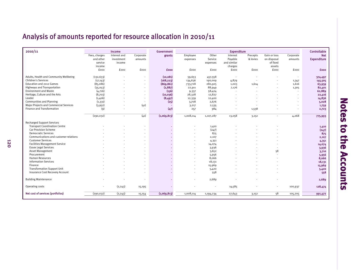## Analysis of amounts reported for resource allocation in 2010/11

| 2010/11                                |                   | Income         |           | Government  |           |           | <b>Expenditure</b> |          |                          |                          | Controllable       |
|----------------------------------------|-------------------|----------------|-----------|-------------|-----------|-----------|--------------------|----------|--------------------------|--------------------------|--------------------|
|                                        | Fees, charges     | Interest and   | Corporate | grants      | Employee  | Other     | Interest           | Precepts | Gain or loss             | Corporate                | <b>Net</b>         |
|                                        | and other         | investment     | amounts   |             | expenses  | Service   | Payable            | & levies | on disposal              | amounts                  | <b>Expenditure</b> |
|                                        | service           | income         |           |             |           | expenses  | and similar        |          | of fixed                 |                          |                    |
|                                        | income            |                |           |             |           |           | charges            |          | assets                   |                          |                    |
|                                        | fooo              | fooo           | fooo      | £000        | fooo      | fooo      | fooo               | fooo     | fooo                     | fooo                     | £000               |
|                                        |                   |                |           |             |           |           |                    |          |                          |                          |                    |
| Adults, Health and Community Wellbeing | (132, 633)        |                |           | (10, 081)   | 59,653    | 457,558   |                    |          |                          | $\overline{\phantom{a}}$ | 374,497            |
| <b>Children's Services</b>             | (17, 143)         |                |           | (168, 223)  | 134,636   | 190,009   | 4,879              |          |                          | 1,347                    | 145,505            |
| Education and 2012 Games               | (85,086)          |                |           | (869, 861)  | 733,728   | 280,925   | 1,003              | 1,614    |                          | 1,616                    | 63,939             |
| <b>Highways and Transportation</b>     | (35,053)          |                |           | (2,887)     | 22,911    | 88,949    | 7,176              |          | $\overline{\phantom{a}}$ | 1,305                    | 82,401             |
| <b>Environment and Waste</b>           | (4,716)           |                |           | (156)       | 9,337     | 58,424    |                    |          |                          |                          | 62,889             |
| Heritage, Culture and the Arts         | (8,703)           |                |           | (10, 036)   | 28,328    | 12,827    |                    |          |                          | $\overline{\phantom{a}}$ | 22,416             |
| Leader                                 | (1,406)           |                |           | (8,497)     | 12,339    | 12,400    |                    |          |                          | $\overline{a}$           | 14,836             |
| <b>Communities and Planning</b>        | (1, 331)          |                |           | (25)        | 3,708     | 2,676     |                    |          |                          | $\blacksquare$           | 5,028              |
| Major Projects and Commercial Services | (3,952)           |                | (41)      |             | 3,217     | 2,535     |                    |          |                          | $\overline{a}$           | 1,759              |
| Finance and Transformation             | $\left( 9\right)$ | $\blacksquare$ |           | (47)        | 257       | 984       |                    | 1,538    |                          | $\blacksquare$           | 2,723              |
|                                        |                   |                |           |             |           |           |                    |          |                          |                          |                    |
|                                        | (290, 032)        | $\blacksquare$ | (41)      | (1,069,813) | 1,008,114 | 1,107,287 | 13,058             | 3,152    | $\blacksquare$           | 4,268                    | 775,993            |
|                                        |                   |                |           |             |           |           |                    |          |                          |                          |                    |
| <b>Recharged Support Services</b>      |                   |                |           |             |           |           |                    |          |                          |                          |                    |
| <b>Transport Coordination Centre</b>   |                   |                |           |             |           | 1,410     |                    |          |                          |                          | 1,410              |
| <b>Car Provision Scheme</b>            |                   |                |           |             |           | (247)     |                    |          |                          |                          | (247)              |
| <b>Democratic Services</b>             |                   |                |           |             |           | 875       |                    |          |                          |                          | 875                |
| Communications and customer relations  |                   |                |           |             |           | 2,107     |                    |          |                          |                          | 2,107              |
| <b>Customer Services</b>               |                   |                |           |             |           | 4,351     |                    |          |                          |                          | 4,351              |
| <b>Facilities Management Service</b>   |                   |                |           |             |           | 14,074    |                    |          |                          |                          | 14,074             |
| <b>Essex Legal Services</b>            |                   |                |           |             |           | 3,936     |                    |          |                          |                          | 3,936              |
| Asset Management                       |                   |                |           |             |           | 3,652     |                    |          | 58                       |                          | 3,710              |
| Procurement                            |                   |                |           |             |           | 5,956     |                    |          |                          |                          | 5,956              |
| <b>Human Resources</b>                 |                   |                |           |             |           | 8,066     |                    |          |                          |                          | 8,066              |
| <b>Information Services</b>            |                   |                |           |             |           | 18,131    |                    |          |                          |                          | 18,131             |
| Finance                                |                   |                |           |             |           | 15,969    |                    |          |                          |                          | 15,969             |
| <b>Transformation Support Unit</b>     |                   |                |           |             |           | 5,420     |                    |          |                          |                          | 5,420              |
| Insurance Cost Recovery Account        |                   |                |           |             |           | 558       |                    |          |                          |                          | 558                |
|                                        |                   |                |           |             |           |           |                    |          |                          |                          |                    |
| <b>Building Maintenance</b>            |                   |                |           |             |           | 2,689     |                    |          |                          |                          | 2,689              |
|                                        |                   |                |           |             |           |           |                    |          |                          |                          |                    |
| Operating costs                        | ٠                 | (2, 243)       | 15,195    |             |           |           | 14,585             |          | $\blacksquare$           | 100,937                  | 128,474            |
| Net cost of services (portfolios)      | (290, 032)        | (2, 243)       | 15,154    | (1,069,813) | 1,008,114 |           | 27,643             |          | 58                       |                          |                    |
|                                        |                   |                |           |             |           | 1,194,234 |                    | 3,152    |                          | 105,205                  | 991,472            |

# **Notes to the Accounts Notes to the Accounts**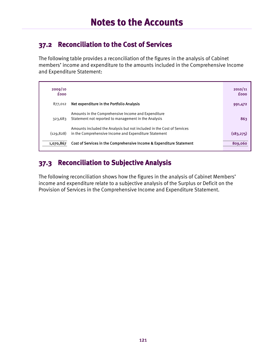#### **37.2 Reconciliation to the Cost of Services**

The following table provides a reconciliation of the figures in the analysis of Cabinet members' income and expenditure to the amounts included in the Comprehensive Income and Expenditure Statement:

| 2009/10<br><b>fooo</b> |                                                                                                                                 | 2010/11<br><b>fooo</b> |
|------------------------|---------------------------------------------------------------------------------------------------------------------------------|------------------------|
| 877.012                | Net expenditure in the Portfolio Analysis                                                                                       | 991,472                |
| 323,683                | Amounts in the Comprehensive Income and Expenditure<br>Statement not reported to management in the Analysis                     | 863                    |
| (129, 828)             | Amounts included the Analysis but not included in the Cost of Services<br>in the Comprehensive Income and Expenditure Statement | (183, 275)             |
| 1,070,867              | Cost of Services in the Comprehensive Income & Expenditure Statement                                                            | 809,060                |

### **37.3 Reconciliation to Subjective Analysis**

The following reconciliation shows how the figures in the analysis of Cabinet Members' income and expenditure relate to a subjective analysis of the Surplus or Deficit on the Provision of Services in the Comprehensive Income and Expenditure Statement.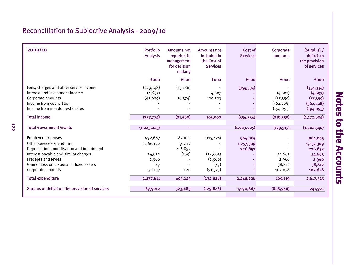## Reconciliation to Subjective Analysis - 2009/10

| 2009/10                                                                                                                                                                                                                                                 | <b>Portfolio</b><br><b>Analysis</b>                                  | <b>Amounts not</b><br>reported to<br>management<br>for decision<br>making | <b>Amounts not</b><br>included in<br>the Cost of<br><b>Services</b>   | Cost of<br><b>Services</b>                   | Corporate<br>amounts                              | (Surplus) /<br>deficit on<br>the provision<br>of services                            |
|---------------------------------------------------------------------------------------------------------------------------------------------------------------------------------------------------------------------------------------------------------|----------------------------------------------------------------------|---------------------------------------------------------------------------|-----------------------------------------------------------------------|----------------------------------------------|---------------------------------------------------|--------------------------------------------------------------------------------------|
|                                                                                                                                                                                                                                                         | <b>fooo</b>                                                          | <b>fooo</b>                                                               | <b>fooo</b>                                                           | <b>fooo</b>                                  | <b>fooo</b>                                       | <b>fooo</b>                                                                          |
| Fees, charges and other service income<br>Interest and investment income<br>Corporate amounts<br>Income from council tax<br>Income from non domestic rates                                                                                              | (279, 148)<br>(4, 697)<br>(93, 929)                                  | (75, 186)<br>(6,374)                                                      | $\overline{\phantom{a}}$<br>4,697<br>100,303                          | (354, 334)                                   | (4, 697)<br>(57, 350)<br>(562, 408)<br>(194, 095) | (354, 334)<br>(4, 697)<br>(57, 350)<br>(562, 408)<br>(194, 095)                      |
| <b>Total income</b>                                                                                                                                                                                                                                     | (377, 774)                                                           | (81,560)                                                                  | 105,000                                                               | (354, 334)                                   | (818, 550)                                        | (1, 172, 884)                                                                        |
| <b>Total Government Grants</b>                                                                                                                                                                                                                          | (1,023,025)                                                          | ٠                                                                         |                                                                       | (1,023,025)                                  | (179, 515)                                        | (1, 202, 540)                                                                        |
| Employee expenses<br>Other service expenditure<br>Depreciation, amortisation and impairment<br>Interest payable and similar charges<br>Precepts and levies<br>Gain or loss on disposal of fixed assets<br>Corporate amounts<br><b>Total expenditure</b> | 992,667<br>1,166,192<br>24,832<br>2,966<br>47<br>91,107<br>2,277,811 | 87,023<br>91,117<br>226,852<br>(169)<br>420<br>405,243                    | (115, 625)<br>(24, 663)<br>(2,966)<br>(47)<br>(91, 527)<br>(234, 828) | 964,065<br>1,257,309<br>226,852<br>2,448,226 | 24,663<br>2,966<br>38,812<br>102,678<br>169,119   | 964,065<br>1,257,309<br>226,852<br>24,663<br>2,966<br>38,812<br>102,678<br>2,617,345 |
| Surplus or deficit on the provision of services                                                                                                                                                                                                         | 877,012                                                              | 323,683                                                                   | (129, 828)                                                            | 1,070,867                                    | (828, 946)                                        | 241,921                                                                              |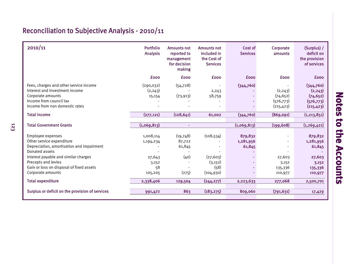## Reconciliation to Subjective Analysis - 2010/11

123

| 2010/11                                                                                                                                                                                                                                                                   | Portfolio<br><b>Analysis</b>                                            | <b>Amounts not</b><br>reported to<br>management<br>for decision<br>making | <b>Amounts not</b><br>included in<br>the Cost of<br><b>Services</b>     | Cost of<br><b>Services</b>                  | Corporate<br>amounts                             | (Surplus) /<br>deficit on<br>the provision<br>of services                            |
|---------------------------------------------------------------------------------------------------------------------------------------------------------------------------------------------------------------------------------------------------------------------------|-------------------------------------------------------------------------|---------------------------------------------------------------------------|-------------------------------------------------------------------------|---------------------------------------------|--------------------------------------------------|--------------------------------------------------------------------------------------|
|                                                                                                                                                                                                                                                                           | <b>fooo</b>                                                             | <b>fooo</b>                                                               | <b>fooo</b>                                                             | <b>fooo</b>                                 | <b>fooo</b>                                      | <b>fooo</b>                                                                          |
| Fees, charges and other service income<br>Interest and investment income<br>Corporate amounts<br>Income from council tax<br>Income from non domestic rates                                                                                                                | (290, 032)<br>(2, 243)<br>15,154                                        | (54, 728)<br>(73, 913)                                                    | $\overline{\phantom{0}}$<br>2,243<br>58,759                             | (344,760)                                   | (2,243)<br>(74, 652)<br>(576, 773)<br>(215, 423) | (344,760)<br>(2, 243)<br>(74, 652)<br>(576, 773)<br>(215, 423)                       |
| <b>Total income</b>                                                                                                                                                                                                                                                       | (277, 121)                                                              | (128, 641)                                                                | 61,002                                                                  | (344,760)                                   | (869,091)                                        | (1, 213, 851)                                                                        |
| <b>Total Government Grants</b>                                                                                                                                                                                                                                            | (1,069,813)                                                             | ٠                                                                         |                                                                         | (1,069,813)                                 | (199, 608)                                       | (1, 269, 421)                                                                        |
| Employee expenses<br>Other service expenditure<br>Depreciation, amortisation and impairment<br>Donated assets<br>Interest payable and similar charges<br>Precepts and levies<br>Gain or loss on disposal of fixed assets<br>Corporate amounts<br><b>Total expenditure</b> | 1,008,114<br>1,194,234<br>27,643<br>3,152<br>58<br>105,205<br>2,338,406 | (19,748)<br>87,722<br>61,845<br>(40)<br>(275)<br>129,504                  | (108, 534)<br>(27, 603)<br>(3, 152)<br>(58)<br>(104, 930)<br>(244, 277) | 879,832<br>1,281,956<br>61,845<br>2,223,633 | 27,603<br>3,152<br>135,336<br>110,977<br>277,068 | 879,832<br>1,281,956<br>61,845<br>27,603<br>3,152<br>135,336<br>110,977<br>2,500,701 |
| Surplus or deficit on the provision of services                                                                                                                                                                                                                           | 991,472                                                                 | 863                                                                       | (183, 275)                                                              | 809,060                                     | (791, 631)                                       | 17,429                                                                               |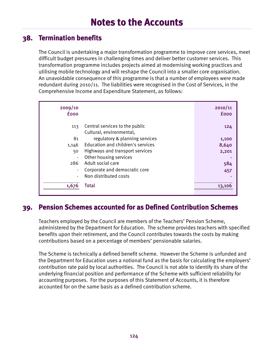#### **38. Termination benefits**

The Council is undertaking a major transformation programme to improve core services, meet difficult budget pressures in challenging times and deliver better customer services. This transformation programme includes projects aimed at modernising working practices and utilising mobile technology and will reshape the Council into a smaller core organisation. An unavoidable consequence of this programme is that a number of employees were made redundant during 2010/11. The liabilities were recognised in the Cost of Services, in the Comprehensive Income and Expenditure Statement, as follows:

| 2009/10<br><b>fooo</b> |                                                            | 2010/11<br><b>fooo</b> |
|------------------------|------------------------------------------------------------|------------------------|
| 113                    | Central services to the public<br>Cultural, environmental, | 124                    |
| 81                     | regulatory & planning services                             | 1,100                  |
| 1,146                  | Education and children's services                          | 8,640                  |
| 50                     | Highways and transport services                            | 2,201                  |
|                        | Other housing services                                     |                        |
| 286                    | Adult social care                                          | 584                    |
|                        | Corporate and democratic core                              | 457                    |
|                        | Non distributed costs                                      |                        |
| 1,676                  | Total                                                      | 13,10                  |

#### **39. Pension Schemes accounted for as Defined Contribution Schemes**

Teachers employed by the Council are members of the Teachers' Pension Scheme, administered by the Department for Education. The scheme provides teachers with specified benefits upon their retirement, and the Council contributes towards the costs by making contributions based on a percentage of members' pensionable salaries.

The Scheme is technically a defined benefit scheme. However the Scheme is unfunded and the Department for Education uses a notional fund as the basis for calculating the employers' contribution rate paid by local authorities. The Council is not able to identify its share of the underlying financial position and performance of the Scheme with sufficient reliability for accounting purposes. For the purposes of this Statement of Accounts, it is therefore accounted for on the same basis as a defined contribution scheme.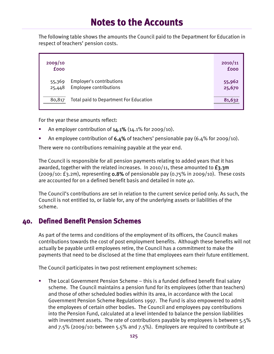The following table shows the amounts the Council paid to the Department for Education in respect of teachers' pension costs.

| 2009/10<br><b>fooo</b> |                                                    | 2010/11<br><b>fooo</b> |
|------------------------|----------------------------------------------------|------------------------|
| 55,369<br>25,448       | Employer's contributions<br>Employee contributions | 55,962<br>25,670       |
| 80,817                 | Total paid to Department For Education             | 81,632                 |

For the year these amounts reflect:

- An employer contribution of  $14.1\%$  (14.1% for 2009/10).
- An employee contribution of  $6.4\%$  of teachers' pensionable pay (6.4% for 2009/10).

There were no contributions remaining payable at the year end.

The Council is responsible for all pension payments relating to added years that it has awarded, together with the related increases. In 2010/11, these amounted to  $f_3$ ,  $m$  $(2009/10: f3.2m)$ , representing 0.8% of pensionable pay  $(0.75\%$  in 2009/10). These costs are accounted for on a defined benefit basis and detailed in note 40.

The Council's contributions are set in relation to the current service period only. As such, the Council is not entitled to, or liable for, any of the underlying assets or liabilities of the scheme.

#### **40. Defined Benefit Pension Schemes**

As part of the terms and conditions of the employment of its officers, the Council makes contributions towards the cost of post employment benefits. Although these benefits will not actually be payable until employees retire, the Council has a commitment to make the payments that need to be disclosed at the time that employees earn their future entitlement.

The Council participates in two post retirement employment schemes:

 The Local Government Pension Scheme – this is a funded defined benefit final salary scheme. The Council maintains a pension fund for its employees (other than teachers) and those of other scheduled bodies within its area, in accordance with the Local Government Pension Scheme Regulations 1997. The Fund is also empowered to admit the employees of certain other bodies. The Council and employees pay contributions into the Pension Fund, calculated at a level intended to balance the pension liabilities with investment assets. The rate of contributions payable by employees is between 5.5% and 7.5% (2009/10: between 5.5% and 7.5%). Employers are required to contribute at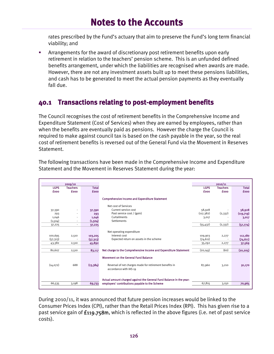rates prescribed by the Fund's actuary that aim to preserve the Fund's long term financial viability; and

 Arrangements for the award of discretionary post retirement benefits upon early retirement in relation to the teachers' pension scheme. This is an unfunded defined benefits arrangement, under which the liabilities are recognised when awards are made. However, there are not any investment assets built up to meet these pensions liabilities, and cash has to be generated to meet the actual pension payments as they eventually fall due.

#### **40.1 Transactions relating to post-employment benefits**

The Council recognises the cost of retirement benefits in the Comprehensive Income and Expenditure Statement (Cost of Services) when they are earned by employees, rather than when the benefits are eventually paid as pensions. However the charge the Council is required to make against council tax is based on the cash payable in the year, so the real cost of retirement benefits is reversed out of the General Fund via the Movement in Reserves Statement.

|             | 2009/10         |              |                                                                                                                                                                                                         |             | 2010/11         |              |
|-------------|-----------------|--------------|---------------------------------------------------------------------------------------------------------------------------------------------------------------------------------------------------------|-------------|-----------------|--------------|
| <b>LGPS</b> | <b>Teachers</b> | <b>Total</b> |                                                                                                                                                                                                         | <b>LGPS</b> | <b>Teachers</b> | <b>Total</b> |
| <b>fooo</b> | <b>fooo</b>     | <b>fooo</b>  |                                                                                                                                                                                                         | fooo        | <b>fooo</b>     | <b>£000</b>  |
|             |                 |              |                                                                                                                                                                                                         |             |                 |              |
|             |                 |              | <b>Comprehensive Income and Expenditure Statement</b>                                                                                                                                                   |             |                 |              |
|             |                 |              | Net cost of Services                                                                                                                                                                                    |             |                 |              |
| 37,390      |                 | 37,390       | Current service cost                                                                                                                                                                                    | 58,928      |                 | 58,928       |
| 293         |                 | 293          | Past service cost / (gain)                                                                                                                                                                              | (117, 382)  | (2, 337)        | (119,719)    |
| 1,046       |                 | 1,046        | Curtailments                                                                                                                                                                                            | 3,017       |                 | 3,017        |
| (1,504)     |                 | (1,504)      | <b>Settlements</b>                                                                                                                                                                                      |             |                 |              |
| 37,225      |                 | 37,225       |                                                                                                                                                                                                         | (55, 437)   | (2,337)         | (57, 774)    |
| 100,695     | 2,510           | 103,205      | Net operating expenditure<br>Interest cost                                                                                                                                                              | 109,903     | 2,277           | 112,180      |
| (57, 313)   |                 | (57, 313)    | Expected return on assets in the scheme                                                                                                                                                                 | (74, 611)   |                 | (74, 611)    |
| 43,382      | 2,510           | 45,892       |                                                                                                                                                                                                         | 35,292      | 2,277           | 37,569       |
|             |                 |              |                                                                                                                                                                                                         |             |                 |              |
| 80,607      | 2,510           | 83,117       | Net charge to the Comprehensive Income and Expenditure Statement                                                                                                                                        | (20, 145)   | (60)            | (20, 205)    |
| (14,072)    | 688             | (13, 384)    | <b>Movement on the General Fund Balance</b><br>Reversal of net charges made for retirement benefits in<br>accordance with IAS 19<br>Actual amount charged against the General Fund Balance in the year: | 87,960      | 3,210           | 91,170       |
| 66,535      | 3,198           | 69,733       | employers' contributions payable to the Scheme                                                                                                                                                          | 67,815      | 3,150           | 70,965       |
|             |                 |              |                                                                                                                                                                                                         |             |                 |              |

The following transactions have been made in the Comprehensive Income and Expenditure Statement and the Movement in Reserves Statement during the year:

During 2010/11, it was announced that future pension increases would be linked to the Consumer Prices Index (CPI), rather than the Retail Prices Index (RPI). This has given rise to a past service gain of  $£119.758m$ , which is reflected in the above figures (i.e. net of past service costs).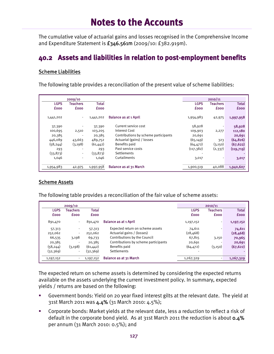The cumulative value of actuarial gains and losses recognised in the Comprehensive Income and Expenditure Statement is £346.561m (2009/10: £382.919m).

#### **40.2 Assets and liabilities in relation to post-employment benefits**

#### Scheme Liabilities

The following table provides a reconciliation of the present value of scheme liabilities:

|             | 2009/10                  |              |                                      |             | 2010/11     |              |
|-------------|--------------------------|--------------|--------------------------------------|-------------|-------------|--------------|
| <b>LGPS</b> | Teachers                 | <b>Total</b> |                                      | <b>LGPS</b> | Teachers    | <b>Total</b> |
| <b>fooo</b> | <b>fooo</b>              | <b>fooo</b>  |                                      | <b>fooo</b> | <b>fooo</b> | <b>fooo</b>  |
| 1,441,202   |                          | 1,441,202    | <b>Balance as at 1 April</b>         | 1,954,983   | 42,975      | 1,997,958    |
| 37,390      |                          | 37,390       | Current service cost                 | 58,928      |             | 58,928       |
| 100,695     | 2,510                    | 103,205      | Interest Cost                        | 109,903     | 2,277       | 112,180      |
| 20,385      | $\overline{\phantom{a}}$ | 20,385       | Contributions by scheme participants | 20,691      |             | 20,691       |
| 446,089     | 43,663                   | 489,752      | Actuarial (gains) / losses           | (65, 149)   | 323         | (64, 826)    |
| (58, 244)   | (3, 198)                 | (61, 442)    | Benefits paid                        | (64, 472)   | (3,150)     | (67, 622)    |
| 293         |                          | 293          | Past service costs                   | (117, 382)  | (2,337)     | (119, 719)   |
| (33, 873)   | $\blacksquare$           | (33,873)     | Settlements                          |             |             |              |
| 1,046       | $\blacksquare$           | 1,046        | Curtailments                         | 3,017       |             | 3,017        |
|             |                          |              |                                      |             |             |              |
| 1,954,983   | 42,975                   | 1,997,958    | <b>Balance as at 31 March</b>        | 1,900,519   | 40,088      | 1,940,607    |

#### Scheme Assets

The following table provides a reconciliation of the fair value of scheme assets:

|             | 2009/10                  |             |                                      |             | 2010/11     |              |
|-------------|--------------------------|-------------|--------------------------------------|-------------|-------------|--------------|
| <b>LGPS</b> | Teachers                 | Total       |                                      | <b>LGPS</b> | Teachers    | <b>Total</b> |
| <b>fooo</b> | <b>fooo</b>              | <b>fooo</b> |                                      | <b>fooo</b> | <b>fooo</b> | <b>fooo</b>  |
| 891,470     | ٠                        | 891,470     | <b>Balance as at 1 April</b>         | 1,197,152   |             | 1,197,152    |
| 57,313      | $\overline{\phantom{a}}$ | 57,313      | Expected return on scheme assets     | 74,611      |             | 74,611       |
| 252,062     | $\blacksquare$           | 252,062     | Actuarial gains / (losses)           | (28, 468)   |             | (28, 468)    |
| 66,535      | 3,198                    | 69,733      | Contributions by the Council         | 67,815      | 3,150       | 70,965       |
| 20,385      | $\overline{\phantom{a}}$ | 20,385      | Contributions by scheme participants | 20,691      |             | 20,691       |
| (58, 244)   | (3, 198)                 | (61, 442)   | Benefits paid                        | (64, 472)   | (3,150)     | (67, 622)    |
| (32,369)    | $\blacksquare$           | (32,369)    | Settlements                          |             |             |              |
| 1,197,152   | $\sim$                   | 1,197,152   | <b>Balance as at 31 March</b>        | 1,267,329   |             | 1,267,329    |

The expected return on scheme assets is determined by considering the expected returns available on the assets underlying the current investment policy. In summary, expected yields / returns are based on the following:

- Government bonds: Yield on 20 year fixed interest gilts at the relevant date. The yield at 31st March 2011 was 4.4% (31 March 2010: 4.5%);
- Corporate bonds: Market yields at the relevant date, less a reduction to reflect a risk of default in the corporate bond yield. As at 31st March 2011 the reduction is about 0.4% per annum (31 March 2010: 0.5%); and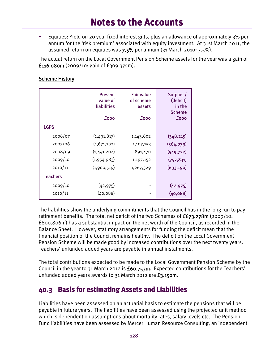Equities: Yield on 20 year fixed interest gilts, plus an allowance of approximately 3% per annum for the 'risk premium' associated with equity investment. At 31st March 2011, the assumed return on equities was 7.5% per annum (31 March 2010: 7.5%).

The actual return on the Local Government Pension Scheme assets for the year was a gain of £116.080m  $(2009/10:$  gain of £309.375m).

|                 | <b>Present</b><br>value of | <b>Fair value</b><br>of scheme | Surplus /<br>(deficit)       |
|-----------------|----------------------------|--------------------------------|------------------------------|
|                 | liabilities                | assets                         | in the                       |
|                 | fooo                       | fooo                           | <b>Scheme</b><br><b>fooo</b> |
|                 |                            |                                |                              |
| <b>LGPS</b>     |                            |                                |                              |
| 2006/07         | (1,491,817)                | 1,143,602                      | (348, 215)                   |
| 2007/08         | (1,671,192)                | 1,107,153                      | (564,039)                    |
| 2008/09         | (1,441,202)                | 891,470                        | (549, 732)                   |
| 2009/10         | (1,954,983)                | 1,197,152                      | (757, 831)                   |
| 2010/11         | (1,900,519)                | 1,267,329                      | (633, 190)                   |
| <b>Teachers</b> |                            |                                |                              |
| 2009/10         | (42, 975)                  |                                | (42, 975)                    |
| 2010/11         | (40, 088)                  |                                | (40, 088)                    |
|                 |                            |                                |                              |

#### Scheme History

The liabilities show the underlying commitments that the Council has in the long run to pay retirement benefits. The total net deficit of the two Schemes of  $f_{673.278m}$  (2009/10: £800.806m) has a substantial impact on the net worth of the Council, as recorded in the Balance Sheet. However, statutory arrangements for funding the deficit mean that the financial position of the Council remains healthy. The deficit on the Local Government Pension Scheme will be made good by increased contributions over the next twenty years. Teachers' unfunded added years are payable in annual instalments.

The total contributions expected to be made to the Local Government Pension Scheme by the Council in the year to 31 March 2012 is £60.753m. Expected contributions for the Teachers' unfunded added years awards to 31 March 2012 are £3.150m.

#### **40.3 Basis for estimating Assets and Liabilities**

Liabilities have been assessed on an actuarial basis to estimate the pensions that will be payable in future years. The liabilities have been assessed using the projected unit method which is dependent on assumptions about mortality rates, salary levels etc. The Pension Fund liabilities have been assessed by Mercer Human Resource Consulting, an independent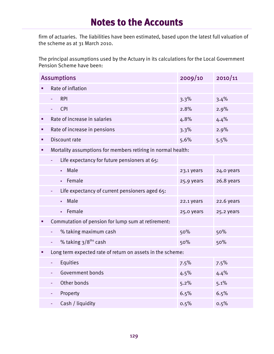firm of actuaries. The liabilities have been estimated, based upon the latest full valuation of the scheme as at  $31$  March 2010.

The principal assumptions used by the Actuary in its calculations for the Local Government Pension Scheme have been:

|   | <b>Assumptions</b>                                           | 2009/10    | 2010/11    |
|---|--------------------------------------------------------------|------------|------------|
|   | Rate of inflation                                            |            |            |
|   | <b>RPI</b>                                                   | 3.3%       | 3.4%       |
|   | <b>CPI</b>                                                   | 2.8%       | 2.9%       |
| ٠ | Rate of increase in salaries                                 | 4.8%       | 4.4%       |
| п | Rate of increase in pensions                                 | 3.3%       | 2.9%       |
| ٠ | Discount rate                                                | 5.6%       | 5.5%       |
| ٠ | Mortality assumptions for members retiring in normal health: |            |            |
|   | Life expectancy for future pensioners at 65:                 |            |            |
|   | Male<br>$\mathbf{r}$ .                                       | 23.1 years | 24.0 years |
|   | Female                                                       | 25.9 years | 26.8 years |
|   | Life expectancy of current pensioners aged 65:<br>÷          |            |            |
|   | Male                                                         | 22.1 years | 22.6 years |
|   | Female<br>a.                                                 | 25.0 years | 25.2 years |
| п | Commutation of pension for lump sum at retirement:           |            |            |
|   | % taking maximum cash                                        | 50%        | 50%        |
|   | % taking 3/8 <sup>ths</sup> cash<br>Ξ                        | 50%        | 50%        |
|   | Long term expected rate of return on assets in the scheme:   |            |            |
|   | Equities                                                     | 7.5%       | 7.5%       |
|   | Government bonds                                             | 4.5%       | 4.4%       |
|   | Other bonds<br>۰                                             | 5.2%       | 5.1%       |
|   | Property                                                     | 6.5%       | 6.5%       |
|   | Cash / liquidity                                             | 0.5%       | 0.5%       |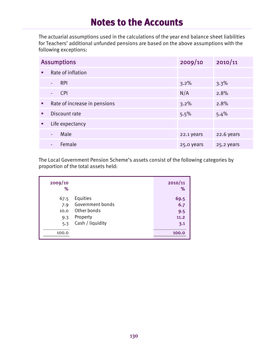The actuarial assumptions used in the calculations of the year end balance sheet liabilities for Teachers' additional unfunded pensions are based on the above assumptions with the following exceptions:

|   | <b>Assumptions</b>           | 2009/10    | 2010/11    |  |  |  |
|---|------------------------------|------------|------------|--|--|--|
| ٠ | Rate of inflation            |            |            |  |  |  |
|   | <b>RPI</b><br>٠              | 3.2%       | 3.3%       |  |  |  |
|   | <b>CPI</b><br>۰              | N/A        | 2.8%       |  |  |  |
| ٠ | Rate of increase in pensions | 3.2%       | 2.8%       |  |  |  |
| ٠ | Discount rate                | 5.5%       | 5.4%       |  |  |  |
| ٠ | Life expectancy              |            |            |  |  |  |
|   | Male<br>۰                    | 22.1 years | 22.6 years |  |  |  |
|   | Female<br>٠                  | 25.0 years | 25.2 years |  |  |  |

The Local Government Pension Scheme's assets consist of the following categories by proportion of the total assets held:

| 2009/10<br>% |                  | 2010/11<br>℅ |
|--------------|------------------|--------------|
| 67.5         | Equities         | 69.5         |
| 7.9          | Government bonds | 6.7          |
| 10.0         | Other bonds      | 9.5          |
| 9.3          | Property         | 11.2         |
| 5.3          | Cash / liquidity | 3.1          |
| 100.0        |                  | 100.0        |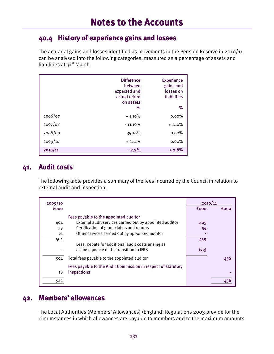#### **40.4 History of experience gains and losses**

The actuarial gains and losses identified as movements in the Pension Reserve in 2010/11 can be analysed into the following categories, measured as a percentage of assets and liabilities at 31<sup>st</sup> March.

|         | <b>Difference</b><br>between<br>expected and<br>actual return<br>on assets<br>% | <b>Experience</b><br>gains and<br>losses on<br>liabilities<br>% |
|---------|---------------------------------------------------------------------------------|-----------------------------------------------------------------|
| 2006/07 | $+1.10%$                                                                        | $0.00\%$                                                        |
| 2007/08 | $-11.10\%$                                                                      | $+1.10%$                                                        |
| 2008/09 | $-35.10\%$                                                                      | $0.00\%$                                                        |
| 2009/10 | $+21.1%$                                                                        | $0.00\%$                                                        |
| 2010/11 | $-2.2%$                                                                         | $+2.8%$                                                         |

#### **41. Audit costs**

The following table provides a summary of the fees incurred by the Council in relation to external audit and inspection.

| 2009/10     |                                                              | 2010/11     |             |
|-------------|--------------------------------------------------------------|-------------|-------------|
| <b>fooo</b> |                                                              | <b>fooo</b> | <b>fooo</b> |
|             | Fees payable to the appointed auditor                        |             |             |
| 404         | External audit services carried out by appointed auditor     | 405         |             |
| 79          | Certification of grant claims and returns                    | 54          |             |
| 21          | Other services carried out by appointed auditor              |             |             |
| 504         |                                                              | 459         |             |
|             | Less: Rebate for additional audit costs arising as           |             |             |
|             | a consequence of the transition to IFRS                      | (23)        |             |
| 504         | Total fees payable to the appointed auditor                  |             | 436         |
|             | Fees payable to the Audit Commission in respect of statutory |             |             |
| 18          | inspections                                                  |             |             |
| 522         |                                                              |             |             |

#### **42. Members' allowances**

The Local Authorities (Members' Allowances) (England) Regulations 2003 provide for the circumstances in which allowances are payable to members and to the maximum amounts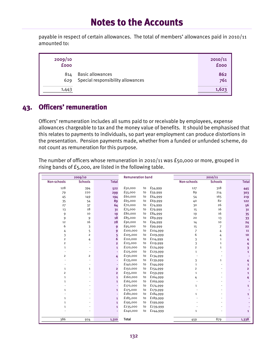payable in respect of certain allowances. The total of members' allowances paid in 2010/11 amounted to:

| 2009/10<br><b>fooo</b> |                                                              | 2010/11<br><b>fooo</b> |
|------------------------|--------------------------------------------------------------|------------------------|
| 814<br>629             | <b>Basic allowances</b><br>Special responsibility allowances | 862<br>761             |
| 1,443                  |                                                              | 1,623                  |

### **43. Officers' remuneration**

Officers' remuneration includes all sums paid to or receivable by employees, expense allowances chargeable to tax and the money value of benefits. It should be emphasised that this relates to payments to individuals, so part year employment can produce distortions in the presentation. Pension payments made, whether from a funded or unfunded scheme, do not count as remuneration for this purpose.

The number of officers whose remuneration in 2010/11 was £50,000 or more, grouped in rising bands of £5,000, are listed in the following table.

| 2009/10            |                          | <b>Remuneration band</b> |              |    |          | 2010/11            |                |              |
|--------------------|--------------------------|--------------------------|--------------|----|----------|--------------------|----------------|--------------|
| <b>Non-schools</b> | <b>Schools</b>           | <b>Total</b>             |              |    |          | <b>Non-schools</b> | <b>Schools</b> | <b>Total</b> |
| 128                | 394                      | 522                      | £50,000      | to | £54,999  | 127                | 318            | 445          |
| 79                 | 220                      | 299                      | £55,000      | to | £59,999  | 89                 | 214            | 303          |
| 45                 | 149                      | 194                      | £60,000      | to | £64,999  | 54                 | 165            | 219          |
| 35                 | 54                       | 89                       | £65,000      | to | £69,999  | 40                 | 82             | 122          |
| 27                 | 37                       | 64                       | £70,000      | to | £74,999  | 30                 | 26             | 56           |
| 13                 | 18                       | 31                       | £75,000      | to | £79,999  | 15                 | 16             | 31           |
| 9                  | 10                       | 19                       | £80,000      | to | £84,999  | 19                 | 16             | 35           |
| 9                  | 9                        | 18                       | £85,000      | to | £89,999  | 20                 | 13             | 33           |
| 12                 | 16                       | 28                       | £90,000      | to | £94,999  | 14                 | 10             | 24           |
| 6                  | 3                        | 9                        | £95,000      | to | £99,999  | 15                 | $\overline{7}$ | 22           |
| 4                  | 5                        | 9                        | £100,000     | to | £104,999 | $\overline{7}$     | 4              | 11           |
| 3                  | $\overline{2}$           | 5                        | £105,000     | to | £109,999 | 6                  | 4              | 10           |
| $\overline{2}$     | 4                        | 6                        | £110,000     | to | £114,999 | 3                  | $\mathbf{1}$   | 4            |
| $\overline{2}$     | $\overline{a}$           | $\overline{\mathbf{z}}$  | £115,000     | to | £119,999 | 3                  | $\mathbf{1}$   | 4            |
| $\mathbf{1}$       | $\overline{\phantom{a}}$ | $\mathbf{1}$             | £120,000     | to | £124,999 | $\overline{2}$     | $\mathbf{1}$   | 3            |
|                    | $\overline{\phantom{a}}$ |                          | £125,000     | to | £129,999 | $\mathbf{1}$       |                | $\mathbf{1}$ |
| $\overline{2}$     | $\overline{2}$           | 4                        | £130,000     | to | £134,999 |                    |                |              |
|                    | $\overline{\phantom{a}}$ |                          | £135,000     | to | £139,999 | 3                  | $\mathbf{1}$   |              |
|                    | $\overline{\phantom{a}}$ |                          | £140,000     | to | £144,999 | $\mathbf{1}$       |                | 1            |
| $\mathbf{1}$       | $\mathbf{1}$             | $\overline{2}$           | £150,000     | to | £154,999 | $\overline{2}$     |                | 2            |
| $\overline{2}$     |                          | $\overline{\mathbf{2}}$  | £155,000     | to | £159,999 | $\mathbf{1}$       |                | $\mathbf{1}$ |
| $\mathbf{1}$       |                          | $\mathbf{1}$             | £160,000     | to | £164,999 | 4                  |                | 4            |
| $\mathbf{1}$       |                          | $\mathbf{1}$             | £165,000     | to | £169,999 |                    |                |              |
|                    |                          |                          | £170,000     | to | £174,999 | $\mathbf{1}$       |                | 1            |
| $\mathbf{1}$       |                          | 1                        | £175,000     | to | £179,999 |                    |                |              |
|                    |                          |                          | £180,000     | to | £184,999 | $\mathbf{1}$       |                |              |
| 1                  |                          | $\mathbf{1}$             | £185,000     | to | £189,999 |                    |                |              |
| $\mathbf{1}$       |                          | 1                        | £195,000     | to | £199,999 |                    |                |              |
| $\mathbf{1}$       |                          | 1                        | £235,000     | to | £239,999 |                    |                |              |
|                    |                          |                          | £240,000     | to | £244,999 | $\mathbf{1}$       |                | 1            |
|                    |                          |                          |              |    |          |                    |                |              |
| 386                | 924                      | 1,310                    | <b>Total</b> |    |          | 459                | 879            | 1,338        |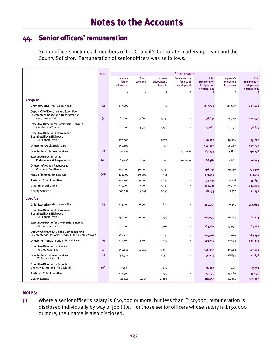## **44. Senior officers' remuneration**

Senior officers include all members of the Council's Corporate Leadership Team and the County Solicitor. Remuneration of senior officers was as follows:

|                                                                                                                    | <b>Notes</b>      | Remuneration          |                          |                          |                           |                                     |                            |                               |
|--------------------------------------------------------------------------------------------------------------------|-------------------|-----------------------|--------------------------|--------------------------|---------------------------|-------------------------------------|----------------------------|-------------------------------|
|                                                                                                                    |                   | Salaries,             | <b>Bonus</b>             | <b>Expense</b>           | Compensation              | <b>Total</b>                        | <b>Employer's</b>          | <b>Total</b>                  |
|                                                                                                                    |                   | fees or<br>allowances | payments                 | allowances /<br>benefits | for loss of<br>employment | remuneration<br><b>Excl pension</b> | contribution<br>to pension | remuneration<br>Incl. pension |
|                                                                                                                    |                   |                       |                          |                          |                           | contributions                       |                            | contributions                 |
|                                                                                                                    |                   | £                     | £                        | £                        | £                         | £                                   | £                          | £                             |
| 2009/10                                                                                                            |                   |                       |                          |                          |                           |                                     |                            |                               |
| Chief Executive - Ms Joanna Killian                                                                                | (iv)              | 237,000               |                          | 772                      |                           | 237,772                             | 29,670                     | 267,442                       |
| <b>Deputy Chief Executive and Executive</b><br><b>Director for Finance and Transformation</b><br>- Mr James N Bell | $\omega$          | 182,000               | 13,600                   | 1,041                    |                           | 196,641                             | 24,329                     | 220,970                       |
| <b>Executive Director for Commercial Services</b><br>- Mr Graham Tombs                                             |                   | 162,000               | 13,950                   | 1,130                    |                           | 177,080                             | 21,795                     | 198,875                       |
| <b>Executive Director - Environment,</b><br><b>Sustainability &amp; Highways</b><br>- Mr Robert Overall            |                   |                       |                          |                          |                           |                                     |                            |                               |
|                                                                                                                    |                   | 157,000               | $\overline{\phantom{a}}$ | 3,372                    | $\overline{\phantom{a}}$  | 160,372                             | 19,350                     | 179,722                       |
| <b>Director for Adult Social Care</b>                                                                              |                   | 150,100               |                          | 783                      |                           | 150,883                             | 18,460                     | 169,343                       |
| <b>Director for Childrens Services</b>                                                                             | (v <sub>i</sub> ) | 47,333                |                          |                          | 138,000                   | 185,333                             | 5,805                      | 191,138                       |
| <b>Executive Director for IS.</b><br><b>Performance &amp; Programmes</b>                                           | (vii)             | 64,936                | 2,500                    | 1,145                    | 100,000                   | 168,581                             | 7,662                      | 176,243                       |
| Director of Human Resource &<br><b>Customer Excellence</b>                                                         |                   | 125,000               | 30,000                   | 1,041                    | $\overline{\phantom{a}}$  | 156,041                             | 19,350                     | 175,391                       |
| <b>Head of Information Services</b>                                                                                | (viii)            | 122,500               | 10,000                   | 514                      | $\overline{\phantom{a}}$  | 133,014                             |                            | 133,014                       |
| <b>Assistant Chief Executive</b>                                                                                   |                   | 122,500               | 9,600                    | 1,041                    |                           | 133,141                             | 16,718                     | 149,859                       |
| <b>Chief Financial Officer</b>                                                                                     |                   | 109,500               | 7,490                    | 1,041                    | ÷                         | 118,031                             | 14,769                     | 132,800                       |
| <b>County Solicitor</b>                                                                                            |                   | 103,552               | 4,042                    | 1,041                    | $\overline{\phantom{a}}$  | 108,635                             | 13,557                     | 122,192                       |
| 2010/11                                                                                                            |                   |                       |                          |                          |                           |                                     |                            |                               |
| Chief Executive - Ms Joanna Killian                                                                                | (iv)              | 233,000               | 6,900                    | 815                      |                           | 240,715                             | 30,345                     | 271,060                       |
| <b>Executive Director - Environment,</b><br><b>Sustainability &amp; Highways</b><br>- Mr Robert Overall            |                   | 157,000               | 6,000                    | 1,099                    |                           | 164,099                             | 20,124                     | 184,223                       |
| <b>Executive Director for Commercial Services</b>                                                                  |                   |                       |                          |                          |                           |                                     |                            |                               |
| - Mr Graham Tombs                                                                                                  |                   | 162,000               |                          | 1,167                    |                           | 163,167                             | 19,995                     | 183,162                       |
| <b>Deputy Chief Executive and Commissioning</b><br>Director for Adult Social Services - Miss Jennifer Owen         |                   | 162,320               |                          | 841                      | ÷                         | 163,161                             | 20,036                     | 183,197                       |
| Director of Transformation - Mr Keir Lynch                                                                         | (x)               | 157,860               | 4,800                    | 1,099                    |                           | 163,759                             | 20,073                     | 183,832                       |
| <b>Executive Director for Finance</b><br>- Mrs Margaret Lee                                                        | ω                 | 152,654               | 4,280                    | 1,099                    | ÷                         | 158,033                             | 19,443                     | 177,476                       |
| <b>Director for Customer Services</b><br>Mr Andrew Fairchild                                                       | (xi)              | 152,974               |                          | 1,050                    |                           | 154,024                             | 18,854                     | 172,878                       |
| <b>Executive Director for Schools</b><br>Children & Families - Mr David Hill                                       | (xii)             | 75,833                |                          | 472                      |                           | 76,305                              | 9,406                      | 85,711                        |
| <b>Assistant Chief Executive</b>                                                                                   |                   | 122,500               |                          | 1,099                    |                           | 123,599                             | 15,480                     | 139,079                       |
| <b>County Solicitor</b>                                                                                            |                   | 114,144               | 2,021                    | 2,288                    |                           | 118,453                             | 14,814                     | 133,267                       |

#### **Notes:**

(i) Where a senior officer's salary is £50,000 or more, but less than £150,000, remuneration is disclosed individually by way of job title. For those senior officers whose salary is £150,000 or more, their name is also disclosed.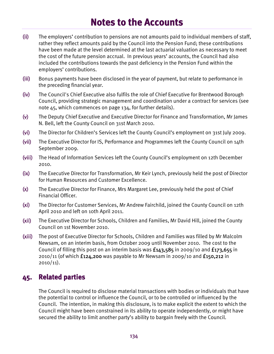- (ii) The employers' contribution to pensions are not amounts paid to individual members of staff, rather they reflect amounts paid by the Council into the Pension Fund; these contributions have been made at the level determined at the last actuarial valuation as necessary to meet the cost of the future pension accrual. In previous years' accounts, the Council had also included the contributions towards the past deficiency in the Pension Fund within the employers' contributions.
- (iii) Bonus payments have been disclosed in the year of payment, but relate to performance in the preceding financial year.
- (iv) The Council's Chief Executive also fulfils the role of Chief Executive for Brentwood Borough Council, providing strategic management and coordination under a contract for services (see note  $45$ , which commences on page 134, for further details).
- (v) The Deputy Chief Executive and Executive Director for Finance and Transformation, Mr James N. Bell, left the County Council on 31st March 2010.
- (vi) The Director for Children's Services left the County Council's employment on 31st July 2009.
- (vii) The Executive Director for IS, Performance and Programmes left the County Council on 14th September 2009.
- (viii) The Head of Information Services left the County Council's employment on 12th December 2010.
- (ix) The Executive Director for Transformation, Mr Keir Lynch, previously held the post of Director for Human Resources and Customer Excellence.
- (x) The Executive Director for Finance, Mrs Margaret Lee, previously held the post of Chief Financial Officer.
- (xi) The Director for Customer Services, Mr Andrew Fairchild, joined the County Council on 12th April 2010 and left on 10th April 2011.
- (xii) The Executive Director for Schools, Children and Families, Mr David Hill, joined the County Council on 1st November 2010.
- (xiii) The post of Executive Director for Schools, Children and Families was filled by Mr Malcolm Newsam, on an interim basis, from October 2009 until November 2010. The cost to the Council of filling this post on an interim basis was  $f_{143,585}$  in 2009/10 and  $f_{173,655}$  in  $2010/11$  (of which  $f124,200$  was payable to Mr Newsam in 2009/10 and  $f150,212$  in  $2010/11$ ).

#### **45. Related parties**

The Council is required to disclose material transactions with bodies or individuals that have the potential to control or influence the Council, or to be controlled or influenced by the Council. The intention, in making this disclosure, is to make explicit the extent to which the Council might have been constrained in its ability to operate independently, or might have secured the ability to limit another party's ability to bargain freely with the Council.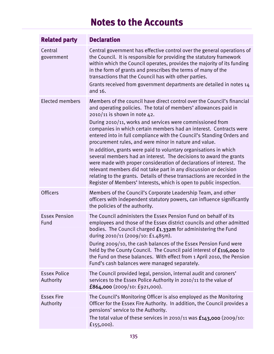| <b>Related party</b>             | <b>Declaration</b>                                                                                                                                                                                                                                                                                                                                                                                                                                                                                                                                                                                                                                                                                                                                                                                                                                                                            |
|----------------------------------|-----------------------------------------------------------------------------------------------------------------------------------------------------------------------------------------------------------------------------------------------------------------------------------------------------------------------------------------------------------------------------------------------------------------------------------------------------------------------------------------------------------------------------------------------------------------------------------------------------------------------------------------------------------------------------------------------------------------------------------------------------------------------------------------------------------------------------------------------------------------------------------------------|
| Central<br>government            | Central government has effective control over the general operations of<br>the Council. It is responsible for providing the statutory framework<br>within which the Council operates, provides the majority of its funding<br>in the form of grants and prescribes the terms of many of the<br>transactions that the Council has with other parties.<br>Grants received from government departments are detailed in notes 14<br>and 16.                                                                                                                                                                                                                                                                                                                                                                                                                                                       |
| <b>Elected members</b>           | Members of the council have direct control over the Council's financial<br>and operating policies. The total of members' allowances paid in<br>2010/11 is shown in note 42.<br>During 2010/11, works and services were commissioned from<br>companies in which certain members had an interest. Contracts were<br>entered into in full compliance with the Council's Standing Orders and<br>procurement rules, and were minor in nature and value.<br>In addition, grants were paid to voluntary organisations in which<br>several members had an interest. The decisions to award the grants<br>were made with proper consideration of declarations of interest. The<br>relevant members did not take part in any discussion or decision<br>relating to the grants. Details of these transactions are recorded in the<br>Register of Members' Interests, which is open to public inspection. |
| <b>Officers</b>                  | Members of the Council's Corporate Leadership Team, and other<br>officers with independent statutory powers, can influence significantly<br>the policies of the authority.                                                                                                                                                                                                                                                                                                                                                                                                                                                                                                                                                                                                                                                                                                                    |
| <b>Essex Pension</b><br>Fund     | The Council administers the Essex Pension Fund on behalf of its<br>employees and those of the Essex district councils and other admitted<br>bodies. The Council charged £1.332m for administering the Fund<br>during 2010/11 (2009/10: £1.485m).<br>During 2009/10, the cash balances of the Essex Pension Fund were<br>held by the County Council. The Council paid interest of £116,000 to<br>the Fund on these balances. With effect from 1 April 2010, the Pension<br>Fund's cash balances were managed separately.                                                                                                                                                                                                                                                                                                                                                                       |
| <b>Essex Police</b><br>Authority | The Council provided legal, pension, internal audit and coroners'<br>services to the Essex Police Authority in 2010/11 to the value of<br>£864,000 (2009/10:£921,000).                                                                                                                                                                                                                                                                                                                                                                                                                                                                                                                                                                                                                                                                                                                        |
| <b>Essex Fire</b><br>Authority   | The Council's Monitoring Officer is also employed as the Monitoring<br>Officer for the Essex Fire Authority. In addition, the Council provides a<br>pensions' service to the Authority.<br>The total value of these services in 2010/11 was $f143,000$ (2009/10:<br>£155,000).                                                                                                                                                                                                                                                                                                                                                                                                                                                                                                                                                                                                                |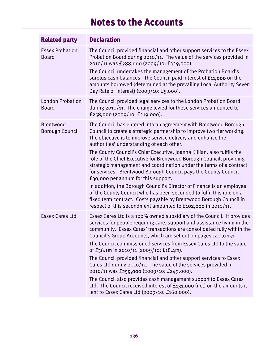| <b>Related party</b>                    | <b>Declaration</b>                                                                                                                                                                                                                                                                                                                                                                                                                                                                                                                                                                                                                                                                                                                                                                                                                                                                           |
|-----------------------------------------|----------------------------------------------------------------------------------------------------------------------------------------------------------------------------------------------------------------------------------------------------------------------------------------------------------------------------------------------------------------------------------------------------------------------------------------------------------------------------------------------------------------------------------------------------------------------------------------------------------------------------------------------------------------------------------------------------------------------------------------------------------------------------------------------------------------------------------------------------------------------------------------------|
| <b>Essex Probation</b><br><b>Board</b>  | The Council provided financial and other support services to the Essex<br>Probation Board during 2010/11. The value of the services provided in<br>2010/11 was £288,000 (2009/10: £329,000).<br>The Council undertakes the management of the Probation Board's<br>surplus cash balances. The Council paid interest of £11,000 on the<br>amounts borrowed (determined at the prevailing Local Authority Seven<br>Day Rate of interest) $(2009/10: E_5,000)$ .                                                                                                                                                                                                                                                                                                                                                                                                                                 |
| <b>London Probation</b><br><b>Board</b> | The Council provided legal services to the London Probation Board<br>during 2010/11. The charge levied for these services amounted to<br>£258,000 $(2009/10: 219,000)$ .                                                                                                                                                                                                                                                                                                                                                                                                                                                                                                                                                                                                                                                                                                                     |
| Brentwood<br>Borough Council            | The Council has entered into an agreement with Brentwood Borough<br>Council to create a strategic partnership to improve two tier working.<br>The objective is to improve service delivery and enhance the<br>authorities' understanding of each other.<br>The County Council's Chief Executive, Joanna Killian, also fulfils the<br>role of the Chief Executive for Brentwood Borough Council, providing<br>strategic management and coordination under the terms of a contract<br>for services. Brentwood Borough Council pays the County Council<br><b>f30,000</b> per annum for this support.<br>In addition, the Borough Council's Director of Finance is an employee<br>of the County Council who has been seconded to fulfil this role on a<br>fixed term contract. Costs payable by Brentwood Borough Council in<br>respect of this secondment amounted to $f_{102,000}$ in 2010/11. |
| <b>Essex Cares Ltd</b>                  | Essex Cares Ltd is a 100% owned subsidiary of the Council. It provides<br>services for people requiring care, support and assistance living in the<br>community. Essex Cares' transactions are consolidated fully within the<br>Council's Group Accounts, which are set out on pages 141 to 151.<br>The Council commissioned services from Essex Cares Ltd to the value<br>of $f_36.1m$ in 2010/11 (2009/10: £18.4m).<br>The Council provided financial and other support services to Essex<br>Cares Ltd during 2010/11. The value of the services provided in<br>2010/11 was £259,000 (2009/10: £249,000).<br>The Council also provides cash management support to Essex Cares<br>Ltd. The Council received interest of £131,000 (net) on the amounts it<br>lent to Essex Cares Ltd (2009/10: £160,000).                                                                                    |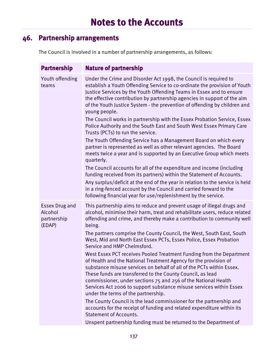## **46. Partnership arrangements**

The Council is involved in a number of partnership arrangements, as follows:

| <b>Partnership</b>                                        | <b>Nature of partnership</b>                                                                                                                                                                                                                                                                                                                                                                                                                                                                                                                                                                                                                                                                                                                                                                                                                                                                                                                                                                                                                                                                                                                                                                              |
|-----------------------------------------------------------|-----------------------------------------------------------------------------------------------------------------------------------------------------------------------------------------------------------------------------------------------------------------------------------------------------------------------------------------------------------------------------------------------------------------------------------------------------------------------------------------------------------------------------------------------------------------------------------------------------------------------------------------------------------------------------------------------------------------------------------------------------------------------------------------------------------------------------------------------------------------------------------------------------------------------------------------------------------------------------------------------------------------------------------------------------------------------------------------------------------------------------------------------------------------------------------------------------------|
| Youth offending<br>teams                                  | Under the Crime and Disorder Act 1998, the Council is required to<br>establish a Youth Offending Service to co-ordinate the provision of Youth<br>Justice Services by the Youth Offending Teams in Essex and to ensure<br>the effective contribution by partnership agencies in support of the aim<br>of the Youth Justice System - the prevention of offending by children and<br>young people.<br>The Council works in partnership with the Essex Probation Service, Essex<br>Police Authority and the South East and South West Essex Primary Care<br>Trusts (PCTs) to run the service.<br>The Youth Offending Service has a Management Board on which every<br>partner is represented as well as other relevant agencies. The Board<br>meets twice a year and is supported by an Executive Group which meets<br>quarterly.<br>The Council accounts for all of the expenditure and income (including<br>funding received from its partners) within the Statement of Accounts.<br>Any surplus/deficit at the end of the year in relation to the service is held<br>in a ring-fenced account by the Council and carried forward to the<br>following financial year for use/replenishment by the service. |
| <b>Essex Drug and</b><br>Alcohol<br>partnership<br>(EDAP) | This partnership aims to reduce and prevent usage of illegal drugs and<br>alcohol, minimise their harm, treat and rehabilitate users, reduce related<br>offending and crime, and thereby make a contribution to community well<br>being.<br>The partners comprise the County Council, the West, South East, South<br>West, Mid and North East Essex PCTs, Essex Police, Essex Probation<br>Service and HMP Chelmsford.<br>West Essex PCT receives Pooled Treatment Funding from the Department<br>of Health and the National Treatment Agency for the provision of<br>substance misuse services on behalf of all of the PCTs within Essex.<br>These funds are transferred to the County Council, as lead<br>commissioner, under sections 75 and 256 of the National Health<br>Services Act 2006 to support substance misuse services within Essex<br>under the terms of the partnership.<br>The County Council is the lead commissioner for the partnership and<br>accounts for the receipt of funding and related expenditure within its<br><b>Statement of Accounts.</b><br>Unspent partnership funding must be returned to the Department of                                                           |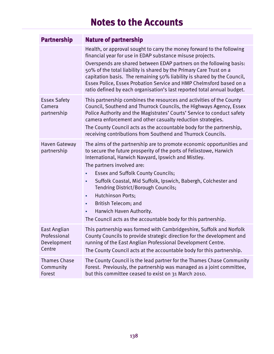| <b>Partnership</b>                                    | <b>Nature of partnership</b>                                                                                                                                                                                                                                                                                                                                                                                                                                                                                                                       |
|-------------------------------------------------------|----------------------------------------------------------------------------------------------------------------------------------------------------------------------------------------------------------------------------------------------------------------------------------------------------------------------------------------------------------------------------------------------------------------------------------------------------------------------------------------------------------------------------------------------------|
|                                                       | Health, or approval sought to carry the money forward to the following<br>financial year for use in EDAP substance misuse projects.<br>Overspends are shared between EDAP partners on the following basis:<br>50% of the total liability is shared by the Primary Care Trust on a<br>capitation basis. The remaining 50% liability is shared by the Council,<br>Essex Police, Essex Probation Service and HMP Chelmsford based on a<br>ratio defined by each organisation's last reported total annual budget.                                     |
| <b>Essex Safety</b><br>Camera<br>partnership          | This partnership combines the resources and activities of the County<br>Council, Southend and Thurrock Councils, the Highways Agency, Essex<br>Police Authority and the Magistrates' Courts' Service to conduct safety<br>camera enforcement and other casualty reduction strategies.<br>The County Council acts as the accountable body for the partnership,<br>receiving contributions from Southend and Thurrock Councils.                                                                                                                      |
| Haven Gateway<br>partnership                          | The aims of the partnership are to promote economic opportunities and<br>to secure the future prosperity of the ports of Felixstowe, Harwich<br>International, Harwich Navyard, Ipswich and Mistley.<br>The partners involved are:<br><b>Essex and Suffolk County Councils;</b><br>Suffolk Coastal, Mid Suffolk, Ipswich, Babergh, Colchester and<br>٠<br>Tendring District/Borough Councils;<br>Hutchinson Ports;<br>٠<br>British Telecom; and<br>٠<br>Harwich Haven Authority.<br>The Council acts as the accountable body for this partnership. |
| East Anglian<br>Professional<br>Development<br>Centre | This partnership was formed with Cambridgeshire, Suffolk and Norfolk<br>County Councils to provide strategic direction for the development and<br>running of the East Anglian Professional Development Centre.<br>The County Council acts at the accountable body for this partnership.                                                                                                                                                                                                                                                            |
| Thames Chase<br>Community<br>Forest                   | The County Council is the lead partner for the Thames Chase Community<br>Forest. Previously, the partnership was managed as a joint committee,<br>but this committee ceased to exist on 31 March 2010.                                                                                                                                                                                                                                                                                                                                             |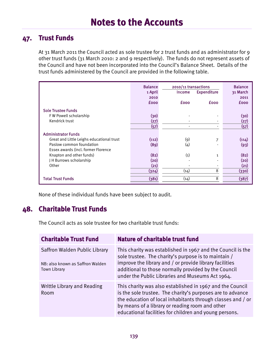## **47. Trust Funds**

At 31 March 2011 the Council acted as sole trustee for 2 trust funds and as administrator for 9 other trust funds (31 March 2010: 2 and 9 respectively). The funds do not represent assets of the Council and have not been incorporated into the Council's Balance Sheet. Details of the trust funds administered by the Council are provided in the following table.

|                                           | <b>Balance</b><br>1 April<br>2010<br><b>fooo</b> | 2010/11 transactions<br><b>Income</b><br><b>fooo</b> | <b>Expenditure</b><br><b>fooo</b> | <b>Balance</b><br>31 March<br>2011<br><b>fooo</b> |
|-------------------------------------------|--------------------------------------------------|------------------------------------------------------|-----------------------------------|---------------------------------------------------|
|                                           |                                                  |                                                      |                                   |                                                   |
| <b>Sole Trustee Funds</b>                 |                                                  |                                                      |                                   |                                                   |
| FW Powell scholarship                     | (30)                                             |                                                      |                                   | (30)                                              |
| Kendrick trust                            | (27)                                             |                                                      |                                   | (27)                                              |
|                                           | (57)                                             |                                                      |                                   | (57)                                              |
| <b>Administrator Funds</b>                |                                                  |                                                      |                                   |                                                   |
| Great and Little Leighs educational trust | (112)                                            | (9)                                                  | 7                                 | (114)                                             |
| Paslow common foundation                  | (89)                                             | (4)                                                  |                                   | (93)                                              |
| Essex awards (incl. former Florence       |                                                  |                                                      |                                   |                                                   |
| Knapton and other funds)                  | (82)                                             | (1)                                                  | $\mathbf{1}$                      | (82)                                              |
| J H Burrows scholarship                   | (20)                                             |                                                      |                                   | (20)                                              |
| Other                                     | (21)                                             |                                                      |                                   | (21)                                              |
|                                           | (324)                                            | (14)                                                 | 8                                 | (330)                                             |
| <b>Total Trust Funds</b>                  | (381)                                            | (14)                                                 | 8                                 | (387)                                             |

None of these individual funds have been subject to audit.

#### **48. Charitable Trust Funds**

The Council acts as sole trustee for two charitable trust funds:

| <b>Charitable Trust Fund</b>                                                             | Nature of charitable trust fund                                                                                                                                                                                                                                                                     |
|------------------------------------------------------------------------------------------|-----------------------------------------------------------------------------------------------------------------------------------------------------------------------------------------------------------------------------------------------------------------------------------------------------|
| Saffron Walden Public Library<br>NB: also known as Saffron Walden<br><b>Town Library</b> | This charity was established in 1967 and the Council is the<br>sole trustee. The charity's purpose is to maintain /<br>improve the library and / or provide library facilities<br>additional to those normally provided by the Council<br>under the Public Libraries and Museums Act 1964.          |
| Writtle Library and Reading<br>Room                                                      | This charity was also established in 1967 and the Council<br>is the sole trustee. The charity's purposes are to advance<br>the education of local inhabitants through classes and / or<br>by means of a library or reading room and other<br>educational facilities for children and young persons. |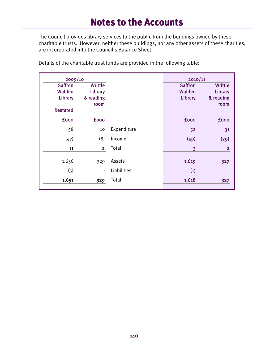The Council provides library services to the public from the buildings owned by these charitable trusts. However, neither these buildings, nor any other assets of these charities, are incorporated into the Council's Balance Sheet.

| 2009/10         |                   |             | 2010/11        |                   |
|-----------------|-------------------|-------------|----------------|-------------------|
| <b>Saffron</b>  | <b>Writtle</b>    |             | <b>Saffron</b> | <b>Writtle</b>    |
| Walden          | Library           |             | Walden         | Library           |
| Library         | & reading<br>room |             | Library        | & reading<br>room |
| <b>Restated</b> |                   |             |                |                   |
| <b>fooo</b>     | <b>fooo</b>       |             | <b>fooo</b>    | <b>fooo</b>       |
| 58              | 10                | Expenditure | 52             | 31                |
| (47)            | (8)               | Income      | (49)           | (29)              |
| 11              | $\overline{2}$    | Total       | 3              | $\overline{2}$    |
| 1,656           | 329               | Assets      | 1,619          | 327               |
| (5)             | $\overline{a}$    | Liabilities | (1)            |                   |
|                 |                   |             |                |                   |
| 1,651           | 329               | Total       | 1,618          | 327               |
|                 |                   |             |                |                   |

Details of the charitable trust funds are provided in the following table: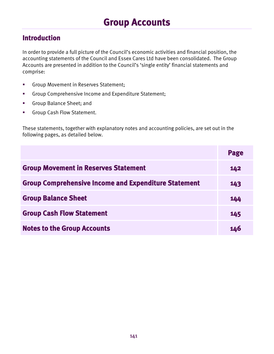# **Introduction**

In order to provide a full picture of the Council's economic activities and financial position, the accounting statements of the Council and Essex Cares Ltd have been consolidated. The Group Accounts are presented in addition to the Council's 'single entity' financial statements and comprise:

- **Group Movement in Reserves Statement;**
- Group Comprehensive Income and Expenditure Statement;
- Group Balance Sheet; and
- **Group Cash Flow Statement.**

These statements, together with explanatory notes and accounting policies, are set out in the following pages, as detailed below.

|                                                             | Page |
|-------------------------------------------------------------|------|
| <b>Group Movement in Reserves Statement</b>                 | 142  |
| <b>Group Comprehensive Income and Expenditure Statement</b> | 143  |
| <b>Group Balance Sheet</b>                                  | 144  |
| <b>Group Cash Flow Statement</b>                            | 145  |
| <b>Notes to the Group Accounts</b>                          | 146  |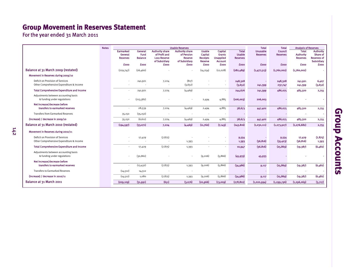# **Group Movement in Reserves Statement**

For the year ended 31 March 2011

142

|                                                                              | <b>Notes</b> | <b>Usable Reserves</b>                  |                                   |                                                                                 |                                                                  | <b>Total</b><br><b>Total</b>                           |                                                                       | <b>Analysis of Reserves</b>                      |                                    |                            |                                                     |                                                                  |
|------------------------------------------------------------------------------|--------------|-----------------------------------------|-----------------------------------|---------------------------------------------------------------------------------|------------------------------------------------------------------|--------------------------------------------------------|-----------------------------------------------------------------------|--------------------------------------------------|------------------------------------|----------------------------|-----------------------------------------------------|------------------------------------------------------------------|
|                                                                              |              | Earmarked<br>General<br><b>Reserves</b> | General<br>Fund<br><b>Balance</b> | <b>Authority share</b><br>of Profit and<br><b>Loss Reserve</b><br>of Subsidiarv | <b>Authority share</b><br>of Pension<br>Reserve<br>of Subsidiary | <b>Usable</b><br>Capital<br><b>Receipts</b><br>Reserve | <b>Capital</b><br><b>Grants</b><br><b>Unapplied</b><br><b>Account</b> | <b>Total</b><br><b>Usable</b><br><b>Reserves</b> | <b>Unusable</b><br><b>Reserves</b> | Council<br><b>Reserves</b> | <b>Total</b><br><b>Authority</b><br><b>Reserves</b> | <b>Authority</b><br>Share of<br><b>Reserves of</b><br>Subsidiary |
|                                                                              |              | <b>fooo</b>                             | <b>fooo</b>                       | <b>£000</b>                                                                     | <b>fooo</b>                                                      | <b>fooo</b>                                            | £000                                                                  | fooo                                             | <b>fooo</b>                        | <b>fooo</b>                | <b>fooo</b>                                         | <b>£000</b>                                                      |
| Balance at 31 March 2009 (restated)                                          |              | (229,747)                               | (26, 460)                         |                                                                                 |                                                                  | (14, 254)                                              | (12,028)                                                              | (282, 489)                                       | (1,477,513)                        | (1,760,002)                | (1,760,002)                                         |                                                                  |
| Movement in Reserves during 2009/10                                          |              |                                         |                                   |                                                                                 |                                                                  |                                                        |                                                                       |                                                  |                                    |                            |                                                     |                                                                  |
| Deficit on Provision of Services<br>Other Comprehensive Expenditure & Income |              |                                         | 241,921                           | 7,224                                                                           | (817)<br>(3,652)                                                 |                                                        |                                                                       | 248,328<br>(3,652)                               | 241,399                            | 248,328<br>237,747         | 241,921<br>241,399                                  | 6,407<br>(3,652)                                                 |
| <b>Total Comprehensive Expenditure and Income</b>                            |              | $\sim$                                  | 241,921                           | 7,224                                                                           | (4,469)                                                          |                                                        |                                                                       | 244,676                                          | 241,399                            | 486,075                    | 483,320                                             | 2,755                                                            |
| Adiustments between accounting basis<br>& funding under regulations          |              |                                         | (213, 382)                        |                                                                                 |                                                                  | 2,494                                                  | 4,885                                                                 | (206,003)                                        | 206,003                            |                            |                                                     |                                                                  |
| Net increase/decrease before<br>transfers to earmarked reserves              |              | $\sim$                                  | 28,539                            | 7,224                                                                           | (4,469)                                                          | 2,494                                                  | 4,885                                                                 | 38,673                                           | 447,402                            | 486,075                    | 483,320                                             | 2,755                                                            |
| <b>Transfers from Farmarked Reserves</b>                                     |              | 35,150                                  | (35, 150)                         |                                                                                 |                                                                  | $\overline{\phantom{a}}$                               |                                                                       |                                                  |                                    |                            |                                                     |                                                                  |
| (Increase) / decrease in 2009/10                                             |              | 35,150                                  | (6, 611)                          | 7,224                                                                           | (4,469)                                                          | 2,494                                                  | 4,885                                                                 | 38,673                                           | 447,402                            | 486,075                    | 483,320                                             | 2,755                                                            |
| Balance at 31 March 2010 (restated)                                          |              | (194, 597)                              | (33,071)                          | 7,224                                                                           | (4,469)                                                          | (11,760)                                               | (7, 143)                                                              | (243, 816)                                       | (1,030,111)                        | (1, 273, 927)              | (1, 276, 682)                                       | 2,755                                                            |
| Movement in Reserves during 2010/11                                          |              |                                         |                                   |                                                                                 |                                                                  |                                                        |                                                                       |                                                  |                                    |                            |                                                     |                                                                  |
| Deficit on Provision of Services<br>Other Comprehensive Expenditure & Income |              |                                         | 17,429                            | (7, 875)                                                                        | 1,393                                                            |                                                        |                                                                       | 9,554<br>1,393                                   | (36, 816)                          | 9,554<br>(35, 423)         | 17,429<br>(36, 816)                                 | (7, 875)<br>1,393                                                |
| <b>Total Comprehensive Expenditure and Income</b>                            |              |                                         | 17,429                            | (7, 875)                                                                        | 1,393                                                            |                                                        |                                                                       | 10,947                                           | (36, 816)                          | (25, 869)                  | (19, 387)                                           | (6,482)                                                          |
| Adjustments between accounting basis<br>& funding under regulations          |              |                                         | (30, 861)                         |                                                                                 |                                                                  | (9, 206)                                               | (5, 866)                                                              | (45, 933)                                        | 45,933                             |                            |                                                     |                                                                  |
| Net increase/decrease before                                                 |              |                                         |                                   |                                                                                 |                                                                  |                                                        |                                                                       |                                                  |                                    |                            |                                                     |                                                                  |
| transfers to earmarked reserves                                              |              |                                         | (13, 432)                         | (7, 875)                                                                        | 1,393                                                            | (9, 206)                                               | (5,866)                                                               | (34,986)                                         | 9,117                              | (25, 869)                  | (19, 387)                                           | (6,482)                                                          |
| <b>Transfers to Earmarked Reserves</b>                                       |              | (14, 512)                               | 14,512                            |                                                                                 | $\overline{\phantom{a}}$                                         | $\sim$                                                 |                                                                       |                                                  | ٠                                  |                            |                                                     |                                                                  |
| (Increase) / decrease in 2010/11                                             |              | (14, 512)                               | 1,080                             | (7, 875)                                                                        | 1,393                                                            | (9, 206)                                               | (5, 866)                                                              | (34,986)                                         | 9,117                              | (25, 869)                  | (19,387)                                            | (6,482)                                                          |
| Balance at 31 March 2011                                                     |              | (209, 109)                              | (31,991)                          | (651)                                                                           | (3,076)                                                          | (20, 966)                                              | (13,009)                                                              | (278, 802)                                       | (1,020,994)                        | (1, 299, 796)              | (1, 296, 069)                                       | (3,727)                                                          |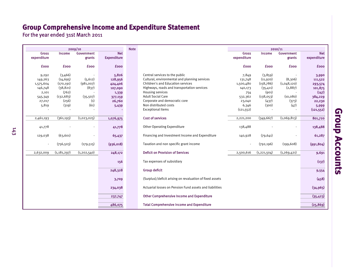# **Group Comprehensive Income and Expenditure Statement**

For the year ended 31st March 2011

|     |                                                                                 |                                                                                          | 2009/10                                                   |                                                                               | <b>Note</b> |                                                                                                                                                                                                                                                                                            |
|-----|---------------------------------------------------------------------------------|------------------------------------------------------------------------------------------|-----------------------------------------------------------|-------------------------------------------------------------------------------|-------------|--------------------------------------------------------------------------------------------------------------------------------------------------------------------------------------------------------------------------------------------------------------------------------------------|
|     | <b>Gross</b><br>expenditure                                                     | Income                                                                                   | <b>Government</b><br>grants                               | <b>Net</b><br><b>Expenditure</b>                                              |             |                                                                                                                                                                                                                                                                                            |
|     | <b>fooo</b>                                                                     | <b>fooo</b>                                                                              | <b>fooo</b>                                               | <b>fooo</b>                                                                   |             |                                                                                                                                                                                                                                                                                            |
|     | 9,292<br>149,263<br>1,575,604<br>146,748<br>2,101<br>545,349<br>27,017<br>5,819 | (3,466)<br>(14, 695)<br>(170, 191)<br>(38, 821)<br>(762)<br>(132, 683)<br>(256)<br>(319) | (5, 612)<br>(981,007)<br>(837)<br>(35,507)<br>(1)<br>(61) | 5,826<br>128,956<br>424,406<br>107,090<br>1,339<br>377,159<br>26,760<br>5,439 |             | Central services to the public<br>Cultural, environmental and plann<br><b>Children's and Education services</b><br>Highways, roads and transportatio<br>Housing services<br><b>Adult Social Care</b><br>Corporate and democratic core<br>Non distributed costs<br><b>Exceptional Items</b> |
|     | 2,461,193                                                                       | (361, 193)                                                                               | (1,023,025)                                               | 1,076,975                                                                     |             | <b>Cost of services</b>                                                                                                                                                                                                                                                                    |
|     | 41,778                                                                          |                                                                                          |                                                           | 41,778                                                                        |             | <b>Other Operating Expenditure</b>                                                                                                                                                                                                                                                         |
| 143 | 129,038                                                                         | (63, 601)                                                                                |                                                           | 65,437                                                                        |             | Financing and Investment Income                                                                                                                                                                                                                                                            |
|     |                                                                                 | (756, 503)                                                                               | (179, 515)                                                | (936,018)                                                                     |             | Taxation and non specific grant ine                                                                                                                                                                                                                                                        |
|     | 2,632,009                                                                       | (1,181,297)                                                                              | (1, 202, 540)                                             | 248,172                                                                       |             | <b>Deficit on Provision of Services</b>                                                                                                                                                                                                                                                    |
|     |                                                                                 |                                                                                          |                                                           | 156                                                                           |             | Tax expenses of subsidiary                                                                                                                                                                                                                                                                 |
|     |                                                                                 |                                                                                          |                                                           | 248,328                                                                       |             | <b>Group deficit</b>                                                                                                                                                                                                                                                                       |
|     |                                                                                 |                                                                                          |                                                           | 3,709                                                                         |             | (Surplus)/deficit arising on revalua                                                                                                                                                                                                                                                       |
|     |                                                                                 |                                                                                          |                                                           | 234,038                                                                       |             | Actuarial losses on Pension Fund a                                                                                                                                                                                                                                                         |
|     |                                                                                 |                                                                                          |                                                           | 237,747                                                                       |             | Other Comprehensive Income and                                                                                                                                                                                                                                                             |
|     |                                                                                 |                                                                                          |                                                           | 486,075                                                                       |             | <b>Total Comprehensive Income and</b>                                                                                                                                                                                                                                                      |

|              |               | 2009/10                  |                    | <b>Note</b> |                                                          | 2010/11      |               |               |             |  |  |
|--------------|---------------|--------------------------|--------------------|-------------|----------------------------------------------------------|--------------|---------------|---------------|-------------|--|--|
| <b>Gross</b> | Income        | Government               | <b>Net</b>         |             |                                                          | <b>Gross</b> | Income        | Government    | <b>Net</b>  |  |  |
| expenditure  |               | grants                   | <b>Expenditure</b> |             |                                                          | expenditure  |               | grants        | expenditure |  |  |
| <b>fooo</b>  | <b>fooo</b>   | <b>fooo</b>              | <b>fooo</b>        |             |                                                          | <b>fooo</b>  | <b>fooo</b>   | <b>fooo</b>   | <b>fooo</b> |  |  |
|              |               |                          |                    |             |                                                          |              |               |               |             |  |  |
| 9,292        | (3,466)       |                          | 5,826              |             | Central services to the public                           | 7,849        | (3,859)       |               | 3,990       |  |  |
| 149,263      | (14, 695)     | (5,612)                  | 128,956            |             | Cultural, environmental and planning services            | 131,748      | (11,920)      | (8,306)       | 111,522     |  |  |
| 1,575,604    | (170, 191)    | (981,007)                | 424,406            |             | <b>Children's and Education services</b>                 | 1,500,480    | (158, 786)    | (1,048,120)   | 293,574     |  |  |
| 146,748      | (38, 821)     | (837)                    | 107,090            |             | Highways, roads and transportation services              | 140,173      | (35, 411)     | (2,887)       | 101,875     |  |  |
| 2,101        | (762)         |                          | 1,339              |             | Housing services                                         | 754          | (901)         |               | (147)       |  |  |
| 545,349      | (132, 683)    | (35, 507)                | 377,159            |             | <b>Adult Social Care</b>                                 | 532,362      | (138,053)     | (10, 080)     | 384,229     |  |  |
| 27,017       | (256)         | (1)                      | 26,760             |             | Corporate and democratic core                            | 23,040       | (437)         | (373)         | 22,230      |  |  |
| 5,819        | (319)         | (61)                     | 5,439              |             | Non distributed costs                                    | 6,346        | (300)         | (47)          | 5,999       |  |  |
|              |               |                          |                    |             | <b>Exceptional Items</b>                                 | (121, 552)   |               |               | (121, 552)  |  |  |
| 2,461,193    | (361, 193)    | (1,023,025)              | 1,076,975          |             | <b>Cost of services</b>                                  | 2,221,200    | (349, 667)    | (1,069,813)   | 801,720     |  |  |
|              |               |                          |                    |             | <b>Other Operating Expenditure</b>                       |              |               |               |             |  |  |
| 41,778       |               |                          | 41,778             |             |                                                          | 138,488      |               |               | 138,488     |  |  |
| 129,038      | (63, 601)     | $\overline{\phantom{a}}$ | 65,437             |             | Financing and Investment Income and Expenditure          | 140,928      | (79, 641)     |               | 61,287      |  |  |
|              | (756, 503)    | (179, 515)               | (936,018)          |             | Taxation and non specific grant income                   |              | (792, 196)    | (199, 608)    | (991, 804)  |  |  |
|              |               |                          |                    |             |                                                          |              |               |               |             |  |  |
| 2,632,009    | (1, 181, 297) | (1, 202, 540)            | 248,172            |             | <b>Deficit on Provision of Services</b>                  | 2,500,616    | (1, 221, 504) | (1, 269, 421) | 9,691       |  |  |
|              |               |                          | 156                |             | Tax expenses of subsidiary                               |              |               |               | (137)       |  |  |
|              |               |                          | 248,328            |             | <b>Group deficit</b>                                     |              |               |               | 9,554       |  |  |
|              |               |                          |                    |             |                                                          |              |               |               |             |  |  |
|              |               |                          | 3,709              |             | (Surplus)/deficit arising on revaluation of fixed assets |              |               |               | (458)       |  |  |
|              |               |                          | 234,038            |             | Actuarial losses on Pension Fund assets and liabilities  |              |               |               | (34, 965)   |  |  |
|              |               |                          | 237,747            |             | Other Comprehensive Income and Expenditure               |              |               |               | (35, 423)   |  |  |
|              |               |                          | 486,075            |             | <b>Total Comprehensive Income and Expenditure</b>        |              |               |               | (25, 869)   |  |  |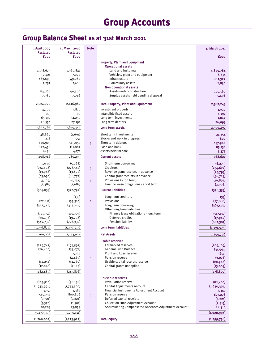# **Group Accounts**

# **Group Balance Sheet as at 31st March 2011**

| 1 April 2009<br><b>Restated</b> | 31 March 2010<br><b>Restated</b> | <b>Note</b> |                                                                   | 31 March 2011          |
|---------------------------------|----------------------------------|-------------|-------------------------------------------------------------------|------------------------|
| <b>fooo</b>                     | <b>fooo</b>                      |             |                                                                   | <b>fooo</b>            |
|                                 |                                  |             | <b>Property, Plant and Equipment</b><br><b>Operational assets</b> |                        |
| 2,138,673                       | 1,960,841                        |             | Land and buildings                                                | 1,829,784              |
| 7,421                           | 7,022                            |             | Vehicles, plant and equipment                                     | 8,651                  |
| 483,893                         | 549,082                          |             | Infrastructure                                                    | 611,322                |
| 2,257                           | 2,616                            |             | Community assets<br>Non operational assets                        | 2,830                  |
| 83,866                          | 90,380                           |             | Assets under construction                                         | 109,160                |
| 7,980                           | 7,046                            |             | Surplus assets held pending disposal                              | 5,496                  |
| 2,724,090                       | 2,616,987                        |             | <b>Total Property, Plant and Equipment</b>                        | 2,567,243              |
| 4,209                           | 3,810                            |             | Investment property<br>Intangible fixed assets                    | 3,920                  |
| 713<br>65,197                   | 97<br>11,259                     |             | Long term investments                                             | 1,197<br>1,042         |
| 28,554                          | 27,191                           |             | Long term debtors                                                 | 26,095                 |
| 2,822,763                       | 2,659,344                        |             | Long term assets                                                  | 2,599,497              |
| 48,869                          | (1,691)                          |             | Short term investments                                            | 21,354                 |
| 218                             | 951                              |             | Stocks and work in progress                                       | 800                    |
| 120,905                         | 165,057                          | 3           | Short term debtors                                                | 157,966                |
| 127,458                         | 111,807                          |             | Cash and bank                                                     | 85,134                 |
| 1,496                           | 4,171                            |             | Assets held for sale                                              | 3,373                  |
| 298,946                         | 280,295                          |             | <b>Current assets</b>                                             | 268,627                |
| (5,037)                         | (5,068)                          |             | Short-term borrowing                                              | (6, 273)               |
| (234, 608)                      | (278, 142)                       | 3           | Creditors                                                         | (234, 672)             |
| (13, 948)                       | (13, 892)                        |             | Revenue grant receipts in advance                                 | (24,795)               |
| (43, 650)                       | (66, 777)                        |             | Capital grant receipts in advance                                 | (96, 723)              |
| (5, 109)                        | (6, 237)                         | 4           | Provisions (short term)                                           | (10, 892)              |
| (2,481)                         | (2,681)                          |             | Finance lease obligations - short term                            | (2,998)                |
| (304, 833)                      | (372, 797)                       |             | <b>Current liabilities</b>                                        | (376, 353)             |
|                                 | (135)                            |             | Long term creditors<br>Provisions                                 | (35)                   |
| (22, 411)<br>(342,744)          | (33,310)<br>(323,718)            | 4           | Long term borrowing                                               | (27, 886)<br>(361,588) |
|                                 |                                  |             | Other long term liabilities                                       |                        |
| (121, 551)                      | (119, 707)                       |             | Finance lease obligations - long term                             | (117, 117)             |
| (20, 436)                       | (19,708)                         |             | Deferred credits                                                  | (17, 962)              |
| (549, 732)                      | (796, 337)                       |             | Pension liability                                                 | (667, 387)             |
| (1,056,874)                     | (1, 292, 915)                    |             | Long term liabilities                                             | (1, 191, 975)          |
| 1,760,002                       | 1,273,927                        |             | <b>Net Assets</b>                                                 | 1,299,796              |
|                                 |                                  |             | <b>Usable reserves</b>                                            |                        |
| (229,747)                       | (194, 597)                       |             | Earmarked reserves                                                | (209, 109)             |
| (26, 460)                       | (33,071)                         |             | General Fund Balance<br>Profit and Loss reserve                   | (31,991)<br>(651)      |
|                                 | 7,224<br>(4,469)                 | 5           | Pension reserve                                                   | (3,076)                |
| (14, 254)                       | (11,760)                         |             | Usable capital receipts reserve                                   | (20, 966)              |
| (12,028)                        | (7, 143)                         |             | Capital grants unapplied                                          | (13,009)               |
| (282, 489)                      | (243, 816)                       |             |                                                                   | (278, 802)             |
|                                 |                                  |             | <b>Unusable reserves</b>                                          |                        |
| (103, 910)                      | (96, 136)                        |             | Revaluation reserve                                               | (82,400)               |
| (1,933,998)                     | (1,753,300)                      |             | Capital Adjustments Account                                       | (1,630,394)            |
| 3,551                           | 3,382                            |             | Financial Instruments Adjustment Account                          | 3,342                  |
| 549,732                         | 800,806                          | 5           | Pension reserve                                                   | 673,278                |
| (9,721)                         | (7, 221)                         |             | Deferred capital receipts                                         | (6, 221)               |
| (3,370)                         | (1,501)                          |             | <b>Collection Fund Adjustment Account</b>                         | (2, 915)               |
| 20,203                          | 23,859                           |             | Accumulating Compensated Absences Adjustment Account              | 24,316                 |
| (1,477,513)                     | (1,030,111)                      |             |                                                                   | (1,020,994)            |
| (1,760,002)                     | (1, 273, 927)                    |             | <b>Total equity</b>                                               | (1, 299, 796)          |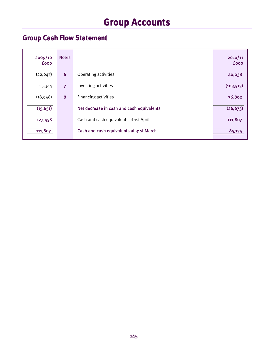# **Group Accounts**

# **Group Cash Flow Statement**

| 2009/10<br><b>fooo</b> | <b>Notes</b>   |                                           | 2010/11<br><b>fooo</b> |
|------------------------|----------------|-------------------------------------------|------------------------|
| (22, 047)              | 6              | Operating activities                      | 40,038                 |
| 25,344                 | $\overline{7}$ | Investing activities                      | (103, 513)             |
| (18, 948)              | 8              | <b>Financing activities</b>               | 36,802                 |
| (15, 651)              |                | Net decrease in cash and cash equivalents | (26, 673)              |
| 127,458                |                | Cash and cash equivalents at 1st April    | 111,807                |
| 111,807                |                | Cash and cash equivalents at 31st March   | 85,134                 |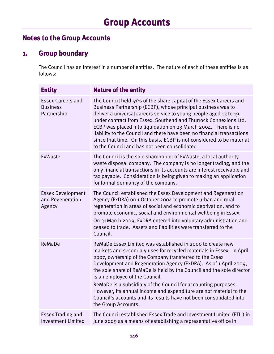# **Notes to the Group Accounts**

# **1. Group boundary**

The Council has an interest in a number of entitles. The nature of each of these entities is as follows:

| <b>Entity</b>                                              | <b>Nature of the entity</b>                                                                                                                                                                                                                                                                                                                                                                                                                                                                                                                                                                                       |
|------------------------------------------------------------|-------------------------------------------------------------------------------------------------------------------------------------------------------------------------------------------------------------------------------------------------------------------------------------------------------------------------------------------------------------------------------------------------------------------------------------------------------------------------------------------------------------------------------------------------------------------------------------------------------------------|
| <b>Essex Careers and</b><br><b>Business</b><br>Partnership | The Council held 51% of the share capital of the Essex Careers and<br>Business Partnership (ECBP), whose principal business was to<br>deliver a universal careers service to young people aged 13 to 19,<br>under contract from Essex, Southend and Thurrock Connexions Ltd.<br>ECBP was placed into liquidation on 23 March 2004. There is no<br>liability to the Council and there have been no financial transactions<br>since that time. On this basis, ECBP is not considered to be material<br>to the Council and has not been consolidated                                                                 |
| ExWaste                                                    | The Council is the sole shareholder of ExWaste, a local authority<br>waste disposal company. The company is no longer trading, and the<br>only financial transactions in its accounts are interest receivable and<br>tax payable. Consideration is being given to making an application<br>for formal dormancy of the company.                                                                                                                                                                                                                                                                                    |
| <b>Essex Development</b><br>and Regeneration<br>Agency     | The Council established the Essex Development and Regeneration<br>Agency (ExDRA) on 1 October 2004 to promote urban and rural<br>regeneration in areas of social and economic deprivation, and to<br>promote economic, social and environmental wellbeing in Essex.<br>On 31 March 2009, ExDRA entered into voluntary administration and<br>ceased to trade. Assets and liabilities were transferred to the<br>Council.                                                                                                                                                                                           |
| ReMaDe                                                     | ReMaDe Essex Limited was established in 2000 to create new<br>markets and secondary uses for recycled materials in Essex. In April<br>2007, ownership of the Company transferred to the Essex<br>Development and Regeneration Agency (ExDRA). As of 1 April 2009,<br>the sole share of ReMaDe is held by the Council and the sole director<br>is an employee of the Council.<br>ReMaDe is a subsidiary of the Council for accounting purposes.<br>However, its annual income and expenditure are not material to the<br>Council's accounts and its results have not been consolidated into<br>the Group Accounts. |
| <b>Essex Trading and</b><br><b>Investment Limited</b>      | The Council established Essex Trade and Investment Limited (ETIL) in<br>June 2009 as a means of establishing a representative office in                                                                                                                                                                                                                                                                                                                                                                                                                                                                           |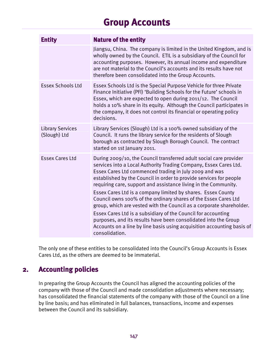# **Group Accounts**

| <b>Entity</b>                           | <b>Nature of the entity</b>                                                                                                                                                                                                                                                                                                                                                                                                                                                                                                                                                                                                                                                                                                                                                           |
|-----------------------------------------|---------------------------------------------------------------------------------------------------------------------------------------------------------------------------------------------------------------------------------------------------------------------------------------------------------------------------------------------------------------------------------------------------------------------------------------------------------------------------------------------------------------------------------------------------------------------------------------------------------------------------------------------------------------------------------------------------------------------------------------------------------------------------------------|
|                                         | Jiangsu, China. The company is limited in the United Kingdom, and is<br>wholly owned by the Council. ETIL is a subsidiary of the Council for<br>accounting purposes. However, its annual income and expenditure<br>are not material to the Council's accounts and its results have not<br>therefore been consolidated into the Group Accounts.                                                                                                                                                                                                                                                                                                                                                                                                                                        |
| <b>Essex Schools Ltd</b>                | Essex Schools Ltd is the Special Purpose Vehicle for three Private<br>Finance Initiative (PFI) 'Building Schools for the Future' schools in<br>Essex, which are expected to open during 2011/12. The Council<br>holds a 10% share in its equity. Although the Council participates in<br>the company, it does not control its financial or operating policy<br>decisions.                                                                                                                                                                                                                                                                                                                                                                                                             |
| <b>Library Services</b><br>(Slough) Ltd | Library Services (Slough) Ltd is a 100% owned subsidiary of the<br>Council. It runs the library service for the residents of Slough<br>borough as contracted by Slough Borough Council. The contract<br>started on 1st January 2011.                                                                                                                                                                                                                                                                                                                                                                                                                                                                                                                                                  |
| <b>Essex Cares Ltd</b>                  | During 2009/10, the Council transferred adult social care provider<br>services into a Local Authority Trading Company, Essex Cares Ltd.<br>Essex Cares Ltd commenced trading in July 2009 and was<br>established by the Council in order to provide services for people<br>requiring care, support and assistance living in the Community.<br>Essex Cares Ltd is a company limited by shares. Essex County<br>Council owns 100% of the ordinary shares of the Essex Cares Ltd<br>group, which are vested with the Council as a corporate shareholder.<br>Essex Cares Ltd is a subsidiary of the Council for accounting<br>purposes, and its results have been consolidated into the Group<br>Accounts on a line by line basis using acquisition accounting basis of<br>consolidation. |

The only one of these entities to be consolidated into the Council's Group Accounts is Essex Cares Ltd, as the others are deemed to be immaterial.

# **2. Accounting policies**

In preparing the Group Accounts the Council has aligned the accounting policies of the company with those of the Council and made consolidation adjustments where necessary; has consolidated the financial statements of the company with those of the Council on a line by line basis; and has eliminated in full balances, transactions, income and expenses between the Council and its subsidiary.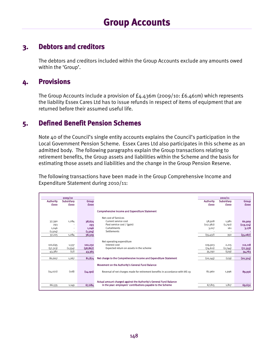### **3. Debtors and creditors**

The debtors and creditors included within the Group Accounts exclude any amounts owed within the 'Group'.

# **4. Provisions**

The Group Accounts include a provision of £4.436m (2009/10: £6.461m) which represents the liability Essex Cares Ltd has to issue refunds in respect of items of equipment that are returned before their assumed useful life.

### **5. Defined Benefit Pension Schemes**

Note 40 of the Council's single entity accounts explains the Council's participation in the Local Government Pension Scheme. Essex Cares Ltd also participates in this scheme as an admitted body. The following paragraphs explain the Group transactions relating to retirement benefits, the Group assets and liabilities within the Scheme and the basis for estimating those assets and liabilities and the change in the Group Pension Reserve.

The following transactions have been made in the Group Comprehensive Income and Expenditure Statement during 2010/11:

|                  | 2009/10     |             |                                                                                |                  | 2010/11           |             |
|------------------|-------------|-------------|--------------------------------------------------------------------------------|------------------|-------------------|-------------|
| <b>Authority</b> | Subsidiary  | Group       |                                                                                | <b>Authority</b> | <b>Subsidiary</b> | Group       |
| <b>fooo</b>      | <b>fooo</b> | <b>fooo</b> |                                                                                | fooo             | <b>fooo</b>       | <b>fooo</b> |
|                  |             |             |                                                                                |                  |                   |             |
|                  |             |             | <b>Comprehensive Income and Expenditure Statement</b>                          |                  |                   |             |
|                  |             |             |                                                                                |                  |                   |             |
|                  |             |             | Net cost of Services                                                           |                  |                   |             |
| 37,390           | 1,284       | 38,674      | Current service cost                                                           | 58,928           | 1,981             | 60,909      |
| 293              |             | 293         | Past service cost / (gain)                                                     | (117, 382)       | (1,792)           | (119, 174)  |
| 1,046            | ٠           | 1,046       | Curtailments                                                                   | 3,017            | 161               | 3,178       |
| (1,504)          |             | (1,504)     | Settlements                                                                    |                  |                   |             |
| 37,225           | 1,284       | 38,509      |                                                                                | (55, 437)        | 350               | (55,087)    |
|                  |             |             |                                                                                |                  |                   |             |
|                  |             |             | Net operating expenditure                                                      |                  |                   |             |
| 100,695          | 1,537       | 102,232     | Interest cost                                                                  | 109,903          | 2,215             | 112,118     |
| (57, 313)        | (1, 554)    | (58, 867)   | Expected return on assets in the scheme                                        | (74, 611)        | (2,744)           | (77, 355)   |
| 43,382           | (17)        | 43,365      |                                                                                | 35,292           | (529)             | 34,763      |
|                  |             |             |                                                                                |                  |                   |             |
| 80,607           | 1,267       | 81,874      | Net charge to the Comprehensive Income and Expenditure Statement               | (20, 145)        | (179)             | (20, 324)   |
|                  |             |             | Movement on the Authority's General Fund Balance                               |                  |                   |             |
|                  |             |             |                                                                                |                  |                   |             |
| (14,072)         | (118)       | (14, 190)   | Reversal of net charges made for retirement benefits in accordance with IAS 19 | 87,960           | 1,996             | 89,956      |
|                  |             |             |                                                                                |                  |                   |             |
|                  |             |             |                                                                                |                  |                   |             |
|                  |             |             | Actual amount charged against the Authority's General Fund Balance             |                  |                   |             |
| 66,535           | 1,149       | 67,684      | in the year: employers' contributions payable to the Scheme                    | 67,815           | 1,817             | 69,632      |
|                  |             |             |                                                                                |                  |                   |             |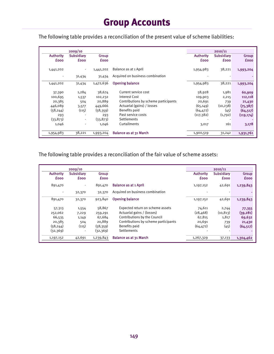# **Group Accounts**

The following table provides a reconciliation of the present value of scheme liabilities:

|                                 | 2009/10                   |                      |                                      |                                 | 2010/11                          |                      |
|---------------------------------|---------------------------|----------------------|--------------------------------------|---------------------------------|----------------------------------|----------------------|
| <b>Authority</b><br><b>fooo</b> | Subsidiary<br><b>fooo</b> | Group<br><b>£000</b> |                                      | <b>Authority</b><br><b>fooo</b> | <b>Subsidiary</b><br><b>fooo</b> | Group<br><b>fooo</b> |
| 1,441,202                       |                           | 1,441,202            | Balance as at 1 April                | 1,954,983                       | 38,221                           | 1,993,204            |
| $\overline{\phantom{a}}$        | 31,434                    | 31,434               | Acquired on business combination     |                                 |                                  |                      |
| 1,441,202                       | 31,434                    | 1,472,636            | <b>Opening balance</b>               | 1,954,983                       | 38,221                           | 1,993,204            |
| 37,390                          | 1,284                     | 38,674               | Current service cost                 | 58,928                          | 1,981                            | 60,909               |
| 100,695                         | 1,537                     | 102,232              | Interest Cost                        | 109,903                         | 2,215                            | 112,118              |
| 20,385                          | 504                       | 20,889               | Contributions by scheme participants | 20,691                          | 739                              | 21,430               |
| 446,089                         | 3,577                     | 449,666              | Actuarial (gains) / losses           | (65, 149)                       | (10, 238)                        | (75, 387)            |
| (58, 244)                       | (115)                     | (58, 359)            | Benefits paid                        | (64, 472)                       | (45)                             | (64, 517)            |
| 293                             | $\overline{\phantom{a}}$  | 293                  | Past service costs                   | (117, 382)                      | (1,792)                          | (119, 174)           |
| (33, 873)                       | $\overline{\phantom{a}}$  | (33, 873)            | Settlements                          |                                 |                                  |                      |
| 1,046                           |                           | 1,046                | Curtailments                         | 3,017                           | 161                              | 3,178                |
| 1,954,983                       | 38,221                    | 1,993,204            | <b>Balance as at 31 March</b>        | 1,900,519                       | 31,242                           | 1,931,761            |

The following table provides a reconciliation of the fair value of scheme assets:

|                          | 2009/10                  |             |                                      |                  | 2010/11     |             |
|--------------------------|--------------------------|-------------|--------------------------------------|------------------|-------------|-------------|
| <b>Authority</b>         | <b>Subsidiary</b>        | Group       |                                      | <b>Authority</b> | Subsidiary  | Group       |
| <b>fooo</b>              | <b>fooo</b>              | <b>fooo</b> |                                      | <b>fooo</b>      | <b>fooo</b> | <b>fooo</b> |
| 891,470                  | $\overline{\phantom{a}}$ | 891,470     | <b>Balance as at 1 April</b>         | 1,197,152        | 42,691      | 1,239,843   |
| $\overline{\phantom{a}}$ | 32,370                   | 32,370      | Acquired on business combination     |                  |             |             |
| 891,470                  | 32,370                   | 923,840     | <b>Opening balance</b>               | 1,197,152        | 42,691      | 1,239,843   |
| 57,313                   | 1,554                    | 58,867      | Expected return on scheme assets     | 74,611           | 2,744       | 77,355      |
| 252,062                  | 7,229                    | 259,291     | Actuarial gains / (losses)           | (28, 468)        | (10, 813)   | (39, 281)   |
| 66,535                   | 1,149                    | 67,684      | Contributions by the Council         | 67,815           | 1,817       | 69,632      |
| 20,385                   | 504                      | 20,889      | Contributions by scheme participants | 20,691           | 739         | 21,430      |
| (58, 244)                | (115)                    | (58, 359)   | Benefits paid                        | (64, 472)        | (45)        | (64, 517)   |
| (32,369)                 | $\blacksquare$           | (32,369)    | <b>Settlements</b>                   |                  |             |             |
| 1,197,152                | 42,691                   | 1,239,843   | Balance as at 31 March               | 1,267,329        | 37,133      | 1,304,462   |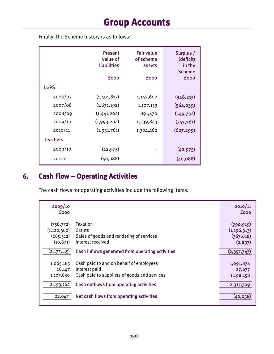Finally, the Scheme history is as follows:

|                 | <b>Present</b><br>value of<br>liabilities<br><b>fooo</b> | <b>Fair value</b><br>of scheme<br>assets<br><b>fooo</b> | Surplus /<br>(deficit)<br>in the<br><b>Scheme</b><br><b>fooo</b> |
|-----------------|----------------------------------------------------------|---------------------------------------------------------|------------------------------------------------------------------|
| <b>LGPS</b>     |                                                          |                                                         |                                                                  |
| 2006/07         | (1,491,817)                                              | 1,143,602                                               | (348, 215)                                                       |
| 2007/08         | (1,671,192)                                              | 1,107,153                                               | (564,039)                                                        |
| 2008/09         | (1,441,202)                                              | 891,470                                                 | (549, 732)                                                       |
| 2009/10         | (1,993,204)                                              | 1,239,843                                               | (753, 361)                                                       |
| 2010/11         | (1,931,761)                                              | 1,304,462                                               | (627, 299)                                                       |
| <b>Teachers</b> |                                                          |                                                         |                                                                  |
| 2009/10         | (42, 975)                                                |                                                         | (42, 975)                                                        |
| 2010/11         | (40, 088)                                                |                                                         | (40, 088)                                                        |

# **6. Cash Flow – Operating Activities**

The cash flows for operating activities include the following items:

| 2009/10<br><b>fooo</b>                                 |                                                                                                          | 2010/11<br><b>fooo</b>                               |
|--------------------------------------------------------|----------------------------------------------------------------------------------------------------------|------------------------------------------------------|
| (758, 372)<br>(1, 122, 360)<br>(285, 512)<br>(10, 871) | Taxation<br>Grants<br>Sales of goods and rendering of services<br>Interest received                      | (790, 919)<br>(1, 196, 313)<br>(367, 618)<br>(2,897) |
| (2,177,115)                                            | Cash inflows generated from operating activities                                                         | (2,357,747)                                          |
| 1,065,185<br>26,147<br>1,107,830                       | Cash paid to and on behalf of employees<br>Interest paid<br>Cash paid to suppliers of goods and services | 1,091,874<br>27,677<br>1,198,158                     |
| 2,199,162                                              | Cash outflows from operating activities                                                                  | 2,317,709                                            |
| 22,047                                                 | Net cash flows from operating activities                                                                 | (40,038)                                             |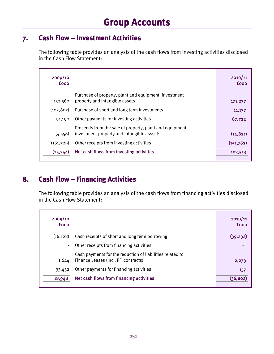## **7. Cash Flow – Investment Activities**

The following table provides an analysis of the cash flows from investing activities disclosed in the Cash Flow Statement:

| 2009/10<br><b>fooo</b> |                                                                                                        | 2010/11<br><b>fooo</b> |
|------------------------|--------------------------------------------------------------------------------------------------------|------------------------|
| 152,560                | Purchase of property, plant and equipment, investment<br>property and intangible assets                | 171,237                |
| (102, 807)             | Purchase of short and long term investments                                                            | 11,137                 |
| 91,190                 | Other payments for investing activities                                                                | 87,722                 |
| (4, 558)               | Proceeds from the sale of property, plant and equipment,<br>investment property and intangible asssets | (14, 821)              |
| (161,729)              | Other receipts from investing activities                                                               | (151,762)              |
| (25, 344)              | Net cash flows from investing activities                                                               | 103,513                |

# **8. Cash Flow – Financing Activities**

The following table provides an analysis of the cash flows from financing activities disclosed in the Cash Flow Statement:

| 2009/10<br><b>fooo</b> |                                                                                                   | 2010/11<br><b>fooo</b> |
|------------------------|---------------------------------------------------------------------------------------------------|------------------------|
| (16.128)               | Cash receipts of short and long term borrowing                                                    | (39, 232)              |
| ٠                      | Other receipts from financing activities                                                          |                        |
| 1,644                  | Cash payments for the reduction of liabilities related to<br>Finance Leases (incl. PFI contracts) | 2,273                  |
| 33,432                 | Other payments for financing activities                                                           | 157                    |
| 18,948                 | Net cash flows from financing activities                                                          | (36, 802)              |
|                        |                                                                                                   |                        |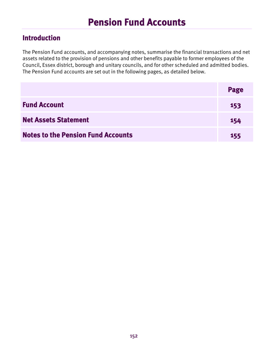# **Introduction**

The Pension Fund accounts, and accompanying notes, summarise the financial transactions and net assets related to the provision of pensions and other benefits payable to former employees of the Council, Essex district, borough and unitary councils, and for other scheduled and admitted bodies. The Pension Fund accounts are set out in the following pages, as detailed below.

|                                           | Page       |
|-------------------------------------------|------------|
| <b>Fund Account</b>                       | 153        |
| <b>Net Assets Statement</b>               | 154        |
| <b>Notes to the Pension Fund Accounts</b> | <b>155</b> |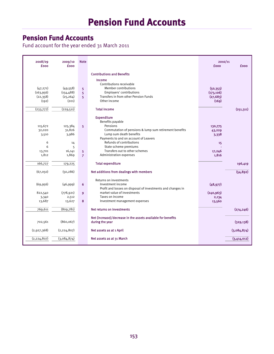Fund account for the year ended 31 March 2011

| 2008/09<br><b>fooo</b>                       | 2009/10<br><b>fooo</b>                        | <b>Note</b>              |                                                                                                                                                                                                              | 2010/11<br><b>fooo</b>                        | £000        |
|----------------------------------------------|-----------------------------------------------|--------------------------|--------------------------------------------------------------------------------------------------------------------------------------------------------------------------------------------------------------|-----------------------------------------------|-------------|
|                                              |                                               |                          | <b>Contributions and Benefits</b><br>Income                                                                                                                                                                  |                                               |             |
| (47, 271)<br>(163, 956)<br>(22,358)<br>(192) | (49, 558)<br>(154, 488)<br>(25, 264)<br>(201) | 5<br>5<br>5 <sup>2</sup> | Contributions receivable<br><b>Member contributions</b><br>Employers' contributions<br>Transfers in from other Pension Funds<br>Other income                                                                 | (50, 353)<br>(173, 106)<br>(27, 683)<br>(169) |             |
| (233,777)                                    | (229,511)                                     |                          | <b>Total income</b>                                                                                                                                                                                          |                                               | (251, 311)  |
| 115,672<br>32,020<br>3,510<br>6              | 125,384<br>31,826<br>3,986<br>14              | 5                        | <b>Expenditure</b><br>Benefits payable<br>Pensions<br>Commutation of pensions & lump sum retirement benefits<br>Lump sum death benefits<br>Payments to and on account of Leavers<br>Refunds of contributions | 130,775<br>43,229<br>3,338<br>15              |             |
| 6                                            | 5<br>16,141                                   |                          | State scheme premiums<br>Transfers out to other schemes                                                                                                                                                      | 17,246                                        |             |
| 13,701<br>1,812                              | 1,869                                         | 5<br>$\overline{7}$      | Administration expenses                                                                                                                                                                                      | 1,816                                         |             |
| 166,727                                      | 179,225                                       |                          | <b>Total expenditure</b>                                                                                                                                                                                     |                                               | 196,419     |
| (67,050)                                     | (50, 286)                                     |                          | Net additions from dealings with members                                                                                                                                                                     |                                               | (54, 892)   |
| (69, 956)                                    | (46,999)                                      | 6                        | Returns on investments<br>Investment income<br>Profit and losses on disposal of investments and changes in                                                                                                   | (48, 977)                                     |             |
| 822,540<br>3,340                             | (778, 921)<br>2,512                           | $\overline{9}$           | market value of investments<br>Taxes on income                                                                                                                                                               | (240, 963)<br>2,134                           |             |
| 13,687                                       | 13,627                                        | 8                        | Investment management expenses                                                                                                                                                                               | 13,560                                        |             |
| 769,611                                      | (809,781)                                     |                          | Net returns on investments                                                                                                                                                                                   |                                               | (274, 246)  |
| 702,561                                      | (860, 067)                                    |                          | Net (increase)/decrease in the assets available for benefits<br>during the year                                                                                                                              |                                               | (329, 138)  |
| (2,927,368)                                  | (2, 224, 807)                                 |                          | Net assets as at 1 April                                                                                                                                                                                     |                                               | (3,084,874) |
| (2, 224, 807)                                | (3,084,874)                                   |                          | Net assets as at 31 March                                                                                                                                                                                    |                                               | (3,414,012) |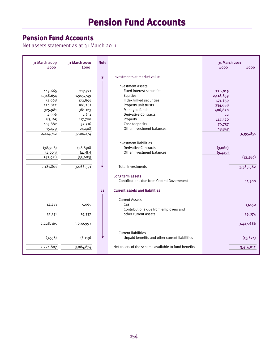# **Pension Fund Accounts**

'n

Net assets statement as at 31 March 2011

| 31 March 2009                                                                                | 31 March 2010                                                                                 | <b>Note</b>    |                                                                                                                                                                                                                         | 31 March 2011                                                                              |
|----------------------------------------------------------------------------------------------|-----------------------------------------------------------------------------------------------|----------------|-------------------------------------------------------------------------------------------------------------------------------------------------------------------------------------------------------------------------|--------------------------------------------------------------------------------------------|
| <b>fooo</b>                                                                                  | <b>fooo</b>                                                                                   |                |                                                                                                                                                                                                                         | <b>fooo</b><br><b>fooo</b>                                                                 |
|                                                                                              |                                                                                               | $\overline{9}$ | Investments at market value                                                                                                                                                                                             |                                                                                            |
| 149,665<br>1,348,654<br>72,068<br>120,822<br>325,981<br>4,996<br>83,165<br>103,882<br>15,479 | 217,771<br>1,905,749<br>172,895<br>186,281<br>381,123<br>1,631<br>117,700<br>92,716<br>24,408 |                | Investment assets<br><b>Fixed interest securities</b><br>Equities<br>Index linked securities<br>Property unit trusts<br>Managed funds<br>Derivative Contracts<br>Property<br>Cash/deposits<br>Other investment balances | 226,019<br>2,118,859<br>171,839<br>234,688<br>406,820<br>22<br>147,520<br>76,737<br>13,347 |
| 2,224,712                                                                                    | 3,100,274                                                                                     |                |                                                                                                                                                                                                                         | 3,395,851                                                                                  |
| (38,908)<br>(4,003)<br>(42, 911)<br>2,181,801                                                | (28, 896)<br>(4,787)<br>(33, 683)<br>3,066,591                                                |                | Investment liabilities<br>Derivative Contracts<br>Other investment balances<br><b>Total Investments</b>                                                                                                                 | (3,060)<br>(9,429)<br>(12, 489)<br>3,383,362                                               |
|                                                                                              |                                                                                               | 11             | Long term assets<br>Contributions due from Central Government<br><b>Current assets and liabilities</b>                                                                                                                  | 11,300                                                                                     |
| 14,413<br>32,151                                                                             | 5,065<br>19,337                                                                               |                | <b>Current Assets</b><br>Cash<br>Contributions due from employers and<br>other current assets                                                                                                                           | 13,150<br>19,874                                                                           |
| 2,228,365                                                                                    | 3,090,993                                                                                     |                |                                                                                                                                                                                                                         | 3,427,686                                                                                  |
| (3, 558)                                                                                     | (6, 119)                                                                                      |                | <b>Current liabilities</b><br>Unpaid benefits and other current liabilities                                                                                                                                             | (13, 674)                                                                                  |
| 2,224,807                                                                                    | 3,084,874                                                                                     |                | Net assets of the scheme available to fund benefits                                                                                                                                                                     | 3,414,012                                                                                  |
|                                                                                              |                                                                                               |                |                                                                                                                                                                                                                         |                                                                                            |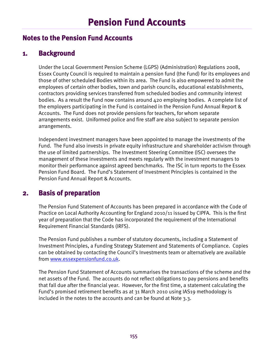### **Notes to the Pension Fund Accounts**

### **1. Background**

Under the Local Government Pension Scheme (LGPS) (Administration) Regulations 2008, Essex County Council is required to maintain a pension fund (the Fund) for its employees and those of other scheduled Bodies within its area. The Fund is also empowered to admit the employees of certain other bodies, town and parish councils, educational establishments, contractors providing services transferred from scheduled bodies and community interest bodies. As a result the Fund now contains around 420 employing bodies. A complete list of the employers participating in the Fund is contained in the Pension Fund Annual Report & Accounts. The Fund does not provide pensions for teachers, for whom separate arrangements exist. Uniformed police and fire staff are also subject to separate pension arrangements.

Independent investment managers have been appointed to manage the investments of the Fund. The Fund also invests in private equity infrastructure and shareholder activism through the use of limited partnerships. The Investment Steering Committee (ISC) oversees the management of these investments and meets regularly with the investment managers to monitor their performance against agreed benchmarks. The ISC in turn reports to the Essex Pension Fund Board. The Fund's Statement of Investment Principles is contained in the Pension Fund Annual Report & Accounts.

# **2. Basis of preparation**

The Pension Fund Statement of Accounts has been prepared in accordance with the Code of Practice on Local Authority Accounting for England 2010/11 issued by CIPFA. This is the first year of preparation that the Code has incorporated the requirement of the International Requirement Financial Standards (IRFS).

The Pension Fund publishes a number of statutory documents, including a Statement of Investment Principles, a Funding Strategy Statement and Statements of Compliance. Copies can be obtained by contacting the Council's Investments team or alternatively are available from www.essexpensionfund.co.uk.

The Pension Fund Statement of Accounts summarises the transactions of the scheme and the net assets of the Fund. The accounts do not reflect obligations to pay pensions and benefits that fall due after the financial year. However, for the first time, a statement calculating the Fund's promised retirement benefits as at 31 March 2010 using IAS19 methodology is included in the notes to the accounts and can be found at Note 3.3.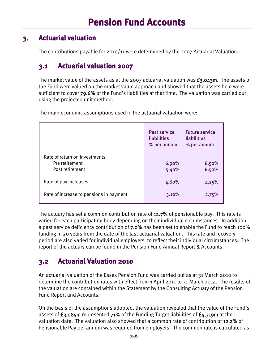# **3. Actuarial valuation**

The contributions payable for 2010/11 were determined by the 2007 Actuarial Valuation.

# **3.1 Actuarial valuation 2007**

The market value of the assets as at the 2007 actuarial valuation was  $\epsilon_3$ ,043m. The assets of the Fund were valued on the market value approach and showed that the assets held were sufficient to cover 79.6% of the Fund's liabilities at that time. The valuation was carried out using the projected unit method.

|                                                                    | <b>Past service</b><br>liabilities<br>% per annum | <b>Future service</b><br>liabilities<br>% per annum |
|--------------------------------------------------------------------|---------------------------------------------------|-----------------------------------------------------|
| Rate of return on investments<br>Pre retirement<br>Post retirement | 6.90%<br>5.40%                                    | 6.50%<br>6.50%                                      |
| Rate of pay increases                                              | 4.60%                                             | 4.25%                                               |
| Rate of increase to pensions in payment                            | 3.10%                                             | 2.75%                                               |

The main economic assumptions used in the actuarial valuation were:

The actuary has set a common contribution rate of 12.7% of pensionable pay. This rate is varied for each participating body depending on their individual circumstances. In addition, a past service deficiency contribution of 7.0% has been set to enable the Fund to reach 100% funding in 20 years from the date of the last actuarial valuation. This rate and recovery period are also varied for individual employers, to reflect their individual circumstances. The report of the actuary can be found in the Pension Fund Annual Report & Accounts.

# **3.2 Actuarial Valuation 2010**

An actuarial valuation of the Essex Pension Fund was carried out as at 31 March 2010 to determine the contribution rates with effect from 1 April 2011 to 31 March 2014. The results of the valuation are contained within the Statement by the Consulting Actuary of the Pension Fund Report and Accounts.

On the basis of the assumptions adopted, the valuation revealed that the value of the Fund's assets of £3,085m represented 71% of the Funding Target liabilities of £4,319m at the valuation date. The valuation also showed that a common rate of contribution of 12.2% of Pensionable Pay per annum was required from employers. The common rate is calculated as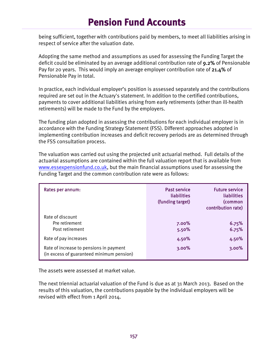being sufficient, together with contributions paid by members, to meet all liabilities arising in respect of service after the valuation date.

Adopting the same method and assumptions as used for assessing the Funding Target the deficit could be eliminated by an average additional contribution rate of 9.2% of Pensionable Pay for 20 years. This would imply an average employer contribution rate of 21.4% of Pensionable Pay in total.

In practice, each individual employer's position is assessed separately and the contributions required are set out in the Actuary's statement. In addition to the certified contributions, payments to cover additional liabilities arising from early retirements (other than ill-health retirements) will be made to the Fund by the employers.

The funding plan adopted in assessing the contributions for each individual employer is in accordance with the Funding Strategy Statement (FSS). Different approaches adopted in implementing contribution increases and deficit recovery periods are as determined through the FSS consultation process.

The valuation was carried out using the projected unit actuarial method. Full details of the actuarial assumptions are contained within the full valuation report that is available from www.essexpensionfund.co.uk, but the main financial assumptions used for assessing the Funding Target and the common contribution rate were as follows:

| Rates per annum:                                                                     | <b>Past service</b><br>liabilities<br>(funding target) | <b>Future service</b><br>liabilities<br>(common<br>contribution rate) |
|--------------------------------------------------------------------------------------|--------------------------------------------------------|-----------------------------------------------------------------------|
| Rate of discount<br>Pre retirement<br>Post retirement                                | 7.00%<br>5.50%                                         | 6.75%<br>6.75%                                                        |
| Rate of pay increases                                                                | 4.50%                                                  | 4.50%                                                                 |
| Rate of increase to pensions in payment<br>(in excess of guaranteed minimum pension) | 3.00%                                                  | 3.00%                                                                 |

The assets were assessed at market value.

The next triennial actuarial valuation of the Fund is due as at 31 March 2013. Based on the results of this valuation, the contributions payable by the individual employers will be revised with effect from 1 April 2014.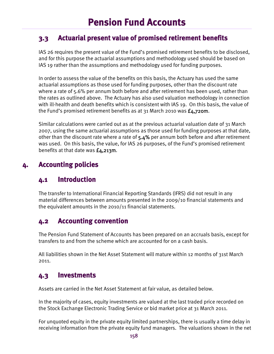# **3.3 Actuarial present value of promised retirement benefits**

IAS 26 requires the present value of the Fund's promised retirement benefits to be disclosed, and for this purpose the actuarial assumptions and methodology used should be based on IAS 19 rather than the assumptions and methodology used for funding purposes.

In order to assess the value of the benefits on this basis, the Actuary has used the same actuarial assumptions as those used for funding purposes, other than the discount rate where a rate of 5.6% per annum both before and after retirement has been used, rather than the rates as outlined above. The Actuary has also used valuation methodology in connection with ill-health and death benefits which is consistent with IAS 19. On this basis, the value of the Fund's promised retirement benefits as at 31 March 2010 was  $f_4$ , 720m.

Similar calculations were carried out as at the previous actuarial valuation date of 31 March 2007, using the same actuarial assumptions as those used for funding purposes at that date, other than the discount rate where a rate of 5.4% per annum both before and after retirement was used. On this basis, the value, for IAS 26 purposes, of the Fund's promised retirement benefits at that date was  $E_4$ , 213m.

# **4. Accounting policies**

### **4.1 Introduction**

The transfer to International Financial Reporting Standards (IFRS) did not result in any material differences between amounts presented in the 2009/10 financial statements and the equivalent amounts in the 2010/11 financial statements.

# **4.2 Accounting convention**

The Pension Fund Statement of Accounts has been prepared on an accruals basis, except for transfers to and from the scheme which are accounted for on a cash basis.

All liabilities shown in the Net Asset Statement will mature within 12 months of 31st March 2011.

### **4.3 Investments**

Assets are carried in the Net Asset Statement at fair value, as detailed below.

In the majority of cases, equity investments are valued at the last traded price recorded on the Stock Exchange Electronic Trading Service or bid market price at 31 March 2011.

For unquoted equity in the private equity limited partnerships, there is usually a time delay in receiving information from the private equity fund managers. The valuations shown in the net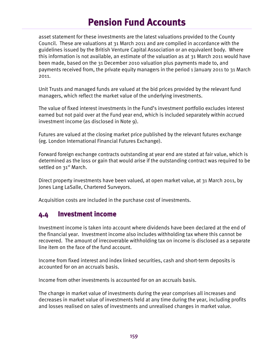asset statement for these investments are the latest valuations provided to the County Council. These are valuations at 31 March 2011 and are compiled in accordance with the guidelines issued by the British Venture Capital Association or an equivalent body. Where this information is not available, an estimate of the valuation as at 31 March 2011 would have been made, based on the 31 December 2010 valuation plus payments made to, and payments received from, the private equity managers in the period 1 January 2011 to 31 March 2011.

Unit Trusts and managed funds are valued at the bid prices provided by the relevant fund managers, which reflect the market value of the underlying investments.

The value of fixed interest investments in the Fund's investment portfolio excludes interest earned but not paid over at the Fund year end, which is included separately within accrued investment income (as disclosed in Note 9).

Futures are valued at the closing market price published by the relevant futures exchange (eg. London International Financial Futures Exchange).

Forward foreign exchange contracts outstanding at year end are stated at fair value, which is determined as the loss or gain that would arise if the outstanding contract was required to be settled on 31<sup>st</sup> March.

Direct property investments have been valued, at open market value, at 31 March 2011, by Jones Lang LaSalle, Chartered Surveyors.

Acquisition costs are included in the purchase cost of investments.

#### **4.4 Investment income**

Investment income is taken into account where dividends have been declared at the end of the financial year. Investment income also includes withholding tax where this cannot be recovered. The amount of irrecoverable withholding tax on income is disclosed as a separate line item on the face of the fund account.

Income from fixed interest and index linked securities, cash and short-term deposits is accounted for on an accruals basis.

Income from other investments is accounted for on an accruals basis.

The change in market value of investments during the year comprises all increases and decreases in market value of investments held at any time during the year, including profits and losses realised on sales of investments and unrealised changes in market value.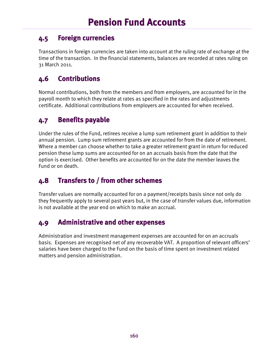# **4.5 Foreign currencies**

Transactions in foreign currencies are taken into account at the ruling rate of exchange at the time of the transaction. In the financial statements, balances are recorded at rates ruling on 31 March 2011.

# **4.6 Contributions**

Normal contributions, both from the members and from employers, are accounted for in the payroll month to which they relate at rates as specified in the rates and adjustments certificate. Additional contributions from employers are accounted for when received.

# **4.7 Benefits payable**

Under the rules of the Fund, retirees receive a lump sum retirement grant in addition to their annual pension. Lump sum retirement grants are accounted for from the date of retirement. Where a member can choose whether to take a greater retirement grant in return for reduced pension these lump sums are accounted for on an accruals basis from the date that the option is exercised. Other benefits are accounted for on the date the member leaves the Fund or on death.

# **4.8 Transfers to / from other schemes**

Transfer values are normally accounted for on a payment/receipts basis since not only do they frequently apply to several past years but, in the case of transfer values due, information is not available at the year end on which to make an accrual.

# **4.9 Administrative and other expenses**

Administration and investment management expenses are accounted for on an accruals basis. Expenses are recognised net of any recoverable VAT. A proportion of relevant officers' salaries have been charged to the Fund on the basis of time spent on investment related matters and pension administration.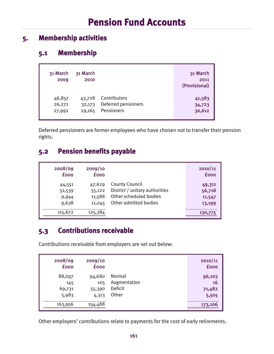# **5. Membership activities**

# **5.1 Membership**

| 31 March<br>2009 | 31 March<br>2010 |                     | 31 March<br>2011<br>(Provisional) |
|------------------|------------------|---------------------|-----------------------------------|
| 46,857           | 43,728           | Contributors        | 41,583                            |
| 26,272           | 32,173           | Deferred pensioners | 34,723                            |
| 27,992           | 29,165           | Pensioners          | 30,612                            |

Deferred pensioners are former employees who have chosen not to transfer their pension rights.

## **5.2 Pension benefits payable**

| 2008/09     | 2009/10     |                                | 2010/11     |
|-------------|-------------|--------------------------------|-------------|
| <b>fooo</b> | <b>fooo</b> |                                | <b>fooo</b> |
| 44,551      | 47,629      | <b>County Council</b>          | 49,311      |
| 51,539      | 55,122      | District / unitary authorities | 56,718      |
| 9,944       | 11,588      | Other scheduled bodies         | 11,547      |
| 9,638       | 11,045      | Other admitted bodies          | 13,199      |
| 115,672     | 125,384     |                                | 130,775     |

# **5.3 Contributions receivable**

Contributions receivable from employers are set out below:

| 2008/09     | 2009/10     |              | 2010/11     |
|-------------|-------------|--------------|-------------|
| <b>fooo</b> | <b>fooo</b> |              | <b>fooo</b> |
| 88,097      | 94,680      | Normal       | 96,103      |
| 145         | 105         | Augmentation | 16          |
| 69,731      | 55,390      | Deficit      | 71,482      |
| 5,983       | 4,313       | Other        | 5,505       |
| 163,956     | 154,488     |              | 173,106     |

Other employers' contributions relate to payments for the cost of early retirements.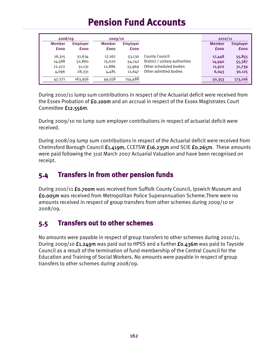|               | 2008/09         |               | 2009/10         |                                | 2010/11       |                 |
|---------------|-----------------|---------------|-----------------|--------------------------------|---------------|-----------------|
| <b>Member</b> | <b>Employer</b> | <b>Member</b> | <b>Employer</b> |                                | <b>Member</b> | <b>Employer</b> |
| <b>fooo</b>   | <b>fooo</b>     | <b>fooo</b>   | <b>fooo</b>     |                                | <b>fooo</b>   | <b>fooo</b>     |
| 16,315        | 51,634          | 17,167        | 53,130          | County Council                 | 17,448        | 55,855          |
| 14,588        | 52,860          | 15,020        | 54,742          | District / unitary authorities | 14,940        | 55,387          |
| 12,272        | 31,131          | 12,886        | 33,969          | Other scheduled bodies         | 11,922        | 31,739          |
| 4,096         | 28,331          | 4,485         | 12,647          | Other admitted bodies          | 6,043         | 30,125          |
| 47,271        | 163,956         | 49,558        | 154,488         |                                | 50,353        | 173,106         |

During 2010/11 lump sum contributions in respect of the Actuarial deficit were received from the Essex Probation of £0.100m and an accrual in respect of the Essex Magistrates Court Committee £12.556m.

During 2009/10 no lump sum employer contributions in respect of actuarial deficit were received.

During 2008/09 lump sum contributions in respect of the Actuarial deficit were received from Chelmsford Borough Council £1.419m, CCETSW £16.235m and SCIE £0.265m. These amounts were paid following the 31st March 2007 Actuarial Valuation and have been recognised on receipt.

# **5.4 Transfers in from other pension funds**

During 2010/11 **£0.700m** was received from Suffolk County Council, Ipswich Museum and £0.005m was received from Metropolitan Police Superannuation Scheme.There were no amounts received in respect of group transfers from other schemes during 2009/10 or 2008/09.

# **5.5 Transfers out to other schemes**

No amounts were payable in respect of group transfers to other schemes during 2010/11. During 2009/10 £1.249m was paid out to HPSS and a further £0.436m was paid to Tayside Council as a result of the termination of fund membership of the Central Council for the Education and Training of Social Workers. No amounts were payable in respect of group transfers to other schemes during 2008/09.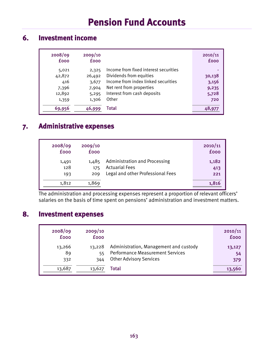### **6. Investment income**

| 2008/09<br><b>fooo</b> | 2009/10<br><b>fooo</b> |                                       | 2010/11<br><b>fooo</b> |
|------------------------|------------------------|---------------------------------------|------------------------|
| 5,021                  | 2,325                  | Income from fixed interest securities |                        |
| 42,872                 | 26,492                 | Dividends from equities               | 30,138                 |
| 416                    | 3,677                  | Income from index linked securities   | 3,156                  |
| 7,396                  | 7,904                  | Net rent from properties              | 9,235                  |
| 12,892                 | 5,295                  | Interest from cash deposits           | 5,728                  |
| 1,359                  | 1,306                  | Other                                 | 720                    |
| 69,956                 | 46.999                 | Total                                 | 48,977                 |

# **7. Administrative expenses**

| 2008/09     | 2009/10     |                                      | 2010/11     |
|-------------|-------------|--------------------------------------|-------------|
| <b>fooo</b> | <b>fooo</b> |                                      | <b>fooo</b> |
| 1,491       | 1,485       | <b>Administration and Processing</b> | 1,182       |
| 128         | 175         | <b>Actuarial Fees</b>                | 413         |
| 193         | 209         | Legal and other Professional Fees    | 221         |
| 1,812       | 1,869       |                                      | 1,816       |

The administration and processing expenses represent a proportion of relevant officers' salaries on the basis of time spent on pensions' administration and investment matters.

### **8. Investment expenses**

| 2008/09<br><b>fooo</b> | 2009/10<br><b>fooo</b> |                                         | 2010/11<br><b>fooo</b> |
|------------------------|------------------------|-----------------------------------------|------------------------|
| 13,266                 | 13,228                 | Administration, Management and custody  | 13,127                 |
| 89                     | 55                     | <b>Performance Measurement Services</b> | 54                     |
| 332                    | 344                    | <b>Other Advisory Services</b>          | 379                    |
| 13,687                 | 13,627                 | Total                                   | 13,560                 |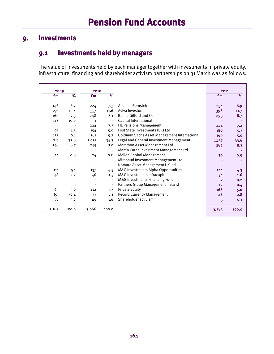### **9. Investments**

### **9.1 Investments held by managers**

The value of investments held by each manager together with investments in private equity, infrastructure, financing and shareholder activism partnerships on 31March was as follows:

| 2009  |        | 2010         |                          |                                              | 2011           |       |
|-------|--------|--------------|--------------------------|----------------------------------------------|----------------|-------|
| £m    | %      | £m           | %                        |                                              | £m             | $\%$  |
|       |        |              |                          |                                              |                |       |
| 146   | 6.7    | 224          | 7.3                      | <b>Alliance Bernstein</b>                    | 234            | 6.9   |
| 271   | 12.4   | 357          | 11.6                     | Aviva Investors                              | 396            | 11.7  |
| 160   | 7.3    | 248          | 8.1                      | <b>Baillie Gifford and Co</b>                | 293            | 8.7   |
| 218   | 10.0   | $\mathbf{1}$ |                          | Capital International                        |                |       |
|       |        | 224          | 7.3                      | <b>FIL Pensions Management</b>               | 244            | 7.2   |
| 97    | 4.5    | 154          | 5.0                      | First State Investments (UK) Ltd             | <b>180</b>     | 5.3   |
| 133   | 6.1    | 161          | 5.2                      | Goldman Sachs Asset Management International | 169            | 5.0   |
| 711   | 32.6   | 1,051        | 34.3                     | Legal and General Investment Management      | 1,137          | 33.6  |
| 146   | 6.7    | 245          | 8.0                      | <b>Marathon Asset Management Ltd</b>         | 282            | 8.3   |
|       |        |              |                          | Martin Currie Investment Management Ltd      |                |       |
| 14    | 0.6    | 24           | 0.8                      | <b>Mellon Capital Management</b>             | 30             | 0.9   |
| ٠     |        |              | ÷,                       | Mirabaud Investment Management Ltd           |                |       |
|       |        |              | $\overline{\phantom{a}}$ | Nomura Asset Management UK Ltd               |                |       |
| 111   | 5.1    | 137          | 4.5                      | M&G Investments Alpha Opportunities          | 144            | 4.3   |
| 48    | 2.2    | 46           | 1.5                      | M&G Investments Infracapital                 | 54             | 1.6   |
|       |        |              |                          | M&G Investments Financing Fund               | $\overline{7}$ | 0.2   |
|       |        |              |                          | Partners Group Management II S.à r.l         | 12             | 0.4   |
| 65    | 3.0    | 112          | 3.7                      | <b>Private Equity</b>                        | 168            | 5.0   |
| (၅)   | $-0.4$ | 33           | 1.1                      | <b>Record Currency Management</b>            | 28             | 0.8   |
| 71    | 3.2    | 49           | 1.6                      | Shareholder activism                         | 5              | 0.1   |
|       |        |              |                          |                                              |                |       |
| 2,182 | 100.0  | 3,066        | 100.0                    |                                              | 3,383          | 100.0 |
|       |        |              |                          |                                              |                |       |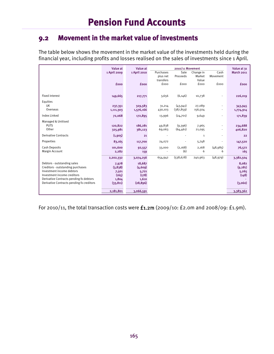### **9.2 Movement in the market value of investments**

The table below shows the movement in the market value of the investments held during the financial year, including profits and losses realised on the sales of investments since 1 April.

|                                           | Value at     | Value at     | Purchases | 2010/11 Movement<br>Sale |                     | Cash           | Value at 31<br><b>March 2011</b> |
|-------------------------------------------|--------------|--------------|-----------|--------------------------|---------------------|----------------|----------------------------------|
|                                           | 1 April 2009 | 1 April 2010 | plus net  | Proceeds                 | Change in<br>Market | Movement       |                                  |
|                                           |              |              | transfers |                          | Value               |                |                                  |
|                                           | <b>fooo</b>  | <b>fooo</b>  | fooo      | fooo                     | fooo                | fooo           | <b>fooo</b>                      |
|                                           |              |              |           |                          |                     |                |                                  |
|                                           |              |              |           |                          |                     |                |                                  |
| <b>Fixed interest</b>                     | 149,665      | 217,771      | 3,656     | (6, 146)                 | 10,738              |                | 226,019                          |
| Equities                                  |              |              |           |                          |                     |                |                                  |
| UK                                        | 237,351      | 329,583      | 31,214    | (43, 941)                | 27,089              | ٠              | 343,945                          |
| Overseas                                  | 1,111,303    | 1,576,166    | 430,103   | (387, 859)               | 156,504             | ٠              | 1,774,914                        |
| Index Linked                              | 72,068       | 172,895      | 13,996    | (24,701)                 | 9,649               | ÷.             | 171,839                          |
|                                           |              |              |           |                          |                     |                |                                  |
| Managed & Unitised<br><b>PUTS</b>         | 120,822      | 186,281      | 49,838    | (9,396)                  |                     | ä,             | 234,688                          |
| Other                                     | 325,981      | 381,123      | 69,063    | (64, 461)                | 7,965<br>21,095     | ä,             | 406,820                          |
|                                           |              |              |           |                          |                     |                |                                  |
| <b>Derivative Contracts</b>               | (1,905)      | 21           |           |                          | $\mathbf{1}$        | $\overline{a}$ | 22                               |
| Properties                                | 83,165       | 117,700      | 24,072    |                          | 5,748               | ٠              | 147,520                          |
| <b>Cash Deposits</b>                      | 101,600      | 92,557       | 33,000    | (2,168)                  | 2,168               | (48,985)       | 76,572                           |
| Margin Account                            | 2,282        | 159          |           | (6)                      | 6                   | 6              | 165                              |
|                                           | 2,202,332    | 3,074,256    | 654,942   | (538, 678)               | 240,963             | (48, 979)      | 3,382,504                        |
| Debtors - outstanding sales               | 7,978        | 18,687       |           |                          |                     |                | 8,082                            |
| Creditors - outstanding purchases         | (3,838)      | (4,609)      |           |                          |                     |                | (9, 281)                         |
| Investment income debtors                 | 7,501        | 5,721        |           |                          |                     |                | 5,265                            |
| Investment income creditors               | (165)        | (178)        |           |                          |                     |                | (148)                            |
| Derivative Contracts pending fx debtors   | 1,804        | 1,610        |           |                          |                     |                |                                  |
| Derivative Contracts pending fx creditors | (33, 811)    | (28, 896)    |           |                          |                     |                | (3,060)                          |
|                                           |              |              |           |                          |                     |                |                                  |
|                                           | 2,181,801    | 3,066,591    |           |                          |                     |                | 3,383,362                        |

For 2010/11, the total transaction costs were £1.2m (2009/10: £2.0m and 2008/09: £1.9m).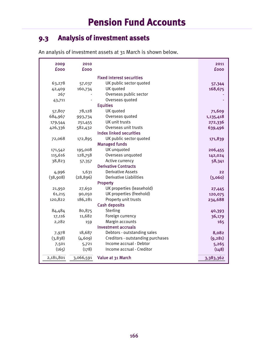# **9.3 Analysis of investment assets**

|  | An analysis of investment assets at 31 March is shown below. |
|--|--------------------------------------------------------------|
|--|--------------------------------------------------------------|

| 2009<br><b>fooo</b> | 2010<br><b>fooo</b> |                                   | 2011<br><b>fooo</b> |
|---------------------|---------------------|-----------------------------------|---------------------|
|                     |                     | <b>Fixed interest securities</b>  |                     |
| 63,278              | 57,037              | UK public sector quoted           | 57,344              |
| 42,409              | 160,734             | UK quoted                         | 168,675             |
| 267                 |                     | Overseas public sector            |                     |
| 43,711              |                     | Overseas quoted                   |                     |
|                     |                     | <b>Equities</b>                   |                     |
| 57,807              | 78,128              | UK quoted                         | 71,609              |
| 684,967             | 993,734             | Overseas quoted                   | 1,135,418           |
| 179,544             | 251,455             | UK unit trusts                    | 272,336             |
| 426,336             | 582,432             | Overseas unit trusts              | 639,496             |
|                     |                     | <b>Index linked securities</b>    |                     |
| 72,068              | 172,895             | UK public sector quoted           | 171,839             |
|                     |                     | <b>Managed funds</b>              |                     |
| 171,542             | 195,008             | UK unquoted                       | 206,455             |
| 115,616             | 128,758             | Overseas unquoted                 | 142,024             |
| 38,823              | 57,357              | Active currency                   | 58,341              |
|                     |                     | <b>Derivative Contracts</b>       |                     |
| 4,996               | 1,631               | <b>Derivative Assets</b>          | 22                  |
| (38,908)            | (28, 896)           | Derivative Liabilities            | (3,060)             |
|                     |                     | Property                          |                     |
| 21,950              | 27,650              | UK properties (leasehold)         | 27,445              |
| 61,215              | 90,050              | UK properties (freehold)          | 120,075             |
| 120,822             | 186,281             | Property unit trusts              | 234,688             |
|                     |                     | <b>Cash deposits</b>              |                     |
| 84,484              | 80,875              | Sterling                          | 40,393              |
| 17,116              | 11,682              | Foreign currency                  | 36,179              |
| 2,282               | 159                 | Margin accounts                   | 165                 |
|                     |                     | Investment accruals               |                     |
| 7,978               | 18,687              | Debtors - outstanding sales       | 8,082               |
| (3,838)             | (4, 609)            | Creditors - outstanding purchases | (9, 281)            |
| 7,501               | 5,721               | Income accrual - Debtor           | 5,265               |
| (165)               | (178)               | Income accrual - Creditor         | (148)               |
| 2,181,801           | 3,066,591           | Value at 31 March                 | 3,383,362           |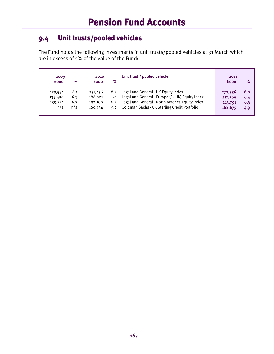# **9.4 Unit trusts/pooled vehicles**

The Fund holds the following investments in unit trusts/pooled vehicles at 31 March which are in excess of 5% of the value of the Fund:

| 2009                                 |                          | 2010                                     |                   | Unit trust / pooled vehicle                                                                                                                                                                  | 2011                                     |                                 |
|--------------------------------------|--------------------------|------------------------------------------|-------------------|----------------------------------------------------------------------------------------------------------------------------------------------------------------------------------------------|------------------------------------------|---------------------------------|
| <b>fooo</b>                          | %                        | <b>fooo</b>                              | %                 |                                                                                                                                                                                              | <b>fooo</b>                              | $\%$                            |
| 179,544<br>139,490<br>139,221<br>n/a | 8.1<br>6.3<br>6.3<br>n/a | 251,456<br>188.021<br>192,169<br>160,734 | 8.2<br>6.2<br>5.2 | Legal and General - UK Equity Index<br>6.1 Legal and General - Europe (Ex UK) Equity Index<br>Legal and General - North America Equity Index<br>Goldman Sachs - UK Sterling Credit Portfolio | 272,336<br>217,569<br>213,791<br>168,675 | <b>8.0</b><br>6.4<br>6.3<br>4.9 |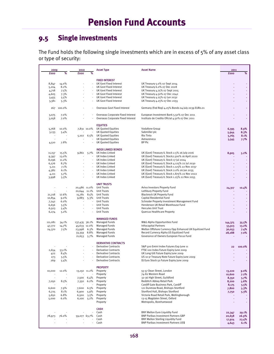# **9.5 Single investments**

The Fund holds the following single investments which are in excess of 5% of any asset class or type of security:

| 2009                     |                          | 2010                     |                             | <b>Asset Type</b>                 | <b>Asset Name</b>                                       | 2011    |        |
|--------------------------|--------------------------|--------------------------|-----------------------------|-----------------------------------|---------------------------------------------------------|---------|--------|
| £000                     | %                        | £000                     | %                           |                                   |                                                         | £000    | %      |
|                          |                          |                          |                             |                                   |                                                         |         |        |
|                          |                          |                          |                             | <b>FIXED INTEREST</b>             |                                                         |         |        |
| 8,847                    | 14.0%                    |                          |                             | UK Govt Fixed Interest            | UK Treasury 5.0% 07 Sept 2014                           |         |        |
| 5,204                    | 8.2%                     | $\overline{\phantom{a}}$ |                             | UK Govt Fixed Interest            | UK Treasury 6.0% 07 Dec 2028                            |         |        |
| 4,718                    | 7.5%                     |                          |                             | UK Govt Fixed Interest            | UK Treasury 4.75% 07 Sept 2015                          |         |        |
| 4,605                    | 7.3%                     |                          |                             | UK Govt Fixed Interest            | UK Treasury 4.50% 07 Dec 2042                           |         |        |
| 3,455                    | 5.5%                     | $\overline{\phantom{a}}$ | $\sim$                      | UK Govt Fixed Interest            | UK Treasury 4.25% 07 Jun 2032                           | ä,      | à,     |
| 3,381                    | 5.3%                     | ÷,                       | $\omega$                    | UK Govt Fixed Interest            | UK Treasury 4.25% 07 Dec 2055                           |         | ä,     |
|                          |                          |                          |                             |                                   |                                                         |         |        |
|                          | 267 100.0%               |                          |                             | Overseas Govt Fixed Interest      | Germany (Fed Rep) 4.25% Bonds 04 July 2039 EURo.01      |         |        |
| 3,075                    | 7.0%                     |                          |                             | Overseas Corporate Fixed Interest | European Investment Bank 5.50% 07 Dec 2011              |         |        |
| 3,058                    | 7.0%                     |                          |                             | Overseas Corporate Fixed Interest | Instituto de Credito Oficial 4.50% 07 Dec 2011          |         |        |
|                          |                          |                          |                             |                                   |                                                         |         |        |
|                          |                          |                          |                             | <b>EQUITIES</b>                   |                                                         |         |        |
| 5,768                    | 10.0%                    |                          | 7,831 10.0%                 | UK Quoted Equities                | Vodafone Group                                          | 6,395   | 8.9%   |
| 3,133                    | 5.4%                     |                          |                             | <b>UK Quoted Equities</b>         | Sabmiller plc                                           | 5,944   | 8.3%   |
| $\overline{\phantom{a}}$ |                          | 5,102                    | 6.5%                        | UK Quoted Equities                | Rio Tinto                                               | 5,765   | 8.1%   |
|                          |                          |                          |                             | <b>UK Quoted Equities</b>         | Astrazeneca                                             | 5,545   | 7.7%   |
| 4,510                    | 7.8%                     | ÷,                       |                             | <b>UK Quoted Equities</b>         | BP Plc                                                  |         |        |
|                          |                          |                          |                             |                                   |                                                         |         |        |
|                          |                          |                          |                             | <b>INDEX LINKED BONDS</b>         |                                                         |         |        |
| 11,157                   | 15.5%                    | 9,861                    | 5.7%                        | UK Index Linked                   | UK (Govt) Treasury IL Stock 2.5% 26 July 2016           | 8,905   | 5.2%   |
| 9,397                    | 13.0%                    |                          |                             | UK Index Linked                   | UK (Govt) Treasury IL Stock2.500% 16 April 2020         |         |        |
| 8,096                    | 11.2%                    |                          |                             | UK Index Linked                   | UK (Govt) Treasury IL Stock 17 Jul 2024                 |         |        |
| 6,276                    | 8.7%                     |                          | ÷.                          | UK Index Linked                   | UK (Govt) Treasury IL Stock 4.125% 22 Jul 2030          |         |        |
| 5,111                    | 7.1%                     |                          |                             | UK Index Linked                   | UK (Govt) Treasury IL Stock 1.125% 22 Nov 2037          |         |        |
| 4,382                    | 6.1%                     |                          | $\blacksquare$              | UK Index Linked                   | UK (Govt) Treasury IL Stock 2.0% 26 Jan 2035            |         |        |
| 4,111                    | 5.7%                     |                          | $\mathcal{L}_{\mathcal{A}}$ | UK Index Linked                   | UK (Govt) Treasury IL Stock 1.875% 22 Nov 2022          |         |        |
| 3,998                    | 5.5%                     |                          |                             | UK Index Linked                   | UK (Govt) Treasury IL Stock 1.25% 22 Nov 2055           |         |        |
|                          |                          |                          |                             |                                   |                                                         |         |        |
|                          |                          |                          |                             | <b>UNIT TRUSTS</b>                |                                                         |         |        |
|                          |                          |                          |                             | <b>Unit Trusts</b>                |                                                         |         |        |
|                          |                          | 20,486 11.0%             |                             | <b>Unit Trusts</b>                | Aviva Investors Property Fund                           | 24,317  | 10.4%  |
|                          |                          | 20,644 11.1%             |                             |                                   | Lothbury Property Fund                                  |         |        |
| 21,218                   | 17.6%                    |                          | 15,781 8.5%                 | <b>Unit Trusts</b>                | <b>Blackrock UK Property Fund</b>                       |         |        |
| 10,854                   | 9.0%                     | 9,883                    | $5.3\%$                     | <b>Unit Trusts</b>                | Capital Residential Fund                                |         |        |
| 7,242                    | 6.0%                     |                          |                             | <b>Unit Trusts</b>                | Schroder Property Investment Management Fund            |         |        |
| 6,656                    | 5.5%                     | $\overline{\phantom{a}}$ |                             | <b>Unit Trusts</b>                | Henderson UK Retail Warehouse Fund                      |         |        |
| 6,503                    | 5.4%                     |                          |                             | <b>Unit Trusts</b>                | <b>Hercules Unit Trust</b>                              |         |        |
| 6,274                    | 5.2%                     |                          |                             | <b>Unit Trusts</b>                | Quercus Healthcare Property                             |         |        |
|                          |                          |                          |                             |                                   |                                                         |         |        |
|                          |                          |                          |                             | <b>MANAGED FUNDS</b>              |                                                         |         |        |
| 111,081                  | 34.1%                    | 137,435 36.1%            |                             | Managed Funds                     | M&G Alpha Opportunities Fund                            | 144,375 | 35.5%  |
| 47,772                   | 14.7%                    | 45,633 12.0%             |                             | Managed Funds                     | <b>Infracapital Partners</b>                            | 53,913  | 13.2%  |
| 24,370                   | 7.5%                     | 23,998 6.3%              |                             | <b>Managed Funds</b>              | Mellon Offshore Currency Opp Enhanced UK Equitized Fund | 30,053  | 7.4%   |
|                          |                          | 33,359 8.8%              |                             | Managed Funds                     | Record Currency Alpha US Equitized Fund                 | 28,288  | 7.0%   |
|                          |                          | 21,653 5.7%              |                             | Managed Funds                     | Goverance of Owners European Focus Fund                 |         |        |
|                          |                          |                          |                             |                                   |                                                         |         |        |
|                          |                          |                          |                             | <b>DERIVATIVE CONTRACTS</b>       |                                                         |         |        |
|                          |                          |                          |                             | <b>Derivative Contracts</b>       | S&P 500 Emini Index Futures Exp June 11                 | 22      | 100.0% |
| 2,654                    | 53.1%                    |                          |                             | Derivative Contracts              | FTSE 100 Index Future Expiry June 2009                  |         |        |
| 422                      | 8.4%                     |                          |                             | <b>Derivative Contracts</b>       | UK Long Gilt Future Expiry June 2009                    |         |        |
| 273                      | 5.5%                     |                          |                             | <b>Derivative Contracts</b>       | US 10 yr Treasury Note Future Expiry June 2009          |         |        |
| 269                      | 5.4%                     |                          |                             | <b>Derivative Contracts</b>       | DJ Euro Stock 50 Future Expiry June 2009                |         |        |
|                          |                          |                          |                             |                                   |                                                         |         |        |
|                          |                          |                          |                             | <b>PROPERTY</b>                   |                                                         |         |        |
| 10,000                   | 12.0%                    |                          | 13,150 11.2%                | Property                          | 55-57 Dean Street, London                               | 13,220  | 9.0%   |
|                          |                          |                          |                             | Property                          | 74-82 Western Road                                      | 10,600  | 7.2%   |
|                          | $\overline{\phantom{a}}$ | 7,500                    | 6.4%                        | Property                          | 32-36 High Street, Guildford                            | 8,350   | 5.7%   |
| 7,050                    | 8.5%                     | 7,350                    | 6.2%                        | Property                          | Redditch Abbey Retail Park                              | 8,200   | 5.6%   |
|                          |                          | $\overline{\phantom{a}}$ |                             | Property                          | Cardiff Gate Business Park, Cardiff                     | 8,175   | 5.5%   |
| 6,600                    | 7.9%                     | 7,600                    | 6.5%                        | Property                          | 121 Dunmow Road, Bishops Stortford                      | 7,800   | 5.3%   |
| 6,725                    | 8.1%                     | 6,900                    | 5.9%                        | Property                          | Stortford Hall, Bishops Stortford                       | 7,750   | 5.3%   |
| 5,650                    | 6.8%                     | 6,500                    | 5.5%                        | Property                          | Victoria Road Retail Park, Wellingborough               |         |        |
| 5,000                    | 6.0%                     | 6,100                    | $5.2\%$                     | Property                          | 13-15 Magdalen Street, Oxford                           | ä,      |        |
|                          |                          |                          |                             | Property                          | Metropolis, Borehamwood                                 |         | ×.     |
|                          |                          |                          |                             |                                   |                                                         |         |        |
|                          |                          |                          |                             | <b>CASH</b>                       |                                                         |         |        |
|                          |                          |                          | ÷,                          | Cash                              | BNY Mellon Euro Liquidity Fund                          | 22,347  | 29.1%  |
| 78,973                   | 76.0%                    | 59,077 63.7%             |                             | Cash                              | <b>BNP Paribas Investment Partners GBP</b>              | 20,658  | 26.9%  |
|                          |                          |                          |                             | Cash                              | BNY Mellon Sterling Liquidity Fund                      | 17,924  | 23.4%  |
|                          |                          |                          | -                           | Cash                              | <b>BNP Paribas Investment Partners US\$</b>             | 4,643   | 6.1%   |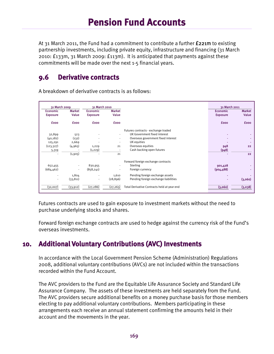At 31 March 2011, the Fund had a commitment to contribute a further £221m to existing partnership investments, including private equity, infrastructure and financing (31 March 2010: £133m, 31 March 2009: £113m). It is anticipated that payments against these commitments will be made over the next 1-5 financial years.

### **9.6 Derivative contracts**

| 31 March 2009   |               | 31 March 2010   |               |                                             | 31 March 2011   |               |
|-----------------|---------------|-----------------|---------------|---------------------------------------------|-----------------|---------------|
| <b>Economic</b> | <b>Market</b> | <b>Economic</b> | <b>Market</b> |                                             | <b>Economic</b> | <b>Market</b> |
| <b>Exposure</b> | Value         | <b>Exposure</b> | Value         |                                             | <b>Exposure</b> | Value         |
| £000            | <b>fooo</b>   | <b>fooo</b>     | <b>fooo</b>   |                                             | <b>fooo</b>     | <b>fooo</b>   |
|                 |               |                 |               | Futures contracts - exchange traded         |                 |               |
| 32,899          | 523           |                 |               | UK Government fixed interest                |                 |               |
| (40, 182)       | (132)         |                 |               | Overseas government fixed interest          |                 |               |
| 125,291         | 2,669         |                 | ۰             | UK equities                                 |                 |               |
| (123, 327)      | (4, 965)      | 1,229           | 21            | Overseas equities                           | 948             | 22            |
| 5,319           |               | (1, 229)        | ٠             | Cash backing open futures                   | (948)           |               |
|                 | (1,905)       |                 | 21            |                                             |                 | 22            |
|                 |               |                 |               | Forward foreign exchange contracts          |                 |               |
| 652,455         |               | 830,955         | ٠             | Sterling                                    | 901,428         |               |
| (684, 462)      | ٠             | (858, 241)      | ٠             | Foreign currency                            | (904, 488)      |               |
|                 | 1,804         |                 | 1,610         | Pending foreign exchange assets             |                 |               |
| ٠               | (33, 811)     | ٠               | (28, 896)     | Pending foreign exchange liabilities        |                 | (3,060)       |
| (32,007)        | (33, 912)     | (27, 286)       | (27, 265)     | Total Derivative Contracts held at year end | (3,060)         | (3,038)       |

A breakdown of derivative contracts is as follows:

Futures contracts are used to gain exposure to investment markets without the need to purchase underlying stocks and shares.

Forward foreign exchange contracts are used to hedge against the currency risk of the Fund's overseas investments.

# **10. Additional Voluntary Contributions (AVC) Investments**

In accordance with the Local Government Pension Scheme (Administration) Regulations 2008, additional voluntary contributions (AVCs) are not included within the transactions recorded within the Fund Account.

The AVC providers to the Fund are the Equitable Life Assurance Society and Standard Life Assurance Company. The assets of these investments are held separately from the Fund. The AVC providers secure additional benefits on a money purchase basis for those members electing to pay additional voluntary contributions. Members participating in these arrangements each receive an annual statement confirming the amounts held in their account and the movements in the year.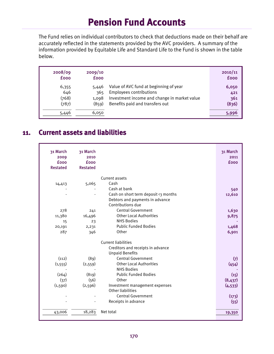The Fund relies on individual contributors to check that deductions made on their behalf are accurately reflected in the statements provided by the AVC providers. A summary of the information provided by Equitable Life and Standard Life to the Fund is shown in the table below.

| 2008/09<br><b>fooo</b> | 2009/10<br><b>fooo</b> |                                              | 2010/11<br><b>fooo</b> |
|------------------------|------------------------|----------------------------------------------|------------------------|
| 6,355                  | 5,446                  | Value of AVC fund at beginning of year       | 6,050                  |
| 646                    | 365                    | <b>Employees contributions</b>               | 421                    |
| (768)                  | 1,098                  | Investment income and change in market value | 361                    |
| (787)                  | (859)                  | Benefits paid and transfers out              | (836)                  |
| 5,446                  | 6,050                  |                                              | 5,996                  |

### **11. Current assets and liabilities**

| 31 March<br>2009<br><b>fooo</b><br><b>Restated</b> | 31 March<br>2010<br><b>fooo</b><br><b>Restated</b> |                                      | 31 March<br>2011<br><b>fooo</b> |
|----------------------------------------------------|----------------------------------------------------|--------------------------------------|---------------------------------|
|                                                    |                                                    | Current assets                       |                                 |
| 14,413                                             | 5,065                                              | Cash                                 |                                 |
|                                                    |                                                    | Cash at bank                         | 540                             |
|                                                    |                                                    | Cash on short term deposit <3 months | 12,610                          |
|                                                    |                                                    | Debtors and payments in advance      |                                 |
|                                                    |                                                    | Contributions due                    |                                 |
| 278                                                | 241                                                | <b>Central Government</b>            | 1,630                           |
| 11,380                                             | 16,496                                             | <b>Other Local Authorities</b>       | 9,875                           |
| 15                                                 | 23                                                 | <b>NHS Bodies</b>                    |                                 |
| 20,191                                             | 2,231                                              | <b>Public Funded Bodies</b>          | 1,468                           |
| 287                                                | 346                                                | Other                                | 6,901                           |
|                                                    |                                                    | <b>Current liabilities</b>           |                                 |
|                                                    |                                                    | Creditors and receipts in advance    |                                 |
|                                                    |                                                    | <b>Unpaid Benefits</b>               |                                 |
| (112)                                              | (89)                                               | <b>Central Government</b>            | $\left( 7\right)$               |
| (1, 555)                                           | (2,559)                                            | <b>Other Local Authorities</b>       | (454)                           |
|                                                    |                                                    | <b>NHS Bodies</b>                    |                                 |
| (264)                                              | (819)                                              | <b>Public Funded Bodies</b>          | (15)                            |
| (37)                                               | (56)                                               | Other                                | (8,437)                         |
| (1,590)                                            | (2,596)                                            | Investment management expenses       | (4, 533)                        |
|                                                    |                                                    | Other liabilities                    |                                 |
|                                                    |                                                    | <b>Central Government</b>            | (173)                           |
|                                                    |                                                    | Receipts in advance                  | (55)                            |
|                                                    |                                                    |                                      |                                 |
| 43,006                                             | 18,283                                             | Net total                            | 19,350                          |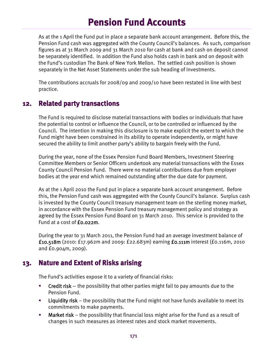As at the 1 April the Fund put in place a separate bank account arrangement. Before this, the Pension Fund cash was aggregated with the County Council's balances. As such, comparison figures as at 31 March 2009 and 31 March 2010 for cash at bank and cash on deposit cannot be separately identified. In addition the Fund also holds cash in bank and on deposit with the Fund's custodian The Bank of New York Mellon. The settled cash position is shown separately in the Net Asset Statements under the sub heading of Investments.

The contributions accruals for 2008/09 and 2009/10 have been restated in line with best practice.

### **12. Related party transactions**

The Fund is required to disclose material transactions with bodies or individuals that have the potential to control or influence the Council, or to be controlled or influenced by the Council. The intention in making this disclosure is to make explicit the extent to which the Fund might have been constrained in its ability to operate independently, or might have secured the ability to limit another party's ability to bargain freely with the Fund.

During the year, none of the Essex Pension Fund Board Members, Investment Steering Committee Members or Senior Officers undertook any material transactions with the Essex County Council Pension Fund. There were no material contributions due from employer bodies at the year end which remained outstanding after the due date for payment.

As at the 1 April 2010 the Fund put in place a separate bank account arrangement. Before this, the Pension Fund cash was aggregated with the County Council's balance. Surplus cash is invested by the County Council treasury management team on the sterling money market, in accordance with the Essex Pension Fund treasury management policy and strategy as agreed by the Essex Pension Fund Board on 31 March 2010. This service is provided to the Fund at a cost of £0.022m.

During the year to 31 March 2011, the Pension Fund had an average investment balance of £10.518m (2010: £17.962m and 2009: £22.683m) earning £0.111m interest (£0.116m, 2010 and £0.904m, 2009).

### **13. Nature and Extent of Risks arising**

The Fund's activities expose it to a variety of financial risks:

- **Credit risk** the possibility that other parties might fail to pay amounts due to the Pension Fund.
- **Liquidity risk** the possibility that the Fund might not have funds available to meet its commitments to make payments.
- **Market risk** the possibility that financial loss might arise for the Fund as a result of changes in such measures as interest rates and stock market movements.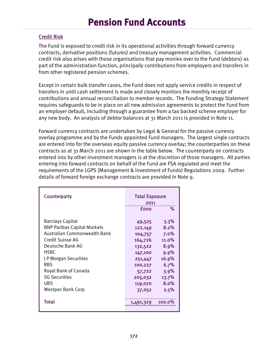#### Credit Risk

The Fund is exposed to credit risk in its operational activities through forward currency contracts, derivative positions (futures) and treasury management activities. Commercial credit risk also arises with those organisations that pay monies over to the Fund (debtors) as part of the administration function, principally contributions from employers and transfers in from other registered pension schemes.

Except in certain bulk transfer cases, the Fund does not apply service credits in respect of transfers in until cash settlement is made and closely monitors the monthly receipt of contributions and annual reconciliation to member records. The Funding Strategy Statement requires safeguards to be in place on all new admission agreements to protect the Fund from an employer default, including through a guarantee from a tax backed scheme employer for any new body. An analysis of debtor balances at 31 March 2011 is provided in Note 11.

Forward currency contracts are undertaken by Legal & General for the passive currency overlay programme and by the Funds appointed Fund managers. The largest single contracts are entered into for the overseas equity passive currency overlay; the counterparties on these contracts as at 31 March 2011 are shown in the table below. The counterparty on contracts entered into by other investment managers is at the discretion of those managers. All parties entering into forward contracts on behalf of the Fund are FSA regulated and meet the requirements of the LGPS (Management & Investment of Funds) Regulations 2009. Further details of forward foreign exchange contracts are provided in Note 9.

| Counterparty                                                                                                                                                                                                                                                            | <b>Total Exposure</b><br>2011<br>℅<br><b>fooo</b>                                                                             |                                                                                                 |
|-------------------------------------------------------------------------------------------------------------------------------------------------------------------------------------------------------------------------------------------------------------------------|-------------------------------------------------------------------------------------------------------------------------------|-------------------------------------------------------------------------------------------------|
| <b>Barclays Capital</b><br><b>BNP Paribas Capital Markets</b><br>Australian Commonwealth Bank<br>Credit Suisse AG<br>Deutsche Bank AG<br><b>HSBC</b><br>J P Morgan Securities<br><b>RBS</b><br>Royal Bank of Canada<br><b>SG Securities</b><br>UBS<br>Westpac Bank Corp | 49,525<br>122,149<br>104,757<br>164,726<br>132,522<br>147,100<br>251,447<br>100,227<br>57,722<br>205,032<br>119,070<br>37,052 | 3.3%<br>8.2%<br>7.0%<br>11.0%<br>8.9%<br>9.9%<br>16.9%<br>6.7%<br>3.9%<br>13.7%<br>8.0%<br>2.5% |
| Total                                                                                                                                                                                                                                                                   | 1,491,329                                                                                                                     | $100.0\%$                                                                                       |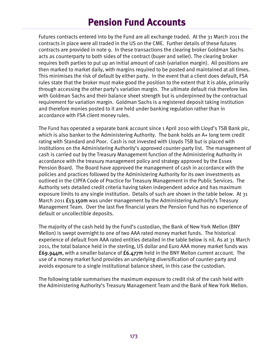Futures contracts entered into by the Fund are all exchange traded. At the 31 March 2011 the contracts in place were all traded in the US on the CME. Further details of these futures contracts are provided in note 9. In these transactions the clearing broker Goldman Sachs acts as counterparty to both sides of the contract (buyer and seller). The clearing broker requires both parties to put up an initial amount of cash (variation margin). All positions are then marked to market daily, with margins required to be posted and maintained at all times. This minimises the risk of default by either party. In the event that a client does default, FSA rules state that the broker must make good the position to the extent that it is able, primarily through accessing the other party's variation margin. The ultimate default risk therefore lies with Goldman Sachs and their balance sheet strength but is underpinned by the contractual requirement for variation margin. Goldman Sachs is a registered deposit taking institution and therefore monies posted to it are held under banking regulation rather than in accordance with FSA client money rules.

The Fund has operated a separate bank account since 1 April 2010 with Lloyd's TSB Bank plc, which is also banker to the Administering Authority. The bank holds an A+ long term credit rating with Standard and Poor. Cash is not invested with Lloyds TSB but is placed with institutions on the Administering Authority's approved counter-party list. The management of cash is carried out by the Treasury Management function of the Administering Authority in accordance with the treasury management policy and strategy approved by the Essex Pension Board. The Board have approved the management of cash in accordance with the policies and practices followed by the Administering Authority for its own investments as outlined in the CIPFA Code of Practice for Treasury Management in the Public Services. The Authority sets detailed credit criteria having taken independent advice and has maximum exposure limits to any single institution. Details of such are shown in the table below. At 31 March 2011 **£13.150m** was under management by the Administering Authority's Treasury Management Team. Over the last five financial years the Pension Fund has no experience of default or uncollectible deposits.

The majority of the cash held by the Fund's custodian, the Bank of New York Mellon (BNY Mellon) is swept overnight to one of two AAA rated money market funds. The historical experience of default from AAA rated entities detailed in the table below is nil. As at 31 March 2011, the total balance held in the sterling, US dollar and Euro AAA money market funds was £69.944m, with a smaller balance of £6.477m held in the BNY Mellon current account. The use of a money market fund provides an underlying diversification of counter-party and avoids exposure to a single institutional balance sheet, in this case the custodian.

The following table summarises the maximum exposure to credit risk of the cash held with the Administering Authority's Treasury Management Team and the Bank of New York Mellon.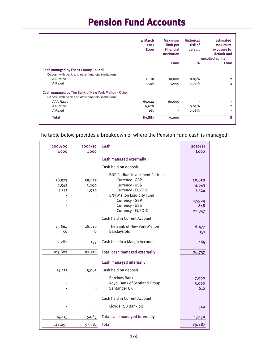|                                                     | 31 March<br>2011<br><b>fooo</b> | <b>Maximum</b><br>limit per<br><b>Financial</b><br><b>Institution</b> | <b>Historical</b><br>risk of<br>default | <b>Estimated</b><br>maximum<br>exposure to<br>default and<br>uncollectability |
|-----------------------------------------------------|---------------------------------|-----------------------------------------------------------------------|-----------------------------------------|-------------------------------------------------------------------------------|
|                                                     |                                 | <b>fooo</b>                                                           | %                                       | <b>fooo</b>                                                                   |
| <b>Cash managed by Essex County Council</b>         |                                 |                                                                       |                                         |                                                                               |
| Deposit with bank and other financial institutions  |                                 |                                                                       |                                         |                                                                               |
| AA Rated                                            | 7,610                           | 10,000                                                                | 0.03%                                   | $\overline{2}$                                                                |
| A Rated                                             | 5,540                           | 5,000                                                                 | 0.08%                                   | 4                                                                             |
| Cash managed by The Bank of New York Mellon - Other |                                 |                                                                       |                                         |                                                                               |
| Deposit with bank and other financial institutions  |                                 |                                                                       |                                         |                                                                               |
| <b>AAA Rated</b>                                    | 69,944                          | 60,000                                                                |                                         |                                                                               |
| AA Rated                                            | 6,628                           | ٠                                                                     | 0.03%                                   | $\overline{2}$                                                                |
| A Rated                                             | 165                             | ٠                                                                     | 0.08%                                   | ۰                                                                             |
| <b>Total</b>                                        | 89,887                          | 75,000                                                                |                                         | 8                                                                             |

The table below provides a breakdown of where the Pension Fund cash is managed:

| 2008/09<br><b>fooo</b>   | 2009/10<br>fooo          | Cash                                                                                                                                                                                           | 2010/11<br><b>fooo</b>                              |
|--------------------------|--------------------------|------------------------------------------------------------------------------------------------------------------------------------------------------------------------------------------------|-----------------------------------------------------|
|                          |                          | <b>Cash managed externally</b>                                                                                                                                                                 |                                                     |
|                          |                          | Cash held on deposit                                                                                                                                                                           |                                                     |
| 78,973<br>2,542<br>4,371 | 59,077<br>3,290<br>1,930 | <b>BNP Paribas Investment Partners</b><br>Currency - GBP<br>Currency - US\$<br>Currency - EURO €<br><b>BNY Mellon Liquidity Fund</b><br>Currency - GBP<br>Currency - US\$<br>Currency - EURO € | 20,658<br>4,643<br>3,524<br>17,924<br>848<br>22,347 |
|                          |                          | Cash held in Current Account                                                                                                                                                                   |                                                     |
| 15,664<br>50             | 28,210<br>50             | The Bank of New York Mellon<br>Barclays plc                                                                                                                                                    | 6,477<br>151                                        |
| 2,282                    | 159                      | Cash held in a Margin Account                                                                                                                                                                  | 165                                                 |
| 103,882                  | 92,716                   | <b>Total cash managed externally</b>                                                                                                                                                           | 76,737                                              |
|                          |                          | <b>Cash managed internally</b>                                                                                                                                                                 |                                                     |
| 14,413                   | 5,065                    | Cash held on deposit                                                                                                                                                                           |                                                     |
|                          |                          | <b>Barclays Bank</b><br>Royal Bank of Scotland Group<br>Santander UK                                                                                                                           | 7,000<br>5,000<br>610                               |
|                          |                          | Cash held in Current Account                                                                                                                                                                   |                                                     |
|                          |                          | Lloyds TSB Bank plc                                                                                                                                                                            | 540                                                 |
| 14,413                   | 5,065                    | <b>Total cash managed internally</b>                                                                                                                                                           | 13,150                                              |
| 118,295                  | 97,781                   | <b>Total</b>                                                                                                                                                                                   | 89,887                                              |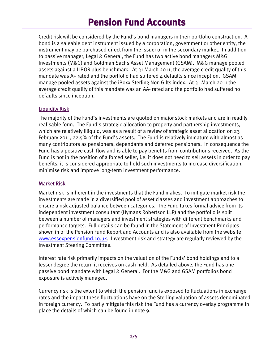Credit risk will be considered by the Fund's bond managers in their portfolio construction. A bond is a saleable debt instrument issued by a corporation, government or other entity, the instrument may be purchased direct from the issuer or in the secondary market. In addition to passive manager, Legal & General, the Fund has two active bond managers M&G Investments (M&G) and Goldman Sachs Asset Management (GSAM). M&G manage pooled assets against a LIBOR plus benchmark. At 31 March 2011, the average credit quality of this mandate was  $A+$  rated and the portfolio had suffered  $4$  defaults since inception. GSAM manage pooled assets against the iBoxx Sterling Non Gilts index. At 31 March 2011 the average credit quality of this mandate was an AA- rated and the portfolio had suffered no defaults since inception.

#### Liquidity Risk

The majority of the Fund's investments are quoted on major stock markets and are in readily realisable form. The Fund's strategic allocation to property and partnership investments, which are relatively illiquid, was as a result of a review of strategic asset allocation on 23 February 2011, 22.5% of the Fund's assets. The Fund is relatively immature with almost as many contributors as pensioners, dependants and deferred pensioners. In consequence the Fund has a positive cash flow and is able to pay benefits from contributions received. As the Fund is not in the position of a forced seller, i.e. it does not need to sell assets in order to pay benefits, it is considered appropriate to hold such investments to increase diversification, minimise risk and improve long-term investment performance.

#### Market Risk

Market risk is inherent in the investments that the Fund makes. To mitigate market risk the investments are made in a diversified pool of asset classes and investment approaches to ensure a risk adjusted balance between categories. The Fund takes formal advice from its independent investment consultant (Hymans Robertson LLP) and the portfolio is split between a number of managers and investment strategies with different benchmarks and performance targets. Full details can be found in the Statement of Investment Principles shown in of the Pension Fund Report and Accounts and is also available from the website www.essexpensionfund.co.uk. Investment risk and strategy are regularly reviewed by the Investment Steering Committee.

Interest rate risk primarily impacts on the valuation of the Funds' bond holdings and to a lesser degree the return it receives on cash held. As detailed above, the Fund has one passive bond mandate with Legal & General. For the M&G and GSAM portfolios bond exposure is actively managed.

Currency risk is the extent to which the pension fund is exposed to fluctuations in exchange rates and the impact these fluctuations have on the Sterling valuation of assets denominated in foreign currency. To partly mitigate this risk the Fund has a currency overlay programme in place the details of which can be found in note 9.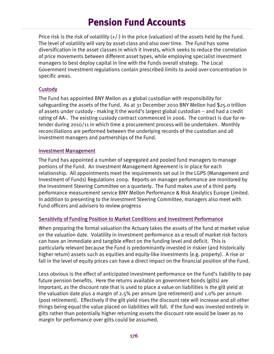Price risk is the risk of volatility  $(+/-)$  in the price (valuation) of the assets held by the Fund. The level of volatility will vary by asset class and also over time. The Fund has some diversification in the asset classes in which it invests, which seeks to reduce the correlation of price movements between different asset types, while employing specialist investment managers to best deploy capital in line with the Funds overall strategy. The Local Government investment regulations contain prescribed limits to avoid over-concentration in specific areas.

#### **Custody**

The Fund has appointed BNY Mellon as a global custodian with responsibility for safeguarding the assets of the Fund. As at 31 December 2010 BNY Mellon had \$25.0 trillion of assets under custody - making it the world's largest global custodian – and had a credit rating of AA-. The existing custody contract commenced in 2006. The contract is due for retender during 2010/11 in which time a procurement process will be undertaken. Monthly reconciliations are performed between the underlying records of the custodian and all investment managers and partnerships of the Fund.

#### Investment Management

The Fund has appointed a number of segregated and pooled fund managers to manage portions of the Fund. An Investment Management Agreement is in place for each relationship. All appointments meet the requirements set out in the LGPS (Management and Investment of Funds) Regulations 2009. Reports on manager performance are monitored by the Investment Steering Committee on a quarterly. The Fund makes use of a third party performance measurement service BNY Mellon Performance & Risk Analytics Europe Limited. In addition to presenting to the Investment Steering Committee, managers also meet with Fund officers and advisers to review progress

#### Sensitivity of Funding Position to Market Conditions and Investment Performance

When preparing the formal valuation the Actuary takes the assets of the fund at market value on the valuation date. Volatility in investment performance as a result of market risk factors can have an immediate and tangible effect on the funding level and deficit. This is particularly relevant because the Fund is predominantly invested in riskier (and historically higher return) assets such as equities and equity-like investments (e.g. property). A rise or fall in the level of equity prices can have a direct impact on the financial position of the Fund.

Less obvious is the effect of anticipated investment performance on the Fund's liability to pay future pension benefits. Here the returns available on government bonds (gilts) are important, as the discount rate that is used to place a value on liabilities is the gilt yield at the valuation date plus a margin of 2.5% per annum (pre retirement) and 1.0% per annum (post retirement). Effectively if the gilt yield rises the discount rate will increase and all other things being equal the value placed on liabilities will fall. If the fund was invested entirely in gilts rather than potentially higher returning assets the discount rate would be lower as no margin for performance over gilts could be assumed.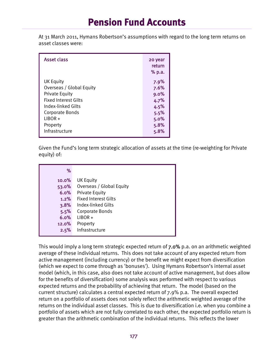At 31 March 2011, Hymans Robertson's assumptions with regard to the long term returns on asset classes were:

| <b>Asset class</b>          | 20 year<br>return<br>% p.a. |
|-----------------------------|-----------------------------|
| UK Equity                   | 7.9%                        |
| Overseas / Global Equity    | 7.6%                        |
| <b>Private Equity</b>       | 9.0%                        |
| <b>Fixed Interest Gilts</b> | 4.7%                        |
| Index-linked Gilts          | 4.5%                        |
| <b>Corporate Bonds</b>      | 5.5%                        |
| $LIBOR +$                   | 5.0%                        |
| Property                    | 5.8%                        |
| Infrastructure              | 5.8%                        |

Given the Fund's long term strategic allocation of assets at the time (re-weighting for Private equity) of:

| %     |                             |
|-------|-----------------------------|
| 10.0% | <b>UK Equity</b>            |
| 53.0% | Overseas / Global Equity    |
| 6.0%  | <b>Private Equity</b>       |
| 1.2%  | <b>Fixed Interest Gilts</b> |
| 3.8%  | Index-linked Gilts          |
| 5.5%  | <b>Corporate Bonds</b>      |
| 6.0%  | $LIBOR +$                   |
| 12.0% | Property                    |
| 2.5%  | Infrastructure              |

This would imply a long term strategic expected return of 7.0% p.a. on an arithmetic weighted average of these individual returns. This does not take account of any expected return from active management (including currency) or the benefit we might expect from diversification (which we expect to come through as 'bonuses'). Using Hymans Robertson's internal asset model (which, in this case, also does not take account of active management, but does allow for the benefits of diversification) some analysis was performed with respect to various expected returns and the probability of achieving that return. The model (based on the current structure) calculates a central expected return of 7.9% p.a. The overall expected return on a portfolio of assets does not solely reflect the arithmetic weighted average of the returns on the individual asset classes. This is due to diversification i.e. when you combine a portfolio of assets which are not fully correlated to each other, the expected portfolio return is greater than the arithmetic combination of the individual returns. This reflects the lower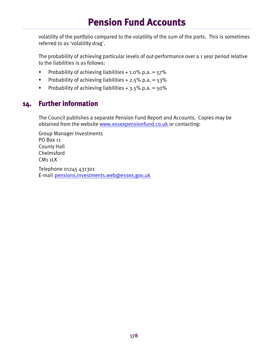volatility of the portfolio compared to the volatility of the sum of the parts. This is sometimes referred to as 'volatility drag'.

The probability of achieving particular levels of out-performance over a 1 year period relative to the liabilities is as follows:

- Probability of achieving liabilities  $+1.0\%$  p.a. = 57%
- **Probability of achieving liabilities + 2.5% p.a. = 53%**
- **Probability of achieving liabilities + 3.5% p.a. = 50%**

#### **14. Further information**

The Council publishes a separate Pension Fund Report and Accounts. Copies may be obtained from the website www.essexpensionfund.co.uk or contacting:

Group Manager Investments PO Box 11 County Hall Chelmsford CM1 1LX Telephone 01245 431301

E-mail pensions.investments.web@essex.gov.uk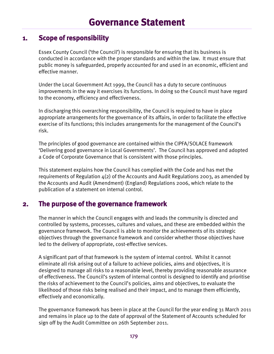#### **1. Scope of responsibility**

Essex County Council ('the Council') is responsible for ensuring that its business is conducted in accordance with the proper standards and within the law. It must ensure that public money is safeguarded, properly accounted for and used in an economic, efficient and effective manner.

Under the Local Government Act 1999, the Council has a duty to secure continuous improvements in the way it exercises its functions. In doing so the Council must have regard to the economy, efficiency and effectiveness.

In discharging this overarching responsibility, the Council is required to have in place appropriate arrangements for the governance of its affairs, in order to facilitate the effective exercise of its functions; this includes arrangements for the management of the Council's risk.

The principles of good governance are contained within the CIPFA/SOLACE framework 'Delivering good governance in Local Governments'. The Council has approved and adopted a Code of Corporate Governance that is consistent with those principles.

This statement explains how the Council has complied with the Code and has met the requirements of Regulation  $4(2)$  of the Accounts and Audit Regulations 2003, as amended by the Accounts and Audit (Amendment) (England) Regulations 2006, which relate to the publication of a statement on internal control.

#### **2. The purpose of the governance framework**

The manner in which the Council engages with and leads the community is directed and controlled by systems, processes, cultures and values, and these are embedded within the governance framework. The Council is able to monitor the achievements of its strategic objectives through the governance framework and consider whether those objectives have led to the delivery of appropriate, cost-effective services.

A significant part of that framework is the system of internal control. Whilst it cannot eliminate all risk arising out of a failure to achieve policies, aims and objectives, it is designed to manage all risks to a reasonable level, thereby providing reasonable assurance of effectiveness. The Council's system of internal control is designed to identify and prioritise the risks of achievement to the Council's policies, aims and objectives, to evaluate the likelihood of those risks being realised and their impact, and to manage them efficiently, effectively and economically.

The governance framework has been in place at the Council for the year ending 31 March 2011 and remains in place up to the date of approval of the Statement of Accounts scheduled for sign off by the Audit Committee on 26th September 2011.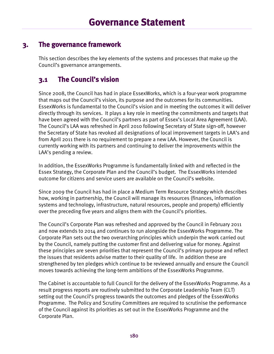### **3. The governance framework**

This section describes the key elements of the systems and processes that make up the Council's governance arrangements.

### **3.1 The Council's vision**

Since 2008, the Council has had in place EssexWorks, which is a four-year work programme that maps out the Council's vision, its purpose and the outcomes for its communities. EssexWorks is fundamental to the Council's vision and in meeting the outcomes it will deliver directly through its services. It plays a key role in meeting the commitments and targets that have been agreed with the Council's partners as part of Essex's Local Area Agreement (LAA). The Council's LAA was refreshed in April 2010 following Secretary of State sign-off, however the Secretary of State has revoked all designations of local improvement targets in LAA's and from April 2011 there is no requirement to prepare a new LAA. However, the Council is currently working with its partners and continuing to deliver the improvements within the LAA's pending a review.

In addition, the EssexWorks Programme is fundamentally linked with and reflected in the Essex Strategy, the Corporate Plan and the Council's budget. The EssexWorks intended outcome for citizens and service users are available on the Council's website.

Since 2009 the Council has had in place a Medium Term Resource Strategy which describes how, working in partnership, the Council will manage its resources (finances, information systems and technology, infrastructure, natural resources, people and property) efficiently over the preceding five years and aligns them with the Council's priorities.

The Council's Corporate Plan was refreshed and approved by the Council in February 2011 and now extends to 2014 and continues to run alongside the EssexWorks Programme. The Corporate Plan sets out the two overarching principles which underpin the work carried out by the Council, namely putting the customer first and delivering value for money. Against these principles are seven priorities that represent the Council's primary purpose and reflect the issues that residents advise matter to their quality of life. In addition these are strengthened by ten pledges which continue to be reviewed annually and ensure the Council moves towards achieving the long-term ambitions of the EssexWorks Programme.

The Cabinet is accountable to full Council for the delivery of the EssexWorks Programme. As a result progress reports are routinely submitted to the Corporate Leadership Team (CLT) setting out the Council's progress towards the outcomes and pledges of the EssexWorks Programme. The Policy and Scrutiny Committees are required to scrutinise the performance of the Council against its priorities as set out in the EssexWorks Programme and the Corporate Plan.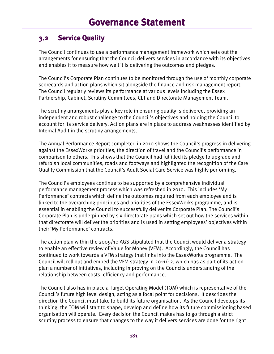### **3.2 Service Quality**

The Council continues to use a performance management framework which sets out the arrangements for ensuring that the Council delivers services in accordance with its objectives and enables it to measure how well it is delivering the outcomes and pledges.

The Council's Corporate Plan continues to be monitored through the use of monthly corporate scorecards and action plans which sit alongside the finance and risk management report. The Council regularly reviews its performance at various levels including the Essex Partnership, Cabinet, Scrutiny Committees, CLT and Directorate Management Team.

The scrutiny arrangements play a key role in ensuring quality is delivered, providing an independent and robust challenge to the Council's objectives and holding the Council to account for its service delivery. Action plans are in place to address weaknesses identified by Internal Audit in the scrutiny arrangements.

The Annual Performance Report completed in 2010 shows the Council's progress in delivering against the EssexWorks priorities, the direction of travel and the Council's performance in comparison to others. This shows that the Council had fulfilled its pledge to upgrade and refurbish local communities, roads and footways and highlighted the recognition of the Care Quality Commission that the Council's Adult Social Care Service was highly performing.

The Council's employees continue to be supported by a comprehensive individual performance management process which was refreshed in 2010. This includes 'My Performance' contracts which define the outcomes required from each employee and is linked to the overarching principles and priorities of the EssexWorks programme, and is essential in enabling the Council to successfully deliver its Corporate Plan. The Council's Corporate Plan is underpinned by six directorate plans which set out how the services within that directorate will deliver the priorities and is used in setting employees' objectives within their 'My Performance' contracts.

The action plan within the 2009/10 AGS stipulated that the Council would deliver a strategy to enable an effective review of Value for Money (VFM). Accordingly, the Council has continued to work towards a VFM strategy that links into the EssexWorks programme. The Council will roll out and embed the VFM strategy in 2011/12, which has as part of its action plan a number of initiatives, including improving on the Councils understanding of the relationship between costs, efficiency and performance.

The Council also has in place a Target Operating Model (TOM) which is representative of the Council's future high level design, acting as a focal point for decisions. It describes the direction the Council must take to build its future organisation. As the Council develops its thinking, the TOM will start to shape, develop and define how its future commissioning based organisation will operate. Every decision the Council makes has to go through a strict scrutiny process to ensure that changes to the way it delivers services are done for the right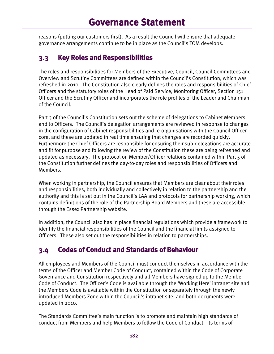reasons (putting our customers first). As a result the Council will ensure that adequate governance arrangements continue to be in place as the Council's TOM develops.

### **3.3 Key Roles and Responsibilities**

The roles and responsibilities for Members of the Executive, Council, Council Committees and Overview and Scrutiny Committees are defined within the Council's Constitution, which was refreshed in 2010. The Constitution also clearly defines the roles and responsibilities of Chief Officers and the statutory roles of the Head of Paid Service, Monitoring Officer, Section 151 Officer and the Scrutiny Officer and incorporates the role profiles of the Leader and Chairman of the Council.

Part 3 of the Council's Constitution sets out the scheme of delegations to Cabinet Members and to Officers. The Council's delegation arrangements are reviewed in response to changes in the configuration of Cabinet responsibilities and re-organisations with the Council Officer core, and these are updated in real time ensuring that changes are recorded quickly. Furthermore the Chief Officers are responsible for ensuring their sub-delegations are accurate and fit for purpose and following the review of the Constitution these are being refreshed and updated as necessary. The protocol on Member/Officer relations contained within Part 5 of the Constitution further defines the day-to-day roles and responsibilities of Officers and Members.

When working in partnership, the Council ensures that Members are clear about their roles and responsibilities, both individually and collectively in relation to the partnership and the authority and this is set out in the Council's LAA and protocols for partnership working, which contains definitions of the role of the Partnership Board Members and these are accessible through the Essex Partnership website.

In addition, the Council also has in place financial regulations which provide a framework to identify the financial responsibilities of the Council and the financial limits assigned to Officers. These also set out the responsibilities in relation to partnerships.

### **3.4 Codes of Conduct and Standards of Behaviour**

All employees and Members of the Council must conduct themselves in accordance with the terms of the Officer and Member Code of Conduct, contained within the Code of Corporate Governance and Constitution respectively and all Members have signed up to the Member Code of Conduct. The Officer's Code is available through the 'Working Here' intranet site and the Members Code is available within the Constitution or separately through the newly introduced Members Zone within the Council's intranet site, and both documents were updated in 2010.

The Standards Committee's main function is to promote and maintain high standards of conduct from Members and help Members to follow the Code of Conduct. Its terms of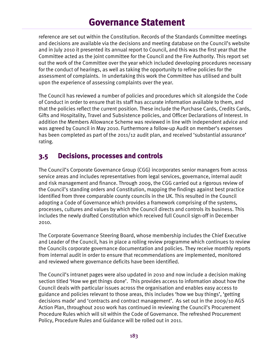reference are set out within the Constitution. Records of the Standards Committee meetings and decisions are available via the decisions and meeting database on the Council's website and in July 2010 it presented its annual report to Council, and this was the first year that the Committee acted as the joint committee for the Council and the Fire Authority. This report set out the work of the Committee over the year which included developing procedures necessary for the conduct of hearings, as well as taking the opportunity to refine policies for the assessment of complaints. In undertaking this work the Committee has utilised and built upon the experience of assessing complaints over the year.

The Council has reviewed a number of policies and procedures which sit alongside the Code of Conduct in order to ensure that its staff has accurate information available to them, and that the policies reflect the current position. These include the Purchase Cards, Credits Cards, Gifts and Hospitality, Travel and Subsistence policies, and Officer Declarations of Interest. In addition the Members Allowance Scheme was reviewed in line with independent advice and was agreed by Council in May 2010. Furthermore a follow-up Audit on member's expenses has been completed as part of the 2011/12 audit plan, and received 'substantial assurance' rating.

#### **3.5 Decisions, processes and controls**

The Council's Corporate Governance Group (CGG) incorporates senior managers from across service areas and includes representatives from legal services, governance, internal audit and risk management and finance. Through 2009, the CGG carried out a rigorous review of the Council's standing orders and Constitution, mapping the findings against best practice identified from three comparable county councils in the UK. This resulted in the Council adopting a Code of Governance which provides a framework comprising of the systems, processes, cultures and values by which the Council directs and controls its business. This includes the newly drafted Constitution which received full Council sign-off in December 2010.

The Corporate Governance Steering Board, whose membership includes the Chief Executive and Leader of the Council, has in place a rolling review programme which continues to review the Councils corporate governance documentation and policies. They receive monthly reports from internal audit in order to ensure that recommendations are implemented, monitored and reviewed where governance deficits have been identified.

The Council's intranet pages were also updated in 2010 and now include a decision making section titled 'How we get things done'. This provides access to information about how the Council deals with particular issues across the organisation and enables easy access to guidance and policies relevant to those areas, this includes 'how we buy things', 'getting decisions made' and 'contracts and contract management'. As set out in the 2009/10 AGS Action Plan, throughout 2010 work has continued in reviewing the Council's Procurement Procedure Rules which will sit within the Code of Governance. The refreshed Procurement Policy, Procedure Rules and Guidance will be rolled out in 2011.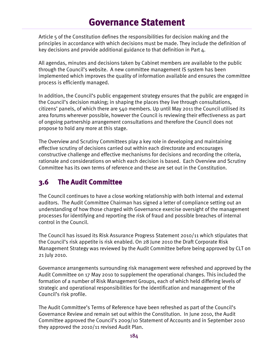Article 5 of the Constitution defines the responsibilities for decision making and the principles in accordance with which decisions must be made. They include the definition of key decisions and provide additional guidance to that definition in Part 4.

All agendas, minutes and decisions taken by Cabinet members are available to the public through the Council's website. A new committee management IS system has been implemented which improves the quality of information available and ensures the committee process is efficiently managed.

In addition, the Council's public engagement strategy ensures that the public are engaged in the Council's decision making; in shaping the places they live through consultations, citizens' panels, of which there are 540 members. Up until May 2011 the Council utilised its area forums wherever possible, however the Council is reviewing their effectiveness as part of ongoing partnership arrangement consultations and therefore the Council does not propose to hold any more at this stage.

The Overview and Scrutiny Committees play a key role in developing and maintaining effective scrutiny of decisions carried out within each directorate and encourages constructive challenge and effective mechanisms for decisions and recording the criteria, rationale and considerations on which each decision is based. Each Overview and Scrutiny Committee has its own terms of reference and these are set out in the Constitution.

### **3.6 The Audit Committee**

The Council continues to have a close working relationship with both internal and external auditors. The Audit Committee Chairman has signed a letter of compliance setting out an understanding of how those charged with Governance exercise oversight of the management processes for identifying and reporting the risk of fraud and possible breaches of internal control in the Council.

The Council has issued its Risk Assurance Progress Statement 2010/11 which stipulates that the Council's risk appetite is risk enabled. On 28 June 2010 the Draft Corporate Risk Management Strategy was reviewed by the Audit Committee before being approved by CLT on 21 July 2010.

Governance arrangements surrounding risk management were refreshed and approved by the Audit Committee on 17 May 2010 to supplement the operational changes. This included the formation of a number of Risk Management Groups, each of which held differing levels of strategic and operational responsibilities for the identification and management of the Council's risk profile.

The Audit Committee's Terms of Reference have been refreshed as part of the Council's Governance Review and remain set out within the Constitution. In June 2010, the Audit Committee approved the Council's 2009/10 Statement of Accounts and in September 2010 they approved the 2010/11 revised Audit Plan.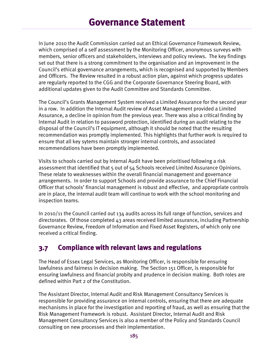In June 2010 the Audit Commission carried out an Ethical Governance Framework Review, which comprised of a self assessment by the Monitoring Officer, anonymous surveys with members, senior officers and stakeholders, interviews and policy reviews. The key findings set out that there is a strong commitment to the organisation and an improvement in the Council's ethical governance arrangements, which is recognised and supported by Members and Officers. The Review resulted in a robust action plan, against which progress updates are regularly reported to the CGG and the Corporate Governance Steering Board, with additional updates given to the Audit Committee and Standards Committee.

The Council's Grants Management System received a Limited Assurance for the second year in a row. In addition the Internal Audit review of Asset Management provided a Limited Assurance, a decline in opinion from the previous year. There was also a critical finding by Internal Audit in relation to password protection, identified during an audit relating to the disposal of the Council's IT equipment, although it should be noted that the resulting recommendation was promptly implemented. This highlights that further work is required to ensure that all key sytems maintain stronger internal controls, and associated recommendations have been promptly implemented.

Visits to schools carried out by Internal Audit have been prioritised following a risk assessment that identified that 5 out of 54 Schools received Limited Assurance Opinions. These relate to weaknesses within the overall financial management and governance arrangements. In order to support Schools and provide assurance to the Chief Financial Officer that schools' financial management is robust and effective, and appropriate controls are in place, the internal audit team will continue to work with the school monitoring and inspection teams.

In 2010/11 the Council carried out 134 audits across its full range of function, services and directorates. Of those completed  $43$  areas received limited assurance, including Partnership Governance Review, Freedom of Information and Fixed Asset Registers, of which only one received a critical finding.

### **3.7 Compliance with relevant laws and regulations**

The Head of Essex Legal Services, as Monitoring Officer, is responsible for ensuring lawfulness and fairness in decision making. The Section 151 Officer, is responsible for ensuring lawfulness and financial probity and prudence in decision making. Both roles are defined within Part 2 of the Constitution.

The Assistant Director, Internal Audit and Risk Management Consultancy Services is responsible for providing assurance on internal controls, ensuring that there are adequate mechanisms in place for the investigation and reporting of fraud, as well as ensuring that the Risk Management Framework is robust. Assistant Director, Internal Audit and Risk Management Consultancy Services is also a member of the Policy and Standards Council consulting on new processes and their implementation.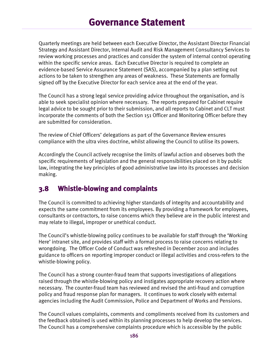Quarterly meetings are held between each Executive Director, the Assistant Director Financial Strategy and Assistant Director, Internal Audit and Risk Management Consultancy Services to review working processes and practices and consider the system of internal control operating within the specific service areas. Each Executive Director is required to complete an evidence-based Service Assurance Statement (SAS), accompanied by a plan setting out actions to be taken to strengthen any areas of weakness. These Statements are formally signed off by the Executive Director for each service area at the end of the year.

The Council has a strong legal service providing advice throughout the organisation, and is able to seek specialist opinion where necessary. The reports prepared for Cabinet require legal advice to be sought prior to their submission, and all reports to Cabinet and CLT must incorporate the comments of both the Section 151 Officer and Monitoring Officer before they are submitted for consideration.

The review of Chief Officers' delegations as part of the Governance Review ensures compliance with the ultra vires doctrine, whilst allowing the Council to utilise its powers.

Accordingly the Council actively recognise the limits of lawful action and observes both the specific requirements of legislation and the general responsibilities placed on it by public law, integrating the key principles of good administrative law into its processes and decision making.

#### **3.8 Whistle-blowing and complaints**

The Council is committed to achieving higher standards of integrity and accountability and expects the same commitment from its employees. By providing a framework for employees, consultants or contractors, to raise concerns which they believe are in the public interest and may relate to illegal, improper or unethical conduct.

The Council's whistle-blowing policy continues to be available for staff through the 'Working Here' intranet site, and provides staff with a formal process to raise concerns relating to wrongdoing. The Officer Code of Conduct was refreshed in December 2010 and includes guidance to officers on reporting improper conduct or illegal activities and cross-refers to the whistle-blowing policy.

The Council has a strong counter-fraud team that supports investigations of allegations raised through the whistle-blowing policy and instigates appropriate recovery action where necessary. The counter-fraud team has reviewed and revised the anti-fraud and corruption policy and fraud response plan for managers. It continues to work closely with external agencies including the Audit Commission, Police and Department of Works and Pensions.

The Council values complaints, comments and compliments received from its customers and the feedback obtained is used within its planning processes to help develop the services. The Council has a comprehensive complaints procedure which is accessible by the public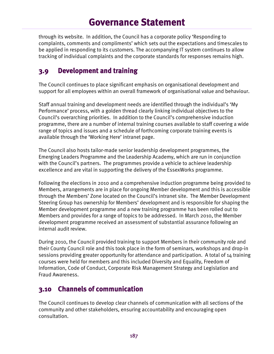through its website. In addition, the Council has a corporate policy 'Responding to complaints, comments and compliments' which sets out the expectations and timescales to be applied in responding to its customers. The accompanying IT system continues to allow tracking of individual complaints and the corporate standards for responses remains high.

### **3.9 Development and training**

The Council continues to place significant emphasis on organisational development and support for all employees within an overall framework of organisational value and behaviour.

Staff annual training and development needs are identified through the individual's 'My Performance' process, with a golden thread clearly linking individual objectives to the Council's overarching priorities. In addition to the Council's comprehensive induction programme, there are a number of internal training courses available to staff covering a wide range of topics and issues and a schedule of forthcoming corporate training events is available through the 'Working Here' intranet page.

The Council also hosts tailor-made senior leadership development programmes, the Emerging Leaders Programme and the Leadership Academy, which are run in conjunction with the Council's partners. The programmes provide a vehicle to achieve leadership excellence and are vital in supporting the delivery of the EssexWorks programme.

Following the elections in 2010 and a comprehensive induction programme being provided to Members, arrangements are in place for ongoing Member development and this is accessible through the Members' Zone located on the Council's intranet site. The Member Development Steering Group has ownership for Members' development and is responsible for shaping the Member development programme and a new training programme has been rolled out to Members and provides for a range of topics to be addressed. In March 2010, the Member development programme received an assessment of substantial assurance following an internal audit review.

During 2010, the Council provided training to support Members in their community role and their County Council role and this took place in the form of seminars, workshops and drop-in sessions providing greater opportunity for attendance and participation. A total of 14 training courses were held for members and this included Diversity and Equality, Freedom of Information, Code of Conduct, Corporate Risk Management Strategy and Legislation and Fraud Awareness.

### **3.10 Channels of communication**

The Council continues to develop clear channels of communication with all sections of the community and other stakeholders, ensuring accountability and encouraging open consultation.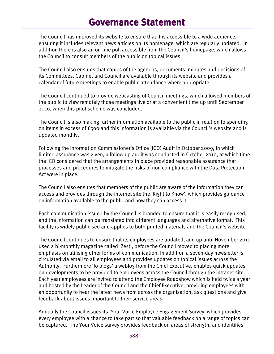The Council has improved its website to ensure that it is accessible to a wide audience, ensuring it includes relevant news articles on its homepage, which are regularly updated. In addition there is also an on-line poll accessible from the Council's homepage, which allows the Council to consult members of the public on topical issues.

The Council also ensures that copies of the agendas, documents, minutes and decisions of its Committees, Cabinet and Council are available through its website and provides a calendar of future meetings to enable public attendance where appropriate.

The Council continued to provide webcasting of Council meetings, which allowed members of the public to view remotely those meetings live or at a convenient time up until September 2010, when this pilot scheme was concluded.

The Council is also making further information available to the public in relation to spending on items in excess of £500 and this information is available via the Council's website and is updated monthly.

Following the Information Commissioner's Office (ICO) Audit in October 2009, in which limited assurance was given, a follow up audit was conducted in October 2010, at which time the ICO considered that the arrangements in place provided reasonable assurance that processes and procedures to mitigate the risks of non compliance with the Data Protection Act were in place.

The Council also ensures that members of the public are aware of the information they can access and provides through the internet site the 'Right to Know', which provides guidance on information available to the public and how they can access it.

Each communication issued by the Council is branded to ensure that it is easily recognised, and the information can be translated into different languages and alternative format. This facility is widely publicised and applies to both printed materials and the Council's website.

The Council continues to ensure that its employees are updated, and up until November 2010 used a bi-monthly magazine called 'Zest', before the Council moved to placing more emphasis on utilising other forms of communication. In addition a seven-day newsletter is circulated via email to all employees and provides updates on topical issues across the Authority. Furthermore 'Jo blogs' a weblog from the Chief Executive, enables quick updates on developments to be provided to employees across the Council through the intranet site. Each year employees are invited to attend the Employee Roadshow which is held twice a year and hosted by the Leader of the Council and the Chief Executive, providing employees with an opportunity to hear the latest news from across the organisation, ask questions and give feedback about issues important to their service areas.

Annually the Council issues its 'Your Voice Employee Engagement Survey' which provides every employee with a chance to take part so that valuable feedback on a range of topics can be captured. The Your Voice survey provides feedback on areas of strength, and identifies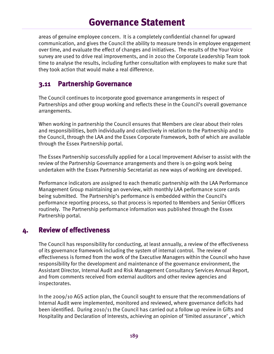areas of genuine employee concern. It is a completely confidential channel for upward communication, and gives the Council the ability to measure trends in employee engagement over time, and evaluate the effect of changes and initiatives. The results of the Your Voice survey are used to drive real improvements, and in 2010 the Corporate Leadership Team took time to analyse the results, including further consultation with employees to make sure that they took action that would make a real difference.

#### **3.11 Partnership Governance**

The Council continues to incorporate good governance arrangements in respect of Partnerships and other group working and reflects these in the Council's overall governance arrangements.

When working in partnership the Council ensures that Members are clear about their roles and responsibilities, both individually and collectively in relation to the Partnership and to the Council, through the LAA and the Essex Corporate Framework, both of which are available through the Essex Partnership portal.

The Essex Partnership successfully applied for a Local Improvement Adviser to assist with the review of the Partnership Governance arrangements and there is on-going work being undertaken with the Essex Partnership Secretariat as new ways of working are developed.

Performance indicators are assigned to each thematic partnership with the LAA Performance Management Group maintaining an overview, with monthly LAA performance score cards being submitted. The Partnership's performance is embedded within the Council's performance reporting process, so that process is reported to Members and Senior Officers routinely. The Partnership performance information was published through the Essex Partnership portal.

#### **4. Review of effectiveness**

The Council has responsibility for conducting, at least annually, a review of the effectiveness of its governance framework including the system of internal control. The review of effectiveness is formed from the work of the Executive Managers within the Council who have responsibility for the development and maintenance of the governance environment, the Assistant Director, Internal Audit and Risk Management Consultancy Services Annual Report, and from comments received from external auditors and other review agencies and inspectorates.

In the 2009/10 AGS action plan, the Council sought to ensure that the recommendations of Internal Audit were implemented, monitored and reviewed, where governance deficits had been identified. During 2010/11 the Council has carried out a follow up review in Gifts and Hospitality and Declaration of Interests, achieving an opinion of 'limited assurance' , which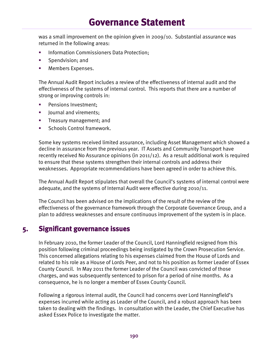was a small improvement on the opinion given in 2009/10. Substantial assurance was returned in the following areas:

- Information Commissioners Data Protection;
- Spendvision; and
- Members Expenses.

The Annual Audit Report includes a review of the effectiveness of internal audit and the effectiveness of the systems of internal control. This reports that there are a number of strong or improving controls in:

- **Pensions Investment;**
- **Journal and virements;**
- Treasury management; and
- Schools Control framework.

Some key systems received limited assurance, including Asset Management which showed a decline in assurance from the previous year. IT Assets and Community Transport have recently received No Assurance opinions (in 2011/12). As a result additional work is required to ensure that these systems strengthen their internal controls and address their weaknesses. Appropriate recommendations have been agreed in order to achieve this.

The Annual Audit Report stipulates that overall the Council's systems of internal control were adequate, and the systems of Internal Audit were effective during 2010/11.

The Council has been advised on the implications of the result of the review of the effectiveness of the governance framework through the Corporate Governance Group, and a plan to address weaknesses and ensure continuous improvement of the system is in place.

#### **5. Significant governance issues**

In February 2010, the former Leader of the Council, Lord Hanningfield resigned from this position following criminal proceedings being instigated by the Crown Prosecution Service. This concerned allegations relating to his expenses claimed from the House of Lords and related to his role as a House of Lords Peer, and not to his position as former Leader of Essex County Council. In May 2011 the former Leader of the Council was convicted of those charges, and was subsequently sentenced to prison for a period of nine months. As a consequence, he is no longer a member of Essex County Council.

Following a rigorous internal audit, the Council had concerns over Lord Hanningfield's expenses incurred while acting as Leader of the Council, and a robust approach has been taken to dealing with the findings. In consultation with the Leader, the Chief Executive has asked Essex Police to investigate the matter.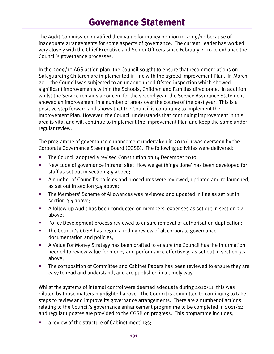The Audit Commission qualified their value for money opinion in 2009/10 because of inadequate arrangements for some aspects of governance. The current Leader has worked very closely with the Chief Executive and Senior Officers since February 2010 to enhance the Council's governance processes.

In the 2009/10 AGS action plan, the Council sought to ensure that recommendations on Safeguarding Children are implemented in line with the agreed Improvement Plan. In March 2011 the Council was subjected to an unannounced Ofsted inspection which showed significant improvements within the Schools, Children and Families directorate. In addition whilst the Service remains a concern for the second year, the Service Assurance Statement showed an improvement in a number of areas over the course of the past year. This is a positive step forward and shows that the Council is continuing to implement the Improvement Plan. However, the Council understands that continuing improvement in this area is vital and will continue to implement the Improvement Plan and keep the same under regular review.

The programme of governance enhancement undertaken in 2010/11 was overseen by the Corporate Governance Steering Board (CGSB). The following activities were delivered:

- The Council adopted a revised Constitution on 14 December 2010;
- New code of governance intranet site: 'How we get things done' has been developed for staff as set out in section 3.5 above;
- A number of Council's policies and procedures were reviewed, updated and re-launched, as set out in section  $3.4$  above;
- The Members' Scheme of Allowances was reviewed and updated in line as set out in section 3.4 above;
- A follow-up Audit has been conducted on members' expenses as set out in section 3.4 above;
- Policy Development process reviewed to ensure removal of authorisation duplication;
- The Council's CGSB has begun a rolling review of all corporate governance documentation and policies;
- A Value For Money Strategy has been drafted to ensure the Council has the information needed to review value for money and performance effectively, as set out in section 3.2 above;
- The composition of Committee and Cabinet Papers has been reviewed to ensure they are easy to read and understand, and are published in a timely way.

Whilst the systems of internal control were deemed adequate during 2010/11, this was diluted by those matters highlighted above. The Council is committed to continuing to take steps to review and improve its governance arrangements. There are a number of actions relating to the Council's governance enhancement programme to be completed in 2011/12 and regular updates are provided to the CGSB on progress. This programme includes;

a review of the structure of Cabinet meetings;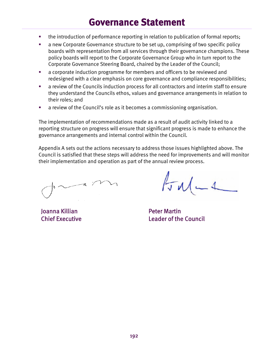- the introduction of performance reporting in relation to publication of formal reports;
- a new Corporate Governance structure to be set up, comprising of two specific policy boards with representation from all services through their governance champions. These policy boards will report to the Corporate Governance Group who in turn report to the Corporate Governance Steering Board, chaired by the Leader of the Council;
- a corporate induction programme for members and officers to be reviewed and redesigned with a clear emphasis on core governance and compliance responsibilities;
- a review of the Councils induction process for all contractors and interim staff to ensure they understand the Councils ethos, values and governance arrangements in relation to their roles; and
- a review of the Council's role as it becomes a commissioning organisation.

The implementation of recommendations made as a result of audit activity linked to a reporting structure on progress will ensure that significant progress is made to enhance the governance arrangements and internal control within the Council.

Appendix A sets out the actions necessary to address those issues highlighted above. The Council is satisfied that these steps will address the need for improvements and will monitor their implementation and operation as part of the annual review process.

-4

Joanna Killian Chief Executive

 $\sqrt{d}u$ 

Peter Martin Leader of the Council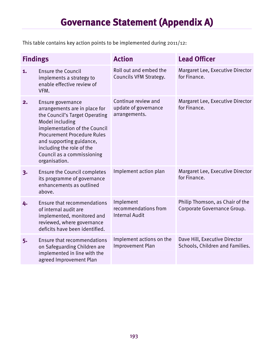# **Governance Statement (Appendix A)**

This table contains key action points to be implemented during 2011/12:

| <b>Findings</b> |                                                                                                                                                                                                                                                                                        | <b>Action</b>                                                | <b>Lead Officer</b>                                              |
|-----------------|----------------------------------------------------------------------------------------------------------------------------------------------------------------------------------------------------------------------------------------------------------------------------------------|--------------------------------------------------------------|------------------------------------------------------------------|
| 1.              | <b>Ensure the Council</b><br>implements a strategy to<br>enable effective review of<br>VFM.                                                                                                                                                                                            | Roll out and embed the<br>Councils VFM Strategy.             | Margaret Lee, Executive Director<br>for Finance.                 |
| 2.              | Ensure governance<br>arrangements are in place for<br>the Council's Target Operating<br>Model including<br>implementation of the Council<br><b>Procurement Procedure Rules</b><br>and supporting guidance,<br>including the role of the<br>Council as a commissioning<br>organisation. | Continue review and<br>update of governance<br>arrangements. | Margaret Lee, Executive Director<br>for Finance.                 |
| 3.              | <b>Ensure the Council completes</b><br>its programme of governance<br>enhancements as outlined<br>above.                                                                                                                                                                               | Implement action plan                                        | Margaret Lee, Executive Director<br>for Finance.                 |
| 4.              | <b>Ensure that recommendations</b><br>of internal audit are<br>implemented, monitored and<br>reviewed, where governance<br>deficits have been identified.                                                                                                                              | Implement<br>recommendations from<br><b>Internal Audit</b>   | Philip Thomson, as Chair of the<br>Corporate Governance Group.   |
| 5.              | Ensure that recommendations<br>on Safeguarding Children are<br>implemented in line with the<br>agreed Improvement Plan                                                                                                                                                                 | Implement actions on the<br>Improvement Plan                 | Dave Hill, Executive Director<br>Schools, Children and Families. |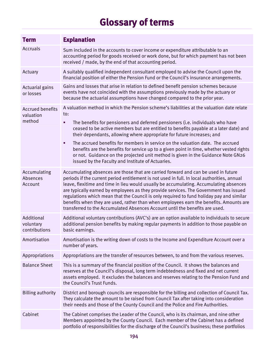| <b>Term</b>                                    | <b>Explanation</b>                                                                                                                                                                                                                                                                                                                                                                                                                                                                                                                                                                                                                                                                     |
|------------------------------------------------|----------------------------------------------------------------------------------------------------------------------------------------------------------------------------------------------------------------------------------------------------------------------------------------------------------------------------------------------------------------------------------------------------------------------------------------------------------------------------------------------------------------------------------------------------------------------------------------------------------------------------------------------------------------------------------------|
| Accruals                                       | Sum included in the accounts to cover income or expenditure attributable to an<br>accounting period for goods received or work done, but for which payment has not been<br>received / made, by the end of that accounting period.                                                                                                                                                                                                                                                                                                                                                                                                                                                      |
| Actuary                                        | A suitably qualified independent consultant employed to advise the Council upon the<br>financial position of either the Pension Fund or the Council's insurance arrangements.                                                                                                                                                                                                                                                                                                                                                                                                                                                                                                          |
| Actuarial gains<br>or losses                   | Gains and losses that arise in relation to defined benefit pension schemes because<br>events have not coincided with the assumptions previously made by the actuary or<br>because the actuarial assumptions have changed compared to the prior year.                                                                                                                                                                                                                                                                                                                                                                                                                                   |
| <b>Accrued benefits</b><br>valuation<br>method | A valuation method in which the Pension scheme's liabilities at the valuation date relate<br>to:<br>The benefits for pensioners and deferred pensioners (i.e. individuals who have<br>٠<br>ceased to be active members but are entitled to benefits payable at a later date) and<br>their dependants, allowing where appropriate for future increases; and<br>The accrued benefits for members in service on the valuation date. The accrued<br>٠<br>benefits are the benefits for service up to a given point in time, whether vested rights<br>or not. Guidance on the projected unit method is given in the Guidance Note GN26<br>issued by the Faculty and Institute of Actuaries. |
| Accumulating<br>Absences<br>Account            | Accumulating absences are those that are carried forward and can be used in future<br>periods if the current period entitlement is not used in full. In local authorities, annual<br>leave, flexitime and time in lieu would usually be accumulating. Accumulating absences<br>are typically earned by employees as they provide services. The Government has issued<br>regulations which mean that the Council is only required to fund holiday pay and similar<br>benefits when they are used, rather than when employees earn the benefits. Amounts are<br>transferred to the Accumulated Absences Account until the benefits are used.                                             |
| Additional<br>voluntary<br>contributions       | Additional voluntary contributions (AVC's) are an option available to individuals to secure<br>additional pension benefits by making regular payments in addition to those payable on<br>basic earnings.                                                                                                                                                                                                                                                                                                                                                                                                                                                                               |
| Amortisation                                   | Amortisation is the writing down of costs to the Income and Expenditure Account over a<br>number of years.                                                                                                                                                                                                                                                                                                                                                                                                                                                                                                                                                                             |
| Appropriations                                 | Appropriations are the transfer of resources between, to and from the various reserves.                                                                                                                                                                                                                                                                                                                                                                                                                                                                                                                                                                                                |
| <b>Balance Sheet</b>                           | This is a summary of the financial position of the Council. It shows the balances and<br>reserves at the Council's disposal, long term indebtedness and fixed and net current<br>assets employed. It excludes the balances and reserves relating to the Pension Fund and<br>the Council's Trust Funds.                                                                                                                                                                                                                                                                                                                                                                                 |
| <b>Billing authority</b>                       | District and borough councils are responsible for the billing and collection of Council Tax.<br>They calculate the amount to be raised from Council Tax after taking into consideration<br>their needs and those of the County Council and the Police and Fire Authorities.                                                                                                                                                                                                                                                                                                                                                                                                            |
| Cabinet                                        | The Cabinet comprises the Leader of the Council, who is its chairman, and nine other<br>Members appointed by the County Council. Each member of the Cabinet has a defined<br>portfolio of responsibilities for the discharge of the Council's business; these portfolios                                                                                                                                                                                                                                                                                                                                                                                                               |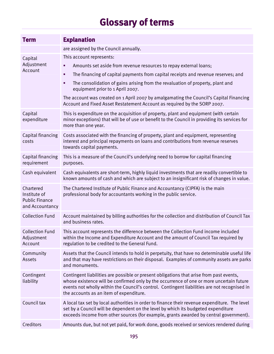| <b>Term</b>                                                           | <b>Explanation</b>                                                                                                                                                                                                                                                                                                             |
|-----------------------------------------------------------------------|--------------------------------------------------------------------------------------------------------------------------------------------------------------------------------------------------------------------------------------------------------------------------------------------------------------------------------|
|                                                                       | are assigned by the Council annually.                                                                                                                                                                                                                                                                                          |
| Capital<br>Adjustment<br>Account                                      | This account represents:                                                                                                                                                                                                                                                                                                       |
|                                                                       | Amounts set aside from revenue resources to repay external loans;<br>٠                                                                                                                                                                                                                                                         |
|                                                                       | The financing of capital payments from capital receipts and revenue reserves; and<br>٠                                                                                                                                                                                                                                         |
|                                                                       | The consolidation of gains arising from the revaluation of property, plant and<br>٠<br>equipment prior to 1 April 2007.                                                                                                                                                                                                        |
|                                                                       | The account was created on 1 April 2007 by amalgamating the Council's Capital Financing<br>Account and Fixed Asset Restatement Account as required by the SORP 2007.                                                                                                                                                           |
| Capital<br>expenditure                                                | This is expenditure on the acquisition of property, plant and equipment (with certain<br>minor exceptions) that will be of use or benefit to the Council in providing its services for<br>more than one year.                                                                                                                  |
| Capital financing<br>costs                                            | Costs associated with the financing of property, plant and equipment, representing<br>interest and principal repayments on loans and contributions from revenue reserves<br>towards capital payments.                                                                                                                          |
| Capital financing<br>requirement                                      | This is a measure of the Council's underlying need to borrow for capital financing<br>purposes.                                                                                                                                                                                                                                |
| Cash equivalent                                                       | Cash equivalents are short-term, highly liquid investments that are readily convertible to<br>known amounts of cash and which are subject to an insignificant risk of changes in value.                                                                                                                                        |
| Chartered<br>Institute of<br><b>Public Finance</b><br>and Accountancy | The Chartered Institute of Public Finance and Accountancy (CIPFA) is the main<br>professional body for accountants working in the public service.                                                                                                                                                                              |
| <b>Collection Fund</b>                                                | Account maintained by billing authorities for the collection and distribution of Council Tax<br>and business rates.                                                                                                                                                                                                            |
| <b>Collection Fund</b><br>Adjustment<br>Account                       | This account represents the difference between the Collection Fund income included<br>within the Income and Expenditure Account and the amount of Council Tax required by<br>regulation to be credited to the General Fund.                                                                                                    |
| Community<br>Assets                                                   | Assets that the Council intends to hold in perpetuity, that have no determinable useful life<br>and that may have restrictions on their disposal. Examples of community assets are parks<br>and monuments.                                                                                                                     |
| Contingent<br>liability                                               | Contingent liabilities are possible or present obligations that arise from past events,<br>whose existence will be confirmed only by the occurrence of one or more uncertain future<br>events not wholly within the Council's control. Contingent liabilities are not recognised in<br>the accounts as an item of expenditure. |
| Council tax                                                           | A local tax set by local authorities in order to finance their revenue expenditure. The level<br>set by a Council will be dependent on the level by which its budgeted expenditure<br>exceeds income from other sources (for example, grants awarded by central government).                                                   |
| Creditors                                                             | Amounts due, but not yet paid, for work done, goods received or services rendered during                                                                                                                                                                                                                                       |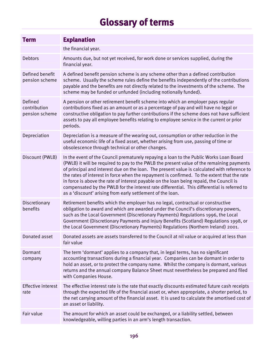| <b>Term</b>                               | <b>Explanation</b>                                                                                                                                                                                                                                                                                                                                                                                                                                                                                                                                                                                                                          |
|-------------------------------------------|---------------------------------------------------------------------------------------------------------------------------------------------------------------------------------------------------------------------------------------------------------------------------------------------------------------------------------------------------------------------------------------------------------------------------------------------------------------------------------------------------------------------------------------------------------------------------------------------------------------------------------------------|
|                                           | the financial year.                                                                                                                                                                                                                                                                                                                                                                                                                                                                                                                                                                                                                         |
| Debtors                                   | Amounts due, but not yet received, for work done or services supplied, during the<br>financial year.                                                                                                                                                                                                                                                                                                                                                                                                                                                                                                                                        |
| Defined benefit<br>pension scheme         | A defined benefit pension scheme is any scheme other than a defined contribution<br>scheme. Usually the scheme rules define the benefits independently of the contributions<br>payable and the benefits are not directly related to the investments of the scheme. The<br>scheme may be funded or unfunded (including notionally funded).                                                                                                                                                                                                                                                                                                   |
| Defined<br>contribution<br>pension scheme | A pension or other retirement benefit scheme into which an employer pays regular<br>contributions fixed as an amount or as a percentage of pay and will have no legal or<br>constructive obligation to pay further contributions if the scheme does not have sufficient<br>assets to pay all employee benefits relating to employee service in the current or prior<br>periods.                                                                                                                                                                                                                                                             |
| Depreciation                              | Depreciation is a measure of the wearing out, consumption or other reduction in the<br>useful economic life of a fixed asset, whether arising from use, passing of time or<br>obsolescence through technical or other changes.                                                                                                                                                                                                                                                                                                                                                                                                              |
| Discount (PWLB)                           | In the event of the Council prematurely repaying a loan to the Public Works Loan Board<br>(PWLB) it will be required to pay to the PWLB the present value of the remaining payments<br>of principal and interest due on the loan. The present value is calculated with reference to<br>the rates of interest in force when the repayment is confirmed. To the extent that the rate<br>in force is above the rate of interest payable on the loan being repaid, the Council is<br>compensated by the PWLB for the interest rate differential. This differential is referred to<br>as a 'discount' arising from early settlement of the loan. |
| Discretionary<br>benefits                 | Retirement benefits which the employer has no legal, contractual or constructive<br>obligation to award and which are awarded under the Council's discretionary powers,<br>such as the Local Government (Discretionary Payments) Regulations 1996, the Local<br>Government (Discretionary Payments and Injury Benefits (Scotland) Regulations 1998, or<br>the Local Government (Discretionary Payments) Regulations (Northern Ireland) 2001.                                                                                                                                                                                                |
| Donated asset                             | Donated assets are assets transferred to the Council at nil value or acquired at less than<br>fair value                                                                                                                                                                                                                                                                                                                                                                                                                                                                                                                                    |
| Dormant<br>company                        | The term 'dormant' applies to a company that, in legal terms, has no significant<br>accounting transactions during a financial year. Companies can be dormant in order to<br>hold an asset, or to protect the company name. Whilst the company is dormant, various<br>returns and the annual company Balance Sheet must nevertheless be prepared and filed<br>with Companies House.                                                                                                                                                                                                                                                         |
| <b>Effective interest</b><br>rate         | The effective interest rate is the rate that exactly discounts estimated future cash receipts<br>through the expected life of the financial asset or, when appropriate, a shorter period, to<br>the net carrying amount of the financial asset. It is used to calculate the amortised cost of<br>an asset or liability.                                                                                                                                                                                                                                                                                                                     |
| Fair value                                | The amount for which an asset could be exchanged, or a liability settled, between<br>knowledgeable, willing parties in an arm's length transaction.                                                                                                                                                                                                                                                                                                                                                                                                                                                                                         |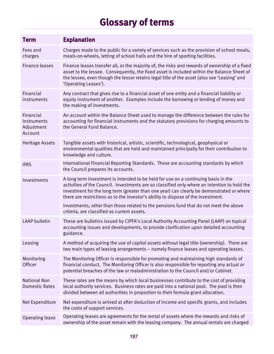| <b>Term</b>                                       | <b>Explanation</b>                                                                                                                                                                                                                                                                                                                                                   |
|---------------------------------------------------|----------------------------------------------------------------------------------------------------------------------------------------------------------------------------------------------------------------------------------------------------------------------------------------------------------------------------------------------------------------------|
| Fees and<br>charges                               | Charges made to the public for a variety of services such as the provision of school meals,<br>meals-on-wheels, letting of school halls and the hire of sporting facilities.                                                                                                                                                                                         |
| <b>Finance leases</b>                             | Finance leases transfer all, or the majority of, the risks and rewards of ownership of a fixed<br>asset to the lessee. Consequently, the fixed asset is included within the Balance Sheet of<br>the lessee, even though the lessor retains legal title of the asset (also see 'Leasing' and<br>'Operating Leases').                                                  |
| Financial<br>instruments                          | Any contract that gives rise to a financial asset of one entity and a financial liability or<br>equity instrument of another. Examples include the borrowing or lending of money and<br>the making of investments.                                                                                                                                                   |
| Financial<br>Instruments<br>Adjustment<br>Account | An account within the Balance Sheet used to manage the difference between the rules for<br>accounting for financial instruments and the statutory provisions for charging amounts to<br>the General Fund Balance.                                                                                                                                                    |
| <b>Heritage Assets</b>                            | Tangible assets with historical, artistic, scientific, technological, geophysical or<br>environmental qualities that are held and maintained principally for their contribution to<br>knowledge and culture.                                                                                                                                                         |
| <b>IFRS</b>                                       | International Financial Reporting Standards. These are accounting standards by which<br>the Council prepares its accounts.                                                                                                                                                                                                                                           |
| Investments                                       | A long term investment is intended to be held for use on a continuing basis in the<br>activities of the Council. Investments are so classified only where an intention to hold the<br>investment for the long term (greater than one year) can clearly be demonstrated or where<br>there are restrictions as to the investor's ability to dispose of the investment. |
|                                                   | Investments, other than those related to the pensions fund that do not meet the above<br>criteria, are classified as current assets.                                                                                                                                                                                                                                 |
| <b>LAAP</b> bulletin                              | These are bulletins issued by CIPFA's Local Authority Accounting Panel (LAAP) on topical<br>accounting issues and developments, to provide clarification upon detailed accounting<br>guidance.                                                                                                                                                                       |
| Leasing                                           | A method of acquiring the use of capital assets without legal title (ownership). There are<br>two main types of leasing arrangements - namely finance leases and operating leases.                                                                                                                                                                                   |
| Monitoring<br>Officer                             | The Monitoring Officer is responsible for promoting and maintaining high standards of<br>financial conduct. The Monitoring Officer is also responsible for reporting any actual or<br>potential breaches of the law or maladministration to the Council and/or Cabinet.                                                                                              |
| <b>National Non</b><br><b>Domestic Rates</b>      | These rates are the means by which local businesses contribute to the cost of providing<br>local authority services. Business rates are paid into a national pool. The pool is then<br>divided between all authorities in proportion to their formula grant allocation.                                                                                              |
| Net Expenditure                                   | Net expenditure is arrived at after deduction of income and specific grants, and includes<br>the costs of support services.                                                                                                                                                                                                                                          |
| Operating lease                                   | Operating leases are agreements for the rental of assets where the rewards and risks of<br>ownership of the asset remain with the leasing company. The annual rentals are charged                                                                                                                                                                                    |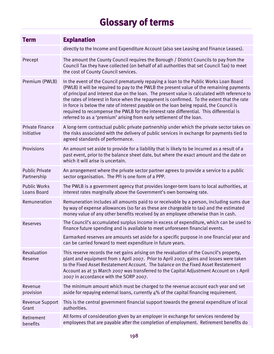| <b>Term</b>                               | <b>Explanation</b>                                                                                                                                                                                                                                                                                                                                                                                                                                                                                                                                                                                                                                 |
|-------------------------------------------|----------------------------------------------------------------------------------------------------------------------------------------------------------------------------------------------------------------------------------------------------------------------------------------------------------------------------------------------------------------------------------------------------------------------------------------------------------------------------------------------------------------------------------------------------------------------------------------------------------------------------------------------------|
|                                           | directly to the Income and Expenditure Account (also see Leasing and Finance Leases).                                                                                                                                                                                                                                                                                                                                                                                                                                                                                                                                                              |
| Precept                                   | The amount the County Council requires the Borough / District Councils to pay from the<br>Council Tax they have collected (on behalf of all authorities that set Council Tax) to meet<br>the cost of County Council services.                                                                                                                                                                                                                                                                                                                                                                                                                      |
| Premium (PWLB)                            | In the event of the Council prematurely repaying a loan to the Public Works Loan Board<br>(PWLB) it will be required to pay to the PWLB the present value of the remaining payments<br>of principal and interest due on the loan. The present value is calculated with reference to<br>the rates of interest in force when the repayment is confirmed. To the extent that the rate<br>in force is below the rate of interest payable on the loan being repaid, the Council is<br>required to recompense the PWLB for the interest rate differential. This differential is<br>referred to as a 'premium' arising from early settlement of the loan. |
| <b>Private Finance</b><br>Initiative      | A long-term contractual public private partnership under which the private sector takes on<br>the risks associated with the delivery of public services in exchange for payments tied to<br>agreed standards of performance.                                                                                                                                                                                                                                                                                                                                                                                                                       |
| Provisions                                | An amount set aside to provide for a liability that is likely to be incurred as a result of a<br>past event, prior to the balance sheet date, but where the exact amount and the date on<br>which it will arise is uncertain.                                                                                                                                                                                                                                                                                                                                                                                                                      |
| <b>Public Private</b><br>Partnership      | An arrangement where the private sector partner agrees to provide a service to a public<br>sector organisation. The PFI is one form of a PPP.                                                                                                                                                                                                                                                                                                                                                                                                                                                                                                      |
| <b>Public Works</b><br><b>Loans Board</b> | The PWLB is a government agency that provides longer-term loans to local authorities, at<br>interest rates marginally above the Government's own borrowing rate.                                                                                                                                                                                                                                                                                                                                                                                                                                                                                   |
| Remuneration                              | Remuneration includes all amounts paid to or receivable by a person, including sums due<br>by way of expense allowances (so far as these are chargeable to tax) and the estimated<br>money value of any other benefits received by an employee otherwise than in cash.                                                                                                                                                                                                                                                                                                                                                                             |
| Reserves                                  | The Council's accumulated surplus income in excess of expenditure, which can be used to<br>finance future spending and is available to meet unforeseen financial events.                                                                                                                                                                                                                                                                                                                                                                                                                                                                           |
|                                           | Earmarked reserves are amounts set aside for a specific purpose in one financial year and<br>can be carried forward to meet expenditure in future years.                                                                                                                                                                                                                                                                                                                                                                                                                                                                                           |
| Revaluation<br>Reserve                    | This reserve records the net gains arising on the revaluation of the Council's property,<br>plant and equipment from 1 April 2007. Prior to April 2007, gains and losses were taken<br>to the Fixed Asset Restatement Account. The balance on the Fixed Asset Restatement<br>Account as at 31 March 2007 was transferred to the Capital Adjustment Account on 1 April<br>2007 in accordance with the SORP 2007.                                                                                                                                                                                                                                    |
| Revenue<br>provision                      | The minimum amount which must be charged to the revenue account each year and set<br>aside for repaying external loans, currently 4% of the capital financing requirement.                                                                                                                                                                                                                                                                                                                                                                                                                                                                         |
| Revenue Support<br>Grant                  | This is the central government financial support towards the general expenditure of local<br>authorities.                                                                                                                                                                                                                                                                                                                                                                                                                                                                                                                                          |
| Retirement<br>benefits                    | All forms of consideration given by an employer in exchange for services rendered by<br>employees that are payable after the completion of employment. Retirement benefits do                                                                                                                                                                                                                                                                                                                                                                                                                                                                      |